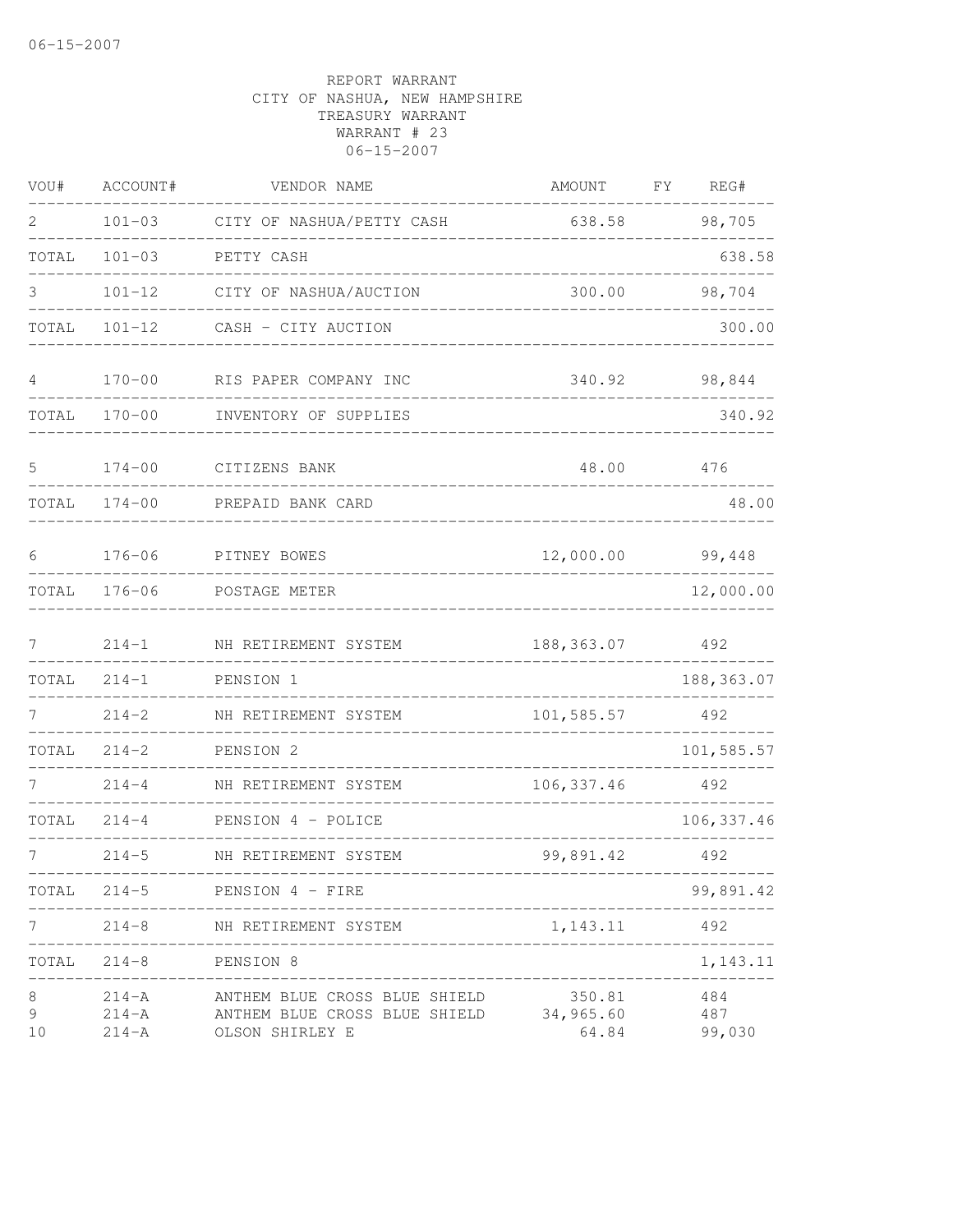| VOU#         | ACCOUNT#                            | VENDOR NAME                                                                       | AMOUNT                       | FY | REG#                 |
|--------------|-------------------------------------|-----------------------------------------------------------------------------------|------------------------------|----|----------------------|
| 2            | $101 - 03$                          | CITY OF NASHUA/PETTY CASH                                                         | 638.58                       |    | 98,705               |
| TOTAL        | $101 - 03$                          | PETTY CASH                                                                        |                              |    | 638.58               |
| 3            | $101 - 12$                          | CITY OF NASHUA/AUCTION                                                            | 300.00                       |    | 98,704               |
| TOTAL        | $101 - 12$                          | CASH - CITY AUCTION                                                               |                              |    | 300.00               |
| 4            | $170 - 00$                          | RIS PAPER COMPANY INC                                                             | 340.92                       |    | 98,844               |
| TOTAL        | $170 - 00$                          | INVENTORY OF SUPPLIES                                                             |                              |    | 340.92               |
| 5            | $174 - 00$                          | CITIZENS BANK                                                                     | 48.00                        |    | 476                  |
| TOTAL        | $174 - 00$                          | PREPAID BANK CARD                                                                 |                              |    | 48.00                |
| 6            | $176 - 06$                          | PITNEY BOWES                                                                      | 12,000.00                    |    | 99,448               |
| TOTAL        | $176 - 06$                          | POSTAGE METER                                                                     |                              |    | 12,000.00            |
| 7            | $214 - 1$                           | NH RETIREMENT SYSTEM                                                              | 188, 363.07                  |    | 492                  |
| TOTAL        | $214 - 1$                           | PENSION 1                                                                         |                              |    | 188, 363.07          |
| 7            | $214 - 2$                           | NH RETIREMENT SYSTEM                                                              | 101,585.57                   |    | 492                  |
| TOTAL        | $214 - 2$                           | PENSION 2                                                                         |                              |    | 101,585.57           |
|              | $214 - 4$                           | NH RETIREMENT SYSTEM                                                              | 106, 337.46                  |    | 492                  |
| TOTAL        | $214 - 4$                           | PENSION 4 - POLICE                                                                |                              |    | 106, 337.46          |
| 7            | $214 - 5$                           | NH RETIREMENT SYSTEM                                                              | 99,891.42                    |    | 492                  |
| TOTAL        | $214 - 5$                           | PENSION 4 - FIRE                                                                  |                              |    | 99,891.42            |
|              | $214 - 8$                           | NH RETIREMENT SYSTEM                                                              | 1, 143. 11                   |    | 492                  |
| TOTAL        | $214 - 8$                           | PENSION 8                                                                         |                              |    | 1,143.11             |
| 8<br>9<br>10 | $214 - A$<br>$214 - A$<br>$214 - A$ | ANTHEM BLUE CROSS BLUE SHIELD<br>ANTHEM BLUE CROSS BLUE SHIELD<br>OLSON SHIRLEY E | 350.81<br>34,965.60<br>64.84 |    | 484<br>487<br>99,030 |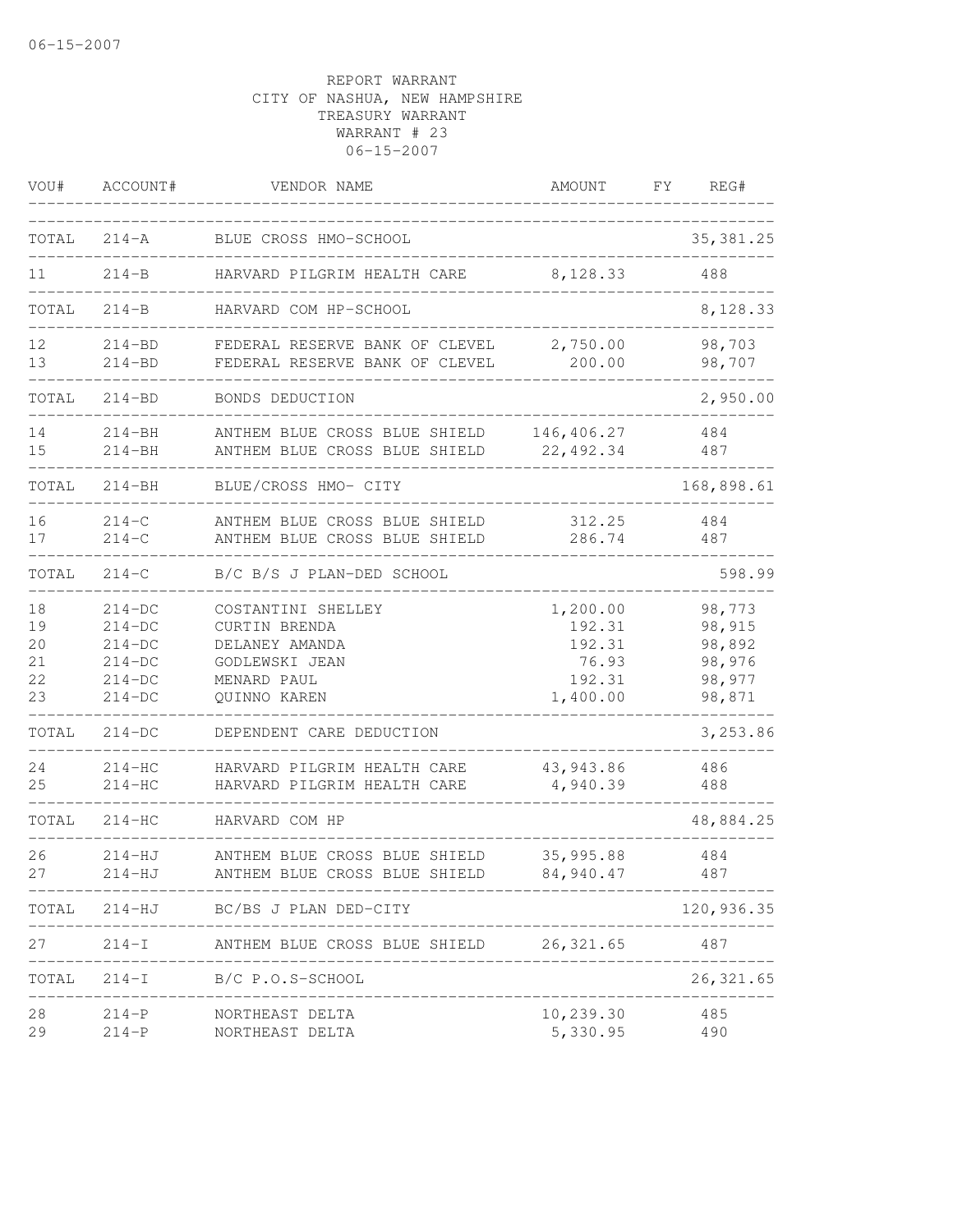| VOU#                             | ACCOUNT#                                                             | VENDOR NAME                                                                                            | AMOUNT                                                      | FY. | REG#                                                     |
|----------------------------------|----------------------------------------------------------------------|--------------------------------------------------------------------------------------------------------|-------------------------------------------------------------|-----|----------------------------------------------------------|
| TOTAL                            | $214 - A$                                                            | BLUE CROSS HMO-SCHOOL                                                                                  |                                                             |     | 35, 381.25                                               |
| 11                               | $214 - B$                                                            | HARVARD PILGRIM HEALTH CARE                                                                            | 8,128.33                                                    |     | 488                                                      |
| TOTAL                            | $214 - B$                                                            | HARVARD COM HP-SCHOOL                                                                                  |                                                             |     | 8,128.33                                                 |
| 12<br>13                         | $214 - BD$<br>$214 - BD$                                             | FEDERAL RESERVE BANK OF CLEVEL<br>FEDERAL RESERVE BANK OF CLEVEL                                       | 2,750.00<br>200.00                                          |     | 98,703<br>98,707                                         |
| TOTAL                            | $214 - BD$                                                           | BONDS DEDUCTION                                                                                        |                                                             |     | 2,950.00                                                 |
| 14<br>15                         | 214-BH<br>$214 - BH$                                                 | ANTHEM BLUE CROSS BLUE SHIELD<br>ANTHEM BLUE CROSS BLUE SHIELD                                         | 146,406.27<br>22,492.34                                     |     | 484<br>487                                               |
| TOTAL                            | $214 - BH$                                                           | BLUE/CROSS HMO- CITY                                                                                   |                                                             |     | 168,898.61                                               |
| 16<br>17                         | $214-C$<br>$214 - C$                                                 | ANTHEM BLUE CROSS BLUE SHIELD<br>ANTHEM BLUE CROSS BLUE SHIELD                                         | 312.25<br>286.74                                            |     | 484<br>487                                               |
| TOTAL                            | $214-C$                                                              | B/C B/S J PLAN-DED SCHOOL                                                                              |                                                             |     | 598.99                                                   |
| 18<br>19<br>20<br>21<br>22<br>23 | $214-DC$<br>$214-DC$<br>$214-DC$<br>$214-DC$<br>$214-DC$<br>$214-DC$ | COSTANTINI SHELLEY<br>CURTIN BRENDA<br>DELANEY AMANDA<br>GODLEWSKI JEAN<br>MENARD PAUL<br>QUINNO KAREN | 1,200.00<br>192.31<br>192.31<br>76.93<br>192.31<br>1,400.00 |     | 98,773<br>98,915<br>98,892<br>98,976<br>98,977<br>98,871 |
| TOTAL                            | $214-DC$                                                             | DEPENDENT CARE DEDUCTION                                                                               |                                                             |     | 3,253.86                                                 |
| 24<br>25                         | $214-HC$<br>$214-HC$                                                 | HARVARD PILGRIM HEALTH CARE<br>HARVARD PILGRIM HEALTH CARE                                             | 43, 943.86<br>4,940.39                                      |     | 486<br>488                                               |
| TOTAL                            | 214-HC                                                               | HARVARD COM HP                                                                                         |                                                             |     | 48,884.25                                                |
| 26<br>27                         | 214-HJ<br>$214 - HJ$                                                 | ANTHEM BLUE CROSS BLUE SHIELD<br>ANTHEM BLUE CROSS BLUE SHIELD                                         | 35,995.88<br>84,940.47                                      |     | 484<br>487                                               |
|                                  |                                                                      | TOTAL 214-HJ BC/BS J PLAN DED-CITY                                                                     |                                                             |     | 120,936.35                                               |
| 27                               |                                                                      | 214-I ANTHEM BLUE CROSS BLUE SHIELD 26,321.65                                                          |                                                             |     | 487                                                      |
| TOTAL                            |                                                                      | $214-I$ B/C P.O.S-SCHOOL                                                                               | ___________________________________                         |     | 26, 321.65                                               |
| 28<br>29                         | $214-P$<br>$214-P$                                                   | NORTHEAST DELTA<br>NORTHEAST DELTA                                                                     | 10,239.30<br>5,330.95                                       |     | 485<br>490                                               |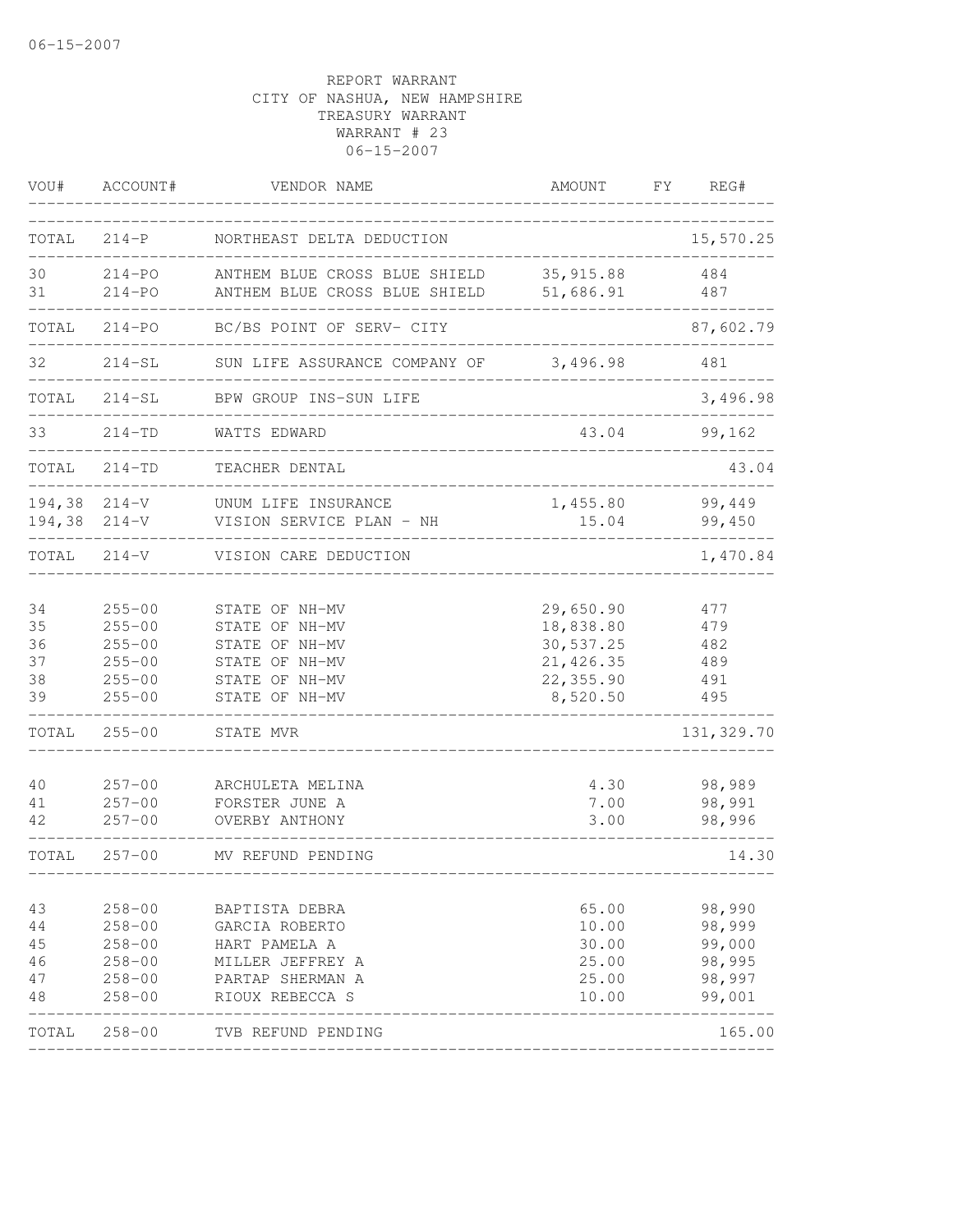| VOU#                                 | ACCOUNT#                                                                         | VENDOR NAME                                                                                                  | AMOUNT                                                                     | FY | REG#                                                     |
|--------------------------------------|----------------------------------------------------------------------------------|--------------------------------------------------------------------------------------------------------------|----------------------------------------------------------------------------|----|----------------------------------------------------------|
| TOTAL                                | $214-P$                                                                          | NORTHEAST DELTA DEDUCTION                                                                                    |                                                                            |    | 15,570.25                                                |
| 30<br>31                             | $214 - PO$<br>$214 - PQ$                                                         | ANTHEM BLUE CROSS BLUE SHIELD<br>ANTHEM BLUE CROSS BLUE SHIELD                                               | 35, 915.88<br>51,686.91                                                    |    | 484<br>487                                               |
| TOTAL                                | $214 - PQ$                                                                       | BC/BS POINT OF SERV- CITY                                                                                    |                                                                            |    | 87,602.79                                                |
| 32                                   | $214-SL$                                                                         | SUN LIFE ASSURANCE COMPANY OF                                                                                | 3,496.98                                                                   |    | 481                                                      |
| TOTAL                                | $214 - SL$                                                                       | BPW GROUP INS-SUN LIFE                                                                                       |                                                                            |    | 3,496.98                                                 |
| 33                                   | $214 - TD$                                                                       | WATTS EDWARD                                                                                                 | 43.04                                                                      |    | 99,162                                                   |
| TOTAL                                | $214 - TD$                                                                       | TEACHER DENTAL                                                                                               |                                                                            |    | 43.04                                                    |
| $194,38$ $214-V$<br>$194,38$ $214-V$ |                                                                                  | UNUM LIFE INSURANCE<br>VISION SERVICE PLAN - NH                                                              | 1,455.80<br>15.04                                                          |    | 99,449<br>99,450                                         |
| TOTAL                                | $214-V$                                                                          | VISION CARE DEDUCTION                                                                                        |                                                                            |    | 1,470.84                                                 |
| 34<br>35<br>36<br>37<br>38<br>39     | $255 - 00$<br>$255 - 00$<br>$255 - 00$<br>$255 - 00$<br>$255 - 00$<br>$255 - 00$ | STATE OF NH-MV<br>STATE OF NH-MV<br>STATE OF NH-MV<br>STATE OF NH-MV<br>STATE OF NH-MV<br>STATE OF NH-MV     | 29,650.90<br>18,838.80<br>30,537.25<br>21, 426.35<br>22,355.90<br>8,520.50 |    | 477<br>479<br>482<br>489<br>491<br>495                   |
| TOTAL                                | $255 - 00$                                                                       | STATE MVR                                                                                                    |                                                                            |    | 131,329.70                                               |
| 40<br>41<br>42                       | $257 - 00$<br>$257 - 00$<br>$257 - 00$                                           | ARCHULETA MELINA<br>FORSTER JUNE A<br>OVERBY ANTHONY                                                         | 4.30<br>7.00<br>3.00                                                       |    | 98,989<br>98,991<br>98,996                               |
| TOTAL                                | $257 - 00$                                                                       | MV REFUND PENDING                                                                                            |                                                                            |    | 14.30                                                    |
| 43<br>44<br>45<br>46<br>47<br>48     | $258 - 00$<br>$258 - 00$<br>$258 - 00$<br>$258 - 00$<br>$258 - 00$<br>$258 - 00$ | BAPTISTA DEBRA<br>GARCIA ROBERTO<br>HART PAMELA A<br>MILLER JEFFREY A<br>PARTAP SHERMAN A<br>RIOUX REBECCA S | 65.00<br>10.00<br>30.00<br>25.00<br>25.00<br>10.00                         |    | 98,990<br>98,999<br>99,000<br>98,995<br>98,997<br>99,001 |
| TOTAL                                | $258 - 00$                                                                       | TVB REFUND PENDING                                                                                           |                                                                            |    | 165.00                                                   |
|                                      |                                                                                  |                                                                                                              |                                                                            |    |                                                          |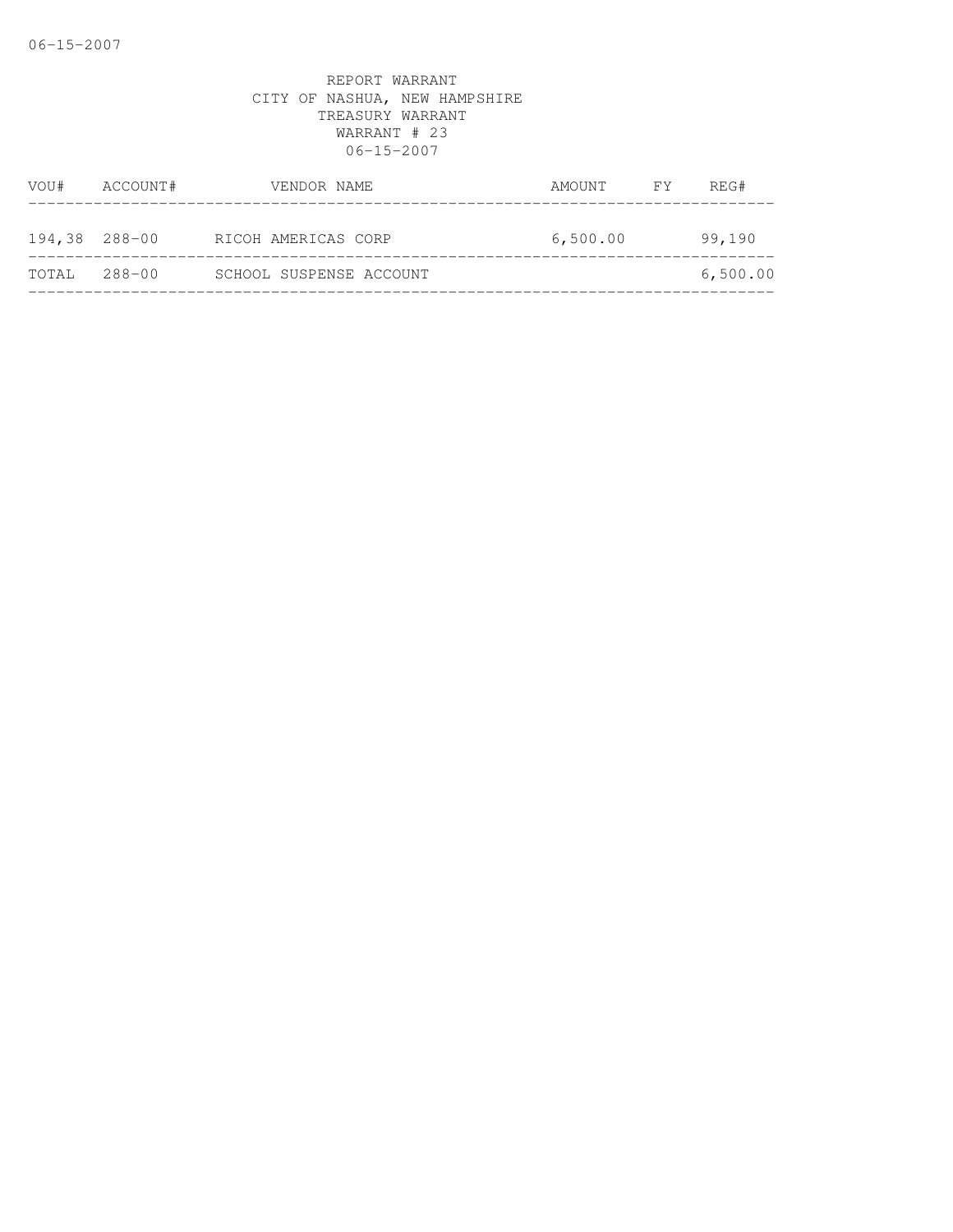| VOU#          | ACCOUNT# | VENDOR NAME             | AMOUNT FY | REG#     |
|---------------|----------|-------------------------|-----------|----------|
| 194,38 288-00 |          | RICOH AMERICAS CORP     | 6,500.00  | 99,190   |
| TOTAL         | 288-00   | SCHOOL SUSPENSE ACCOUNT |           | 6,500.00 |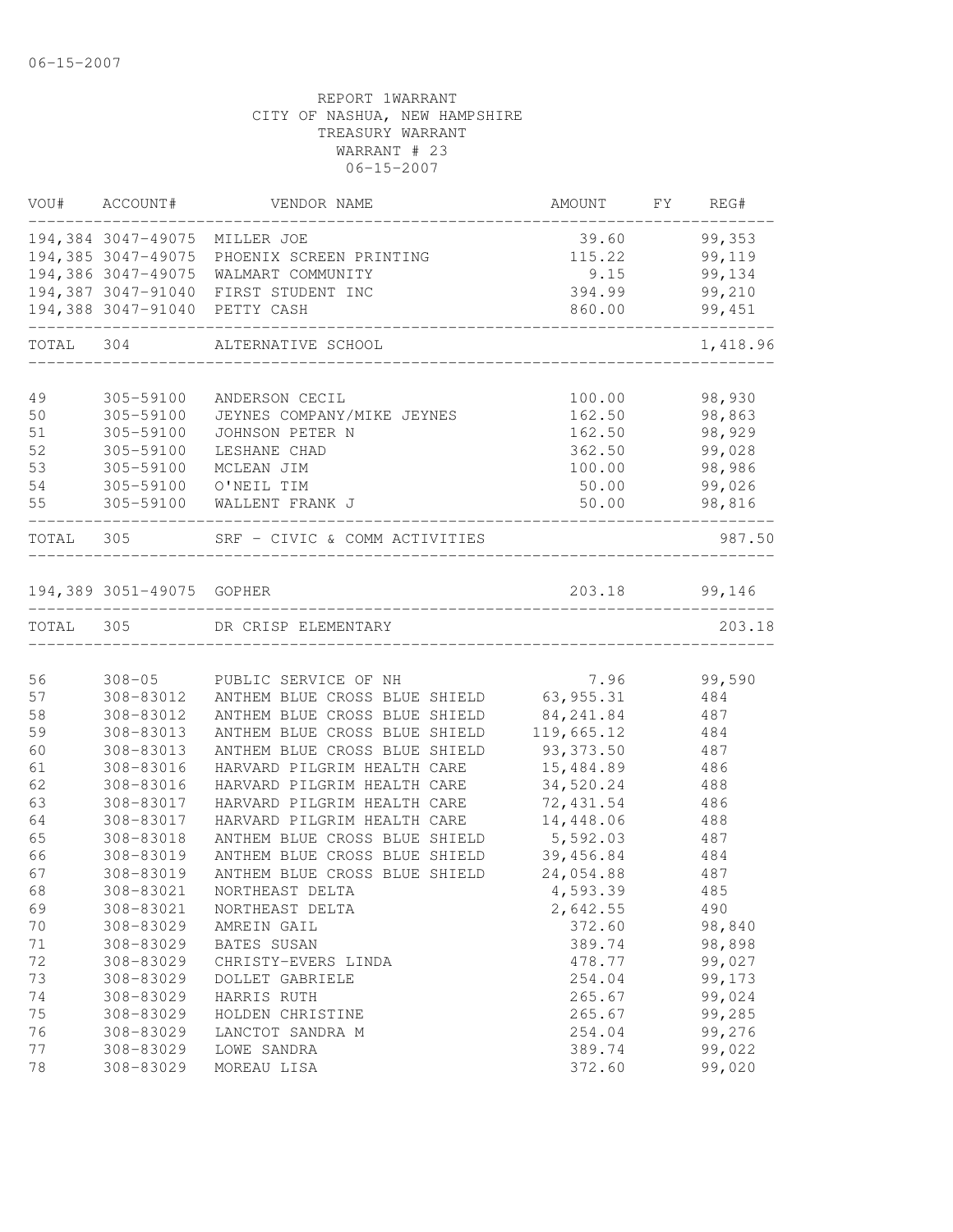|           | VOU# ACCOUNT#                 | VENDOR NAME                                | AMOUNT         | FY | REG#             |
|-----------|-------------------------------|--------------------------------------------|----------------|----|------------------|
|           | 194,384 3047-49075 MILLER JOE |                                            | 39.60          |    | 99,353           |
|           |                               | 194,385 3047-49075 PHOENIX SCREEN PRINTING | 115.22         |    | 99,119           |
|           |                               | 194,386 3047-49075 WALMART COMMUNITY       | 9.15           |    | 99,134           |
|           |                               | 194,387 3047-91040 FIRST STUDENT INC       | 394.99         |    | 99,210           |
|           | 194,388 3047-91040 PETTY CASH |                                            | 860.00         |    | 99,451           |
| TOTAL     | 304                           | ALTERNATIVE SCHOOL                         |                |    | 1,418.96         |
|           |                               |                                            |                |    |                  |
| 49        | 305-59100                     | ANDERSON CECIL                             | 100.00         |    | 98,930           |
| 50        | 305-59100                     | JEYNES COMPANY/MIKE JEYNES                 | 162.50         |    | 98,863           |
| 51<br>52  | 305-59100                     | JOHNSON PETER N                            | 162.50         |    | 98,929           |
|           | 305-59100                     | LESHANE CHAD                               | 362.50         |    | 99,028           |
| 53<br>54  | 305-59100                     | MCLEAN JIM                                 | 100.00         |    | 98,986           |
| 55        | 305-59100                     | O'NEIL TIM<br>305-59100 WALLENT FRANK J    | 50.00<br>50.00 |    | 99,026<br>98,816 |
| TOTAL 305 |                               | SRF - CIVIC & COMM ACTIVITIES              |                |    | 987.50           |
|           |                               |                                            |                |    |                  |
|           | 194,389 3051-49075 GOPHER     |                                            | 203.18         |    | 99,146           |
| TOTAL 305 |                               | DR CRISP ELEMENTARY                        |                |    | 203.18           |
|           |                               |                                            |                |    |                  |
| 56        | $308 - 05$                    | PUBLIC SERVICE OF NH                       | 7.96           |    | 99,590           |
| 57        | 308-83012                     | ANTHEM BLUE CROSS BLUE SHIELD 63,955.31    |                |    | 484              |
| 58        | 308-83012                     | ANTHEM BLUE CROSS BLUE SHIELD              | 84, 241.84     |    | 487              |
| 59        | 308-83013                     | ANTHEM BLUE CROSS BLUE SHIELD              | 119,665.12     |    | 484              |
| 60        | 308-83013                     | ANTHEM BLUE CROSS BLUE SHIELD              | 93,373.50      |    | 487              |
| 61        | 308-83016                     | HARVARD PILGRIM HEALTH CARE                | 15,484.89      |    | 486              |
| 62        | 308-83016                     | HARVARD PILGRIM HEALTH CARE                | 34,520.24      |    | 488              |
| 63        | 308-83017                     | HARVARD PILGRIM HEALTH CARE                | 72,431.54      |    | 486              |
| 64        | 308-83017                     | HARVARD PILGRIM HEALTH CARE                | 14,448.06      |    | 488              |
| 65        | 308-83018                     | ANTHEM BLUE CROSS BLUE SHIELD              | 5,592.03       |    | 487              |
| 66        | 308-83019                     | ANTHEM BLUE CROSS BLUE SHIELD              | 39,456.84      |    | 484              |
| 67        | 308-83019                     | ANTHEM BLUE CROSS BLUE SHIELD              | 24,054.88      |    | 487              |
| 68        | 308-83021                     | NORTHEAST DELTA                            | 4,593.39       |    | 485              |
| 69        | 308-83021                     | NORTHEAST DELTA                            | 2,642.55       |    | 490              |
| 70        | 308-83029                     | AMREIN GAIL                                | 372.60         |    | 98,840           |
| 71        | 308-83029                     | BATES SUSAN                                | 389.74         |    | 98,898           |
| 72        | 308-83029                     | CHRISTY-EVERS LINDA                        | 478.77         |    | 99,027           |
| 73        | 308-83029                     | DOLLET GABRIELE                            | 254.04         |    | 99,173           |
| 74        | 308-83029                     | HARRIS RUTH                                | 265.67         |    | 99,024           |
| 75        | 308-83029                     | HOLDEN CHRISTINE                           | 265.67         |    | 99,285           |
| 76        | 308-83029                     | LANCTOT SANDRA M                           | 254.04         |    | 99,276           |
| 77        | 308-83029                     | LOWE SANDRA                                | 389.74         |    | 99,022           |
| 78        | 308-83029                     | MOREAU LISA                                | 372.60         |    | 99,020           |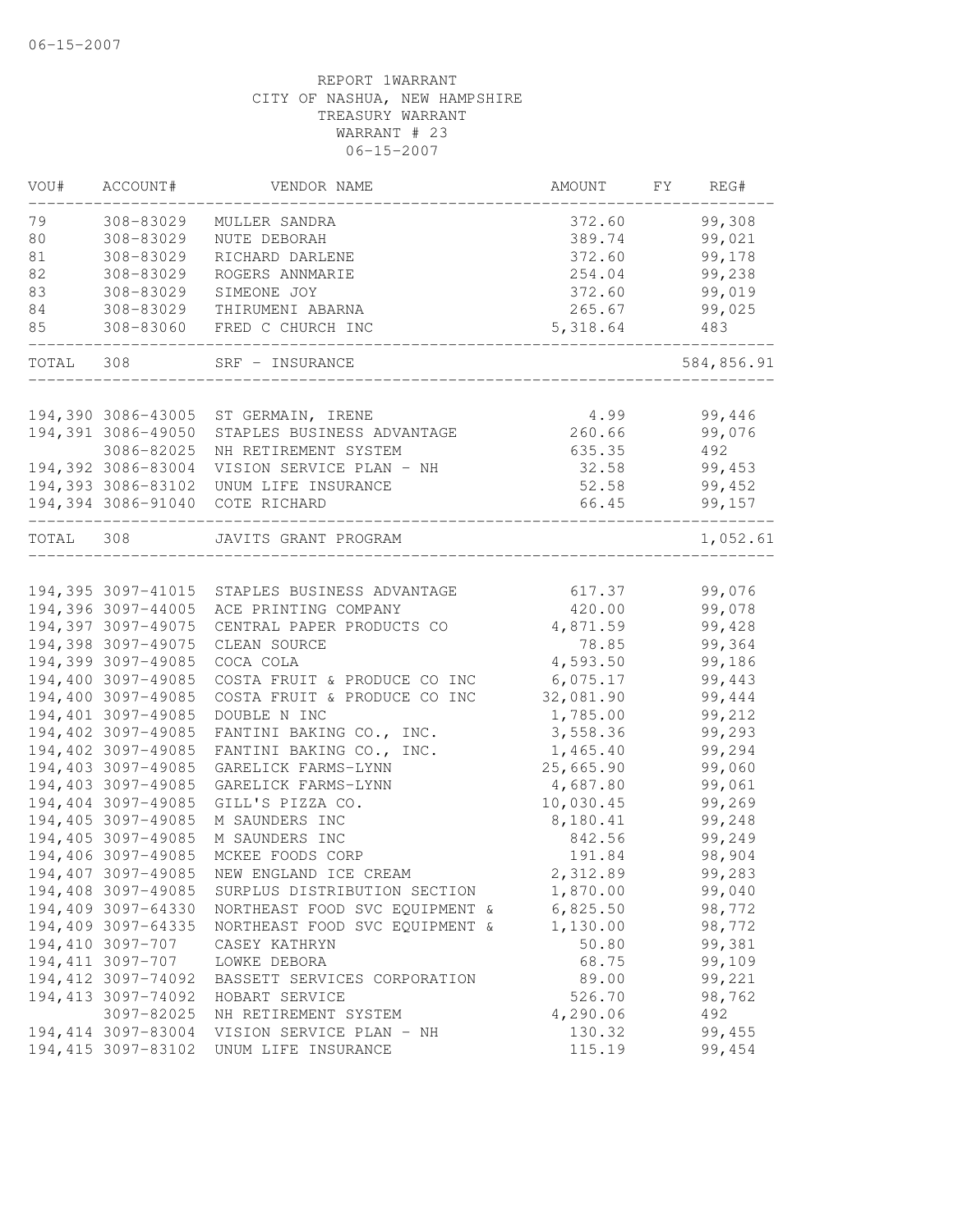| VOU#      | ACCOUNT#            | VENDOR NAME                                   | AMOUNT    | FY. | REG#       |
|-----------|---------------------|-----------------------------------------------|-----------|-----|------------|
| 79        | 308-83029           | MULLER SANDRA                                 | 372.60    |     | 99,308     |
| 80        | 308-83029           | NUTE DEBORAH                                  | 389.74    |     | 99,021     |
| 81        | 308-83029           | RICHARD DARLENE                               | 372.60    |     | 99,178     |
| 82        | 308-83029           | ROGERS ANNMARIE                               | 254.04    |     | 99,238     |
| 83        | 308-83029           | SIMEONE JOY                                   | 372.60    |     | 99,019     |
| 84        | 308-83029           | THIRUMENI ABARNA                              | 265.67    |     | 99,025     |
| 85        | 308-83060           | FRED C CHURCH INC                             | 5,318.64  |     | 483        |
| TOTAL     | 308                 | SRF - INSURANCE                               |           |     | 584,856.91 |
|           |                     |                                               |           |     |            |
|           | 194,390 3086-43005  | ST GERMAIN, IRENE                             | 4.99      |     | 99,446     |
|           | 194,391 3086-49050  | STAPLES BUSINESS ADVANTAGE                    | 260.66    |     | 99,076     |
|           | 3086-82025          | NH RETIREMENT SYSTEM                          | 635.35    |     | 492        |
|           | 194,392 3086-83004  | VISION SERVICE PLAN - NH                      | 32.58     |     | 99,453     |
|           | 194,393 3086-83102  | UNUM LIFE INSURANCE                           | 52.58     |     | 99,452     |
|           | 194,394 3086-91040  | COTE RICHARD                                  | 66.45     |     | 99,157     |
| TOTAL 308 |                     | JAVITS GRANT PROGRAM                          |           |     | 1,052.61   |
|           |                     |                                               |           |     |            |
|           |                     | 194,395 3097-41015 STAPLES BUSINESS ADVANTAGE | 617.37    |     | 99,076     |
|           | 194,396 3097-44005  | ACE PRINTING COMPANY                          | 420.00    |     | 99,078     |
|           | 194,397 3097-49075  | CENTRAL PAPER PRODUCTS CO                     | 4,871.59  |     | 99,428     |
|           | 194,398 3097-49075  | CLEAN SOURCE                                  | 78.85     |     | 99,364     |
|           | 194,399 3097-49085  | COCA COLA                                     | 4,593.50  |     | 99,186     |
|           | 194,400 3097-49085  | COSTA FRUIT & PRODUCE CO INC                  | 6,075.17  |     | 99,443     |
|           | 194,400 3097-49085  | COSTA FRUIT & PRODUCE CO INC                  | 32,081.90 |     | 99,444     |
|           | 194,401 3097-49085  | DOUBLE N INC                                  | 1,785.00  |     | 99,212     |
|           | 194,402 3097-49085  | FANTINI BAKING CO., INC.                      | 3,558.36  |     | 99,293     |
|           | 194,402 3097-49085  | FANTINI BAKING CO., INC.                      | 1,465.40  |     | 99,294     |
|           | 194,403 3097-49085  | GARELICK FARMS-LYNN                           | 25,665.90 |     | 99,060     |
|           | 194,403 3097-49085  | GARELICK FARMS-LYNN                           | 4,687.80  |     | 99,061     |
|           | 194,404 3097-49085  | GILL'S PIZZA CO.                              | 10,030.45 |     | 99,269     |
|           | 194,405 3097-49085  | M SAUNDERS INC                                | 8,180.41  |     | 99,248     |
|           | 194,405 3097-49085  | M SAUNDERS INC                                | 842.56    |     | 99,249     |
|           | 194,406 3097-49085  | MCKEE FOODS CORP                              | 191.84    |     | 98,904     |
|           | 194,407 3097-49085  | NEW ENGLAND ICE CREAM                         | 2,312.89  |     | 99,283     |
|           | 194,408 3097-49085  | SURPLUS DISTRIBUTION SECTION                  | 1,870.00  |     | 99,040     |
|           | 194,409 3097-64330  | NORTHEAST FOOD SVC EQUIPMENT &                | 6,825.50  |     | 98,772     |
|           | 194,409 3097-64335  | NORTHEAST FOOD SVC EQUIPMENT &                | 1,130.00  |     | 98,772     |
|           | 194,410 3097-707    | CASEY KATHRYN                                 | 50.80     |     | 99,381     |
|           | 194, 411 3097-707   | LOWKE DEBORA                                  | 68.75     |     | 99,109     |
|           | 194,412 3097-74092  | BASSETT SERVICES CORPORATION                  | 89.00     |     | 99,221     |
|           | 194,413 3097-74092  | HOBART SERVICE                                | 526.70    |     | 98,762     |
|           | 3097-82025          | NH RETIREMENT SYSTEM                          | 4,290.06  |     | 492        |
|           | 194, 414 3097-83004 | VISION SERVICE PLAN - NH                      | 130.32    |     | 99,455     |
|           | 194, 415 3097-83102 | UNUM LIFE INSURANCE                           | 115.19    |     | 99,454     |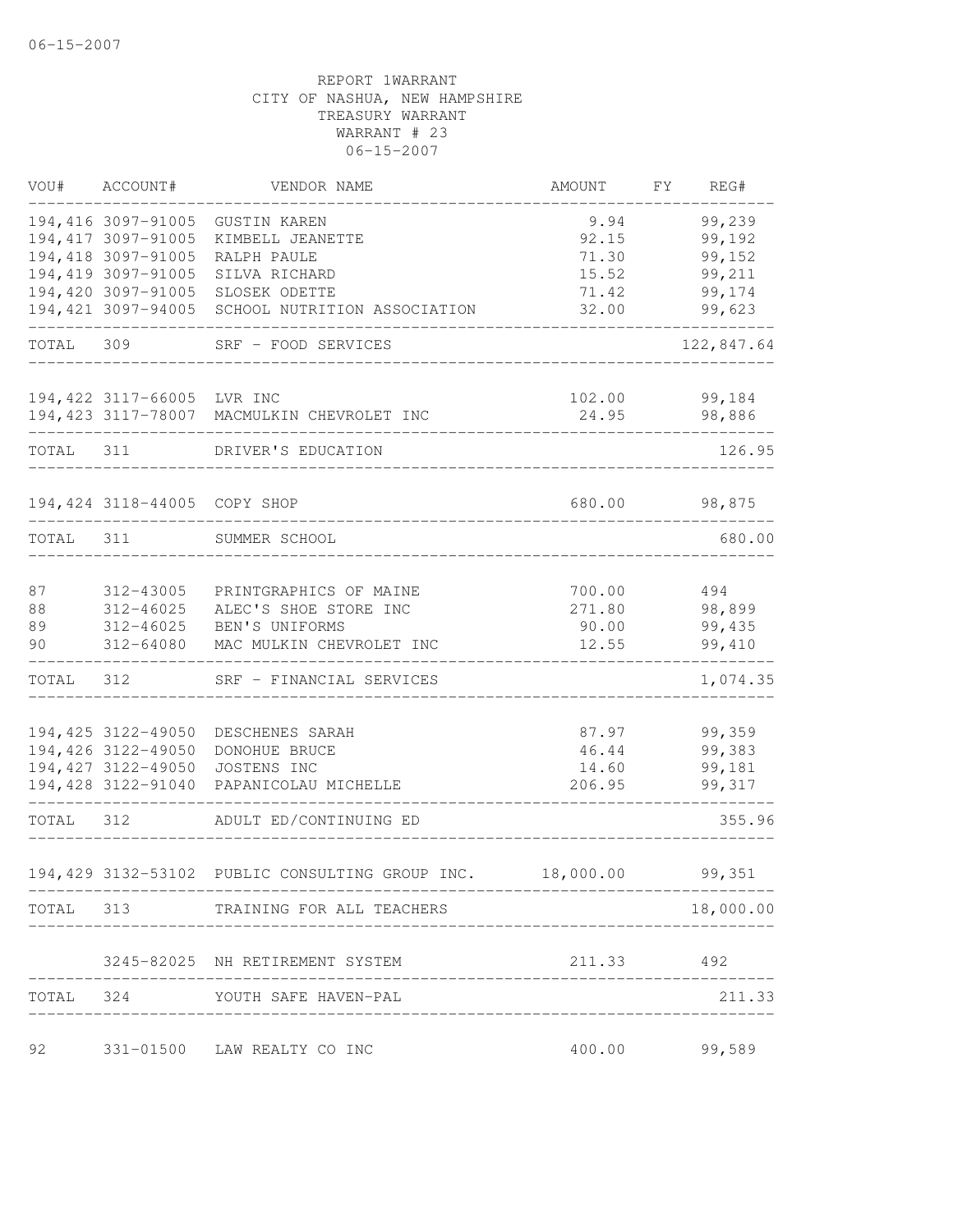| VOU#      | ACCOUNT#                                 | VENDOR NAME                                     | AMOUNT     | FY | REG#                   |
|-----------|------------------------------------------|-------------------------------------------------|------------|----|------------------------|
|           | 194,416 3097-91005                       | <b>GUSTIN KAREN</b>                             | 9.94       |    | 99,239                 |
|           | 194,417 3097-91005                       | KIMBELL JEANETTE                                | 92.15      |    | 99,192                 |
|           | 194,418 3097-91005                       | RALPH PAULE                                     | 71.30      |    | 99,152                 |
|           | 194,419 3097-91005                       | SILVA RICHARD                                   | 15.52      |    | 99,211                 |
|           | 194,420 3097-91005                       | SLOSEK ODETTE                                   | 71.42      |    | 99,174                 |
|           | 194,421 3097-94005                       | SCHOOL NUTRITION ASSOCIATION                    | 32.00      |    | 99,623                 |
| TOTAL     | 309                                      | SRF - FOOD SERVICES                             |            |    | 122,847.64             |
|           | 194,422 3117-66005 LVR INC               |                                                 | 102.00     |    | 99,184                 |
|           |                                          | 194,423 3117-78007 MACMULKIN CHEVROLET INC      | 24.95      |    | 98,886                 |
| TOTAL     | 311                                      | DRIVER'S EDUCATION                              |            |    | 126.95                 |
|           |                                          |                                                 |            |    |                        |
|           | 194,424 3118-44005 COPY SHOP             |                                                 | 680.00     |    | 98,875                 |
| TOTAL 311 |                                          | SUMMER SCHOOL                                   |            |    | 680.00                 |
| 87        | 312-43005                                | PRINTGRAPHICS OF MAINE                          | 700.00     |    | 494                    |
| 88        | 312-46025                                | ALEC'S SHOE STORE INC                           | 271.80     |    | 98,899                 |
| 89        | 312-46025                                | BEN'S UNIFORMS                                  | 90.00      |    | 99,435                 |
| 90        | 312-64080                                | MAC MULKIN CHEVROLET INC                        | 12.55      |    | 99,410                 |
| TOTAL     | 312                                      | SRF - FINANCIAL SERVICES                        |            |    | 1,074.35               |
|           |                                          |                                                 |            |    |                        |
|           | 194,425 3122-49050<br>194,426 3122-49050 | DESCHENES SARAH<br>DONOHUE BRUCE                | 46.44      |    | 87.97 99,359<br>99,383 |
|           |                                          | 194,427 3122-49050 JOSTENS INC                  | 14.60      |    | 99,181                 |
|           |                                          | 194,428 3122-91040 PAPANICOLAU MICHELLE         | 206.95     |    | 99,317                 |
| TOTAL 312 |                                          | ADULT ED/CONTINUING ED                          |            |    | 355.96                 |
|           |                                          | 194,429 3132-53102 PUBLIC CONSULTING GROUP INC. | 18,000.00  |    | 99,351                 |
|           |                                          | TOTAL 313 TRAINING FOR ALL TEACHERS             |            |    | 18,000.00              |
|           |                                          | 3245-82025 NH RETIREMENT SYSTEM                 | 211.33 492 |    |                        |
|           |                                          |                                                 |            |    |                        |
|           |                                          | TOTAL 324 YOUTH SAFE HAVEN-PAL                  |            |    | 211.33                 |
| 92        |                                          | 331-01500 LAW REALTY CO INC                     | 400.00     |    | 99,589                 |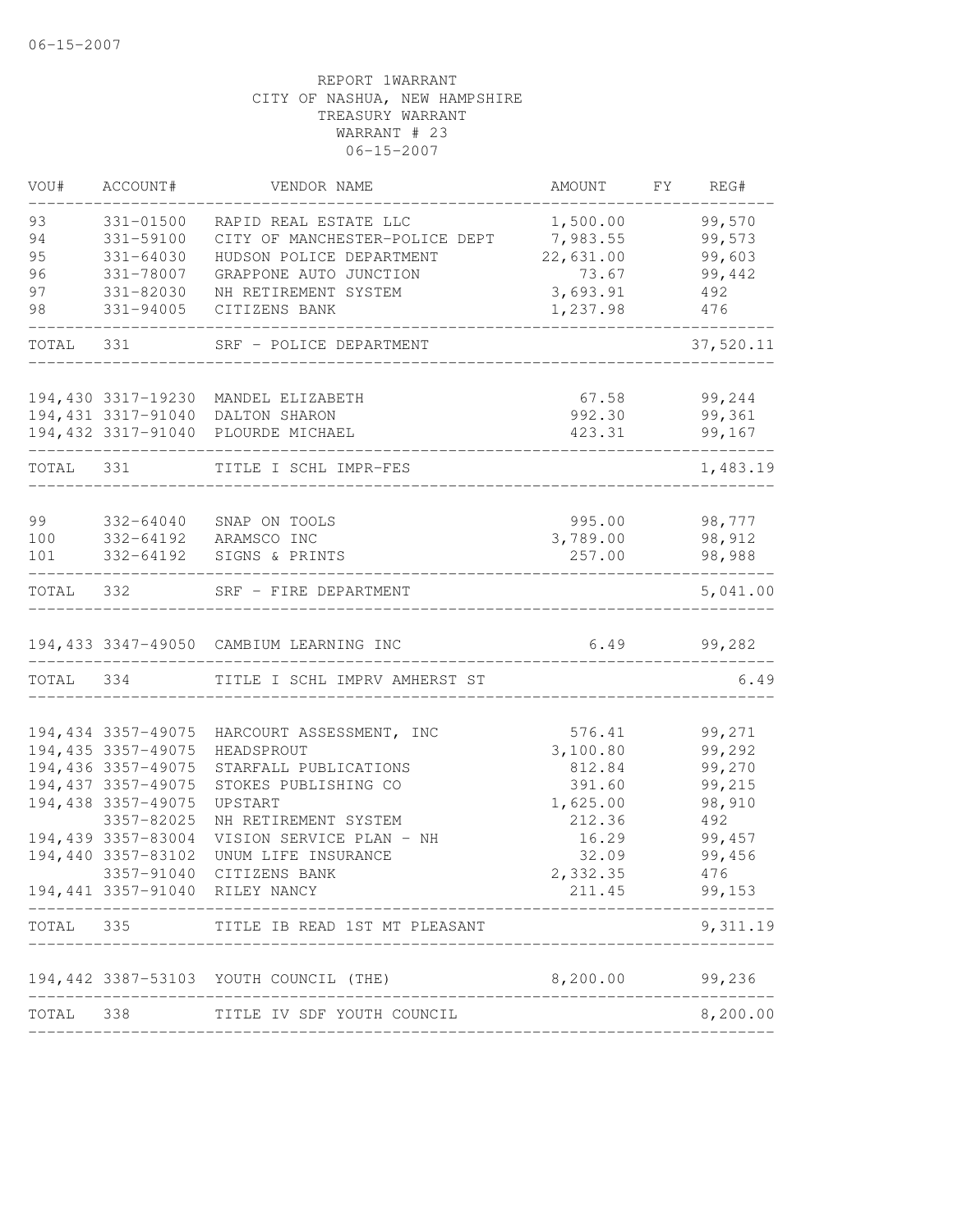| VOU#      | ACCOUNT#            | VENDOR NAME                             | AMOUNT    | FY | REG#      |
|-----------|---------------------|-----------------------------------------|-----------|----|-----------|
| 93        | 331-01500           | RAPID REAL ESTATE LLC                   | 1,500.00  |    | 99,570    |
| 94        | 331-59100           | CITY OF MANCHESTER-POLICE DEPT          | 7,983.55  |    | 99,573    |
| 95        | $331 - 64030$       | HUDSON POLICE DEPARTMENT                | 22,631.00 |    | 99,603    |
| 96        | 331-78007           | GRAPPONE AUTO JUNCTION                  | 73.67     |    | 99,442    |
| 97        | 331-82030           | NH RETIREMENT SYSTEM                    | 3,693.91  |    | 492       |
| 98        | 331-94005           | CITIZENS BANK                           | 1,237.98  |    | 476       |
| TOTAL     | 331                 | SRF - POLICE DEPARTMENT                 |           |    | 37,520.11 |
|           |                     |                                         |           |    |           |
|           |                     | 194,430 3317-19230 MANDEL ELIZABETH     | 67.58     |    | 99,244    |
|           |                     | 194,431 3317-91040 DALTON SHARON        | 992.30    |    | 99,361    |
|           |                     | 194,432 3317-91040 PLOURDE MICHAEL      | 423.31    |    | 99,167    |
| TOTAL     | 331                 | TITLE I SCHL IMPR-FES                   |           |    | 1,483.19  |
|           |                     |                                         |           |    |           |
| 99        | 332-64040           | SNAP ON TOOLS                           | 995.00    |    | 98,777    |
| 100       |                     | 332-64192 ARAMSCO INC                   | 3,789.00  |    | 98,912    |
| 101       | 332-64192           | SIGNS & PRINTS                          | 257.00    |    | 98,988    |
| TOTAL 332 |                     | SRF - FIRE DEPARTMENT                   |           |    | 5,041.00  |
|           |                     | 194,433 3347-49050 CAMBIUM LEARNING INC | 6.49      |    | 99,282    |
| TOTAL     | 334                 | TITLE I SCHL IMPRV AMHERST ST           |           |    | 6.49      |
|           |                     |                                         |           |    |           |
|           | 194,434 3357-49075  | HARCOURT ASSESSMENT, INC                | 576.41    |    | 99,271    |
|           | 194,435 3357-49075  | HEADSPROUT                              | 3,100.80  |    | 99,292    |
|           | 194,436 3357-49075  | STARFALL PUBLICATIONS                   | 812.84    |    | 99,270    |
|           | 194, 437 3357-49075 | STOKES PUBLISHING CO                    | 391.60    |    | 99,215    |
|           | 194,438 3357-49075  | UPSTART                                 | 1,625.00  |    | 98,910    |
|           | 3357-82025          | NH RETIREMENT SYSTEM                    | 212.36    |    | 492       |
|           | 194,439 3357-83004  | VISION SERVICE PLAN - NH                | 16.29     |    | 99,457    |
|           | 194,440 3357-83102  | UNUM LIFE INSURANCE                     | 32.09     |    | 99,456    |
|           | 3357-91040          | CITIZENS BANK                           | 2,332.35  |    | 476       |
|           |                     | 194,441 3357-91040 RILEY NANCY          | 211.45    |    | 99,153    |
| TOTAL     | 335                 | TITLE IB READ 1ST MT PLEASANT           |           |    | 9,311.19  |
|           |                     | 194,442 3387-53103 YOUTH COUNCIL (THE)  | 8,200.00  |    | 99,236    |
| TOTAL     | 338                 | TITLE IV SDF YOUTH COUNCIL              |           |    | 8,200.00  |
|           |                     |                                         |           |    |           |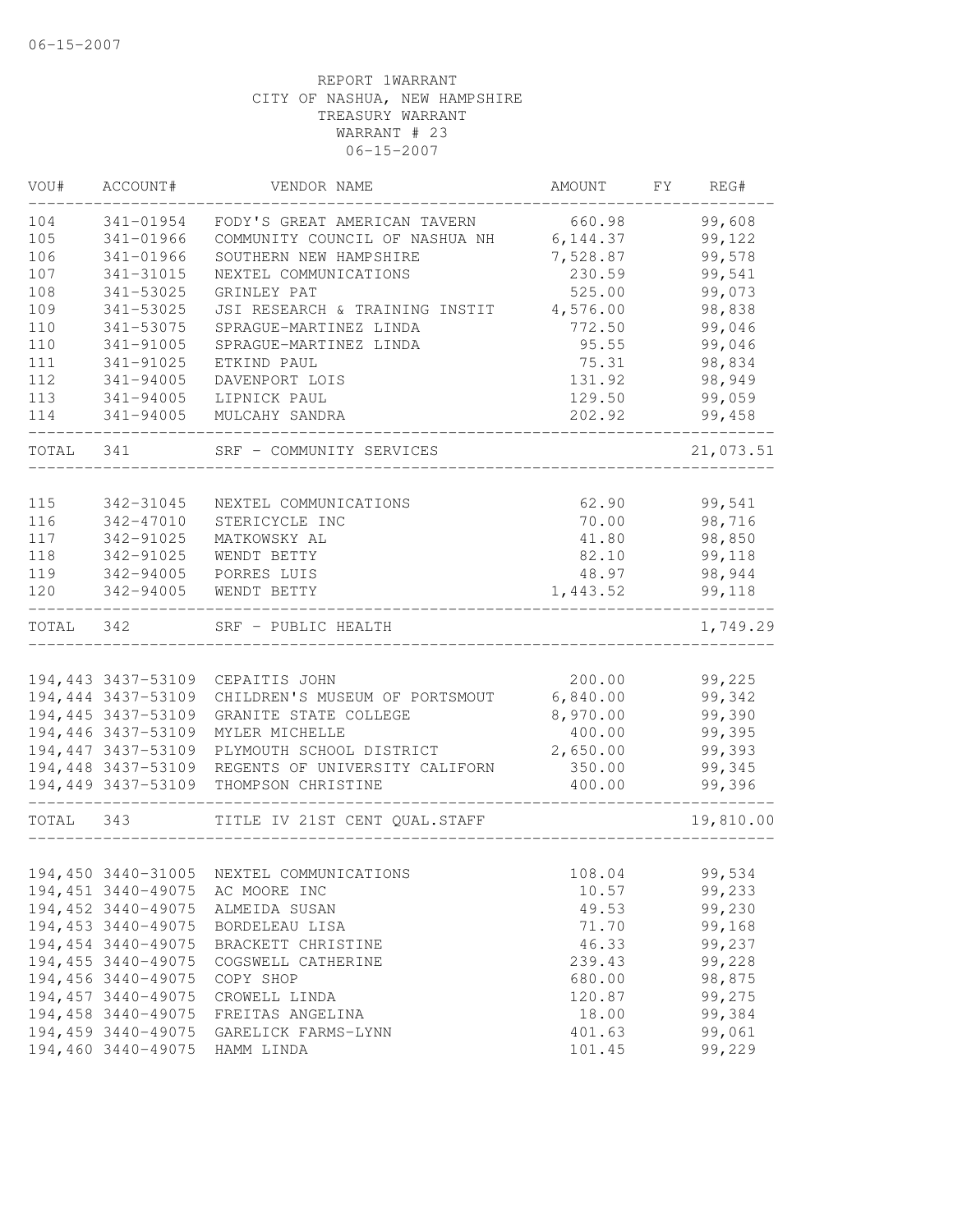| VOU#      | ACCOUNT#                                 | VENDOR NAME                                       | AMOUNT           | FY | REG#             |
|-----------|------------------------------------------|---------------------------------------------------|------------------|----|------------------|
| 104       | 341-01954                                | FODY'S GREAT AMERICAN TAVERN                      | 660.98           |    | 99,608           |
| 105       | 341-01966                                | COMMUNITY COUNCIL OF NASHUA NH                    | 6, 144.37        |    | 99,122           |
| 106       | 341-01966                                | SOUTHERN NEW HAMPSHIRE                            | 7,528.87         |    | 99,578           |
| 107       | 341-31015                                | NEXTEL COMMUNICATIONS                             | 230.59           |    | 99,541           |
| 108       | 341-53025                                | GRINLEY PAT                                       | 525.00           |    | 99,073           |
| 109       | 341-53025                                | JSI RESEARCH & TRAINING INSTIT                    | 4,576.00         |    | 98,838           |
| 110       | 341-53075                                | SPRAGUE-MARTINEZ LINDA                            | 772.50           |    | 99,046           |
| 110       | 341-91005                                | SPRAGUE-MARTINEZ LINDA                            | 95.55            |    | 99,046           |
| 111       | 341-91025                                | ETKIND PAUL                                       | 75.31            |    | 98,834           |
| 112       | 341-94005                                | DAVENPORT LOIS                                    | 131.92           |    | 98,949           |
| 113       | 341-94005                                | LIPNICK PAUL                                      | 129.50           |    | 99,059           |
| 114       | 341-94005                                | MULCAHY SANDRA                                    | 202.92           |    | 99,458           |
| TOTAL     | 341                                      | SRF - COMMUNITY SERVICES                          |                  |    | 21,073.51        |
| 115       |                                          |                                                   | 62.90            |    | 99,541           |
| 116       | 342-31045<br>342-47010                   | NEXTEL COMMUNICATIONS<br>STERICYCLE INC           | 70.00            |    | 98,716           |
| 117       | 342-91025                                | MATKOWSKY AL                                      | 41.80            |    | 98,850           |
| 118       | 342-91025                                | WENDT BETTY                                       | 82.10            |    | 99,118           |
| 119       | 342-94005                                | PORRES LUIS                                       | 48.97            |    | 98,944           |
| 120       | 342-94005                                | WENDT BETTY                                       | 1,443.52         |    | 99,118           |
| TOTAL 342 |                                          | SRF - PUBLIC HEALTH                               |                  |    | 1,749.29         |
|           |                                          |                                                   |                  |    |                  |
|           | 194,443 3437-53109                       | CEPAITIS JOHN                                     | 200.00           |    | 99,225           |
|           | 194,444 3437-53109                       | CHILDREN'S MUSEUM OF PORTSMOUT                    | 6,840.00         |    | 99,342           |
|           | 194,445 3437-53109                       | GRANITE STATE COLLEGE                             | 8,970.00         |    | 99,390           |
|           | 194,446 3437-53109                       | MYLER MICHELLE                                    | 400.00           |    | 99,395           |
|           | 194,447 3437-53109                       | PLYMOUTH SCHOOL DISTRICT                          | 2,650.00         |    | 99,393           |
|           |                                          | 194,448 3437-53109 REGENTS OF UNIVERSITY CALIFORN | 350.00           |    | 99,345           |
|           | 194,449 3437-53109                       | THOMPSON CHRISTINE                                | 400.00           |    | 99,396           |
| TOTAL 343 |                                          | TITLE IV 21ST CENT QUAL.STAFF                     |                  |    | 19,810.00        |
|           |                                          |                                                   |                  |    |                  |
|           |                                          | 194,450 3440-31005 NEXTEL COMMUNICATIONS          | 108.04           |    | 99,534           |
|           | 194,451 3440-49075                       | AC MOORE INC                                      | 10.57            |    | 99,233           |
|           | 194,452 3440-49075                       | ALMEIDA SUSAN                                     | 49.53            |    | 99,230           |
|           | 194,453 3440-49075                       | BORDELEAU LISA                                    | 71.70            |    | 99,168           |
|           | 194,454 3440-49075                       | BRACKETT CHRISTINE                                | 46.33            |    | 99,237           |
|           | 194,455 3440-49075                       | COGSWELL CATHERINE                                | 239.43           |    | 99,228<br>98,875 |
|           | 194,456 3440-49075<br>194,457 3440-49075 | COPY SHOP                                         | 680.00<br>120.87 |    | 99,275           |
|           | 194,458 3440-49075                       | CROWELL LINDA<br>FREITAS ANGELINA                 | 18.00            |    | 99,384           |
|           | 194,459 3440-49075                       | GARELICK FARMS-LYNN                               | 401.63           |    | 99,061           |
|           | 194,460 3440-49075                       | HAMM LINDA                                        | 101.45           |    | 99,229           |
|           |                                          |                                                   |                  |    |                  |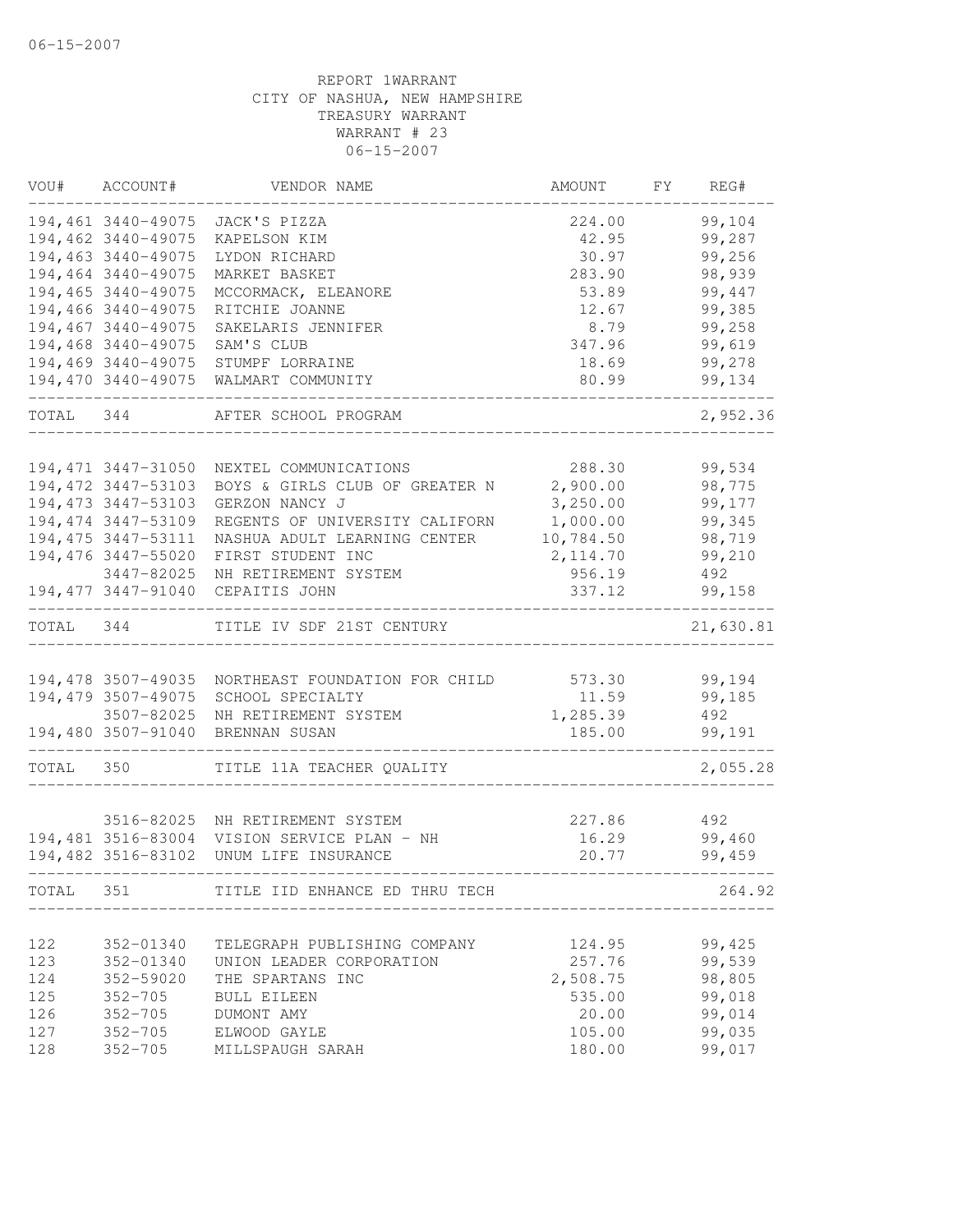| VOU#       | ACCOUNT#                 | VENDOR NAME                                              | AMOUNT          | FΥ | REG#             |
|------------|--------------------------|----------------------------------------------------------|-----------------|----|------------------|
|            | 194,461 3440-49075       | JACK'S PIZZA                                             | 224.00          |    | 99,104           |
|            | 194,462 3440-49075       | KAPELSON KIM                                             | 42.95           |    | 99,287           |
|            | 194,463 3440-49075       | LYDON RICHARD                                            | 30.97           |    | 99,256           |
|            | 194,464 3440-49075       | MARKET BASKET                                            | 283.90          |    | 98,939           |
|            | 194,465 3440-49075       | MCCORMACK, ELEANORE                                      | 53.89           |    | 99,447           |
|            | 194,466 3440-49075       | RITCHIE JOANNE                                           | 12.67           |    | 99,385           |
|            | 194,467 3440-49075       | SAKELARIS JENNIFER                                       | 8.79            |    | 99,258           |
|            | 194,468 3440-49075       | SAM'S CLUB                                               | 347.96          |    | 99,619           |
|            | 194,469 3440-49075       | STUMPF LORRAINE                                          | 18.69           |    | 99,278           |
|            | 194,470 3440-49075       | WALMART COMMUNITY                                        | 80.99           |    | 99,134           |
| TOTAL 344  |                          | AFTER SCHOOL PROGRAM                                     |                 |    | 2,952.36         |
|            | 194, 471 3447-31050      | NEXTEL COMMUNICATIONS                                    | 288.30          |    | 99,534           |
|            | 194,472 3447-53103       | BOYS & GIRLS CLUB OF GREATER N                           | 2,900.00        |    | 98,775           |
|            | 194, 473 3447-53103      | GERZON NANCY J                                           | 3,250.00        |    | 99,177           |
|            | 194, 474 3447-53109      | REGENTS OF UNIVERSITY CALIFORN                           | 1,000.00        |    | 99,345           |
|            | 194, 475 3447-53111      | NASHUA ADULT LEARNING CENTER                             | 10,784.50       |    | 98,719           |
|            | 194,476 3447-55020       | FIRST STUDENT INC                                        | 2, 114.70       |    | 99,210           |
|            | 3447-82025               | NH RETIREMENT SYSTEM                                     | 956.19          |    | 492              |
|            | 194, 477 3447-91040      | CEPAITIS JOHN                                            | 337.12          |    | 99,158           |
| TOTAL      | 344                      | TITLE IV SDF 21ST CENTURY                                |                 |    | 21,630.81        |
|            |                          |                                                          |                 |    |                  |
|            | 194,478 3507-49035       | NORTHEAST FOUNDATION FOR CHILD                           | 573.30          |    | 99,194           |
|            | 194,479 3507-49075       | SCHOOL SPECIALTY                                         | 11.59           |    | 99,185           |
|            | 3507-82025               | NH RETIREMENT SYSTEM                                     | 1,285.39        |    | 492              |
|            | 194,480 3507-91040       | BRENNAN SUSAN                                            | 185.00          |    | 99,191           |
| TOTAL      | 350                      | TITLE 11A TEACHER QUALITY                                |                 |    | 2,055.28         |
|            |                          |                                                          |                 |    |                  |
|            |                          | 3516-82025 NH RETIREMENT SYSTEM                          | 227.86          |    | 492              |
|            |                          | 194,481 3516-83004 VISION SERVICE PLAN - NH              | 16.29           |    | 99,460           |
|            |                          | 194,482 3516-83102 UNUM LIFE INSURANCE                   | 20.77           |    | 99,459           |
| TOTAL      | 351                      | TITLE IID ENHANCE ED THRU TECH                           |                 |    | 264.92           |
|            |                          |                                                          |                 |    |                  |
| 122        | 352-01340<br>352-01340   | TELEGRAPH PUBLISHING COMPANY<br>UNION LEADER CORPORATION | 124.95          |    | 99,425<br>99,539 |
| 123        |                          |                                                          | 257.76          |    |                  |
| 124<br>125 | 352-59020<br>$352 - 705$ | THE SPARTANS INC                                         | 2,508.75        |    | 98,805<br>99,018 |
| 126        | $352 - 705$              | <b>BULL EILEEN</b><br>DUMONT AMY                         | 535.00<br>20.00 |    | 99,014           |
| 127        | $352 - 705$              | ELWOOD GAYLE                                             | 105.00          |    | 99,035           |
| 128        | $352 - 705$              | MILLSPAUGH SARAH                                         | 180.00          |    | 99,017           |
|            |                          |                                                          |                 |    |                  |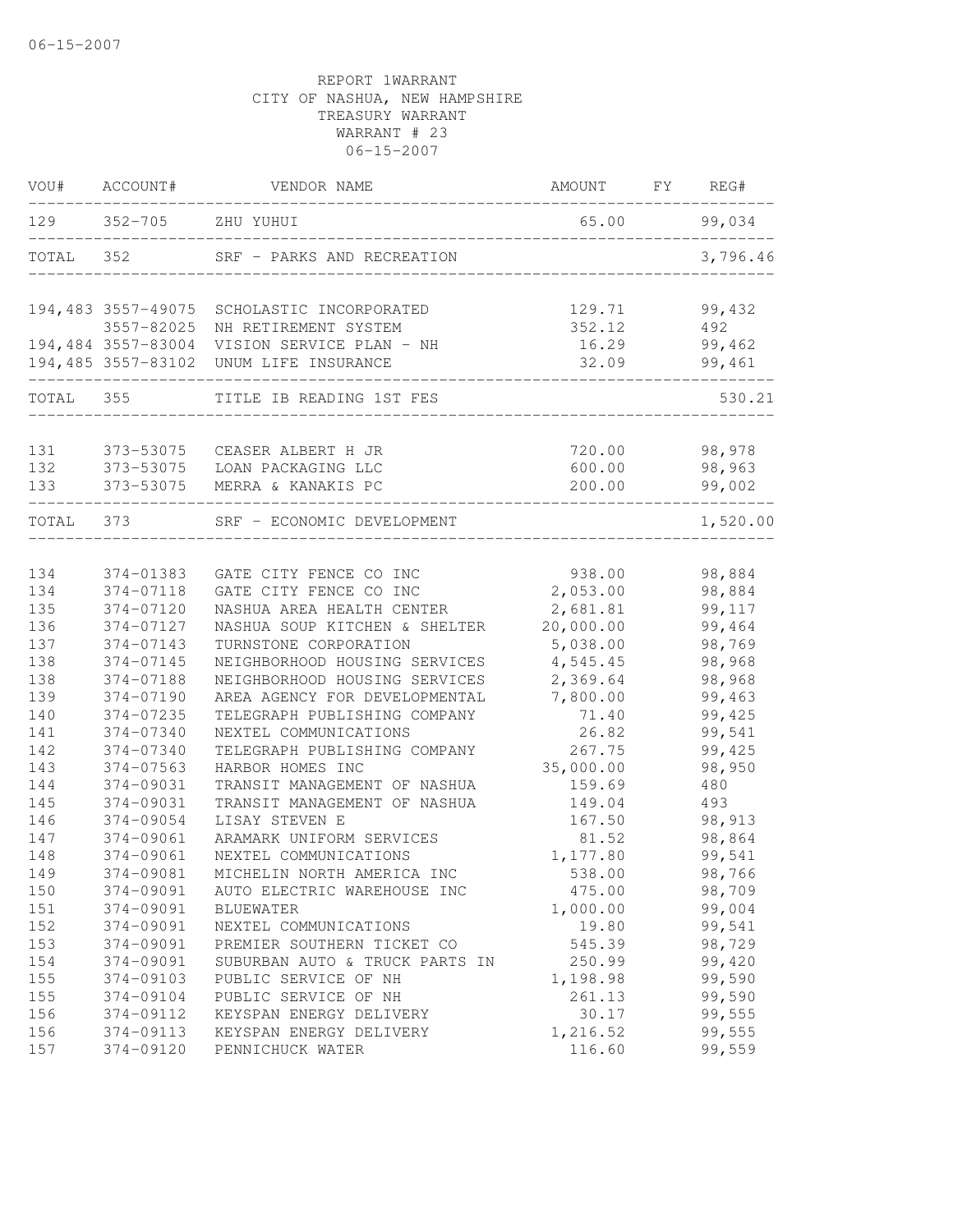| VOU#  | ACCOUNT#           | VENDOR NAME                    | AMOUNT    | FY | REG#     |
|-------|--------------------|--------------------------------|-----------|----|----------|
| 129   | $352 - 705$        | ZHU YUHUI                      | 65.00     |    | 99,034   |
| TOTAL | 352                | SRF - PARKS AND RECREATION     |           |    | 3,796.46 |
|       | 194,483 3557-49075 | SCHOLASTIC INCORPORATED        | 129.71    |    | 99,432   |
|       | 3557-82025         | NH RETIREMENT SYSTEM           | 352.12    |    | 492      |
|       | 194,484 3557-83004 | VISION SERVICE PLAN - NH       | 16.29     |    | 99,462   |
|       | 194,485 3557-83102 | UNUM LIFE INSURANCE            | 32.09     |    | 99,461   |
| TOTAL | 355                | TITLE IB READING 1ST FES       |           |    | 530.21   |
|       |                    |                                |           |    |          |
| 131   | 373-53075          | CEASER ALBERT H JR             | 720.00    |    | 98,978   |
| 132   | 373-53075          | LOAN PACKAGING LLC             | 600.00    |    | 98,963   |
| 133   | 373-53075          | MERRA & KANAKIS PC             | 200.00    |    | 99,002   |
| TOTAL | 373                | SRF - ECONOMIC DEVELOPMENT     |           |    | 1,520.00 |
| 134   | 374-01383          | GATE CITY FENCE CO INC         | 938.00    |    | 98,884   |
| 134   | 374-07118          | GATE CITY FENCE CO INC         | 2,053.00  |    | 98,884   |
| 135   | 374-07120          | NASHUA AREA HEALTH CENTER      | 2,681.81  |    | 99,117   |
| 136   | 374-07127          | NASHUA SOUP KITCHEN & SHELTER  | 20,000.00 |    | 99,464   |
| 137   | 374-07143          | TURNSTONE CORPORATION          | 5,038.00  |    | 98,769   |
| 138   | 374-07145          | NEIGHBORHOOD HOUSING SERVICES  | 4,545.45  |    | 98,968   |
| 138   | 374-07188          | NEIGHBORHOOD HOUSING SERVICES  | 2,369.64  |    | 98,968   |
| 139   | 374-07190          | AREA AGENCY FOR DEVELOPMENTAL  | 7,800.00  |    | 99,463   |
| 140   | 374-07235          | TELEGRAPH PUBLISHING COMPANY   | 71.40     |    | 99,425   |
| 141   | 374-07340          | NEXTEL COMMUNICATIONS          | 26.82     |    | 99,541   |
| 142   | 374-07340          | TELEGRAPH PUBLISHING COMPANY   | 267.75    |    | 99,425   |
| 143   | 374-07563          | HARBOR HOMES INC               | 35,000.00 |    | 98,950   |
| 144   | 374-09031          | TRANSIT MANAGEMENT OF NASHUA   | 159.69    |    | 480      |
| 145   | 374-09031          | TRANSIT MANAGEMENT OF NASHUA   | 149.04    |    | 493      |
| 146   | 374-09054          | LISAY STEVEN E                 | 167.50    |    | 98,913   |
| 147   | 374-09061          | ARAMARK UNIFORM SERVICES       | 81.52     |    | 98,864   |
| 148   | 374-09061          | NEXTEL COMMUNICATIONS          | 1,177.80  |    | 99,541   |
| 149   | 374-09081          | MICHELIN NORTH AMERICA INC     | 538.00    |    | 98,766   |
| 150   | 374-09091          | AUTO ELECTRIC WAREHOUSE INC    | 475.00    |    | 98,709   |
| 151   | 374-09091          | <b>BLUEWATER</b>               | 1,000.00  |    | 99,004   |
| 152   | 374-09091          | NEXTEL COMMUNICATIONS          | 19.80     |    | 99,541   |
| 153   | 374-09091          | PREMIER SOUTHERN TICKET CO     | 545.39    |    | 98,729   |
| 154   | 374-09091          | SUBURBAN AUTO & TRUCK PARTS IN | 250.99    |    | 99,420   |
| 155   | 374-09103          | PUBLIC SERVICE OF NH           | 1,198.98  |    | 99,590   |
| 155   | 374-09104          | PUBLIC SERVICE OF NH           | 261.13    |    | 99,590   |
| 156   | 374-09112          | KEYSPAN ENERGY DELIVERY        | 30.17     |    | 99,555   |
| 156   | 374-09113          | KEYSPAN ENERGY DELIVERY        | 1,216.52  |    | 99,555   |
| 157   | 374-09120          | PENNICHUCK WATER               | 116.60    |    | 99,559   |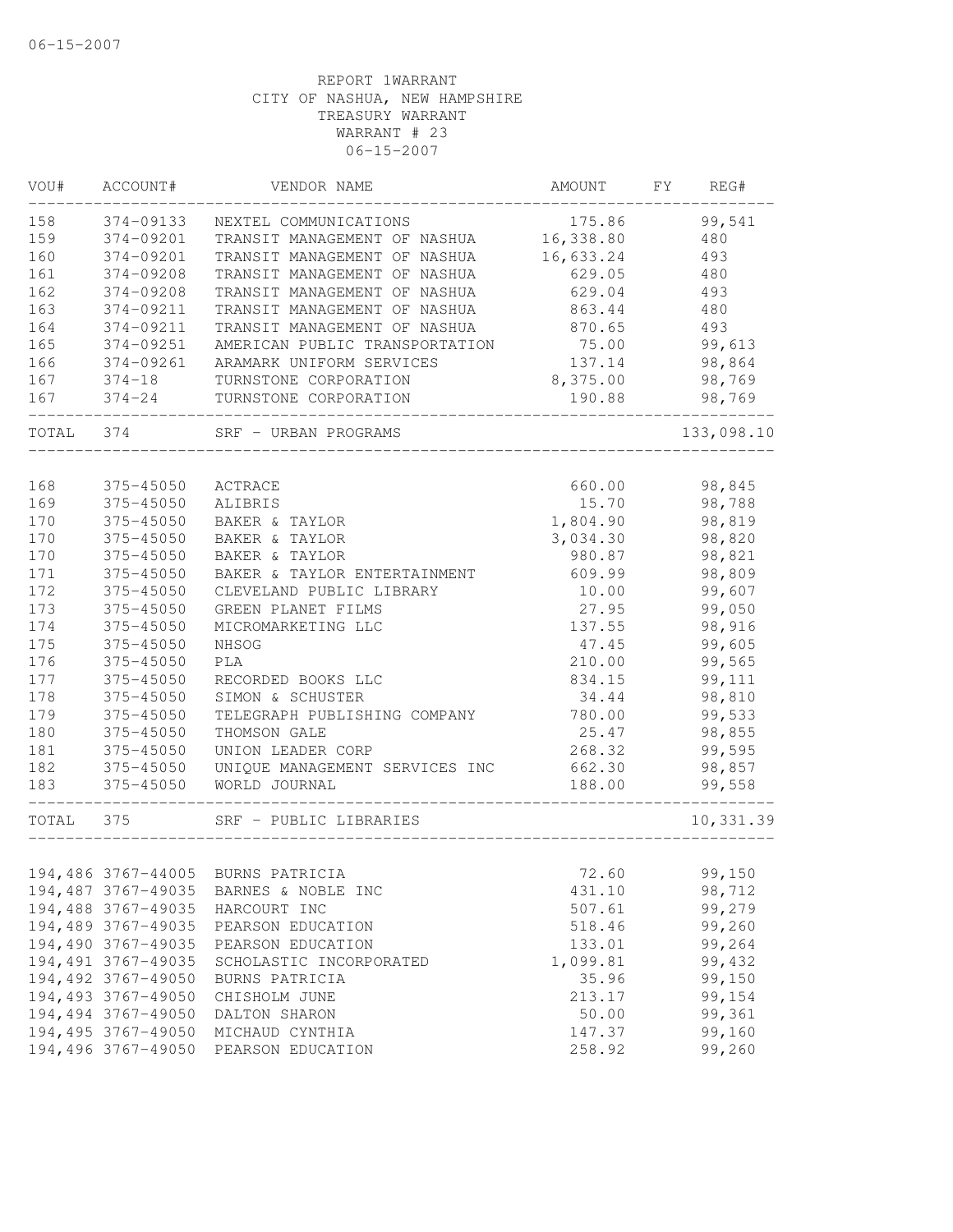| VOU#  | ACCOUNT#               | VENDOR NAME                       | AMOUNT    | FY | REG#       |
|-------|------------------------|-----------------------------------|-----------|----|------------|
| 158   | 374-09133              | NEXTEL COMMUNICATIONS             | 175.86    |    | 99,541     |
| 159   | 374-09201              | TRANSIT MANAGEMENT OF NASHUA      | 16,338.80 |    | 480        |
| 160   | 374-09201              | TRANSIT MANAGEMENT OF NASHUA      | 16,633.24 |    | 493        |
| 161   | 374-09208              | TRANSIT MANAGEMENT OF NASHUA      | 629.05    |    | 480        |
| 162   | 374-09208              | TRANSIT MANAGEMENT OF NASHUA      | 629.04    |    | 493        |
| 163   | 374-09211              | TRANSIT MANAGEMENT OF NASHUA      | 863.44    |    | 480        |
| 164   | 374-09211              | TRANSIT MANAGEMENT OF NASHUA      | 870.65    |    | 493        |
| 165   | 374-09251              | AMERICAN PUBLIC TRANSPORTATION    | 75.00     |    | 99,613     |
| 166   | 374-09261              | ARAMARK UNIFORM SERVICES          | 137.14    |    | 98,864     |
| 167   | $374 - 18$             | TURNSTONE CORPORATION             | 8,375.00  |    | 98,769     |
| 167   | $374 - 24$             | TURNSTONE CORPORATION             | 190.88    |    | 98,769     |
| TOTAL | 374                    | SRF - URBAN PROGRAMS              |           |    | 133,098.10 |
| 168   |                        |                                   | 660.00    |    | 98,845     |
| 169   | 375-45050<br>375-45050 | ACTRACE<br>ALIBRIS                | 15.70     |    | 98,788     |
|       | 375-45050              |                                   |           |    |            |
| 170   |                        | BAKER & TAYLOR                    | 1,804.90  |    | 98,819     |
| 170   | 375-45050<br>375-45050 | BAKER & TAYLOR<br>BAKER & TAYLOR  | 3,034.30  |    | 98,820     |
| 170   |                        |                                   | 980.87    |    | 98,821     |
| 171   | 375-45050              | BAKER & TAYLOR ENTERTAINMENT      | 609.99    |    | 98,809     |
| 172   | 375-45050              | CLEVELAND PUBLIC LIBRARY          | 10.00     |    | 99,607     |
| 173   | 375-45050              | GREEN PLANET FILMS                | 27.95     |    | 99,050     |
| 174   | 375-45050              | MICROMARKETING LLC                | 137.55    |    | 98,916     |
| 175   | 375-45050              | NHSOG                             | 47.45     |    | 99,605     |
| 176   | 375-45050              | PLA                               | 210.00    |    | 99,565     |
| 177   | 375-45050              | RECORDED BOOKS LLC                | 834.15    |    | 99,111     |
| 178   | 375-45050              | SIMON & SCHUSTER                  | 34.44     |    | 98,810     |
| 179   | 375-45050              | TELEGRAPH PUBLISHING COMPANY      | 780.00    |    | 99,533     |
| 180   | 375-45050              | THOMSON GALE                      | 25.47     |    | 98,855     |
| 181   | 375-45050              | UNION LEADER CORP                 | 268.32    |    | 99,595     |
| 182   | 375-45050              | UNIQUE MANAGEMENT SERVICES INC    | 662.30    |    | 98,857     |
| 183   | 375-45050              | WORLD JOURNAL                     | 188.00    |    | 99,558     |
| TOTAL | 375                    | SRF - PUBLIC LIBRARIES            |           |    | 10,331.39  |
|       |                        |                                   |           |    |            |
|       |                        | 194,486 3767-44005 BURNS PATRICIA | 72.60     |    | 99,150     |
|       | 194,487 3767-49035     | BARNES & NOBLE INC                | 431.10    |    | 98,712     |
|       | 194,488 3767-49035     | HARCOURT INC                      | 507.61    |    | 99,279     |
|       | 194,489 3767-49035     | PEARSON EDUCATION                 | 518.46    |    | 99,260     |
|       | 194,490 3767-49035     | PEARSON EDUCATION                 | 133.01    |    | 99,264     |
|       | 194,491 3767-49035     | SCHOLASTIC INCORPORATED           | 1,099.81  |    | 99,432     |
|       | 194,492 3767-49050     | BURNS PATRICIA                    | 35.96     |    | 99,150     |
|       | 194,493 3767-49050     | CHISHOLM JUNE                     | 213.17    |    | 99,154     |
|       | 194,494 3767-49050     | DALTON SHARON                     | 50.00     |    | 99,361     |
|       | 194,495 3767-49050     | MICHAUD CYNTHIA                   | 147.37    |    | 99,160     |
|       | 194,496 3767-49050     | PEARSON EDUCATION                 | 258.92    |    | 99,260     |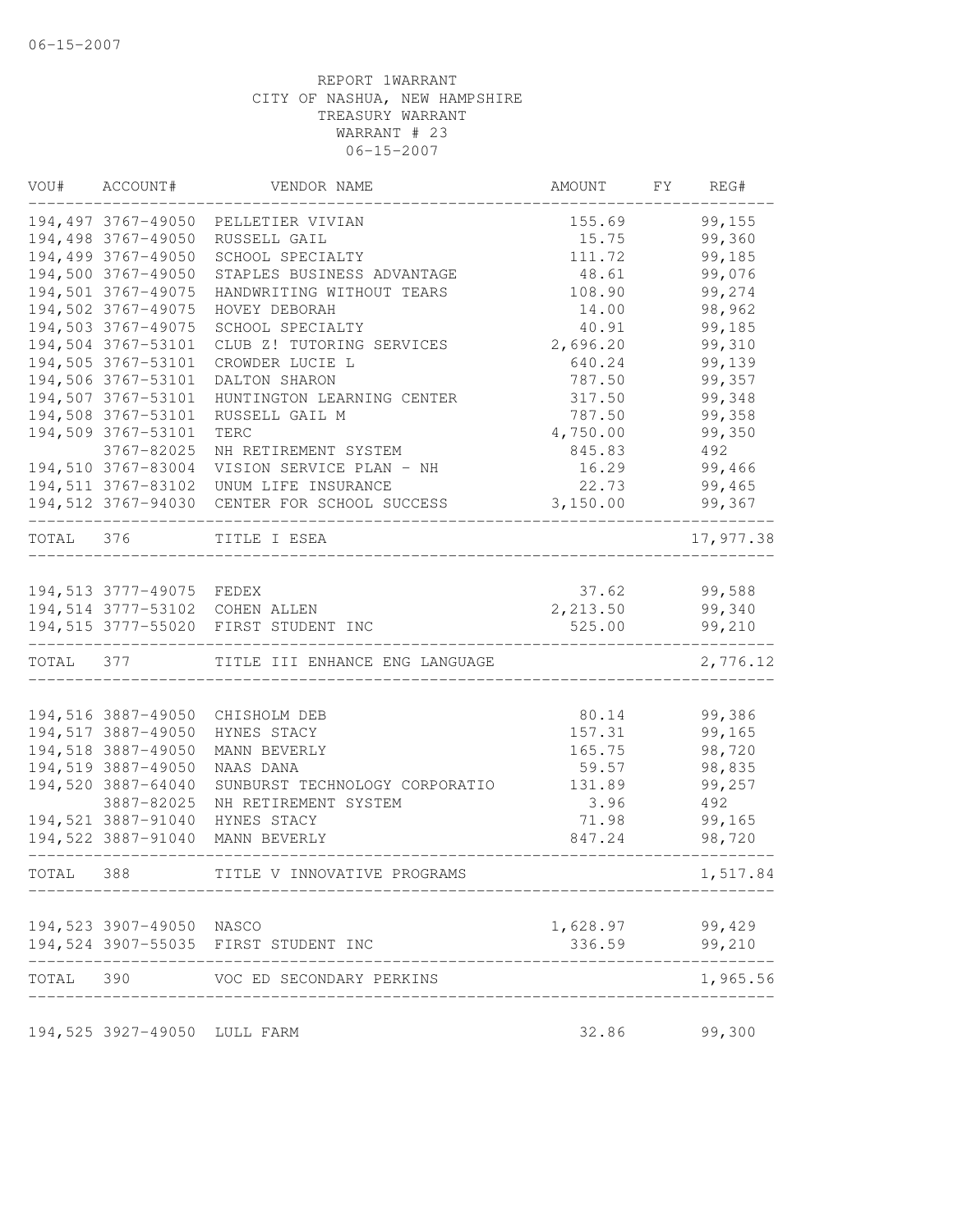|           | VOU# ACCOUNT#                            | VENDOR NAME                                  | AMOUNT           | FY | REG#             |
|-----------|------------------------------------------|----------------------------------------------|------------------|----|------------------|
|           |                                          | 194,497 3767-49050 PELLETIER VIVIAN          | 155.69           |    | 99,155           |
|           | 194,498 3767-49050                       | RUSSELL GAIL                                 | 15.75            |    | 99,360           |
|           | 194,499 3767-49050                       | SCHOOL SPECIALTY                             | 111.72           |    | 99,185           |
|           | 194,500 3767-49050                       | STAPLES BUSINESS ADVANTAGE                   | 48.61            |    | 99,076           |
|           | 194,501 3767-49075                       | HANDWRITING WITHOUT TEARS                    | 108.90           |    | 99,274           |
|           | 194,502 3767-49075                       | HOVEY DEBORAH                                | 14.00            |    | 98,962           |
|           | 194,503 3767-49075                       | SCHOOL SPECIALTY                             | 40.91            |    | 99,185           |
|           | 194,504 3767-53101                       | CLUB Z! TUTORING SERVICES                    | 2,696.20         |    | 99,310           |
|           | 194,505 3767-53101                       | CROWDER LUCIE L                              | 640.24           |    | 99,139           |
|           | 194,506 3767-53101                       | DALTON SHARON                                | 787.50           |    | 99,357           |
|           | 194,507 3767-53101                       | HUNTINGTON LEARNING CENTER                   | 317.50           |    | 99,348           |
|           | 194,508 3767-53101                       | RUSSELL GAIL M                               | 787.50           |    | 99,358           |
|           | 194,509 3767-53101                       | TERC                                         | 4,750.00         |    | 99,350           |
|           | 3767-82025                               | NH RETIREMENT SYSTEM                         | 845.83           |    | 492              |
|           | 194,510 3767-83004                       | VISION SERVICE PLAN - NH                     | 16.29            |    | 99,466           |
|           |                                          | 194,511 3767-83102 UNUM LIFE INSURANCE       | 22.73            |    | 99,465           |
|           |                                          | 194,512 3767-94030 CENTER FOR SCHOOL SUCCESS | 3,150.00         |    | 99,367           |
| TOTAL 376 |                                          | TITLE I ESEA                                 |                  |    | 17,977.38        |
|           |                                          |                                              |                  |    |                  |
|           | 194,513 3777-49075 FEDEX                 |                                              | 37.62            |    | 99,588           |
|           |                                          | 194,514 3777-53102 COHEN ALLEN               | 2,213.50         |    | 99,340           |
|           |                                          | 194,515 3777-55020 FIRST STUDENT INC         | 525.00           |    | 99,210           |
| TOTAL 377 |                                          | TITLE III ENHANCE ENG LANGUAGE               |                  |    | 2,776.12         |
|           |                                          |                                              |                  |    |                  |
|           | 194,516 3887-49050<br>194,517 3887-49050 | CHISHOLM DEB                                 | 80.14            |    | 99,386<br>99,165 |
|           | 194,518 3887-49050                       | HYNES STACY<br>MANN BEVERLY                  | 157.31<br>165.75 |    | 98,720           |
|           | 194,519 3887-49050                       | NAAS DANA                                    | 59.57            |    | 98,835           |
|           | 194,520 3887-64040                       | SUNBURST TECHNOLOGY CORPORATIO               | 131.89           |    | 99,257           |
|           | 3887-82025                               | NH RETIREMENT SYSTEM                         | 3.96             |    | 492              |
|           | 194,521 3887-91040                       | HYNES STACY                                  | 71.98            |    | 99,165           |
|           | 194,522 3887-91040                       | MANN BEVERLY                                 | 847.24           |    | 98,720           |
| TOTAL 388 |                                          | TITLE V INNOVATIVE PROGRAMS                  |                  |    | 1,517.84         |
|           |                                          |                                              |                  |    |                  |
|           | 194,523 3907-49050 NASCO                 |                                              | 1,628.97         |    | 99,429           |
|           |                                          | 194,524 3907-55035 FIRST STUDENT INC         | 336.59           |    | 99,210           |
| TOTAL 390 |                                          | VOC ED SECONDARY PERKINS                     |                  |    | 1,965.56         |
|           | 194,525 3927-49050 LULL FARM             |                                              | 32.86            |    | 99,300           |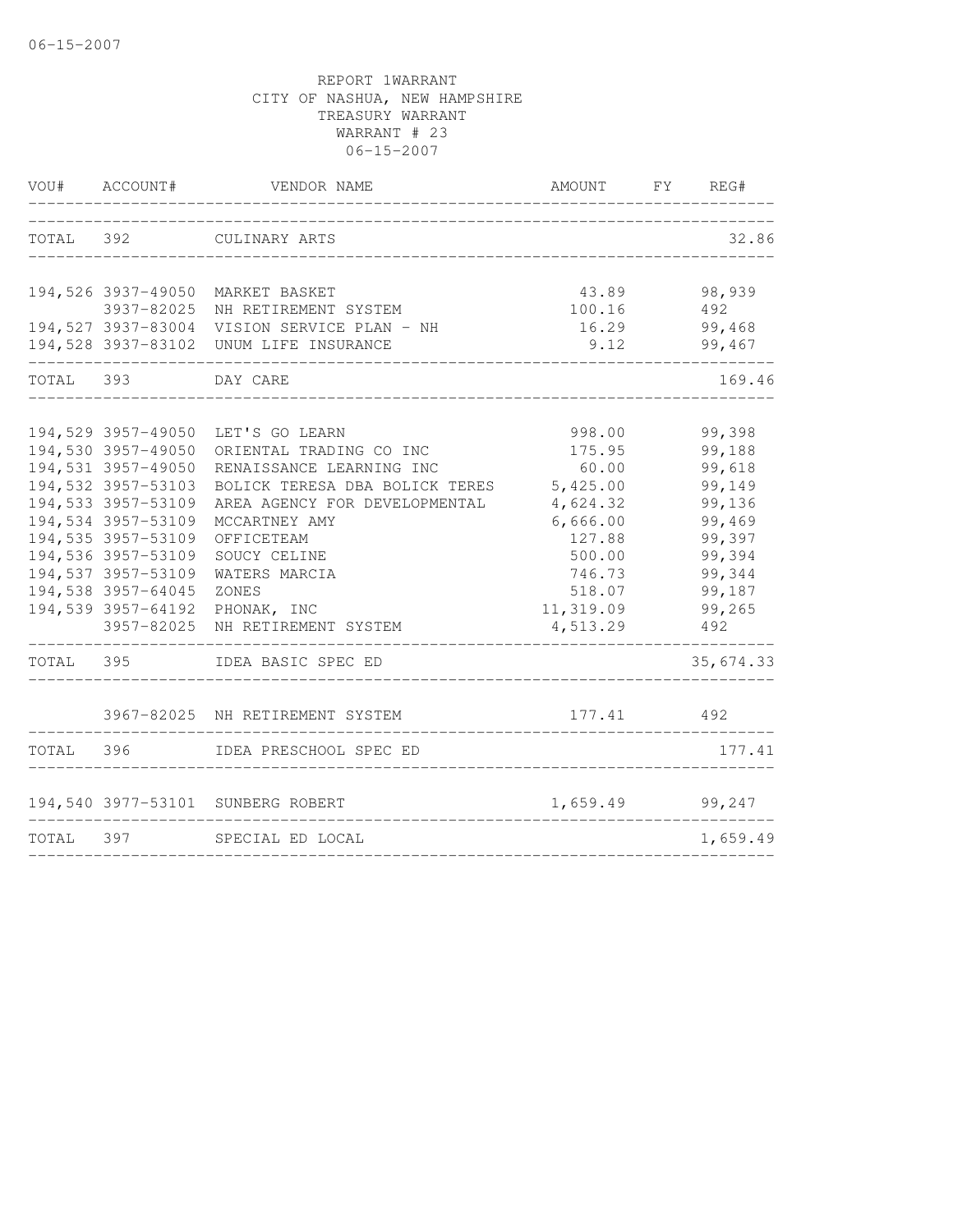|           | VOU# ACCOUNT#       | VENDOR NAME                                 | AMOUNT FY REG# |           |
|-----------|---------------------|---------------------------------------------|----------------|-----------|
|           |                     | TOTAL 392 CULINARY ARTS                     |                | 32.86     |
|           |                     |                                             |                |           |
|           |                     | 194,526 3937-49050 MARKET BASKET            | 43.89          | 98,939    |
|           | 3937-82025          | NH RETIREMENT SYSTEM                        | 100.16         | 492       |
|           |                     | 194,527 3937-83004 VISION SERVICE PLAN - NH | 16.29          | 99,468    |
|           |                     | 194,528 3937-83102 UNUM LIFE INSURANCE      | 9.12           | 99,467    |
| TOTAL 393 |                     | DAY CARE                                    |                | 169.46    |
|           |                     |                                             |                |           |
|           |                     | 194,529 3957-49050 LET'S GO LEARN           | 998.00         | 99,398    |
|           | 194,530 3957-49050  | ORIENTAL TRADING CO INC                     | 175.95         | 99,188    |
|           | 194,531 3957-49050  | RENAISSANCE LEARNING INC                    | 60.00          | 99,618    |
|           | 194,532 3957-53103  | BOLICK TERESA DBA BOLICK TERES              | 5,425.00       | 99,149    |
|           | 194,533 3957-53109  | AREA AGENCY FOR DEVELOPMENTAL               | 4,624.32       | 99,136    |
|           | 194,534 3957-53109  | MCCARTNEY AMY                               | 6,666.00       | 99,469    |
|           | 194,535 3957-53109  | OFFICETEAM                                  | 127.88         | 99,397    |
|           | 194,536 3957-53109  | SOUCY CELINE                                | 500.00         | 99,394    |
|           | 194, 537 3957-53109 | WATERS MARCIA                               | 746.73         | 99,344    |
|           | 194,538 3957-64045  | ZONES                                       | 518.07         | 99,187    |
|           | 194,539 3957-64192  | PHONAK, INC                                 | 11,319.09      | 99,265    |
|           | 3957-82025          | NH RETIREMENT SYSTEM                        | 4,513.29       | 492       |
| TOTAL 395 |                     | IDEA BASIC SPEC ED                          |                | 35,674.33 |
|           |                     | 3967-82025 NH RETIREMENT SYSTEM             | 177.41 492     |           |
|           |                     |                                             |                |           |
|           |                     | TOTAL 396 IDEA PRESCHOOL SPEC ED            |                | 177.41    |
|           |                     | 194,540 3977-53101 SUNBERG ROBERT           | 1,659.49       | 99,247    |
| TOTAL 397 |                     | SPECIAL ED LOCAL                            |                | 1,659.49  |
|           |                     |                                             |                |           |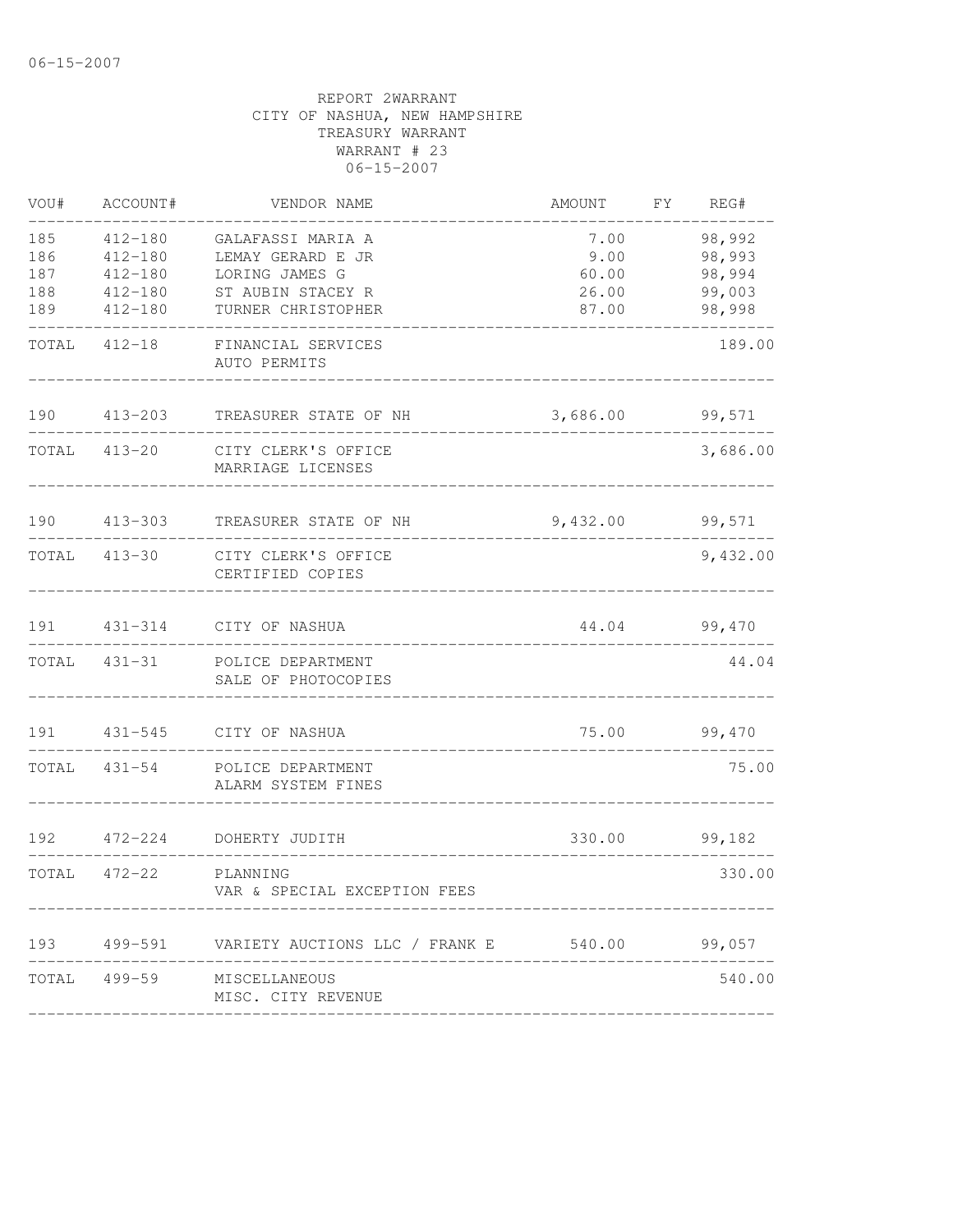| VOU#  | ACCOUNT#     | VENDOR NAME                                                      | AMOUNT   | FY REG#  |
|-------|--------------|------------------------------------------------------------------|----------|----------|
| 185   | $412 - 180$  | GALAFASSI MARIA A                                                | 7.00     | 98,992   |
| 186   | $412 - 180$  | LEMAY GERARD E JR                                                | 9.00     | 98,993   |
| 187   | $412 - 180$  | LORING JAMES G                                                   | 60.00    | 98,994   |
| 188   | $412 - 180$  | ST AUBIN STACEY R                                                | 26.00    | 99,003   |
| 189   | $412 - 180$  | TURNER CHRISTOPHER                                               | 87.00    | 98,998   |
| TOTAL | $412 - 18$   | FINANCIAL SERVICES<br>AUTO PERMITS                               |          | 189.00   |
| 190   | $413 - 203$  | TREASURER STATE OF NH                                            | 3,686.00 | 99,571   |
| TOTAL | 413-20       | CITY CLERK'S OFFICE<br>MARRIAGE LICENSES                         |          | 3,686.00 |
| 190   | $413 - 303$  | TREASURER STATE OF NH                                            | 9,432.00 | 99,571   |
|       | TOTAL 413-30 | CITY CLERK'S OFFICE<br>CERTIFIED COPIES                          |          | 9,432.00 |
| 191   |              | 431-314 CITY OF NASHUA                                           | 44.04    | 99,470   |
| TOTAL | 431-31       | POLICE DEPARTMENT<br>SALE OF PHOTOCOPIES                         |          | 44.04    |
| 191   | $431 - 545$  | CITY OF NASHUA                                                   | 75.00    | 99,470   |
| TOTAL | $431 - 54$   | POLICE DEPARTMENT<br>ALARM SYSTEM FINES                          |          | 75.00    |
| 192   | $472 - 224$  | DOHERTY JUDITH                                                   | 330.00   | 99,182   |
| TOTAL | 472-22       | PLANNING<br>VAR & SPECIAL EXCEPTION FEES                         |          | 330.00   |
|       |              | 193   499-591   VARIETY AUCTIONS LLC / FRANK E   540.00   99,057 |          |          |
|       | TOTAL 499-59 | MISCELLANEOUS<br>MISC. CITY REVENUE                              |          | 540.00   |
|       |              |                                                                  |          |          |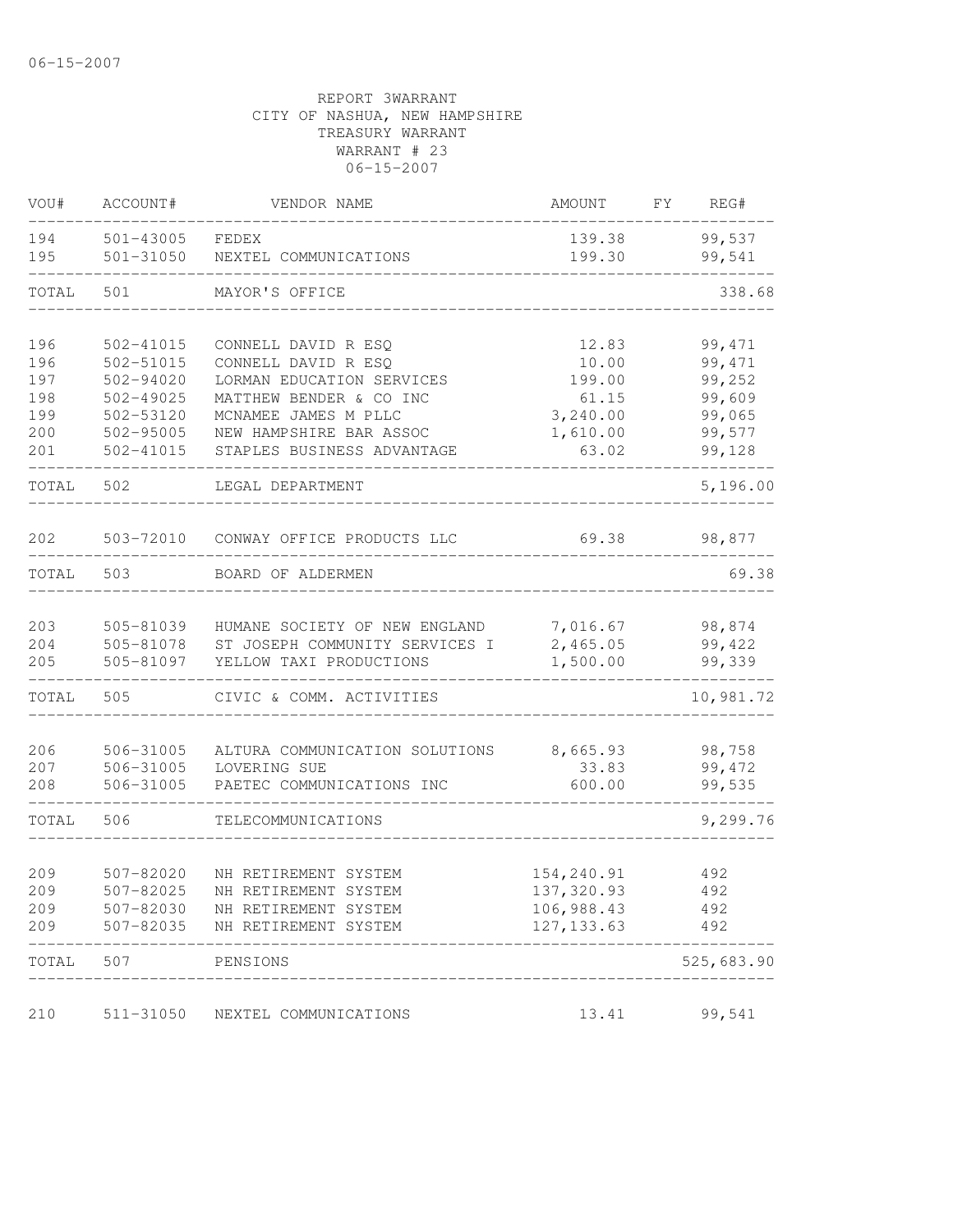| VOU#                     | ACCOUNT#                                         | VENDOR NAME                                                                                  | AMOUNT                                                | FY | REG#                        |
|--------------------------|--------------------------------------------------|----------------------------------------------------------------------------------------------|-------------------------------------------------------|----|-----------------------------|
| 194<br>195               | 501-43005<br>501-31050                           | FEDEX<br>NEXTEL COMMUNICATIONS                                                               | 139.38<br>199.30                                      |    | 99,537<br>99,541            |
| TOTAL                    | 501                                              | MAYOR'S OFFICE                                                                               |                                                       |    | 338.68                      |
| 196<br>196               | 502-41015<br>502-51015                           | CONNELL DAVID R ESQ<br>CONNELL DAVID R ESQ                                                   | 12.83<br>10.00                                        |    | 99, 471<br>99, 471          |
| 197<br>198               | 502-94020<br>$502 - 49025$                       | LORMAN EDUCATION SERVICES<br>MATTHEW BENDER & CO INC                                         | 199.00<br>61.15                                       |    | 99,252<br>99,609            |
| 199<br>200<br>201        | 502-53120<br>502-95005<br>502-41015              | MCNAMEE JAMES M PLLC<br>NEW HAMPSHIRE BAR ASSOC<br>STAPLES BUSINESS ADVANTAGE                | 3,240.00<br>1,610.00<br>63.02                         |    | 99,065<br>99,577<br>99,128  |
| TOTAL                    | 502                                              | LEGAL DEPARTMENT                                                                             |                                                       |    | 5,196.00                    |
| 202                      | 503-72010                                        | CONWAY OFFICE PRODUCTS LLC                                                                   | 69.38                                                 |    | 98,877                      |
| TOTAL                    | 503                                              | BOARD OF ALDERMEN                                                                            |                                                       |    | 69.38                       |
| 203<br>204<br>205        | 505-81039<br>505-81078<br>505-81097              | HUMANE SOCIETY OF NEW ENGLAND<br>ST JOSEPH COMMUNITY SERVICES I<br>YELLOW TAXI PRODUCTIONS   | 7,016.67<br>2,465.05<br>1,500.00                      |    | 98,874<br>99,422<br>99,339  |
| TOTAL                    | 505                                              | CIVIC & COMM. ACTIVITIES                                                                     |                                                       |    | 10,981.72                   |
| 206<br>207<br>208        | 506-31005<br>506-31005<br>506-31005              | ALTURA COMMUNICATION SOLUTIONS<br>LOVERING SUE<br>PAETEC COMMUNICATIONS INC                  | 8,665.93<br>33.83<br>600.00                           |    | 98,758<br>99, 472<br>99,535 |
| TOTAL                    | 506                                              | TELECOMMUNICATIONS                                                                           |                                                       |    | 9,299.76                    |
| 209<br>209<br>209<br>209 | 507-82020<br>507-82025<br>507-82030<br>507-82035 | NH RETIREMENT SYSTEM<br>NH RETIREMENT SYSTEM<br>NH RETIREMENT SYSTEM<br>NH RETIREMENT SYSTEM | 154,240.91<br>137,320.93<br>106,988.43<br>127, 133.63 |    | 492<br>492<br>492<br>492    |
| TOTAL                    | 507                                              | PENSIONS                                                                                     |                                                       |    | 525,683.90                  |
| 210                      | 511-31050                                        | NEXTEL COMMUNICATIONS                                                                        | 13.41                                                 |    | 99,541                      |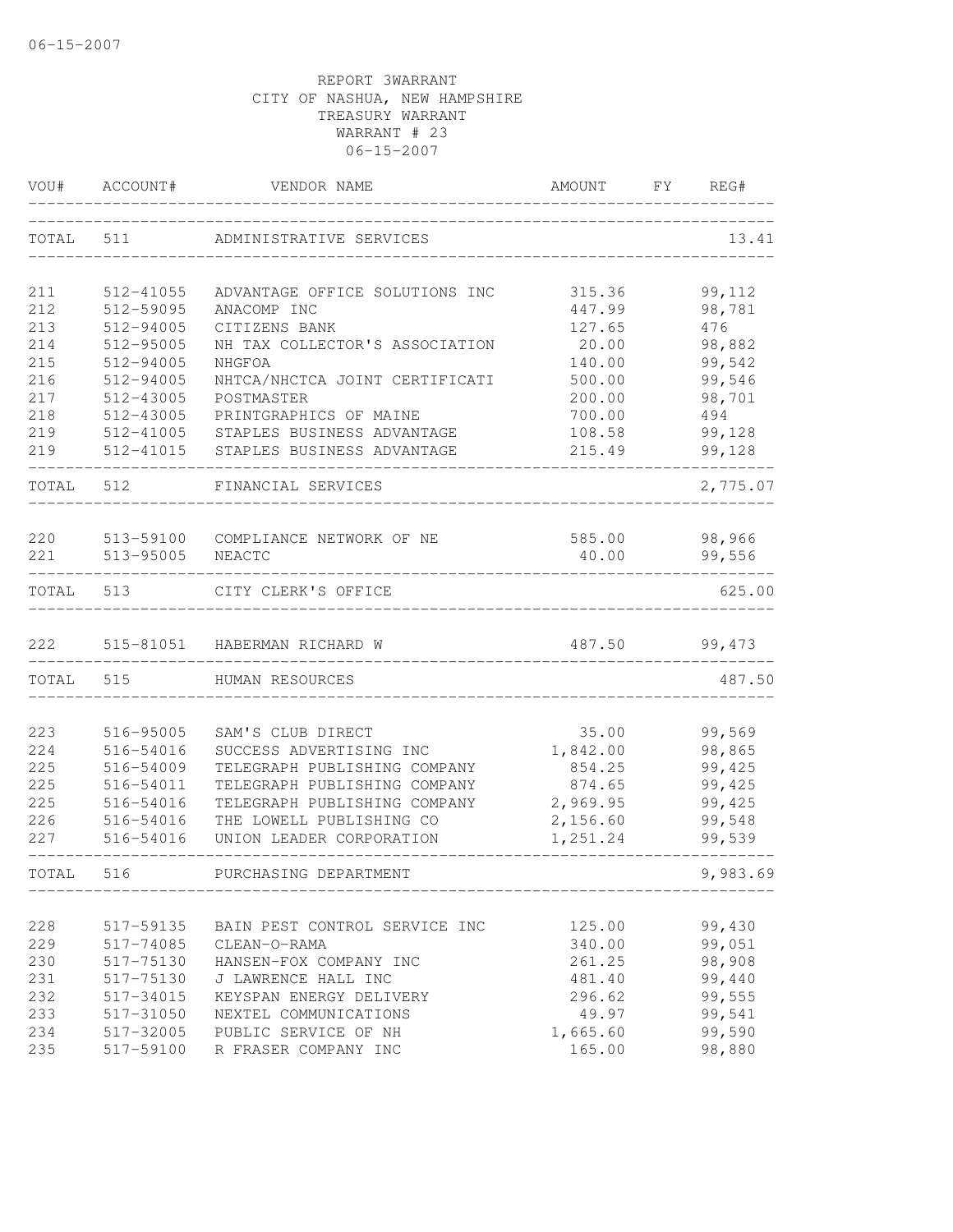| VOU#  | ACCOUNT#  | VENDOR NAME                    | AMOUNT   | FY | REG#     |
|-------|-----------|--------------------------------|----------|----|----------|
| TOTAL | 511       | ADMINISTRATIVE SERVICES        |          |    | 13.41    |
| 211   | 512-41055 | ADVANTAGE OFFICE SOLUTIONS INC | 315.36   |    | 99,112   |
| 212   | 512-59095 | ANACOMP INC                    | 447.99   |    | 98,781   |
| 213   | 512-94005 | CITIZENS BANK                  | 127.65   |    | 476      |
| 214   | 512-95005 | NH TAX COLLECTOR'S ASSOCIATION | 20.00    |    | 98,882   |
| 215   | 512-94005 | NHGFOA                         | 140.00   |    | 99,542   |
| 216   | 512-94005 | NHTCA/NHCTCA JOINT CERTIFICATI | 500.00   |    | 99,546   |
| 217   | 512-43005 | POSTMASTER                     | 200.00   |    | 98,701   |
| 218   | 512-43005 | PRINTGRAPHICS OF MAINE         | 700.00   |    | 494      |
| 219   | 512-41005 | STAPLES BUSINESS ADVANTAGE     | 108.58   |    | 99,128   |
| 219   | 512-41015 | STAPLES BUSINESS ADVANTAGE     | 215.49   |    | 99,128   |
| TOTAL | 512       | FINANCIAL SERVICES             |          |    | 2,775.07 |
| 220   | 513-59100 | COMPLIANCE NETWORK OF NE       | 585.00   |    | 98,966   |
| 221   | 513-95005 | NEACTC                         | 40.00    |    | 99,556   |
| TOTAL | 513       | CITY CLERK'S OFFICE            |          |    | 625.00   |
| 222   |           | 515-81051 HABERMAN RICHARD W   | 487.50   |    | 99,473   |
| TOTAL | 515       | HUMAN RESOURCES                |          |    | 487.50   |
|       |           |                                |          |    |          |
| 223   | 516-95005 | SAM'S CLUB DIRECT              | 35.00    |    | 99,569   |
| 224   | 516-54016 | SUCCESS ADVERTISING INC        | 1,842.00 |    | 98,865   |
| 225   | 516-54009 | TELEGRAPH PUBLISHING COMPANY   | 854.25   |    | 99,425   |
| 225   | 516-54011 | TELEGRAPH PUBLISHING COMPANY   | 874.65   |    | 99,425   |
| 225   | 516-54016 | TELEGRAPH PUBLISHING COMPANY   | 2,969.95 |    | 99,425   |
| 226   | 516-54016 | THE LOWELL PUBLISHING CO       | 2,156.60 |    | 99,548   |
| 227   | 516-54016 | UNION LEADER CORPORATION       | 1,251.24 |    | 99,539   |
| TOTAL | 516       | PURCHASING DEPARTMENT          |          |    | 9,983.69 |
|       |           |                                |          |    |          |
| 228   | 517-59135 | BAIN PEST CONTROL SERVICE INC  | 125.00   |    | 99,430   |
| 229   | 517-74085 | CLEAN-O-RAMA                   | 340.00   |    | 99,051   |
| 230   | 517-75130 | HANSEN-FOX COMPANY INC         | 261.25   |    | 98,908   |
| 231   | 517-75130 | J LAWRENCE HALL INC            | 481.40   |    | 99,440   |
| 232   | 517-34015 | KEYSPAN ENERGY DELIVERY        | 296.62   |    | 99,555   |
| 233   | 517-31050 | NEXTEL COMMUNICATIONS          | 49.97    |    | 99,541   |
| 234   | 517-32005 | PUBLIC SERVICE OF NH           | 1,665.60 |    | 99,590   |
| 235   | 517-59100 | R FRASER COMPANY INC           | 165.00   |    | 98,880   |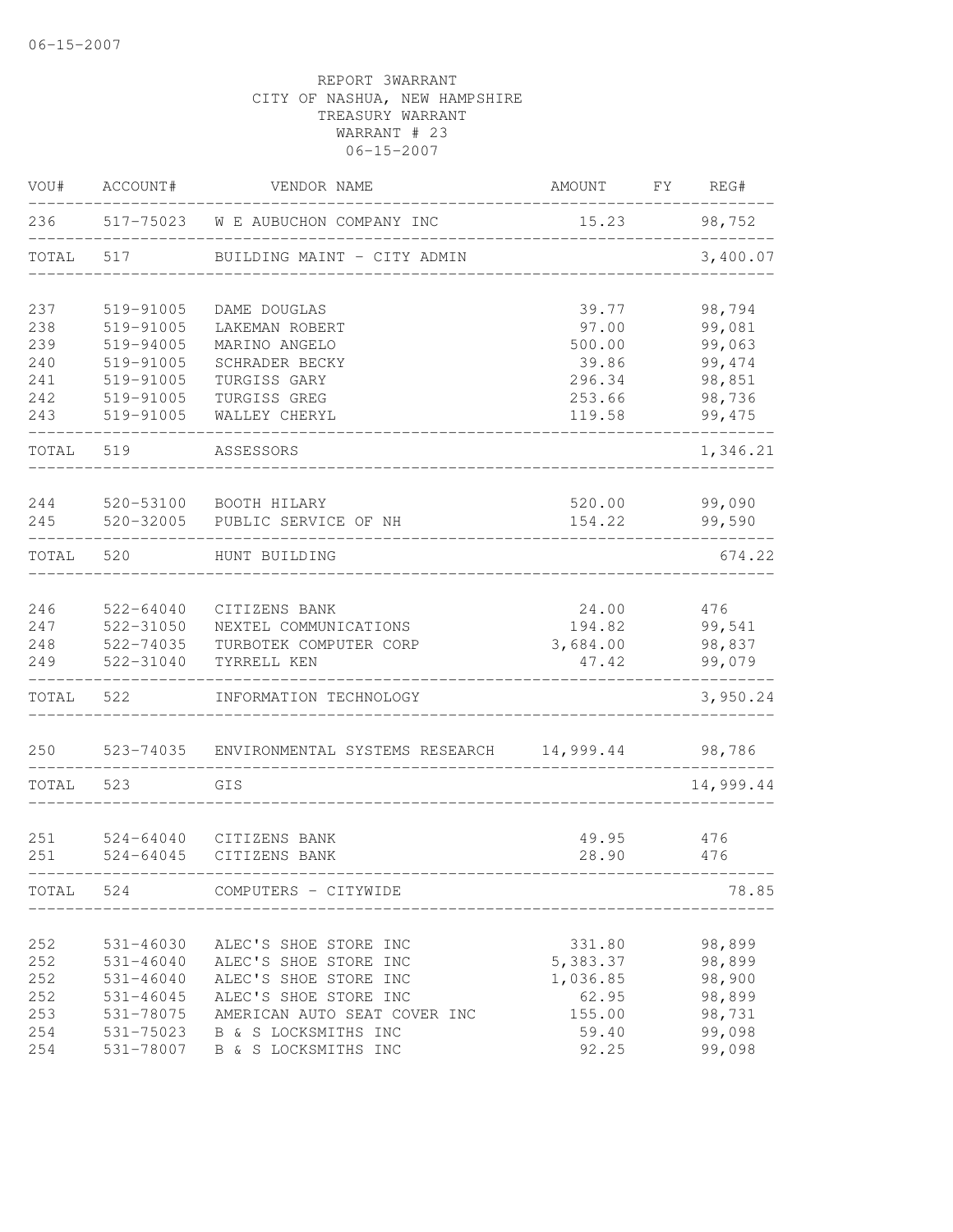| VOU#       | ACCOUNT#               | VENDOR NAME                    | AMOUNT           | FΥ | REG#              |
|------------|------------------------|--------------------------------|------------------|----|-------------------|
| 236        | 517-75023              | W E AUBUCHON COMPANY INC       | 15.23            |    | 98,752            |
| TOTAL      | 517                    | BUILDING MAINT - CITY ADMIN    |                  |    | 3,400.07          |
| 237        | 519-91005              | DAME DOUGLAS                   | 39.77            |    | 98,794            |
| 238        | 519-91005              | LAKEMAN ROBERT                 | 97.00            |    | 99,081            |
| 239        | 519-94005              | MARINO ANGELO                  | 500.00           |    | 99,063            |
| 240        | 519-91005              | SCHRADER BECKY                 | 39.86            |    | 99,474            |
| 241        | 519-91005              | TURGISS GARY                   | 296.34           |    | 98,851            |
| 242<br>243 | 519-91005<br>519-91005 | TURGISS GREG<br>WALLEY CHERYL  | 253.66<br>119.58 |    | 98,736<br>99, 475 |
| TOTAL      | 519                    | ASSESSORS                      |                  |    | 1,346.21          |
| 244        | 520-53100              | BOOTH HILARY                   | 520.00           |    | 99,090            |
| 245        | 520-32005              | PUBLIC SERVICE OF NH           | 154.22           |    | 99,590            |
| TOTAL      | 520                    | HUNT BUILDING                  |                  |    | 674.22            |
| 246        | 522-64040              | CITIZENS BANK                  | 24.00            |    | 476               |
| 247        | 522-31050              | NEXTEL COMMUNICATIONS          | 194.82           |    | 99,541            |
| 248        | 522-74035              | TURBOTEK COMPUTER CORP         | 3,684.00         |    | 98,837            |
| 249        | 522-31040              | TYRRELL KEN                    | 47.42            |    | 99,079            |
| TOTAL      | 522                    | INFORMATION TECHNOLOGY         |                  |    | 3,950.24          |
| 250        | 523-74035              | ENVIRONMENTAL SYSTEMS RESEARCH | 14,999.44        |    | 98,786            |
| TOTAL      | 523                    | GIS                            |                  |    | 14,999.44         |
|            |                        |                                |                  |    |                   |
| 251        | 524-64040              | CITIZENS BANK                  | 49.95            |    | 476               |
| 251        | $524 - 64045$          | CITIZENS BANK                  | 28.90            |    | 476               |
| TOTAL      | 524                    | COMPUTERS - CITYWIDE           |                  |    | 78.85             |
| 252        | 531-46030              | ALEC'S SHOE STORE INC          | 331.80           |    | 98,899            |
| 252        | $531 - 46040$          | ALEC'S SHOE STORE INC          | 5,383.37         |    | 98,899            |
| 252        | $531 - 46040$          | ALEC'S SHOE STORE INC          | 1,036.85         |    | 98,900            |
| 252        | $531 - 46045$          | ALEC'S SHOE STORE INC          | 62.95            |    | 98,899            |
| 253        | 531-78075              | AMERICAN AUTO SEAT COVER INC   | 155.00           |    | 98,731            |
| 254        | 531-75023              | B & S LOCKSMITHS INC           | 59.40            |    | 99,098            |
| 254        | 531-78007              | B & S LOCKSMITHS INC           | 92.25            |    | 99,098            |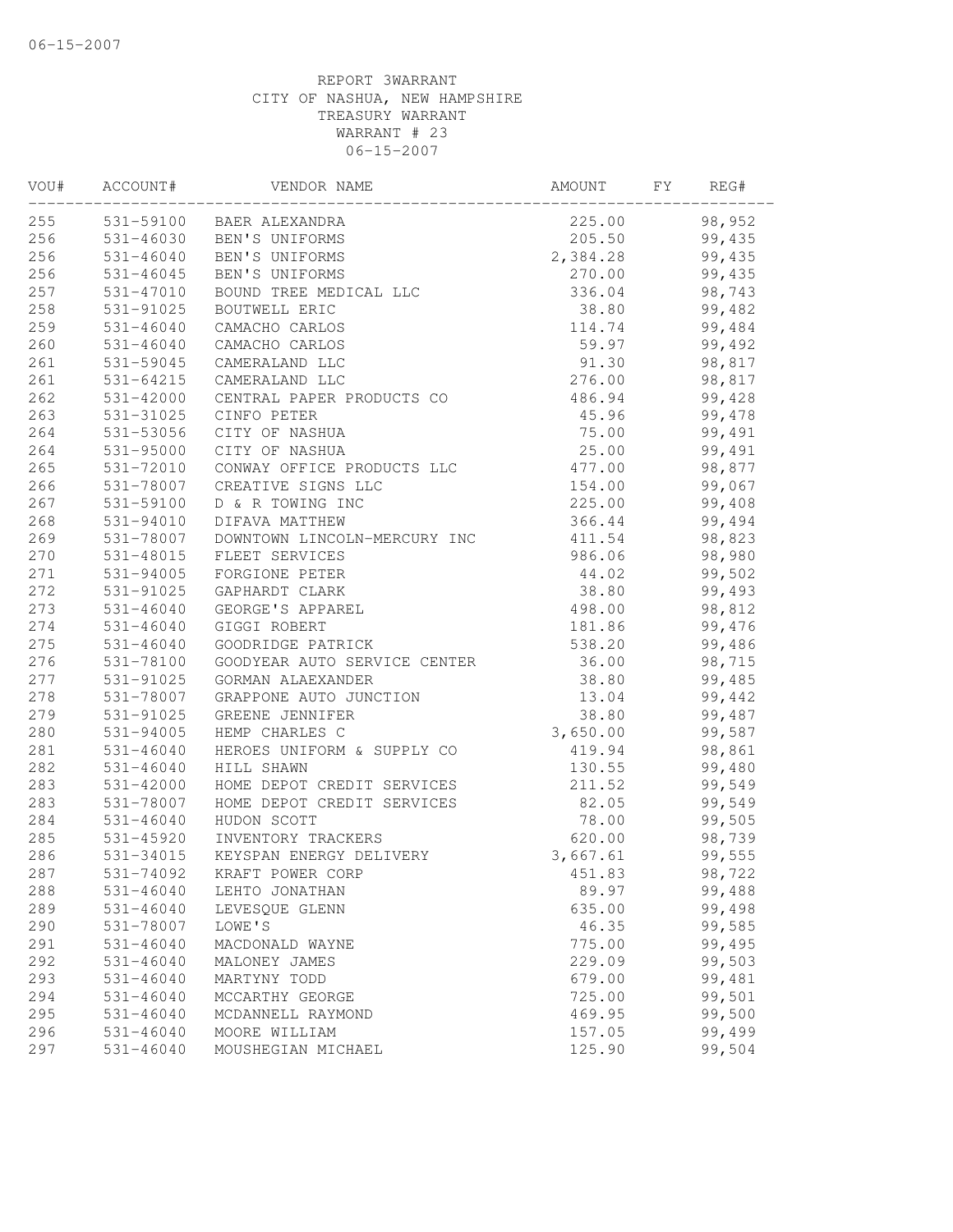| VOU# | ACCOUNT#      | VENDOR NAME                       | AMOUNT   | FY | REG#   |  |
|------|---------------|-----------------------------------|----------|----|--------|--|
| 255  |               | 531-59100 BAER ALEXANDRA          | 225.00   |    | 98,952 |  |
| 256  |               | 531-46030 BEN'S UNIFORMS          | 205.50   |    | 99,435 |  |
| 256  | $531 - 46040$ | BEN'S UNIFORMS                    | 2,384.28 |    | 99,435 |  |
| 256  | 531-46045     | BEN'S UNIFORMS                    | 270.00   |    | 99,435 |  |
| 257  | 531-47010     | BOUND TREE MEDICAL LLC            | 336.04   |    | 98,743 |  |
| 258  | 531-91025     | BOUTWELL ERIC                     | 38.80    |    | 99,482 |  |
| 259  | $531 - 46040$ | CAMACHO CARLOS                    | 114.74   |    | 99,484 |  |
| 260  | $531 - 46040$ | CAMACHO CARLOS                    | 59.97    |    | 99,492 |  |
| 261  | 531-59045     | CAMERALAND LLC                    | 91.30    |    | 98,817 |  |
| 261  | 531-64215     | CAMERALAND LLC                    | 276.00   |    | 98,817 |  |
| 262  | 531-42000     | CENTRAL PAPER PRODUCTS CO         | 486.94   |    | 99,428 |  |
| 263  | 531-31025     | CINFO PETER                       | 45.96    |    | 99,478 |  |
| 264  | 531-53056     | CITY OF NASHUA                    | 75.00    |    | 99,491 |  |
| 264  | 531-95000     | CITY OF NASHUA                    | 25.00    |    | 99,491 |  |
| 265  | 531-72010     | CONWAY OFFICE PRODUCTS LLC        | 477.00   |    | 98,877 |  |
| 266  | 531-78007     | CREATIVE SIGNS LLC                | 154.00   |    | 99,067 |  |
| 267  | 531-59100     | D & R TOWING INC                  | 225.00   |    | 99,408 |  |
| 268  | 531-94010     | DIFAVA MATTHEW                    | 366.44   |    | 99,494 |  |
| 269  | 531-78007     | DOWNTOWN LINCOLN-MERCURY INC      | 411.54   |    | 98,823 |  |
| 270  | 531-48015     | FLEET SERVICES                    | 986.06   |    | 98,980 |  |
| 271  | 531-94005     | FORGIONE PETER                    | 44.02    |    | 99,502 |  |
| 272  | 531-91025     | GAPHARDT CLARK                    | 38.80    |    | 99,493 |  |
| 273  | $531 - 46040$ | GEORGE'S APPAREL                  | 498.00   |    | 98,812 |  |
| 274  | $531 - 46040$ | GIGGI ROBERT                      | 181.86   |    | 99,476 |  |
| 275  | 531-46040     | GOODRIDGE PATRICK                 | 538.20   |    | 99,486 |  |
| 276  | 531-78100     | GOODYEAR AUTO SERVICE CENTER      | 36.00    |    | 98,715 |  |
| 277  | 531-91025     | GORMAN ALAEXANDER                 | 38.80    |    | 99,485 |  |
| 278  | 531-78007     | GRAPPONE AUTO JUNCTION            | 13.04    |    | 99,442 |  |
| 279  | 531-91025     | GREENE JENNIFER                   | 38.80    |    | 99,487 |  |
| 280  | $531 - 94005$ | HEMP CHARLES C                    | 3,650.00 |    | 99,587 |  |
| 281  | $531 - 46040$ | HEROES UNIFORM & SUPPLY CO        | 419.94   |    | 98,861 |  |
| 282  | $531 - 46040$ | HILL SHAWN                        | 130.55   |    | 99,480 |  |
| 283  | 531-42000     | HOME DEPOT CREDIT SERVICES        | 211.52   |    | 99,549 |  |
| 283  | 531-78007     | HOME DEPOT CREDIT SERVICES        | 82.05    |    | 99,549 |  |
| 284  | $531 - 46040$ | HUDON SCOTT                       | 78.00    |    | 99,505 |  |
| 285  |               | 531-45920 INVENTORY TRACKERS      | 620.00   |    | 98,739 |  |
| 286  |               | 531-34015 KEYSPAN ENERGY DELIVERY | 3,667.61 |    | 99,555 |  |
| 287  | 531-74092     | KRAFT POWER CORP                  | 451.83   |    | 98,722 |  |
| 288  | $531 - 46040$ | LEHTO JONATHAN                    | 89.97    |    | 99,488 |  |
| 289  | $531 - 46040$ | LEVESQUE GLENN                    | 635.00   |    | 99,498 |  |
| 290  | 531-78007     | LOWE'S                            | 46.35    |    | 99,585 |  |
| 291  | 531-46040     | MACDONALD WAYNE                   | 775.00   |    | 99,495 |  |
| 292  | 531-46040     | MALONEY JAMES                     | 229.09   |    | 99,503 |  |
| 293  | 531-46040     | MARTYNY TODD                      | 679.00   |    | 99,481 |  |
| 294  | $531 - 46040$ | MCCARTHY GEORGE                   | 725.00   |    | 99,501 |  |
| 295  | $531 - 46040$ | MCDANNELL RAYMOND                 | 469.95   |    | 99,500 |  |
| 296  | $531 - 46040$ | MOORE WILLIAM                     | 157.05   |    | 99,499 |  |
| 297  | 531-46040     | MOUSHEGIAN MICHAEL                | 125.90   |    | 99,504 |  |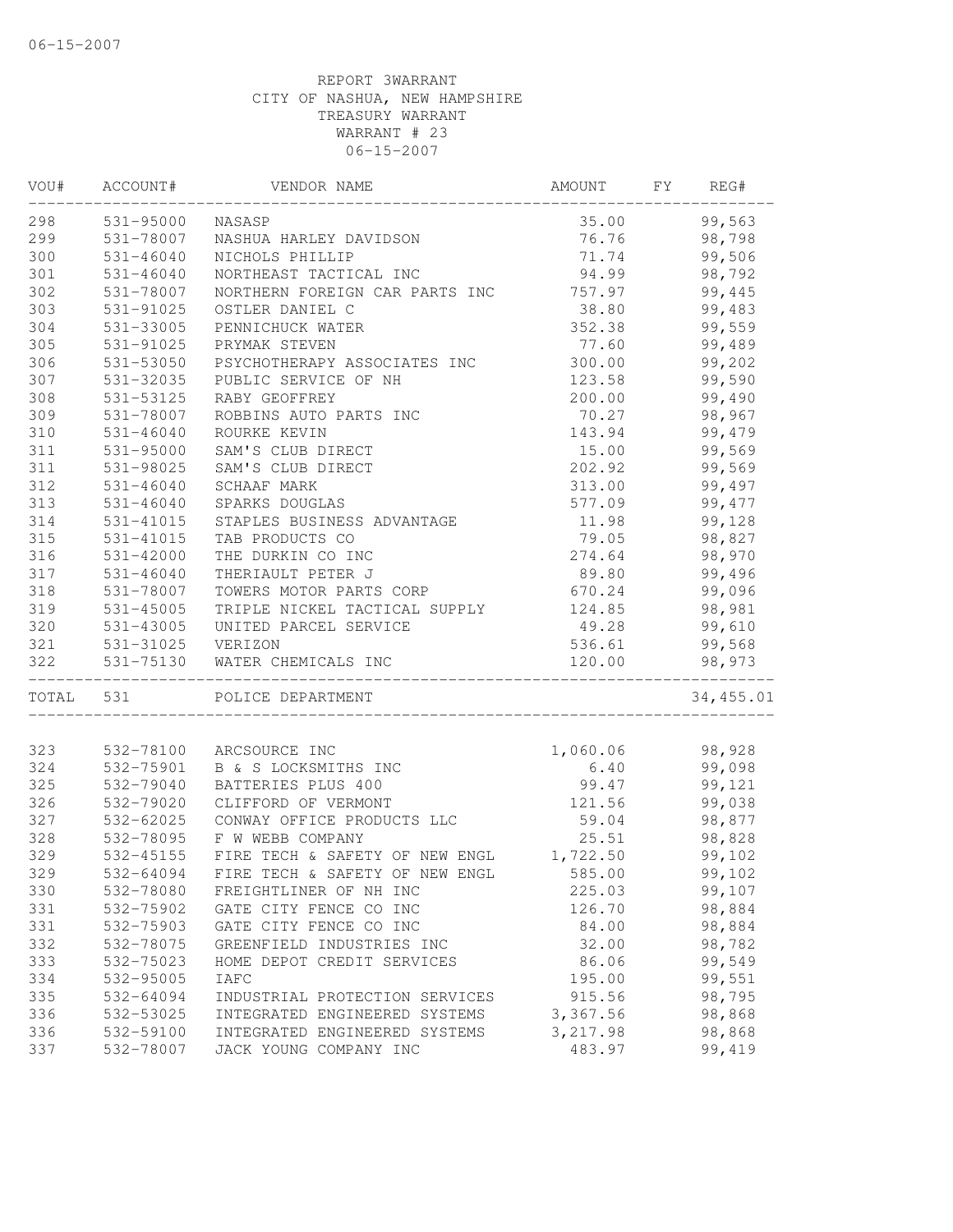| VOU#      | ACCOUNT#               | VENDOR NAME                    | AMOUNT   | FY<br>REG# |
|-----------|------------------------|--------------------------------|----------|------------|
| 298       | 531-95000              | NASASP                         | 35.00    | 99,563     |
| 299       | 531-78007              | NASHUA HARLEY DAVIDSON         | 76.76    | 98,798     |
| 300       | 531-46040              | NICHOLS PHILLIP                | 71.74    | 99,506     |
| 301       | $531 - 46040$          | NORTHEAST TACTICAL INC         | 94.99    | 98,792     |
| 302       | 531-78007              | NORTHERN FOREIGN CAR PARTS INC | 757.97   | 99,445     |
| 303       | 531-91025              | OSTLER DANIEL C                | 38.80    | 99,483     |
| 304       | 531-33005              | PENNICHUCK WATER               | 352.38   | 99,559     |
| 305       | $531 - 91025$          | PRYMAK STEVEN                  | 77.60    | 99,489     |
| 306       | 531-53050              | PSYCHOTHERAPY ASSOCIATES INC   | 300.00   | 99,202     |
| 307       | 531-32035              | PUBLIC SERVICE OF NH           | 123.58   | 99,590     |
| 308       | 531-53125              | RABY GEOFFREY                  | 200.00   | 99,490     |
| 309       | 531-78007              | ROBBINS AUTO PARTS INC         | 70.27    | 98,967     |
| 310       | $531 - 46040$          | ROURKE KEVIN                   | 143.94   | 99,479     |
| 311       | 531-95000              | SAM'S CLUB DIRECT              | 15.00    | 99,569     |
| 311       | 531-98025              | SAM'S CLUB DIRECT              | 202.92   | 99,569     |
| 312       | $531 - 46040$          | SCHAAF MARK                    | 313.00   | 99,497     |
| 313       | $531 - 46040$          | SPARKS DOUGLAS                 | 577.09   | 99, 477    |
| 314       | 531-41015              | STAPLES BUSINESS ADVANTAGE     | 11.98    | 99,128     |
| 315       | 531-41015              | TAB PRODUCTS CO                | 79.05    | 98,827     |
| 316       | $531 - 42000$          | THE DURKIN CO INC              | 274.64   | 98,970     |
| 317       | $531 - 46040$          | THERIAULT PETER J              | 89.80    | 99,496     |
| 318       | 531-78007              | TOWERS MOTOR PARTS CORP        | 670.24   | 99,096     |
| 319       | 531-45005              | TRIPLE NICKEL TACTICAL SUPPLY  | 124.85   | 98,981     |
| 320       | 531-43005              | UNITED PARCEL SERVICE          | 49.28    | 99,610     |
| 321       |                        |                                | 536.61   | 99,568     |
| 322       | 531-31025<br>531-75130 | VERIZON<br>WATER CHEMICALS INC | 120.00   | 98,973     |
|           |                        |                                |          |            |
| TOTAL 531 |                        | POLICE DEPARTMENT              |          | 34,455.01  |
| 323       | 532-78100              | ARCSOURCE INC                  | 1,060.06 | 98,928     |
| 324       | 532-75901              | B & S LOCKSMITHS INC           | 6.40     | 99,098     |
| 325       | 532-79040              | BATTERIES PLUS 400             | 99.47    | 99,121     |
| 326       | 532-79020              | CLIFFORD OF VERMONT            | 121.56   | 99,038     |
| 327       | 532-62025              | CONWAY OFFICE PRODUCTS LLC     | 59.04    | 98,877     |
| 328       | 532-78095              | F W WEBB COMPANY               | 25.51    | 98,828     |
| 329       | 532-45155              | FIRE TECH & SAFETY OF NEW ENGL | 1,722.50 |            |
|           |                        |                                |          | 99,102     |
| 329       | 532-64094              | FIRE TECH & SAFETY OF NEW ENGL | 585.00   | 99,102     |
| 330       | 532-78080              | FREIGHTLINER OF NH INC         | 225.03   | 99,107     |
| 331       | 532-75902              | GATE CITY FENCE CO INC         | 126.70   | 98,884     |
| 331       | 532-75903              | GATE CITY FENCE CO INC         | 84.00    | 98,884     |
| 332       | 532-78075              | GREENFIELD INDUSTRIES INC      | 32.00    | 98,782     |
| 333       | 532-75023              | HOME DEPOT CREDIT SERVICES     | 86.06    | 99,549     |
| 334       | 532-95005              | <b>IAFC</b>                    | 195.00   | 99,551     |
| 335       | 532-64094              | INDUSTRIAL PROTECTION SERVICES | 915.56   | 98,795     |
| 336       | 532-53025              | INTEGRATED ENGINEERED SYSTEMS  | 3,367.56 | 98,868     |
| 336       | 532-59100              | INTEGRATED ENGINEERED SYSTEMS  | 3,217.98 | 98,868     |
| 337       | 532-78007              | JACK YOUNG COMPANY INC         | 483.97   | 99,419     |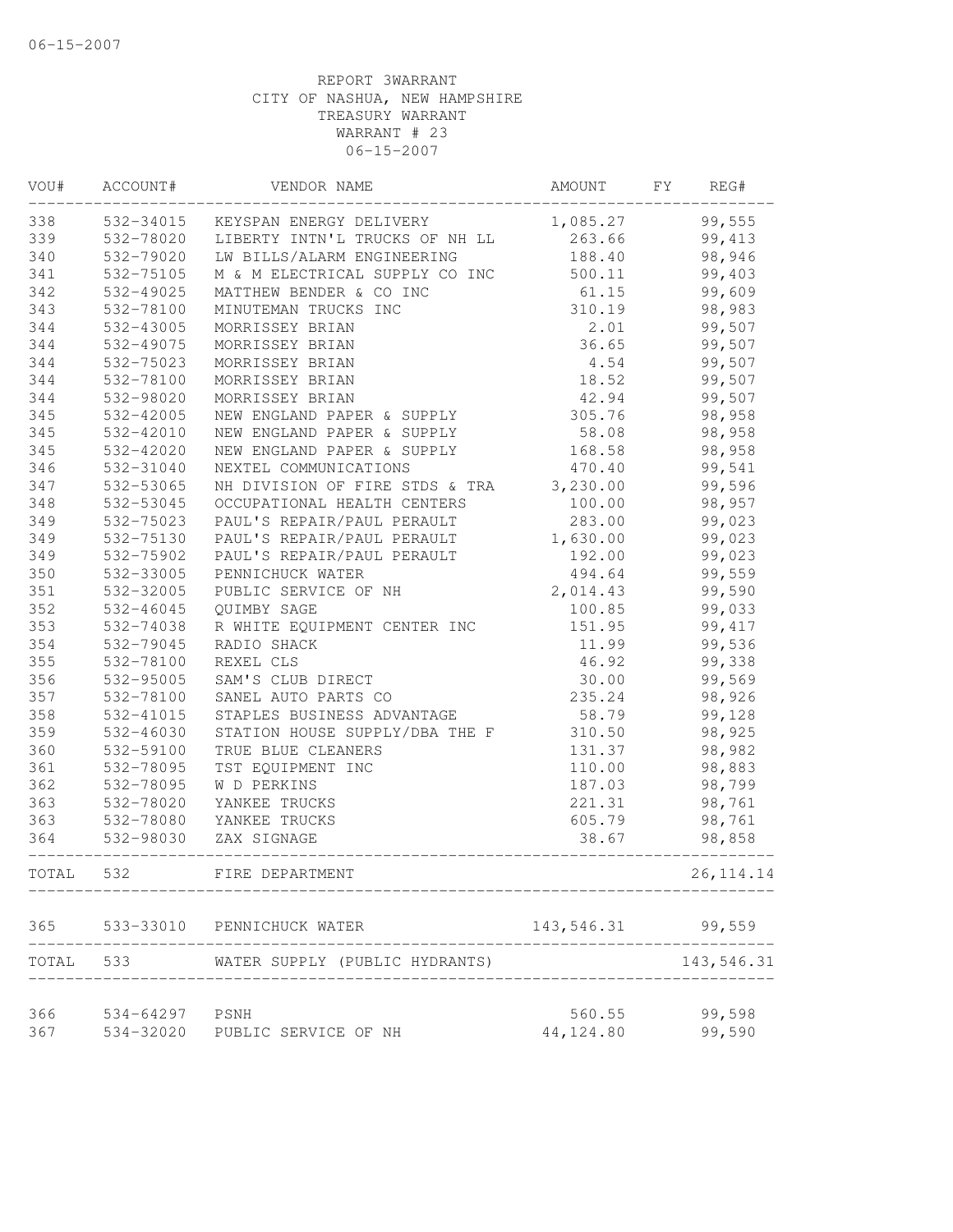| VOU#      | ACCOUNT#  | VENDOR NAME                    | AMOUNT     | FY. | REG#        |  |
|-----------|-----------|--------------------------------|------------|-----|-------------|--|
| 338       | 532-34015 | KEYSPAN ENERGY DELIVERY        | 1,085.27   |     | 99,555      |  |
| 339       | 532-78020 | LIBERTY INTN'L TRUCKS OF NH LL | 263.66     |     | 99,413      |  |
| 340       | 532-79020 | LW BILLS/ALARM ENGINEERING     | 188.40     |     | 98,946      |  |
| 341       | 532-75105 | M & M ELECTRICAL SUPPLY CO INC | 500.11     |     | 99,403      |  |
| 342       | 532-49025 | MATTHEW BENDER & CO INC        | 61.15      |     | 99,609      |  |
| 343       | 532-78100 | MINUTEMAN TRUCKS INC           | 310.19     |     | 98,983      |  |
| 344       | 532-43005 | MORRISSEY BRIAN                | 2.01       |     | 99,507      |  |
| 344       | 532-49075 | MORRISSEY BRIAN                | 36.65      |     | 99,507      |  |
| 344       | 532-75023 | MORRISSEY BRIAN                | 4.54       |     | 99,507      |  |
| 344       | 532-78100 | MORRISSEY BRIAN                | 18.52      |     | 99,507      |  |
| 344       | 532-98020 | MORRISSEY BRIAN                | 42.94      |     | 99,507      |  |
| 345       | 532-42005 | NEW ENGLAND PAPER & SUPPLY     | 305.76     |     | 98,958      |  |
| 345       | 532-42010 | NEW ENGLAND PAPER & SUPPLY     | 58.08      |     | 98,958      |  |
| 345       | 532-42020 | NEW ENGLAND PAPER & SUPPLY     | 168.58     |     | 98,958      |  |
| 346       | 532-31040 | NEXTEL COMMUNICATIONS          | 470.40     |     | 99,541      |  |
| 347       | 532-53065 | NH DIVISION OF FIRE STDS & TRA | 3,230.00   |     | 99,596      |  |
| 348       | 532-53045 | OCCUPATIONAL HEALTH CENTERS    | 100.00     |     | 98,957      |  |
| 349       | 532-75023 | PAUL'S REPAIR/PAUL PERAULT     | 283.00     |     | 99,023      |  |
| 349       | 532-75130 | PAUL'S REPAIR/PAUL PERAULT     | 1,630.00   |     | 99,023      |  |
| 349       | 532-75902 | PAUL'S REPAIR/PAUL PERAULT     | 192.00     |     | 99,023      |  |
| 350       | 532-33005 | PENNICHUCK WATER               | 494.64     |     | 99,559      |  |
| 351       | 532-32005 | PUBLIC SERVICE OF NH           | 2,014.43   |     | 99,590      |  |
| 352       | 532-46045 | QUIMBY SAGE                    | 100.85     |     | 99,033      |  |
| 353       | 532-74038 | R WHITE EQUIPMENT CENTER INC   | 151.95     |     | 99, 417     |  |
| 354       | 532-79045 | RADIO SHACK                    | 11.99      |     | 99,536      |  |
| 355       | 532-78100 | REXEL CLS                      | 46.92      |     | 99,338      |  |
| 356       | 532-95005 | SAM'S CLUB DIRECT              | 30.00      |     | 99,569      |  |
| 357       | 532-78100 | SANEL AUTO PARTS CO            | 235.24     |     | 98,926      |  |
| 358       | 532-41015 | STAPLES BUSINESS ADVANTAGE     | 58.79      |     | 99,128      |  |
| 359       | 532-46030 | STATION HOUSE SUPPLY/DBA THE F | 310.50     |     | 98,925      |  |
| 360       | 532-59100 | TRUE BLUE CLEANERS             | 131.37     |     | 98,982      |  |
| 361       | 532-78095 | TST EQUIPMENT INC              | 110.00     |     | 98,883      |  |
| 362       | 532-78095 | W D PERKINS                    | 187.03     |     | 98,799      |  |
| 363       | 532-78020 | YANKEE TRUCKS                  | 221.31     |     | 98,761      |  |
| 363       | 532-78080 | YANKEE TRUCKS                  | 605.79     |     | 98,761      |  |
| 364       | 532-98030 | ZAX SIGNAGE                    | 38.67      |     | 98,858      |  |
| TOTAL     | 532       | FIRE DEPARTMENT                |            |     | 26, 114. 14 |  |
| 365       | 533-33010 | PENNICHUCK WATER               | 143,546.31 |     | 99,559      |  |
| TOTAL 533 |           | WATER SUPPLY (PUBLIC HYDRANTS) |            |     | 143,546.31  |  |
|           |           |                                |            |     |             |  |
| 366       | 534-64297 | PSNH                           | 560.55     |     | 99,598      |  |
| 367       | 534-32020 | PUBLIC SERVICE OF NH           | 44, 124.80 |     | 99,590      |  |
|           |           |                                |            |     |             |  |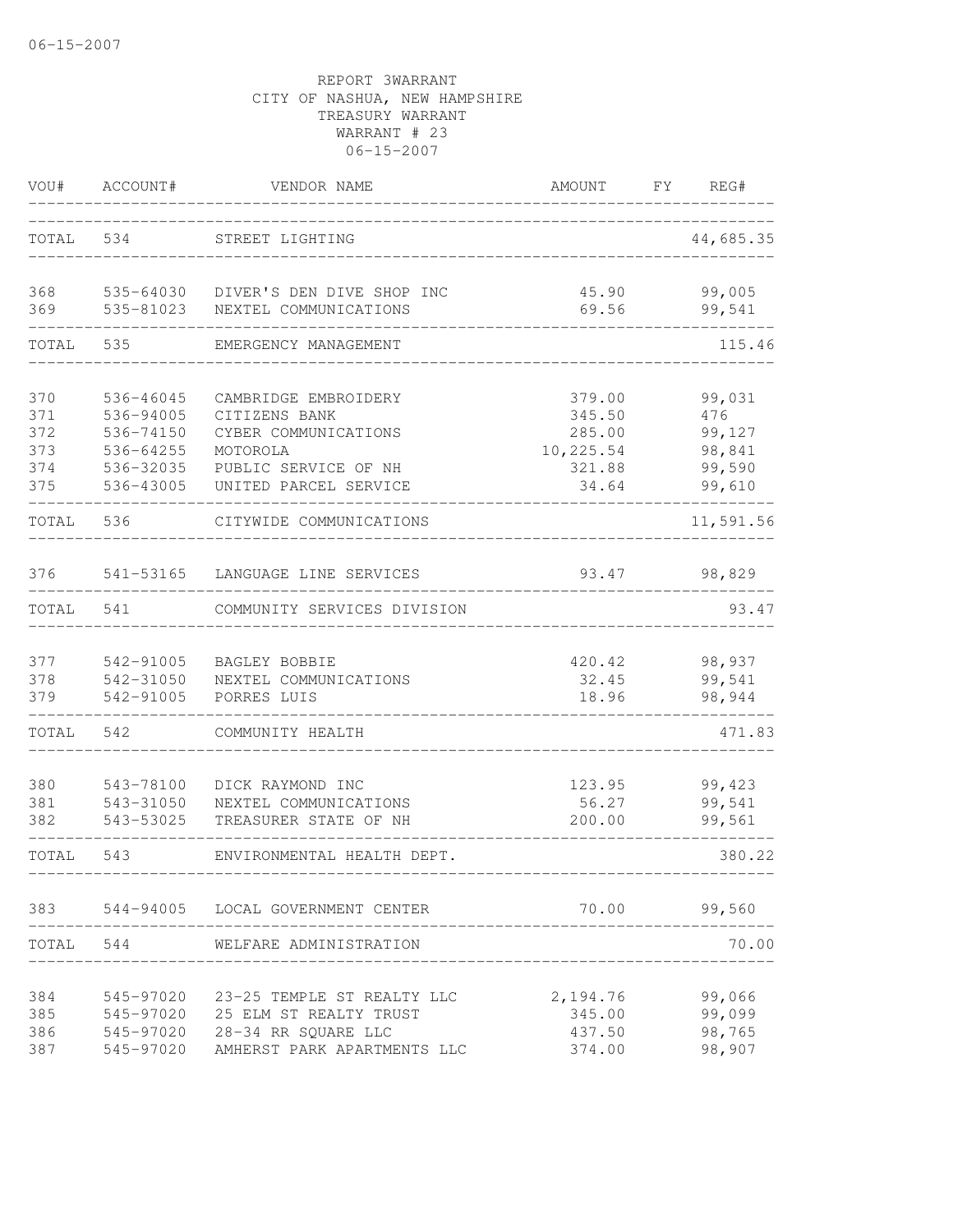| VOU#                     | ACCOUNT#                                         | VENDOR NAME                                                                                                | AMOUNT                                  | FY<br>REG#                           |
|--------------------------|--------------------------------------------------|------------------------------------------------------------------------------------------------------------|-----------------------------------------|--------------------------------------|
| TOTAL                    | 534                                              | STREET LIGHTING                                                                                            |                                         | 44,685.35                            |
| 368<br>369               | 535-64030<br>535-81023                           | DIVER'S DEN DIVE SHOP INC<br>NEXTEL COMMUNICATIONS                                                         | 45.90<br>69.56                          | 99,005<br>99,541                     |
| TOTAL                    | 535                                              | EMERGENCY MANAGEMENT                                                                                       |                                         | 115.46                               |
| 370<br>371<br>372<br>373 | 536-46045<br>536-94005<br>536-74150<br>536-64255 | CAMBRIDGE EMBROIDERY<br>CITIZENS BANK<br>CYBER COMMUNICATIONS<br>MOTOROLA                                  | 379.00<br>345.50<br>285.00<br>10,225.54 | 99,031<br>476<br>99,127<br>98,841    |
| 374<br>375               | 536-32035<br>536-43005                           | PUBLIC SERVICE OF NH<br>UNITED PARCEL SERVICE                                                              | 321.88<br>34.64                         | 99,590<br>99,610                     |
| TOTAL                    | 536                                              | CITYWIDE COMMUNICATIONS                                                                                    |                                         | 11,591.56                            |
| 376                      | 541-53165                                        | LANGUAGE LINE SERVICES                                                                                     | 93.47                                   | 98,829                               |
| TOTAL                    | 541                                              | COMMUNITY SERVICES DIVISION                                                                                |                                         | 93.47                                |
| 377<br>378<br>379        | 542-91005<br>542-31050<br>542-91005              | BAGLEY BOBBIE<br>NEXTEL COMMUNICATIONS<br>PORRES LUIS                                                      | 420.42<br>32.45<br>18.96                | 98,937<br>99,541<br>98,944           |
| TOTAL                    | 542                                              | COMMUNITY HEALTH                                                                                           |                                         | 471.83                               |
| 380<br>381<br>382        | 543-78100<br>543-31050<br>543-53025              | DICK RAYMOND INC<br>NEXTEL COMMUNICATIONS<br>TREASURER STATE OF NH                                         | 123.95<br>56.27<br>200.00               | 99,423<br>99,541<br>99,561           |
| TOTAL                    | 543                                              | ENVIRONMENTAL HEALTH DEPT.                                                                                 |                                         | 380.22                               |
| 383                      |                                                  | 544-94005 LOCAL GOVERNMENT CENTER                                                                          | 70.00                                   | 99,560                               |
| TOTAL                    | 544                                              | WELFARE ADMINISTRATION                                                                                     |                                         | 70.00                                |
| 384<br>385<br>386<br>387 | 545-97020<br>545-97020<br>545-97020<br>545-97020 | 23-25 TEMPLE ST REALTY LLC<br>25 ELM ST REALTY TRUST<br>28-34 RR SQUARE LLC<br>AMHERST PARK APARTMENTS LLC | 2,194.76<br>345.00<br>437.50<br>374.00  | 99,066<br>99,099<br>98,765<br>98,907 |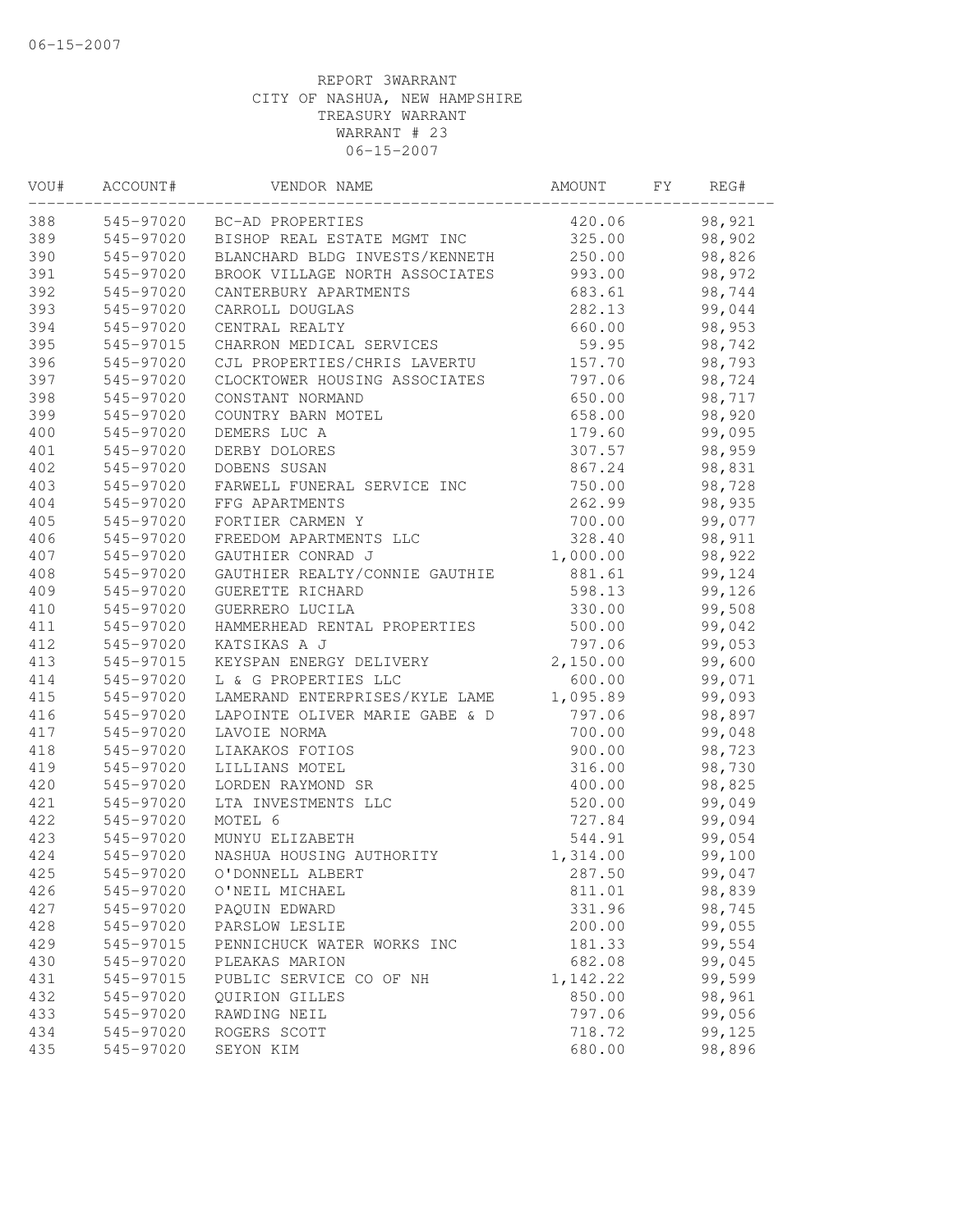| VOU# | ACCOUNT#  | VENDOR NAME                           | AMOUNT   | FΥ | REG#   |  |
|------|-----------|---------------------------------------|----------|----|--------|--|
| 388  |           | 545-97020 BC-AD PROPERTIES            | 420.06   |    | 98,921 |  |
| 389  |           | 545-97020 BISHOP REAL ESTATE MGMT INC | 325.00   |    | 98,902 |  |
| 390  | 545-97020 | BLANCHARD BLDG INVESTS/KENNETH        | 250.00   |    | 98,826 |  |
| 391  | 545-97020 | BROOK VILLAGE NORTH ASSOCIATES        | 993.00   |    | 98,972 |  |
| 392  | 545-97020 | CANTERBURY APARTMENTS                 | 683.61   |    | 98,744 |  |
| 393  | 545-97020 | CARROLL DOUGLAS                       | 282.13   |    | 99,044 |  |
| 394  | 545-97020 | CENTRAL REALTY                        | 660.00   |    | 98,953 |  |
| 395  | 545-97015 | CHARRON MEDICAL SERVICES              | 59.95    |    | 98,742 |  |
| 396  | 545-97020 | CJL PROPERTIES/CHRIS LAVERTU          | 157.70   |    | 98,793 |  |
| 397  | 545-97020 | CLOCKTOWER HOUSING ASSOCIATES         | 797.06   |    | 98,724 |  |
| 398  | 545-97020 | CONSTANT NORMAND                      | 650.00   |    | 98,717 |  |
| 399  | 545-97020 | COUNTRY BARN MOTEL                    | 658.00   |    | 98,920 |  |
| 400  | 545-97020 | DEMERS LUC A                          | 179.60   |    | 99,095 |  |
| 401  | 545-97020 | DERBY DOLORES                         | 307.57   |    | 98,959 |  |
| 402  | 545-97020 | DOBENS SUSAN                          | 867.24   |    | 98,831 |  |
| 403  | 545-97020 | FARWELL FUNERAL SERVICE INC           | 750.00   |    | 98,728 |  |
| 404  | 545-97020 | FFG APARTMENTS                        | 262.99   |    | 98,935 |  |
| 405  | 545-97020 | FORTIER CARMEN Y                      | 700.00   |    | 99,077 |  |
| 406  | 545-97020 | FREEDOM APARTMENTS LLC                | 328.40   |    | 98,911 |  |
| 407  | 545-97020 | GAUTHIER CONRAD J                     | 1,000.00 |    | 98,922 |  |
| 408  | 545-97020 | GAUTHIER REALTY/CONNIE GAUTHIE        | 881.61   |    | 99,124 |  |
| 409  | 545-97020 | GUERETTE RICHARD                      | 598.13   |    | 99,126 |  |
| 410  | 545-97020 | GUERRERO LUCILA                       | 330.00   |    | 99,508 |  |
| 411  | 545-97020 | HAMMERHEAD RENTAL PROPERTIES          | 500.00   |    | 99,042 |  |
| 412  | 545-97020 | KATSIKAS A J                          | 797.06   |    | 99,053 |  |
| 413  | 545-97015 | KEYSPAN ENERGY DELIVERY               | 2,150.00 |    | 99,600 |  |
| 414  | 545-97020 | L & G PROPERTIES LLC                  | 600.00   |    | 99,071 |  |
| 415  | 545-97020 | LAMERAND ENTERPRISES/KYLE LAME        | 1,095.89 |    | 99,093 |  |
| 416  | 545-97020 | LAPOINTE OLIVER MARIE GABE & D        | 797.06   |    | 98,897 |  |
| 417  | 545-97020 | LAVOIE NORMA                          | 700.00   |    | 99,048 |  |
| 418  | 545-97020 | LIAKAKOS FOTIOS                       | 900.00   |    | 98,723 |  |
| 419  | 545-97020 | LILLIANS MOTEL                        | 316.00   |    | 98,730 |  |
| 420  | 545-97020 | LORDEN RAYMOND SR                     | 400.00   |    | 98,825 |  |
| 421  | 545-97020 | LTA INVESTMENTS LLC                   | 520.00   |    | 99,049 |  |
| 422  | 545-97020 | MOTEL 6                               | 727.84   |    | 99,094 |  |
| 423  | 545-97020 | MUNYU ELIZABETH                       | 544.91   |    | 99,054 |  |
| 424  | 545-97020 | NASHUA HOUSING AUTHORITY              | 1,314.00 |    | 99,100 |  |
| 425  | 545-97020 | O'DONNELL ALBERT                      | 287.50   |    | 99,047 |  |
| 426  | 545-97020 | O'NEIL MICHAEL                        | 811.01   |    | 98,839 |  |
| 427  | 545-97020 | PAQUIN EDWARD                         | 331.96   |    | 98,745 |  |
| 428  | 545-97020 | PARSLOW LESLIE                        | 200.00   |    | 99,055 |  |
| 429  | 545-97015 | PENNICHUCK WATER WORKS INC            | 181.33   |    | 99,554 |  |
| 430  | 545-97020 | PLEAKAS MARION                        | 682.08   |    | 99,045 |  |
| 431  | 545-97015 | PUBLIC SERVICE CO OF NH               | 1,142.22 |    | 99,599 |  |
| 432  | 545-97020 | <b>OUIRION GILLES</b>                 | 850.00   |    | 98,961 |  |
| 433  | 545-97020 | RAWDING NEIL                          | 797.06   |    | 99,056 |  |
| 434  | 545-97020 | ROGERS SCOTT                          | 718.72   |    | 99,125 |  |
| 435  | 545-97020 | SEYON KIM                             | 680.00   |    | 98,896 |  |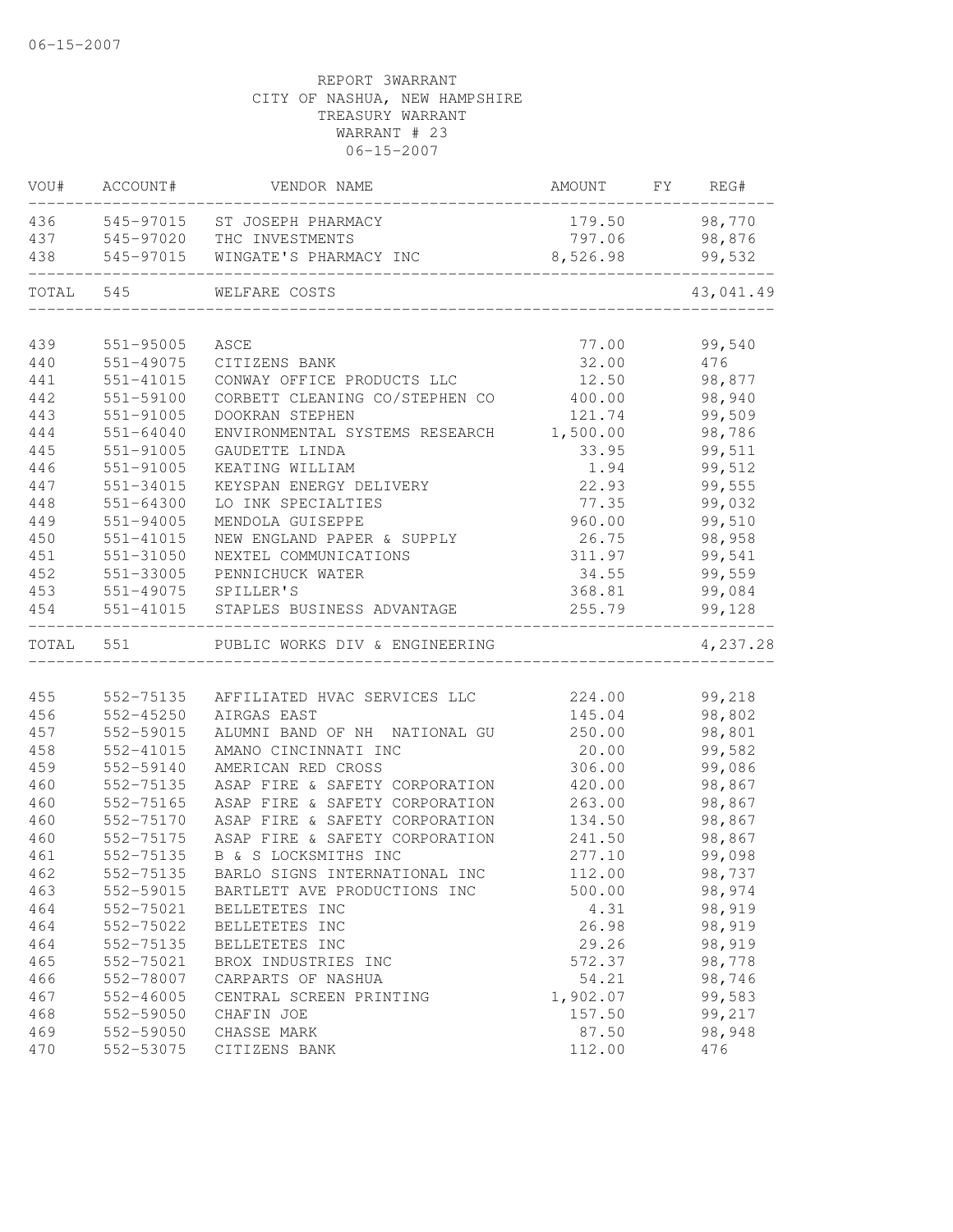|           | VOU# ACCOUNT# | VENDOR NAME                    | AMOUNT   | FY | REG#      |
|-----------|---------------|--------------------------------|----------|----|-----------|
| 436       |               | 545-97015 ST JOSEPH PHARMACY   | 179.50   |    | 98,770    |
|           | 437 545-97020 | THC INVESTMENTS                | 797.06   |    | 98,876    |
| 438       | 545-97015     | WINGATE'S PHARMACY INC         | 8,526.98 |    | 99,532    |
| TOTAL 545 |               | WELFARE COSTS                  |          |    | 43,041.49 |
|           |               |                                |          |    |           |
| 439       | 551-95005     | ASCE                           | 77.00    |    | 99,540    |
| 440       | 551-49075     | CITIZENS BANK                  | 32.00    |    | 476       |
| 441       | 551-41015     | CONWAY OFFICE PRODUCTS LLC     | 12.50    |    | 98,877    |
| 442       | 551-59100     | CORBETT CLEANING CO/STEPHEN CO | 400.00   |    | 98,940    |
| 443       | 551-91005     | DOOKRAN STEPHEN                | 121.74   |    | 99,509    |
| 444       | $551 - 64040$ | ENVIRONMENTAL SYSTEMS RESEARCH | 1,500.00 |    | 98,786    |
| 445       | 551-91005     | GAUDETTE LINDA                 | 33.95    |    | 99,511    |
| 446       | 551-91005     | KEATING WILLIAM                | 1.94     |    | 99,512    |
| 447       | 551-34015     | KEYSPAN ENERGY DELIVERY        | 22.93    |    | 99,555    |
| 448       | 551-64300     | LO INK SPECIALTIES             | 77.35    |    | 99,032    |
| 449       | 551-94005     | MENDOLA GUISEPPE               | 960.00   |    | 99,510    |
| 450       | 551-41015     | NEW ENGLAND PAPER & SUPPLY     | 26.75    |    | 98,958    |
| 451       | 551-31050     | NEXTEL COMMUNICATIONS          | 311.97   |    | 99,541    |
| 452       | 551-33005     | PENNICHUCK WATER               | 34.55    |    | 99,559    |
| 453       | 551-49075     | SPILLER'S                      | 368.81   |    | 99,084    |
| 454       | 551-41015     | STAPLES BUSINESS ADVANTAGE     | 255.79   |    | 99,128    |
| TOTAL 551 |               | PUBLIC WORKS DIV & ENGINEERING |          |    | 4,237.28  |
|           |               |                                |          |    |           |
| 455       | 552-75135     | AFFILIATED HVAC SERVICES LLC   | 224.00   |    | 99,218    |
| 456       | 552-45250     | AIRGAS EAST                    | 145.04   |    | 98,802    |
| 457       | 552-59015     | ALUMNI BAND OF NH NATIONAL GU  | 250.00   |    | 98,801    |
| 458       | 552-41015     | AMANO CINCINNATI INC           | 20.00    |    | 99,582    |
| 459       | 552-59140     | AMERICAN RED CROSS             | 306.00   |    | 99,086    |
| 460       | 552-75135     | ASAP FIRE & SAFETY CORPORATION | 420.00   |    | 98,867    |
| 460       | 552-75165     | ASAP FIRE & SAFETY CORPORATION | 263.00   |    | 98,867    |
| 460       | 552-75170     | ASAP FIRE & SAFETY CORPORATION | 134.50   |    | 98,867    |
| 460       | 552-75175     | ASAP FIRE & SAFETY CORPORATION | 241.50   |    | 98,867    |
| 461       | 552-75135     | B & S LOCKSMITHS INC           | 277.10   |    | 99,098    |
| 462       | 552-75135     | BARLO SIGNS INTERNATIONAL INC  | 112.00   |    | 98,737    |
| 463       | 552-59015     | BARTLETT AVE PRODUCTIONS INC   | 500.00   |    | 98,974    |
| 464       | 552-75021     | BELLETETES INC                 | 4.31     |    | 98,919    |
| 464       | 552-75022     | BELLETETES INC                 | 26.98    |    | 98,919    |
| 464       | 552-75135     | BELLETETES INC                 | 29.26    |    | 98,919    |
| 465       | 552-75021     | BROX INDUSTRIES INC            | 572.37   |    | 98,778    |
| 466       | 552-78007     | CARPARTS OF NASHUA             | 54.21    |    | 98,746    |
| 467       | 552-46005     | CENTRAL SCREEN PRINTING        | 1,902.07 |    | 99,583    |
| 468       | 552-59050     | CHAFIN JOE                     | 157.50   |    | 99,217    |
| 469       | 552-59050     | CHASSE MARK                    | 87.50    |    | 98,948    |
| 470       | 552-53075     | CITIZENS BANK                  | 112.00   |    | 476       |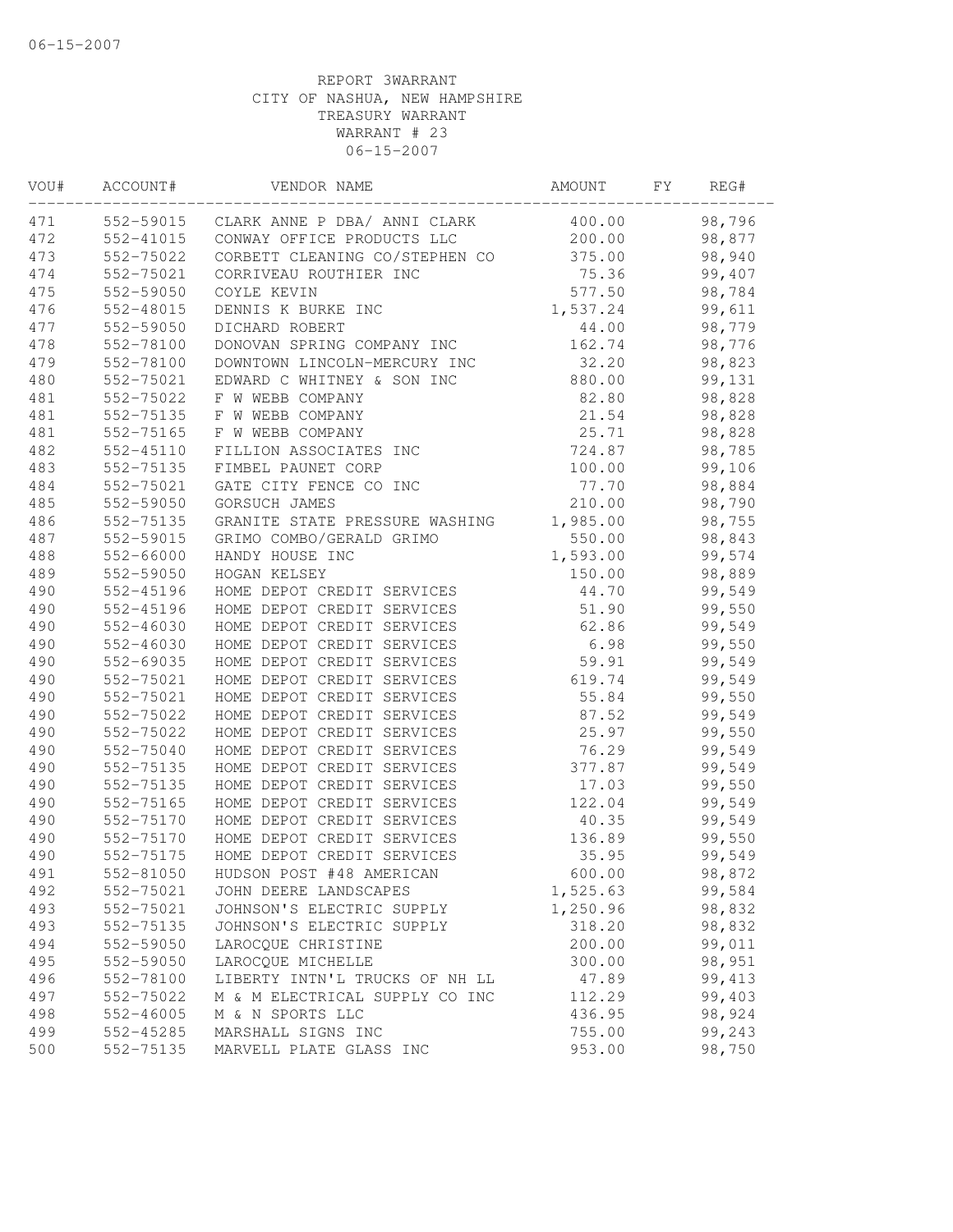| VOU# | ACCOUNT#  | VENDOR NAME                            | AMOUNT   | FΥ | REG#    |  |
|------|-----------|----------------------------------------|----------|----|---------|--|
| 471  |           | 552-59015 CLARK ANNE P DBA/ ANNI CLARK | 400.00   |    | 98,796  |  |
| 472  | 552-41015 | CONWAY OFFICE PRODUCTS LLC             | 200.00   |    | 98,877  |  |
| 473  | 552-75022 | CORBETT CLEANING CO/STEPHEN CO         | 375.00   |    | 98,940  |  |
| 474  | 552-75021 | CORRIVEAU ROUTHIER INC                 | 75.36    |    | 99,407  |  |
| 475  | 552-59050 | COYLE KEVIN                            | 577.50   |    | 98,784  |  |
| 476  | 552-48015 | DENNIS K BURKE INC                     | 1,537.24 |    | 99,611  |  |
| 477  | 552-59050 | DICHARD ROBERT                         | 44.00    |    | 98,779  |  |
| 478  | 552-78100 | DONOVAN SPRING COMPANY INC             | 162.74   |    | 98,776  |  |
| 479  | 552-78100 | DOWNTOWN LINCOLN-MERCURY INC           | 32.20    |    | 98,823  |  |
| 480  | 552-75021 | EDWARD C WHITNEY & SON INC             | 880.00   |    | 99,131  |  |
| 481  | 552-75022 | F W WEBB COMPANY                       | 82.80    |    | 98,828  |  |
| 481  | 552-75135 | F W WEBB COMPANY                       | 21.54    |    | 98,828  |  |
| 481  | 552-75165 | F W WEBB COMPANY                       | 25.71    |    | 98,828  |  |
| 482  | 552-45110 | FILLION ASSOCIATES INC                 | 724.87   |    | 98,785  |  |
| 483  | 552-75135 | FIMBEL PAUNET CORP                     | 100.00   |    | 99,106  |  |
| 484  | 552-75021 | GATE CITY FENCE CO INC                 | 77.70    |    | 98,884  |  |
| 485  | 552-59050 | GORSUCH JAMES                          | 210.00   |    | 98,790  |  |
| 486  | 552-75135 | GRANITE STATE PRESSURE WASHING         | 1,985.00 |    | 98,755  |  |
| 487  | 552-59015 | GRIMO COMBO/GERALD GRIMO               | 550.00   |    | 98,843  |  |
| 488  | 552-66000 | HANDY HOUSE INC                        | 1,593.00 |    | 99,574  |  |
| 489  | 552-59050 | HOGAN KELSEY                           | 150.00   |    | 98,889  |  |
| 490  | 552-45196 | HOME DEPOT CREDIT SERVICES             | 44.70    |    | 99,549  |  |
| 490  | 552-45196 | HOME DEPOT CREDIT SERVICES             | 51.90    |    | 99,550  |  |
| 490  | 552-46030 | HOME DEPOT CREDIT SERVICES             | 62.86    |    | 99,549  |  |
| 490  | 552-46030 | HOME DEPOT CREDIT SERVICES             | 6.98     |    | 99,550  |  |
| 490  | 552-69035 | HOME DEPOT CREDIT SERVICES             | 59.91    |    | 99,549  |  |
| 490  | 552-75021 | HOME DEPOT CREDIT SERVICES             | 619.74   |    | 99,549  |  |
| 490  | 552-75021 | HOME DEPOT CREDIT SERVICES             | 55.84    |    | 99,550  |  |
| 490  | 552-75022 | HOME DEPOT CREDIT SERVICES             | 87.52    |    | 99,549  |  |
| 490  | 552-75022 | HOME DEPOT CREDIT SERVICES             | 25.97    |    | 99,550  |  |
| 490  | 552-75040 | HOME DEPOT CREDIT SERVICES             | 76.29    |    | 99,549  |  |
| 490  | 552-75135 | HOME DEPOT CREDIT SERVICES             | 377.87   |    | 99,549  |  |
| 490  | 552-75135 | HOME DEPOT CREDIT SERVICES             | 17.03    |    | 99,550  |  |
| 490  | 552-75165 | HOME DEPOT CREDIT SERVICES             | 122.04   |    | 99,549  |  |
| 490  | 552-75170 | HOME DEPOT CREDIT SERVICES             | 40.35    |    | 99,549  |  |
| 490  | 552-75170 | HOME DEPOT CREDIT SERVICES             | 136.89   |    | 99,550  |  |
| 490  | 552-75175 | HOME DEPOT CREDIT SERVICES             | 35.95    |    | 99,549  |  |
| 491  | 552-81050 | HUDSON POST #48 AMERICAN               | 600.00   |    | 98,872  |  |
| 492  | 552-75021 | JOHN DEERE LANDSCAPES                  | 1,525.63 |    | 99,584  |  |
| 493  | 552-75021 | JOHNSON'S ELECTRIC SUPPLY              | 1,250.96 |    | 98,832  |  |
| 493  | 552-75135 | JOHNSON'S ELECTRIC SUPPLY              | 318.20   |    | 98,832  |  |
| 494  | 552-59050 | LAROCQUE CHRISTINE                     | 200.00   |    | 99,011  |  |
| 495  | 552-59050 | LAROCQUE MICHELLE                      | 300.00   |    | 98,951  |  |
| 496  | 552-78100 | LIBERTY INTN'L TRUCKS OF NH LL         | 47.89    |    | 99, 413 |  |
| 497  | 552-75022 | M & M ELECTRICAL SUPPLY CO INC         | 112.29   |    | 99,403  |  |
| 498  | 552-46005 | M & N SPORTS LLC                       | 436.95   |    | 98,924  |  |
| 499  | 552-45285 | MARSHALL SIGNS INC                     | 755.00   |    | 99,243  |  |
| 500  | 552-75135 | MARVELL PLATE GLASS INC                | 953.00   |    | 98,750  |  |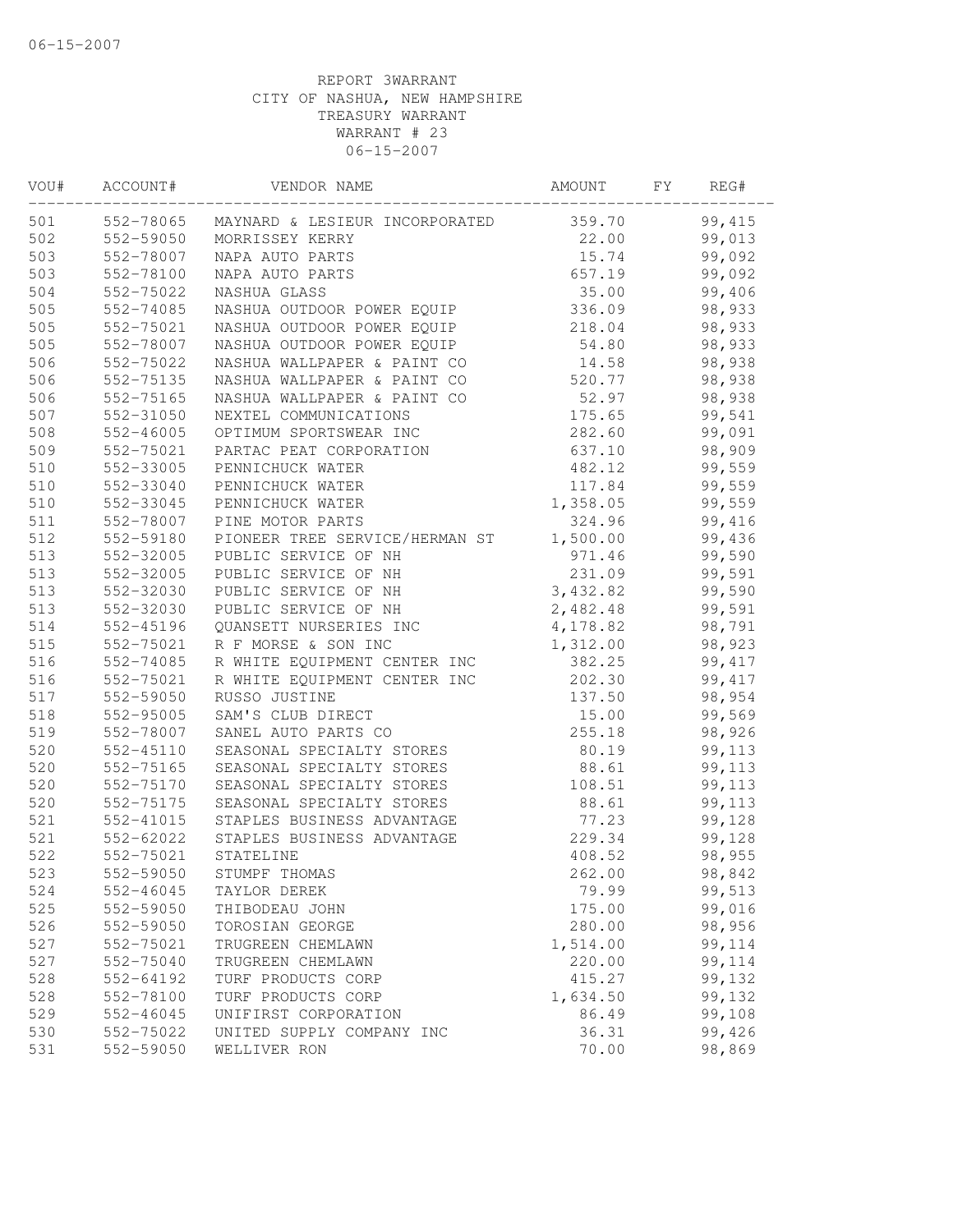| VOU# | ACCOUNT#      | VENDOR NAME                              | AMOUNT   | FY. | REG#    |  |
|------|---------------|------------------------------------------|----------|-----|---------|--|
| 501  |               | 552-78065 MAYNARD & LESIEUR INCORPORATED | 359.70   |     | 99, 415 |  |
| 502  | 552-59050     | MORRISSEY KERRY                          | 22.00    |     | 99,013  |  |
| 503  | 552-78007     | NAPA AUTO PARTS                          | 15.74    |     | 99,092  |  |
| 503  | 552-78100     | NAPA AUTO PARTS                          | 657.19   |     | 99,092  |  |
| 504  | 552-75022     | NASHUA GLASS                             | 35.00    |     | 99,406  |  |
| 505  | 552-74085     | NASHUA OUTDOOR POWER EQUIP               | 336.09   |     | 98,933  |  |
| 505  | 552-75021     | NASHUA OUTDOOR POWER EQUIP               | 218.04   |     | 98,933  |  |
| 505  | 552-78007     | NASHUA OUTDOOR POWER EQUIP               | 54.80    |     | 98,933  |  |
| 506  | 552-75022     | NASHUA WALLPAPER & PAINT CO              | 14.58    |     | 98,938  |  |
| 506  | 552-75135     | NASHUA WALLPAPER & PAINT CO              | 520.77   |     | 98,938  |  |
| 506  | 552-75165     | NASHUA WALLPAPER & PAINT CO              | 52.97    |     | 98,938  |  |
| 507  | 552-31050     | NEXTEL COMMUNICATIONS                    | 175.65   |     | 99,541  |  |
| 508  | $552 - 46005$ | OPTIMUM SPORTSWEAR INC                   | 282.60   |     | 99,091  |  |
| 509  | 552-75021     | PARTAC PEAT CORPORATION                  | 637.10   |     | 98,909  |  |
| 510  | 552-33005     | PENNICHUCK WATER                         | 482.12   |     | 99,559  |  |
| 510  | 552-33040     | PENNICHUCK WATER                         | 117.84   |     | 99,559  |  |
| 510  | 552-33045     | PENNICHUCK WATER                         | 1,358.05 |     | 99,559  |  |
| 511  | 552-78007     | PINE MOTOR PARTS                         | 324.96   |     | 99,416  |  |
| 512  | 552-59180     | PIONEER TREE SERVICE/HERMAN ST           | 1,500.00 |     | 99,436  |  |
| 513  | 552-32005     | PUBLIC SERVICE OF NH                     | 971.46   |     | 99,590  |  |
| 513  | 552-32005     | PUBLIC SERVICE OF NH                     | 231.09   |     | 99,591  |  |
| 513  | 552-32030     | PUBLIC SERVICE OF NH                     | 3,432.82 |     | 99,590  |  |
| 513  | 552-32030     | PUBLIC SERVICE OF NH                     | 2,482.48 |     | 99,591  |  |
| 514  | 552-45196     | QUANSETT NURSERIES INC                   | 4,178.82 |     | 98,791  |  |
| 515  | 552-75021     | R F MORSE & SON INC                      | 1,312.00 |     | 98,923  |  |
| 516  | 552-74085     | R WHITE EQUIPMENT CENTER INC             | 382.25   |     | 99, 417 |  |
| 516  | 552-75021     | R WHITE EQUIPMENT CENTER INC             | 202.30   |     | 99, 417 |  |
| 517  | 552-59050     | RUSSO JUSTINE                            | 137.50   |     | 98,954  |  |
| 518  | 552-95005     | SAM'S CLUB DIRECT                        | 15.00    |     | 99,569  |  |
| 519  | 552-78007     | SANEL AUTO PARTS CO                      | 255.18   |     | 98,926  |  |
| 520  | $552 - 45110$ | SEASONAL SPECIALTY STORES                | 80.19    |     | 99,113  |  |
| 520  | 552-75165     | SEASONAL SPECIALTY STORES                | 88.61    |     | 99,113  |  |
| 520  | 552-75170     | SEASONAL SPECIALTY STORES                | 108.51   |     | 99,113  |  |
| 520  | 552-75175     | SEASONAL SPECIALTY STORES                | 88.61    |     | 99,113  |  |
| 521  | 552-41015     | STAPLES BUSINESS ADVANTAGE               | 77.23    |     | 99,128  |  |
| 521  | 552-62022     | STAPLES BUSINESS ADVANTAGE               | 229.34   |     | 99,128  |  |
| 522  | 552-75021     | STATELINE                                | 408.52   |     | 98,955  |  |
| 523  | 552-59050     | STUMPF THOMAS                            | 262.00   |     | 98,842  |  |
| 524  | 552-46045     | TAYLOR DEREK                             | 79.99    |     | 99,513  |  |
| 525  | 552-59050     | THIBODEAU JOHN                           | 175.00   |     | 99,016  |  |
| 526  | 552-59050     | TOROSIAN GEORGE                          | 280.00   |     | 98,956  |  |
| 527  | 552-75021     | TRUGREEN CHEMLAWN                        | 1,514.00 |     | 99,114  |  |
| 527  | 552-75040     | TRUGREEN CHEMLAWN                        | 220.00   |     | 99,114  |  |
| 528  | 552-64192     | TURF PRODUCTS CORP                       | 415.27   |     | 99,132  |  |
| 528  | 552-78100     | TURF PRODUCTS CORP                       | 1,634.50 |     | 99,132  |  |
| 529  | 552-46045     | UNIFIRST CORPORATION                     | 86.49    |     | 99,108  |  |
| 530  | 552-75022     | UNITED SUPPLY COMPANY INC                | 36.31    |     | 99,426  |  |
| 531  | 552-59050     | WELLIVER RON                             | 70.00    |     | 98,869  |  |
|      |               |                                          |          |     |         |  |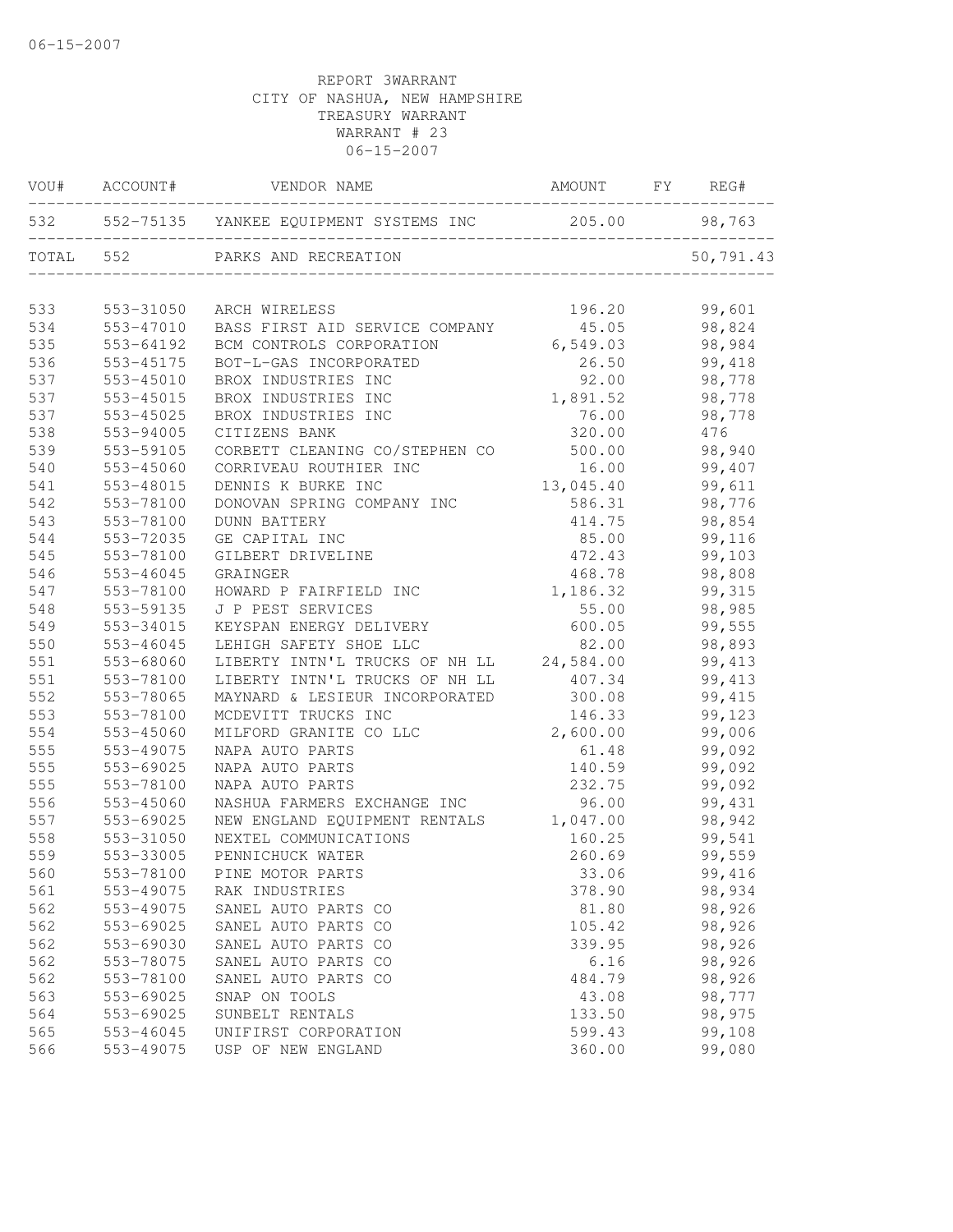|       | VOU# ACCOUNT# | VENDOR NAME                                | AMOUNT        | FY | REG#      |
|-------|---------------|--------------------------------------------|---------------|----|-----------|
|       |               | 532 552-75135 YANKEE EQUIPMENT SYSTEMS INC | 205.00 98,763 |    |           |
| TOTAL | 552           | PARKS AND RECREATION                       |               |    | 50,791.43 |
| 533   | 553-31050     | ARCH WIRELESS                              | 196.20        |    | 99,601    |
| 534   | 553-47010     | BASS FIRST AID SERVICE COMPANY             | 45.05         |    | 98,824    |
| 535   | 553-64192     | BCM CONTROLS CORPORATION                   | 6,549.03      |    | 98,984    |
| 536   | 553-45175     | BOT-L-GAS INCORPORATED                     | 26.50         |    | 99,418    |
| 537   | 553-45010     | BROX INDUSTRIES INC                        | 92.00         |    | 98,778    |
| 537   | 553-45015     | BROX INDUSTRIES INC                        | 1,891.52      |    | 98,778    |
| 537   | 553-45025     | BROX INDUSTRIES INC                        | 76.00         |    | 98,778    |
| 538   | 553-94005     | CITIZENS BANK                              | 320.00        |    | 476       |
| 539   | 553-59105     | CORBETT CLEANING CO/STEPHEN CO             | 500.00        |    | 98,940    |
| 540   | 553-45060     | CORRIVEAU ROUTHIER INC                     | 16.00         |    | 99,407    |
| 541   | 553-48015     | DENNIS K BURKE INC                         | 13,045.40     |    | 99,611    |
| 542   | 553-78100     | DONOVAN SPRING COMPANY INC                 | 586.31        |    | 98,776    |
| 543   | 553-78100     | <b>DUNN BATTERY</b>                        | 414.75        |    | 98,854    |
| 544   | 553-72035     | GE CAPITAL INC                             | 85.00         |    | 99,116    |
| 545   | 553-78100     | GILBERT DRIVELINE                          | 472.43        |    | 99,103    |
| 546   | 553-46045     | GRAINGER                                   | 468.78        |    | 98,808    |
| 547   | 553-78100     | HOWARD P FAIRFIELD INC                     | 1,186.32      |    | 99,315    |
| 548   | 553-59135     | J P PEST SERVICES                          | 55.00         |    | 98,985    |
| 549   | 553-34015     | KEYSPAN ENERGY DELIVERY                    | 600.05        |    | 99,555    |
| 550   | 553-46045     | LEHIGH SAFETY SHOE LLC                     | 82.00         |    | 98,893    |
| 551   | 553-68060     | LIBERTY INTN'L TRUCKS OF NH LL             | 24,584.00     |    | 99, 413   |
| 551   | 553-78100     | LIBERTY INTN'L TRUCKS OF NH LL             | 407.34        |    | 99, 413   |
| 552   | 553-78065     | MAYNARD & LESIEUR INCORPORATED             | 300.08        |    | 99, 415   |
| 553   | 553-78100     | MCDEVITT TRUCKS INC                        | 146.33        |    | 99,123    |
| 554   | 553-45060     | MILFORD GRANITE CO LLC                     | 2,600.00      |    | 99,006    |
| 555   | 553-49075     | NAPA AUTO PARTS                            | 61.48         |    | 99,092    |
| 555   | 553-69025     | NAPA AUTO PARTS                            | 140.59        |    | 99,092    |
| 555   | 553-78100     | NAPA AUTO PARTS                            | 232.75        |    | 99,092    |
| 556   | 553-45060     | NASHUA FARMERS EXCHANGE INC                | 96.00         |    | 99,431    |
| 557   | 553-69025     | NEW ENGLAND EQUIPMENT RENTALS              | 1,047.00      |    | 98,942    |
| 558   | 553-31050     | NEXTEL COMMUNICATIONS                      | 160.25        |    | 99,541    |
| 559   | 553-33005     | PENNICHUCK WATER                           | 260.69        |    | 99,559    |
| 560   | 553-78100     | PINE MOTOR PARTS                           | 33.06         |    | 99,416    |
| 561   | 553-49075     | RAK INDUSTRIES                             | 378.90        |    | 98,934    |
| 562   | 553-49075     | SANEL AUTO PARTS CO                        | 81.80         |    | 98,926    |
| 562   | 553-69025     | SANEL AUTO PARTS CO                        | 105.42        |    | 98,926    |
| 562   | 553-69030     | SANEL AUTO PARTS CO                        | 339.95        |    | 98,926    |
| 562   | 553-78075     | SANEL AUTO PARTS CO                        | 6.16          |    | 98,926    |
| 562   | 553-78100     | SANEL AUTO PARTS CO                        | 484.79        |    | 98,926    |
| 563   | 553-69025     | SNAP ON TOOLS                              | 43.08         |    | 98,777    |
| 564   | 553-69025     | SUNBELT RENTALS                            | 133.50        |    | 98,975    |
| 565   | 553-46045     | UNIFIRST CORPORATION                       | 599.43        |    | 99,108    |
| 566   | 553-49075     | USP OF NEW ENGLAND                         | 360.00        |    | 99,080    |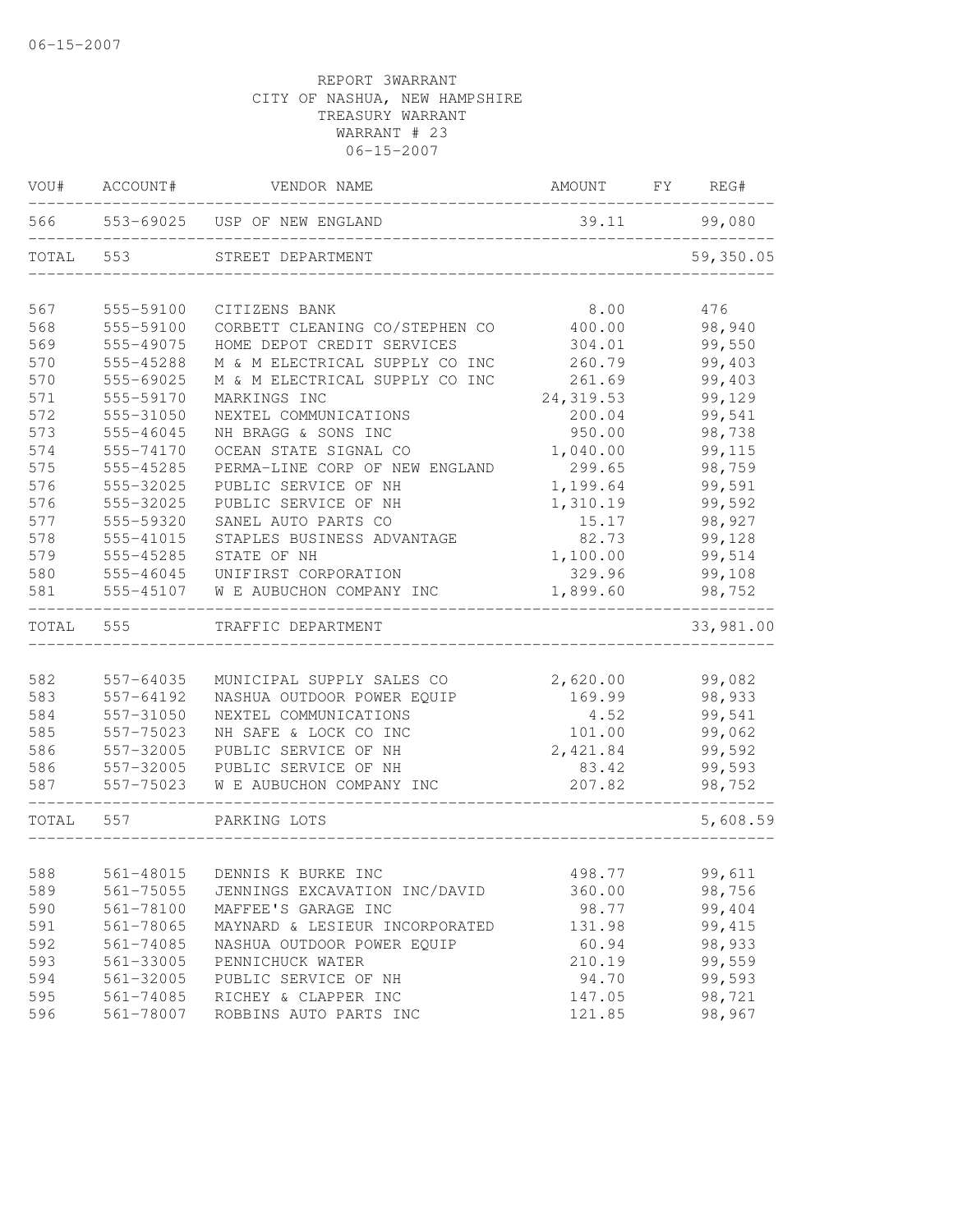| VOU#  | ACCOUNT#      | VENDOR NAME                    | AMOUNT     | FY | REG#      |
|-------|---------------|--------------------------------|------------|----|-----------|
| 566   |               | 553-69025 USP OF NEW ENGLAND   | 39.11      |    | 99,080    |
| TOTAL | 553           | STREET DEPARTMENT              |            |    | 59,350.05 |
| 567   | 555-59100     | CITIZENS BANK                  | 8.00       |    | 476       |
| 568   | 555-59100     | CORBETT CLEANING CO/STEPHEN CO | 400.00     |    | 98,940    |
| 569   | 555-49075     | HOME DEPOT CREDIT SERVICES     | 304.01     |    | 99,550    |
| 570   | 555-45288     | M & M ELECTRICAL SUPPLY CO INC | 260.79     |    | 99,403    |
| 570   | 555-69025     | M & M ELECTRICAL SUPPLY CO INC | 261.69     |    | 99,403    |
| 571   | 555-59170     | MARKINGS INC                   | 24, 319.53 |    | 99,129    |
| 572   | 555-31050     | NEXTEL COMMUNICATIONS          | 200.04     |    | 99,541    |
| 573   | 555-46045     | NH BRAGG & SONS INC            | 950.00     |    | 98,738    |
| 574   | 555-74170     | OCEAN STATE SIGNAL CO          | 1,040.00   |    | 99,115    |
| 575   | 555-45285     | PERMA-LINE CORP OF NEW ENGLAND | 299.65     |    | 98,759    |
| 576   | 555-32025     | PUBLIC SERVICE OF NH           | 1,199.64   |    | 99,591    |
| 576   | 555-32025     | PUBLIC SERVICE OF NH           | 1,310.19   |    | 99,592    |
| 577   | 555-59320     | SANEL AUTO PARTS CO            | 15.17      |    | 98,927    |
| 578   | 555-41015     | STAPLES BUSINESS ADVANTAGE     | 82.73      |    | 99,128    |
| 579   | 555-45285     | STATE OF NH                    | 1,100.00   |    | 99,514    |
| 580   | 555-46045     | UNIFIRST CORPORATION           | 329.96     |    | 99,108    |
| 581   | 555-45107     | W E AUBUCHON COMPANY INC       | 1,899.60   |    | 98,752    |
| TOTAL | 555           | TRAFFIC DEPARTMENT             |            |    | 33,981.00 |
|       |               |                                |            |    |           |
| 582   | 557-64035     | MUNICIPAL SUPPLY SALES CO      | 2,620.00   |    | 99,082    |
| 583   | 557-64192     | NASHUA OUTDOOR POWER EQUIP     | 169.99     |    | 98,933    |
| 584   | 557-31050     | NEXTEL COMMUNICATIONS          | 4.52       |    | 99,541    |
| 585   | 557-75023     | NH SAFE & LOCK CO INC          | 101.00     |    | 99,062    |
| 586   | 557-32005     | PUBLIC SERVICE OF NH           | 2,421.84   |    | 99,592    |
| 586   | 557-32005     | PUBLIC SERVICE OF NH           | 83.42      |    | 99,593    |
| 587   | 557-75023     | W E AUBUCHON COMPANY INC       | 207.82     |    | 98,752    |
| TOTAL | 557           | PARKING LOTS                   |            |    | 5,608.59  |
| 588   | 561-48015     | DENNIS K BURKE INC             | 498.77     |    | 99,611    |
| 589   | 561-75055     | JENNINGS EXCAVATION INC/DAVID  | 360.00     |    | 98,756    |
| 590   | $561 - 78100$ | MAFFEE'S GARAGE INC            | 98.77      |    | 99,404    |
| 591   | 561-78065     | MAYNARD & LESIEUR INCORPORATED | 131.98     |    | 99, 415   |
| 592   | 561-74085     | NASHUA OUTDOOR POWER EQUIP     | 60.94      |    | 98,933    |
| 593   | 561-33005     | PENNICHUCK WATER               | 210.19     |    | 99,559    |
| 594   | 561-32005     | PUBLIC SERVICE OF NH           | 94.70      |    | 99,593    |
| 595   | $561 - 74085$ | RICHEY & CLAPPER INC           | 147.05     |    | 98,721    |
| 596   | 561-78007     | ROBBINS AUTO PARTS INC         | 121.85     |    | 98,967    |
|       |               |                                |            |    |           |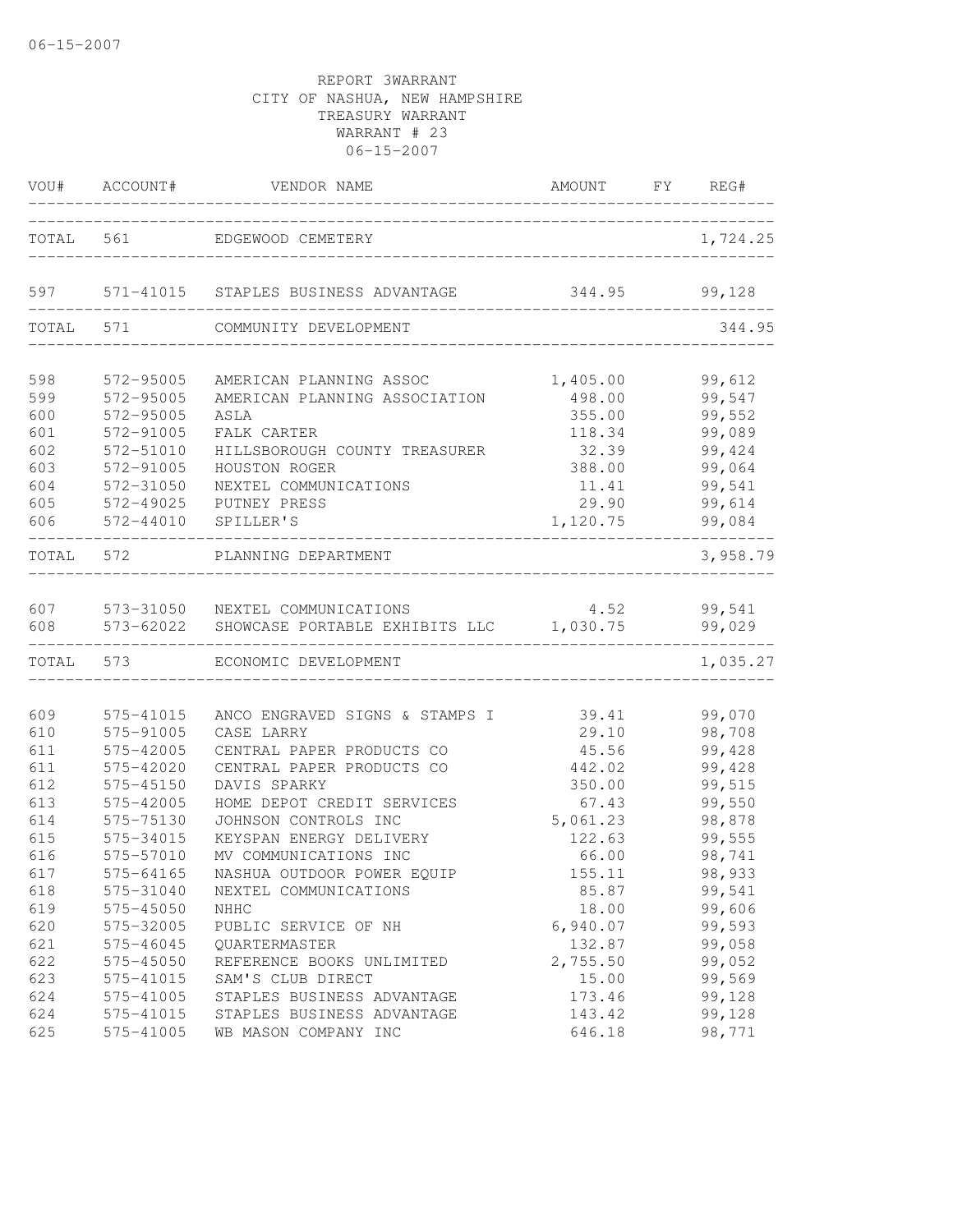| VOU#  | ACCOUNT#               | VENDOR NAME                                              | AMOUNT             | FY REG#          |
|-------|------------------------|----------------------------------------------------------|--------------------|------------------|
| TOTAL | 561                    | EDGEWOOD CEMETERY                                        |                    | 1,724.25         |
|       |                        |                                                          |                    |                  |
| 597   | 571-41015              | STAPLES BUSINESS ADVANTAGE                               | 344.95             | 99,128           |
| TOTAL | 571                    | COMMUNITY DEVELOPMENT                                    |                    | 344.95           |
| 598   |                        |                                                          |                    |                  |
| 599   | 572-95005<br>572-95005 | AMERICAN PLANNING ASSOC<br>AMERICAN PLANNING ASSOCIATION | 1,405.00<br>498.00 | 99,612<br>99,547 |
| 600   | 572-95005              | ASLA                                                     | 355.00             | 99,552           |
| 601   | 572-91005              | FALK CARTER                                              | 118.34             | 99,089           |
| 602   | 572-51010              | HILLSBOROUGH COUNTY TREASURER                            | 32.39              | 99,424           |
| 603   | 572-91005              | HOUSTON ROGER                                            | 388.00             | 99,064           |
| 604   | 572-31050              | NEXTEL COMMUNICATIONS                                    | 11.41              | 99,541           |
| 605   | 572-49025              | PUTNEY PRESS                                             | 29.90              | 99,614           |
| 606   | 572-44010              | SPILLER'S                                                | 1,120.75           | 99,084           |
| TOTAL | 572                    | PLANNING DEPARTMENT                                      |                    | 3,958.79         |
|       |                        |                                                          |                    |                  |
| 607   | 573-31050              | NEXTEL COMMUNICATIONS                                    | 4.52               | 99,541           |
| 608   | 573-62022              | SHOWCASE PORTABLE EXHIBITS LLC 1,030.75                  |                    | 99,029           |
| TOTAL | 573                    | ECONOMIC DEVELOPMENT                                     |                    | 1,035.27         |
| 609   | 575-41015              | ANCO ENGRAVED SIGNS & STAMPS I                           | 39.41              | 99,070           |
| 610   | 575-91005              | CASE LARRY                                               | 29.10              | 98,708           |
| 611   | 575-42005              | CENTRAL PAPER PRODUCTS CO                                | 45.56              | 99,428           |
| 611   | 575-42020              | CENTRAL PAPER PRODUCTS CO                                | 442.02             | 99,428           |
| 612   | 575-45150              | DAVIS SPARKY                                             | 350.00             | 99,515           |
| 613   | 575-42005              | HOME DEPOT CREDIT SERVICES                               | 67.43              | 99,550           |
| 614   | 575-75130              | JOHNSON CONTROLS INC                                     | 5,061.23           | 98,878           |
| 615   | 575-34015              | KEYSPAN ENERGY DELIVERY                                  | 122.63             | 99,555           |
| 616   | 575-57010              | MV COMMUNICATIONS INC                                    | 66.00              | 98,741           |
| 617   | 575-64165              | NASHUA OUTDOOR POWER EQUIP                               | 155.11             | 98,933           |
| 618   | 575-31040              | NEXTEL COMMUNICATIONS                                    | 85.87              | 99,541           |
| 619   | 575-45050              | NHHC                                                     | 18.00              | 99,606           |
| 620   | 575-32005              | PUBLIC SERVICE OF NH                                     | 6,940.07           | 99,593           |
| 621   | 575-46045              | QUARTERMASTER                                            | 132.87             | 99,058           |
| 622   | 575-45050              | REFERENCE BOOKS UNLIMITED                                | 2,755.50           | 99,052           |
| 623   | 575-41015              | SAM'S CLUB DIRECT                                        | 15.00              | 99,569           |
| 624   | 575-41005              | STAPLES BUSINESS ADVANTAGE                               | 173.46             | 99,128           |
| 624   | 575-41015              | STAPLES BUSINESS ADVANTAGE                               | 143.42             | 99,128           |
| 625   | 575-41005              | WB MASON COMPANY INC                                     | 646.18             | 98,771           |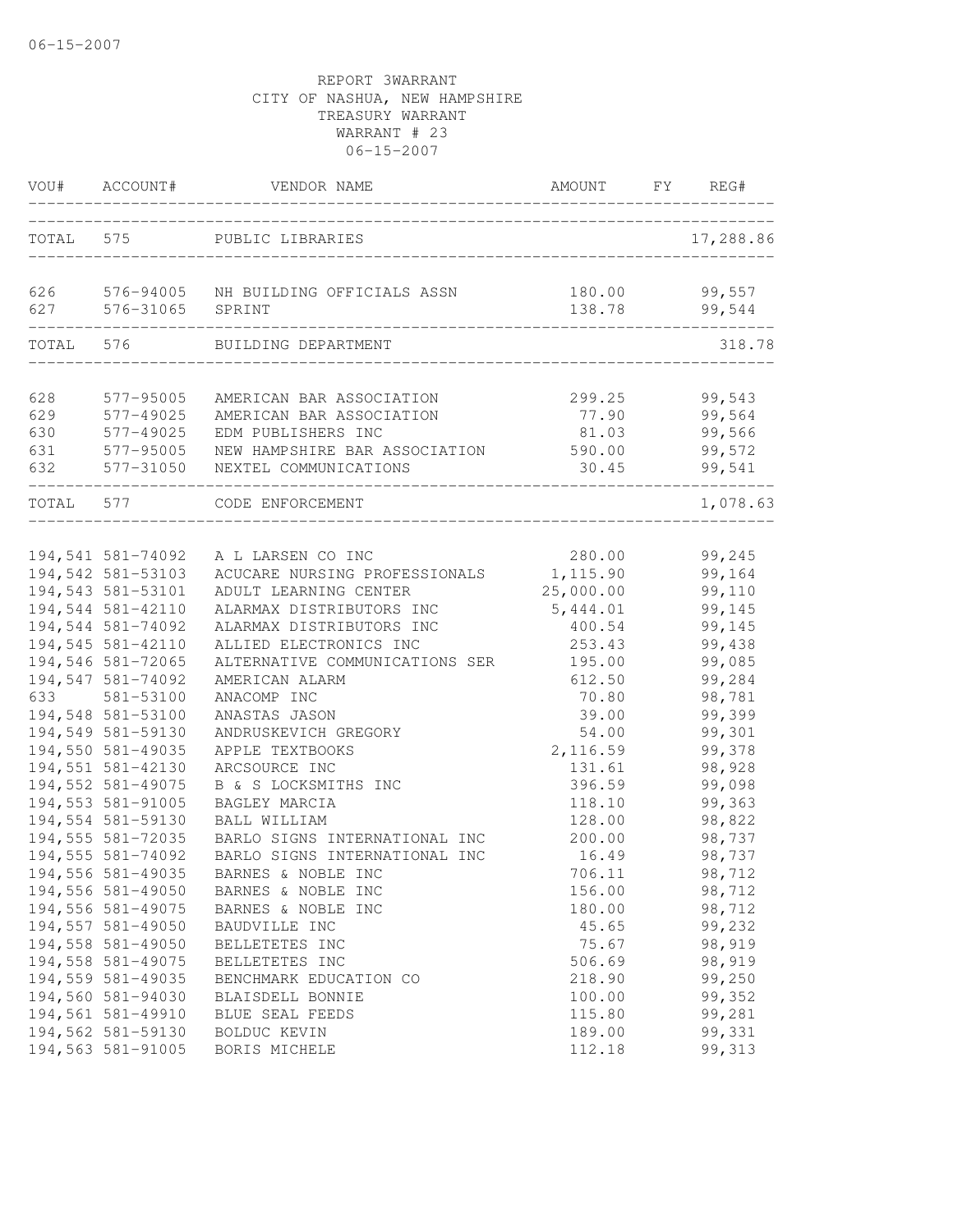| VOU#      | ACCOUNT#          | VENDOR NAME                    | AMOUNT    | FY<br>REG# |
|-----------|-------------------|--------------------------------|-----------|------------|
| TOTAL 575 |                   | PUBLIC LIBRARIES               |           | 17,288.86  |
| 626       | 576-94005         | NH BUILDING OFFICIALS ASSN     | 180.00    | 99,557     |
| 627       | 576-31065         | SPRINT                         | 138.78    | 99,544     |
| TOTAL     | 576               | BUILDING DEPARTMENT            |           | 318.78     |
| 628       | 577-95005         | AMERICAN BAR ASSOCIATION       | 299.25    | 99,543     |
| 629       | 577-49025         | AMERICAN BAR ASSOCIATION       | 77.90     | 99,564     |
| 630       | 577-49025         | EDM PUBLISHERS INC             | 81.03     | 99,566     |
| 631       | 577-95005         | NEW HAMPSHIRE BAR ASSOCIATION  | 590.00    | 99,572     |
| 632       | 577-31050         | NEXTEL COMMUNICATIONS          | 30.45     | 99,541     |
| TOTAL 577 |                   | CODE ENFORCEMENT               |           | 1,078.63   |
| 633       | 194,541 581-74092 | A L LARSEN CO INC              | 280.00    | 99,245     |
|           | 194,542 581-53103 | ACUCARE NURSING PROFESSIONALS  | 1,115.90  | 99,164     |
|           | 194,543 581-53101 | ADULT LEARNING CENTER          | 25,000.00 | 99,110     |
|           | 194,544 581-42110 | ALARMAX DISTRIBUTORS INC       | 5,444.01  | 99,145     |
|           | 194,544 581-74092 | ALARMAX DISTRIBUTORS INC       | 400.54    | 99,145     |
|           | 194,545 581-42110 | ALLIED ELECTRONICS INC         | 253.43    | 99,438     |
|           | 194,546 581-72065 | ALTERNATIVE COMMUNICATIONS SER | 195.00    | 99,085     |
|           | 194,547 581-74092 | AMERICAN ALARM                 | 612.50    | 99,284     |
|           | 581-53100         | ANACOMP INC                    | 70.80     | 98,781     |
|           | 194,548 581-53100 | ANASTAS JASON                  | 39.00     | 99,399     |
|           | 194,549 581-59130 | ANDRUSKEVICH GREGORY           | 54.00     | 99,301     |
|           | 194,550 581-49035 | APPLE TEXTBOOKS                | 2,116.59  | 99,378     |
|           | 194,551 581-42130 | ARCSOURCE INC                  | 131.61    | 98,928     |
|           | 194,552 581-49075 | B & S LOCKSMITHS INC           | 396.59    | 99,098     |
|           | 194,553 581-91005 | BAGLEY MARCIA                  | 118.10    | 99,363     |
|           | 194,554 581-59130 | BALL WILLIAM                   | 128.00    | 98,822     |
|           | 194,555 581-72035 | BARLO SIGNS INTERNATIONAL INC  | 200.00    | 98,737     |
|           | 194,555 581-74092 | BARLO SIGNS INTERNATIONAL INC  | 16.49     | 98,737     |
|           | 194,556 581-49035 | BARNES & NOBLE INC             | 706.11    | 98,712     |
|           | 194,556 581-49050 | BARNES & NOBLE INC             | 156.00    | 98,712     |
|           | 194,556 581-49075 | BARNES & NOBLE INC             | 180.00    | 98,712     |
|           | 194,557 581-49050 | BAUDVILLE INC                  | 45.65     | 99,232     |
|           | 194,558 581-49050 | BELLETETES INC                 | 75.67     | 98,919     |
|           | 194,558 581-49075 | BELLETETES INC                 | 506.69    | 98,919     |
|           | 194,559 581-49035 | BENCHMARK EDUCATION CO         | 218.90    | 99,250     |
|           | 194,560 581-94030 | BLAISDELL BONNIE               | 100.00    | 99,352     |
|           | 194,561 581-49910 | BLUE SEAL FEEDS                | 115.80    | 99,281     |
|           | 194,562 581-59130 | BOLDUC KEVIN                   | 189.00    | 99,331     |
|           | 194,563 581-91005 | BORIS MICHELE                  | 112.18    | 99, 313    |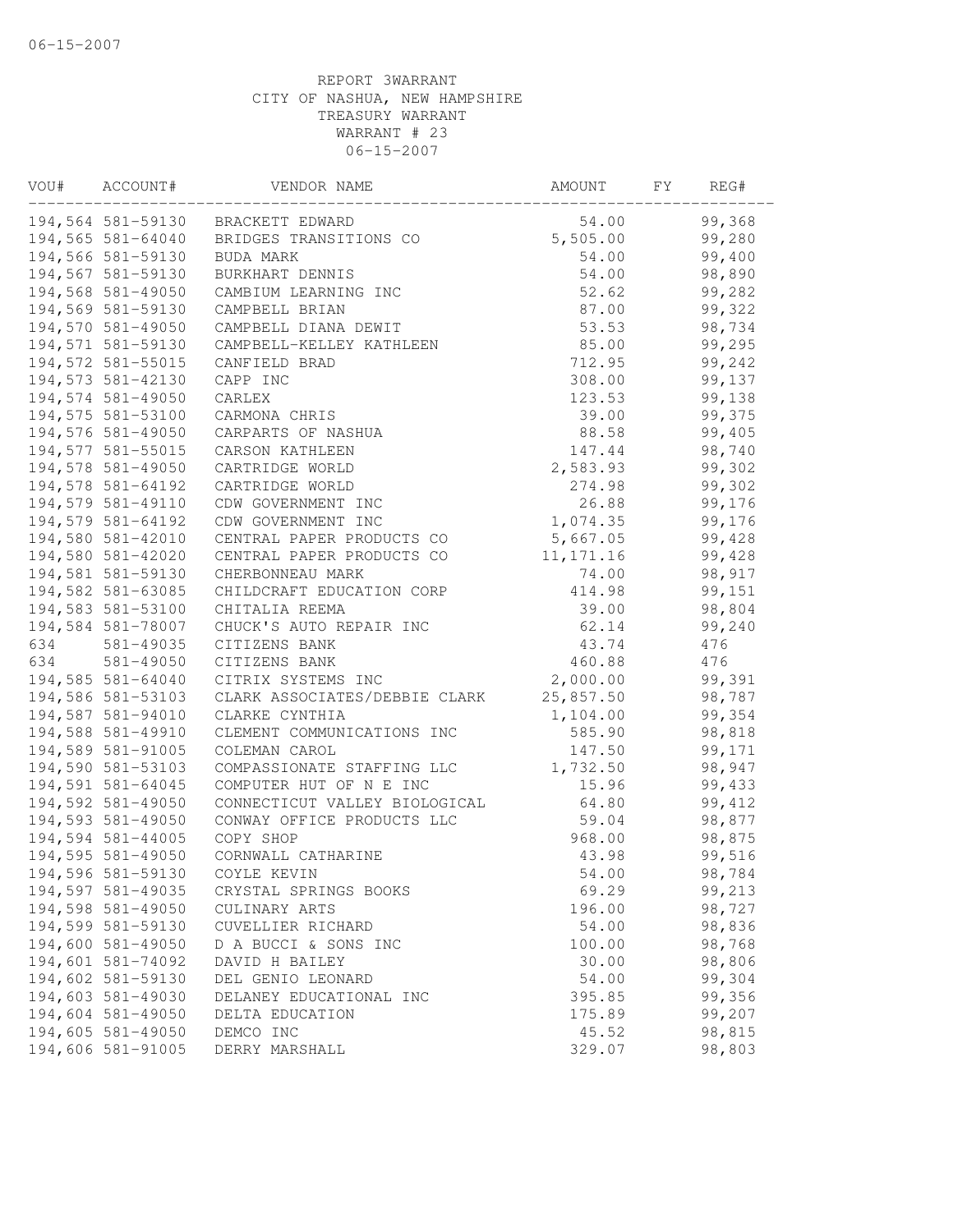| VOU# | ACCOUNT#           | VENDOR NAME                   | AMOUNT     | FY | REG#    |
|------|--------------------|-------------------------------|------------|----|---------|
|      | 194,564 581-59130  | BRACKETT EDWARD               | 54.00      |    | 99,368  |
|      | 194,565 581-64040  | BRIDGES TRANSITIONS CO        | 5,505.00   |    | 99,280  |
|      | 194,566 581-59130  | BUDA MARK                     | 54.00      |    | 99,400  |
|      | 194,567 581-59130  | BURKHART DENNIS               | 54.00      |    | 98,890  |
|      | 194,568 581-49050  | CAMBIUM LEARNING INC          | 52.62      |    | 99,282  |
|      | 194,569 581-59130  | CAMPBELL BRIAN                | 87.00      |    | 99,322  |
|      | 194,570 581-49050  | CAMPBELL DIANA DEWIT          | 53.53      |    | 98,734  |
|      | 194,571 581-59130  | CAMPBELL-KELLEY KATHLEEN      | 85.00      |    | 99,295  |
|      | 194,572 581-55015  | CANFIELD BRAD                 | 712.95     |    | 99,242  |
|      | 194,573 581-42130  | CAPP INC                      | 308.00     |    | 99,137  |
|      | 194,574 581-49050  | CARLEX                        | 123.53     |    | 99,138  |
|      | 194,575 581-53100  | CARMONA CHRIS                 | 39.00      |    | 99,375  |
|      | 194,576 581-49050  | CARPARTS OF NASHUA            | 88.58      |    | 99,405  |
|      | 194, 577 581-55015 | CARSON KATHLEEN               | 147.44     |    | 98,740  |
|      | 194,578 581-49050  | CARTRIDGE WORLD               | 2,583.93   |    | 99,302  |
|      | 194,578 581-64192  | CARTRIDGE WORLD               | 274.98     |    | 99,302  |
|      | 194,579 581-49110  | CDW GOVERNMENT INC            | 26.88      |    | 99,176  |
|      | 194,579 581-64192  | CDW GOVERNMENT INC            | 1,074.35   |    | 99,176  |
|      | 194,580 581-42010  | CENTRAL PAPER PRODUCTS CO     | 5,667.05   |    | 99,428  |
|      | 194,580 581-42020  | CENTRAL PAPER PRODUCTS CO     | 11, 171.16 |    | 99,428  |
|      | 194,581 581-59130  | CHERBONNEAU MARK              | 74.00      |    | 98,917  |
|      | 194,582 581-63085  | CHILDCRAFT EDUCATION CORP     | 414.98     |    | 99,151  |
|      | 194,583 581-53100  | CHITALIA REEMA                | 39.00      |    | 98,804  |
|      | 194,584 581-78007  | CHUCK'S AUTO REPAIR INC       | 62.14      |    | 99,240  |
| 634  | 581-49035          | CITIZENS BANK                 | 43.74      |    | 476     |
| 634  | 581-49050          | CITIZENS BANK                 | 460.88     |    | 476     |
|      | 194,585 581-64040  | CITRIX SYSTEMS INC            | 2,000.00   |    | 99,391  |
|      | 194,586 581-53103  | CLARK ASSOCIATES/DEBBIE CLARK | 25,857.50  |    | 98,787  |
|      | 194,587 581-94010  | CLARKE CYNTHIA                | 1,104.00   |    | 99,354  |
|      | 194,588 581-49910  | CLEMENT COMMUNICATIONS INC    | 585.90     |    | 98,818  |
|      | 194,589 581-91005  | COLEMAN CAROL                 | 147.50     |    | 99,171  |
|      | 194,590 581-53103  | COMPASSIONATE STAFFING LLC    | 1,732.50   |    | 98,947  |
|      | 194,591 581-64045  | COMPUTER HUT OF N E INC       | 15.96      |    | 99,433  |
|      | 194,592 581-49050  | CONNECTICUT VALLEY BIOLOGICAL | 64.80      |    | 99, 412 |
|      | 194,593 581-49050  | CONWAY OFFICE PRODUCTS LLC    | 59.04      |    | 98,877  |
|      | 194,594 581-44005  | COPY SHOP                     | 968.00     |    | 98,875  |
|      | 194,595 581-49050  | CORNWALL CATHARINE            | 43.98      |    | 99,516  |
|      | 194,596 581-59130  | COYLE KEVIN                   | 54.00      |    | 98,784  |
|      | 194,597 581-49035  | CRYSTAL SPRINGS BOOKS         | 69.29      |    | 99,213  |
|      | 194,598 581-49050  | CULINARY ARTS                 | 196.00     |    | 98,727  |
|      | 194,599 581-59130  | CUVELLIER RICHARD             | 54.00      |    | 98,836  |
|      | 194,600 581-49050  | D A BUCCI & SONS INC          | 100.00     |    | 98,768  |
|      | 194,601 581-74092  | DAVID H BAILEY                | 30.00      |    | 98,806  |
|      | 194,602 581-59130  | DEL GENIO LEONARD             | 54.00      |    | 99,304  |
|      | 194,603 581-49030  | DELANEY EDUCATIONAL INC       | 395.85     |    | 99,356  |
|      | 194,604 581-49050  | DELTA EDUCATION               | 175.89     |    | 99,207  |
|      | 194,605 581-49050  | DEMCO INC                     | 45.52      |    | 98,815  |
|      | 194,606 581-91005  | DERRY MARSHALL                | 329.07     |    | 98,803  |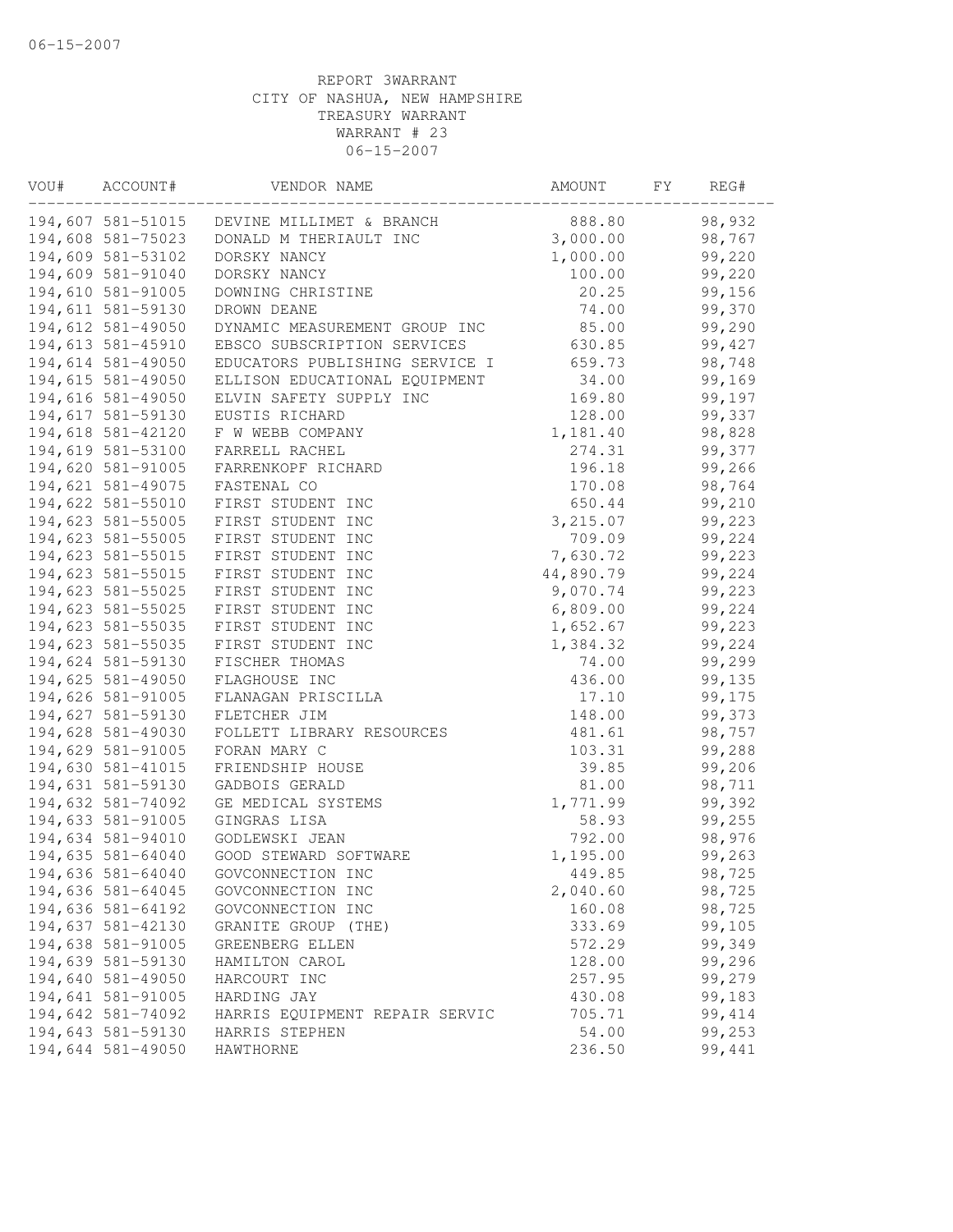| VOU# | ACCOUNT#          | VENDOR NAME                        | AMOUNT    | FY | REG#    |
|------|-------------------|------------------------------------|-----------|----|---------|
|      | 194,607 581-51015 | DEVINE MILLIMET & BRANCH           | 888.80    |    | 98,932  |
|      | 194,608 581-75023 | DONALD M THERIAULT INC             | 3,000.00  |    | 98,767  |
|      | 194,609 581-53102 | DORSKY NANCY                       | 1,000.00  |    | 99,220  |
|      | 194,609 581-91040 | DORSKY NANCY                       | 100.00    |    | 99,220  |
|      | 194,610 581-91005 | DOWNING CHRISTINE                  | 20.25     |    | 99,156  |
|      | 194,611 581-59130 | DROWN DEANE                        | 74.00     |    | 99,370  |
|      | 194,612 581-49050 | DYNAMIC MEASUREMENT GROUP INC      | 85.00     |    | 99,290  |
|      | 194,613 581-45910 | EBSCO SUBSCRIPTION SERVICES        | 630.85    |    | 99,427  |
|      | 194,614 581-49050 | EDUCATORS PUBLISHING SERVICE I     | 659.73    |    | 98,748  |
|      | 194,615 581-49050 | ELLISON EDUCATIONAL EQUIPMENT      | 34.00     |    | 99,169  |
|      | 194,616 581-49050 | ELVIN SAFETY SUPPLY INC            | 169.80    |    | 99,197  |
|      | 194,617 581-59130 | EUSTIS RICHARD                     | 128.00    |    | 99,337  |
|      | 194,618 581-42120 | F W WEBB COMPANY                   | 1,181.40  |    | 98,828  |
|      | 194,619 581-53100 | FARRELL RACHEL                     | 274.31    |    | 99,377  |
|      | 194,620 581-91005 | FARRENKOPF RICHARD                 | 196.18    |    | 99,266  |
|      | 194,621 581-49075 | FASTENAL CO                        | 170.08    |    | 98,764  |
|      | 194,622 581-55010 | FIRST STUDENT INC                  | 650.44    |    | 99,210  |
|      | 194,623 581-55005 | FIRST STUDENT INC                  | 3, 215.07 |    | 99,223  |
|      | 194,623 581-55005 | FIRST STUDENT INC                  | 709.09    |    | 99,224  |
|      | 194,623 581-55015 | FIRST STUDENT INC                  | 7,630.72  |    | 99,223  |
|      | 194,623 581-55015 | FIRST STUDENT INC                  | 44,890.79 |    | 99,224  |
|      | 194,623 581-55025 | FIRST STUDENT INC                  | 9,070.74  |    | 99,223  |
|      | 194,623 581-55025 | FIRST STUDENT INC                  | 6,809.00  |    | 99,224  |
|      | 194,623 581-55035 | FIRST STUDENT INC                  | 1,652.67  |    | 99,223  |
|      | 194,623 581-55035 | FIRST STUDENT INC                  | 1,384.32  |    | 99,224  |
|      | 194,624 581-59130 | FISCHER THOMAS                     | 74.00     |    | 99,299  |
|      | 194,625 581-49050 | FLAGHOUSE INC                      | 436.00    |    | 99,135  |
|      | 194,626 581-91005 | FLANAGAN PRISCILLA                 | 17.10     |    | 99,175  |
|      | 194,627 581-59130 | FLETCHER JIM                       | 148.00    |    | 99,373  |
|      | 194,628 581-49030 | FOLLETT LIBRARY RESOURCES          | 481.61    |    | 98,757  |
|      | 194,629 581-91005 | FORAN MARY C                       | 103.31    |    | 99,288  |
|      | 194,630 581-41015 | FRIENDSHIP HOUSE                   | 39.85     |    | 99,206  |
|      | 194,631 581-59130 | GADBOIS GERALD                     | 81.00     |    | 98,711  |
|      | 194,632 581-74092 |                                    | 1,771.99  |    | 99,392  |
|      |                   | GE MEDICAL SYSTEMS<br>GINGRAS LISA | 58.93     |    | 99,255  |
|      | 194,633 581-91005 |                                    |           |    |         |
|      | 194,634 581-94010 | GODLEWSKI JEAN                     | 792.00    |    | 98,976  |
|      | 194,635 581-64040 | GOOD STEWARD SOFTWARE              | 1,195.00  |    | 99,263  |
|      | 194,636 581-64040 | GOVCONNECTION INC                  | 449.85    |    | 98,725  |
|      | 194,636 581-64045 | GOVCONNECTION INC                  | 2,040.60  |    | 98,725  |
|      | 194,636 581-64192 | GOVCONNECTION INC                  | 160.08    |    | 98,725  |
|      | 194,637 581-42130 | GRANITE GROUP (THE)                | 333.69    |    | 99,105  |
|      | 194,638 581-91005 | GREENBERG ELLEN                    | 572.29    |    | 99,349  |
|      | 194,639 581-59130 | HAMILTON CAROL                     | 128.00    |    | 99,296  |
|      | 194,640 581-49050 | HARCOURT INC                       | 257.95    |    | 99,279  |
|      | 194,641 581-91005 | HARDING JAY                        | 430.08    |    | 99,183  |
|      | 194,642 581-74092 | HARRIS EQUIPMENT REPAIR SERVIC     | 705.71    |    | 99, 414 |
|      | 194,643 581-59130 | HARRIS STEPHEN                     | 54.00     |    | 99,253  |
|      | 194,644 581-49050 | HAWTHORNE                          | 236.50    |    | 99,441  |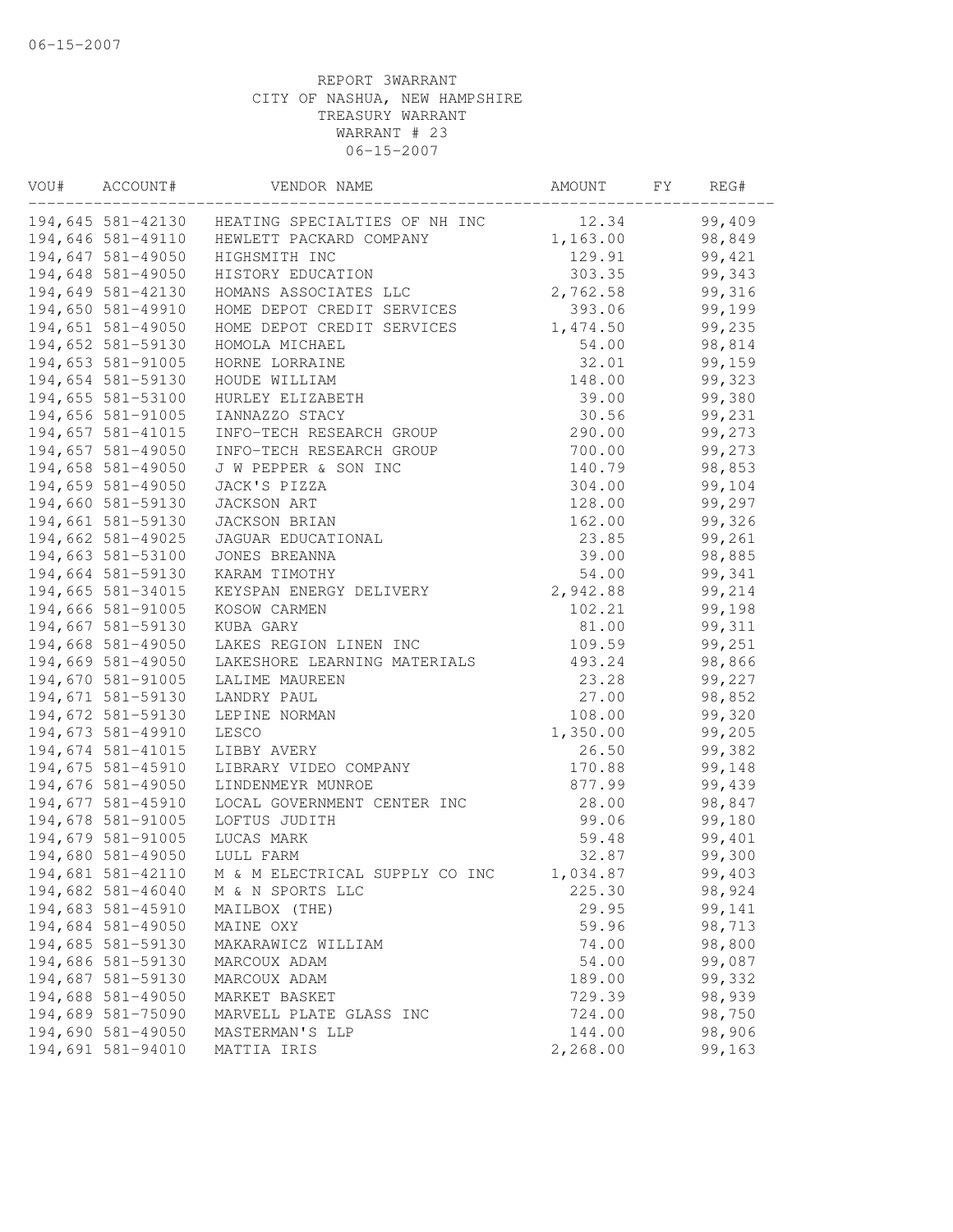| VOU# | ACCOUNT#          | VENDOR NAME                                     | AMOUNT   | FY | REG#   |
|------|-------------------|-------------------------------------------------|----------|----|--------|
|      |                   | 194,645 581-42130 HEATING SPECIALTIES OF NH INC | 12.34    |    | 99,409 |
|      | 194,646 581-49110 | HEWLETT PACKARD COMPANY                         | 1,163.00 |    | 98,849 |
|      | 194,647 581-49050 | HIGHSMITH INC                                   | 129.91   |    | 99,421 |
|      | 194,648 581-49050 | HISTORY EDUCATION                               | 303.35   |    | 99,343 |
|      | 194,649 581-42130 | HOMANS ASSOCIATES LLC                           | 2,762.58 |    | 99,316 |
|      | 194,650 581-49910 | HOME DEPOT CREDIT SERVICES                      | 393.06   |    | 99,199 |
|      | 194,651 581-49050 | HOME DEPOT CREDIT SERVICES                      | 1,474.50 |    | 99,235 |
|      | 194,652 581-59130 | HOMOLA MICHAEL                                  | 54.00    |    | 98,814 |
|      | 194,653 581-91005 | HORNE LORRAINE                                  | 32.01    |    | 99,159 |
|      | 194,654 581-59130 | HOUDE WILLIAM                                   | 148.00   |    | 99,323 |
|      | 194,655 581-53100 | HURLEY ELIZABETH                                | 39.00    |    | 99,380 |
|      | 194,656 581-91005 | IANNAZZO STACY                                  | 30.56    |    | 99,231 |
|      | 194,657 581-41015 | INFO-TECH RESEARCH GROUP                        | 290.00   |    | 99,273 |
|      | 194,657 581-49050 | INFO-TECH RESEARCH GROUP                        | 700.00   |    | 99,273 |
|      | 194,658 581-49050 | J W PEPPER & SON INC                            | 140.79   |    | 98,853 |
|      | 194,659 581-49050 | JACK'S PIZZA                                    | 304.00   |    | 99,104 |
|      | 194,660 581-59130 | JACKSON ART                                     | 128.00   |    | 99,297 |
|      | 194,661 581-59130 | JACKSON BRIAN                                   | 162.00   |    | 99,326 |
|      | 194,662 581-49025 | JAGUAR EDUCATIONAL                              | 23.85    |    | 99,261 |
|      | 194,663 581-53100 | JONES BREANNA                                   | 39.00    |    | 98,885 |
|      | 194,664 581-59130 | KARAM TIMOTHY                                   | 54.00    |    | 99,341 |
|      | 194,665 581-34015 | KEYSPAN ENERGY DELIVERY                         | 2,942.88 |    | 99,214 |
|      | 194,666 581-91005 | KOSOW CARMEN                                    | 102.21   |    | 99,198 |
|      | 194,667 581-59130 | KUBA GARY                                       | 81.00    |    | 99,311 |
|      | 194,668 581-49050 | LAKES REGION LINEN INC                          | 109.59   |    | 99,251 |
|      | 194,669 581-49050 | LAKESHORE LEARNING MATERIALS                    | 493.24   |    | 98,866 |
|      | 194,670 581-91005 | LALIME MAUREEN                                  | 23.28    |    | 99,227 |
|      | 194,671 581-59130 | LANDRY PAUL                                     | 27.00    |    | 98,852 |
|      | 194,672 581-59130 | LEPINE NORMAN                                   | 108.00   |    | 99,320 |
|      | 194,673 581-49910 | LESCO                                           | 1,350.00 |    | 99,205 |
|      | 194,674 581-41015 | LIBBY AVERY                                     | 26.50    |    | 99,382 |
|      | 194,675 581-45910 | LIBRARY VIDEO COMPANY                           | 170.88   |    | 99,148 |
|      | 194,676 581-49050 | LINDENMEYR MUNROE                               | 877.99   |    | 99,439 |
|      | 194,677 581-45910 | LOCAL GOVERNMENT CENTER INC                     | 28.00    |    | 98,847 |
|      | 194,678 581-91005 | LOFTUS JUDITH                                   | 99.06    |    | 99,180 |
|      | 194,679 581-91005 | LUCAS MARK                                      | 59.48    |    | 99,401 |
|      | 194,680 581-49050 | LULL FARM                                       | 32.87    |    | 99,300 |
|      | 194,681 581-42110 | M & M ELECTRICAL SUPPLY CO INC                  | 1,034.87 |    | 99,403 |
|      | 194,682 581-46040 | M & N SPORTS LLC                                | 225.30   |    | 98,924 |
|      | 194,683 581-45910 | MAILBOX (THE)                                   | 29.95    |    | 99,141 |
|      | 194,684 581-49050 | MAINE OXY                                       | 59.96    |    | 98,713 |
|      | 194,685 581-59130 | MAKARAWICZ WILLIAM                              | 74.00    |    | 98,800 |
|      | 194,686 581-59130 | MARCOUX ADAM                                    | 54.00    |    | 99,087 |
|      | 194,687 581-59130 | MARCOUX ADAM                                    | 189.00   |    | 99,332 |
|      | 194,688 581-49050 | MARKET BASKET                                   | 729.39   |    | 98,939 |
|      | 194,689 581-75090 | MARVELL PLATE GLASS INC                         | 724.00   |    | 98,750 |
|      | 194,690 581-49050 | MASTERMAN'S LLP                                 | 144.00   |    | 98,906 |
|      | 194,691 581-94010 | MATTIA IRIS                                     | 2,268.00 |    | 99,163 |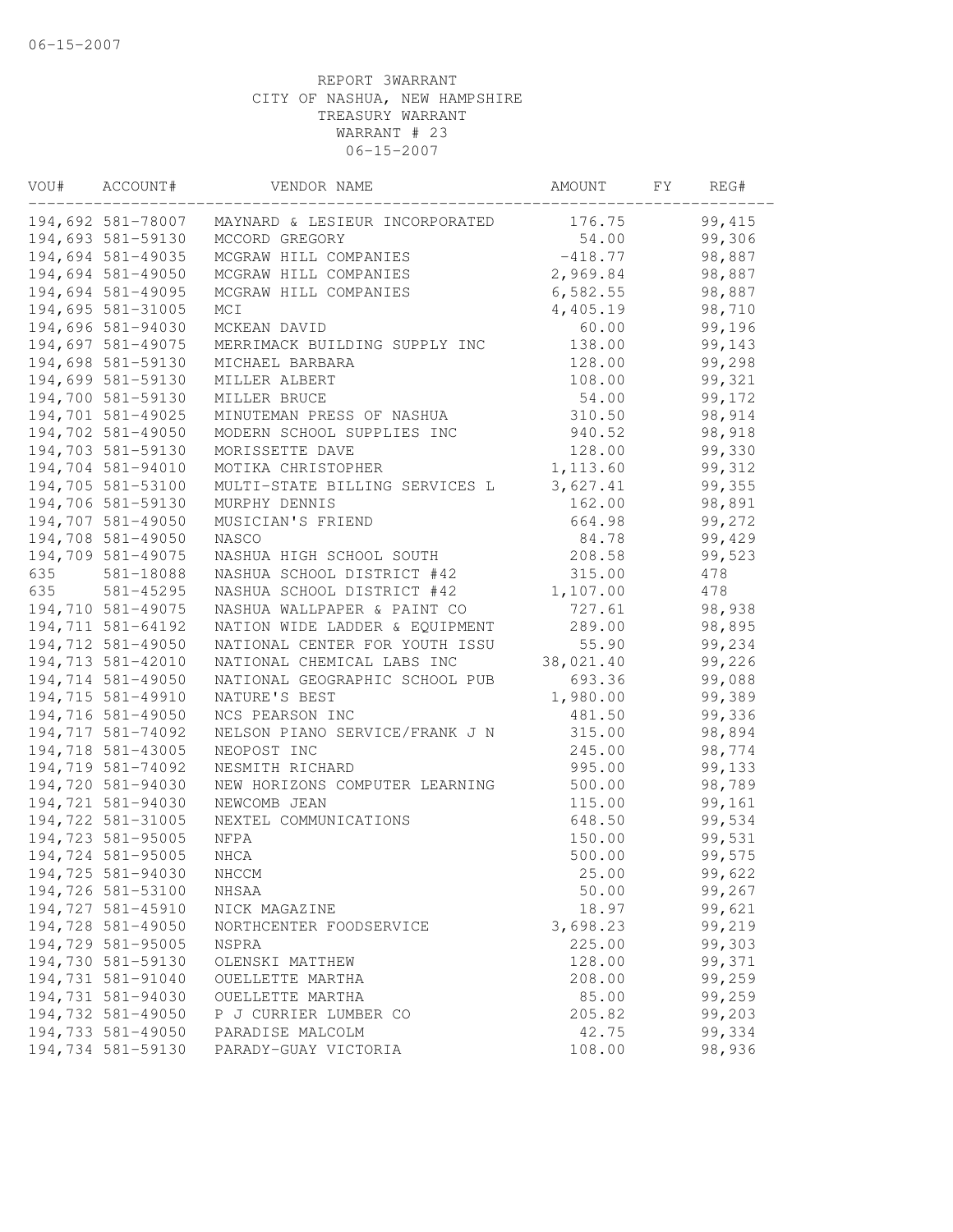| VOU# | ACCOUNT#          | VENDOR NAME                    | AMOUNT    | FΥ | REG#    |  |
|------|-------------------|--------------------------------|-----------|----|---------|--|
|      | 194,692 581-78007 | MAYNARD & LESIEUR INCORPORATED | 176.75    |    | 99, 415 |  |
|      | 194,693 581-59130 | MCCORD GREGORY                 | 54.00     |    | 99,306  |  |
|      | 194,694 581-49035 | MCGRAW HILL COMPANIES          | $-418.77$ |    | 98,887  |  |
|      | 194,694 581-49050 | MCGRAW HILL COMPANIES          | 2,969.84  |    | 98,887  |  |
|      | 194,694 581-49095 | MCGRAW HILL COMPANIES          | 6,582.55  |    | 98,887  |  |
|      | 194,695 581-31005 | MCI                            | 4,405.19  |    | 98,710  |  |
|      | 194,696 581-94030 | MCKEAN DAVID                   | 60.00     |    | 99,196  |  |
|      | 194,697 581-49075 | MERRIMACK BUILDING SUPPLY INC  | 138.00    |    | 99,143  |  |
|      | 194,698 581-59130 | MICHAEL BARBARA                | 128.00    |    | 99,298  |  |
|      | 194,699 581-59130 | MILLER ALBERT                  | 108.00    |    | 99,321  |  |
|      | 194,700 581-59130 | MILLER BRUCE                   | 54.00     |    | 99,172  |  |
|      | 194,701 581-49025 | MINUTEMAN PRESS OF NASHUA      | 310.50    |    | 98,914  |  |
|      | 194,702 581-49050 | MODERN SCHOOL SUPPLIES INC     | 940.52    |    | 98,918  |  |
|      | 194,703 581-59130 | MORISSETTE DAVE                | 128.00    |    | 99,330  |  |
|      | 194,704 581-94010 | MOTIKA CHRISTOPHER             | 1,113.60  |    | 99,312  |  |
|      | 194,705 581-53100 | MULTI-STATE BILLING SERVICES L | 3,627.41  |    | 99,355  |  |
|      | 194,706 581-59130 | MURPHY DENNIS                  | 162.00    |    | 98,891  |  |
|      | 194,707 581-49050 | MUSICIAN'S FRIEND              | 664.98    |    | 99,272  |  |
|      | 194,708 581-49050 | <b>NASCO</b>                   | 84.78     |    | 99,429  |  |
|      | 194,709 581-49075 | NASHUA HIGH SCHOOL SOUTH       | 208.58    |    | 99,523  |  |
| 635  | 581-18088         | NASHUA SCHOOL DISTRICT #42     | 315.00    |    | 478     |  |
| 635  | 581-45295         | NASHUA SCHOOL DISTRICT #42     | 1,107.00  |    | 478     |  |
|      | 194,710 581-49075 | NASHUA WALLPAPER & PAINT CO    | 727.61    |    | 98,938  |  |
|      | 194,711 581-64192 | NATION WIDE LADDER & EQUIPMENT | 289.00    |    | 98,895  |  |
|      | 194,712 581-49050 | NATIONAL CENTER FOR YOUTH ISSU | 55.90     |    | 99,234  |  |
|      | 194,713 581-42010 | NATIONAL CHEMICAL LABS INC     | 38,021.40 |    | 99,226  |  |
|      | 194,714 581-49050 | NATIONAL GEOGRAPHIC SCHOOL PUB | 693.36    |    | 99,088  |  |
|      | 194,715 581-49910 | NATURE'S BEST                  | 1,980.00  |    | 99,389  |  |
|      | 194,716 581-49050 | NCS PEARSON INC                | 481.50    |    | 99,336  |  |
|      | 194,717 581-74092 | NELSON PIANO SERVICE/FRANK J N | 315.00    |    | 98,894  |  |
|      | 194,718 581-43005 | NEOPOST INC                    | 245.00    |    | 98,774  |  |
|      | 194,719 581-74092 | NESMITH RICHARD                | 995.00    |    | 99,133  |  |
|      | 194,720 581-94030 | NEW HORIZONS COMPUTER LEARNING | 500.00    |    | 98,789  |  |
|      | 194,721 581-94030 | NEWCOMB JEAN                   | 115.00    |    | 99,161  |  |
|      | 194,722 581-31005 | NEXTEL COMMUNICATIONS          | 648.50    |    | 99,534  |  |
|      | 194,723 581-95005 | NFPA                           | 150.00    |    | 99,531  |  |
|      | 194,724 581-95005 | $\rm{NHCA}$                    | 500.00    |    | 99,575  |  |
|      | 194,725 581-94030 | NHCCM                          | 25.00     |    | 99,622  |  |
|      | 194,726 581-53100 | NHSAA                          | 50.00     |    | 99,267  |  |
|      | 194,727 581-45910 | NICK MAGAZINE                  | 18.97     |    | 99,621  |  |
|      | 194,728 581-49050 | NORTHCENTER FOODSERVICE        | 3,698.23  |    | 99,219  |  |
|      | 194,729 581-95005 | NSPRA                          | 225.00    |    | 99,303  |  |
|      | 194,730 581-59130 | OLENSKI MATTHEW                | 128.00    |    | 99,371  |  |
|      | 194,731 581-91040 | OUELLETTE MARTHA               | 208.00    |    | 99,259  |  |
|      | 194,731 581-94030 | OUELLETTE MARTHA               | 85.00     |    | 99,259  |  |
|      | 194,732 581-49050 | P J CURRIER LUMBER CO          | 205.82    |    | 99,203  |  |
|      | 194,733 581-49050 | PARADISE MALCOLM               | 42.75     |    | 99,334  |  |
|      | 194,734 581-59130 | PARADY-GUAY VICTORIA           | 108.00    |    | 98,936  |  |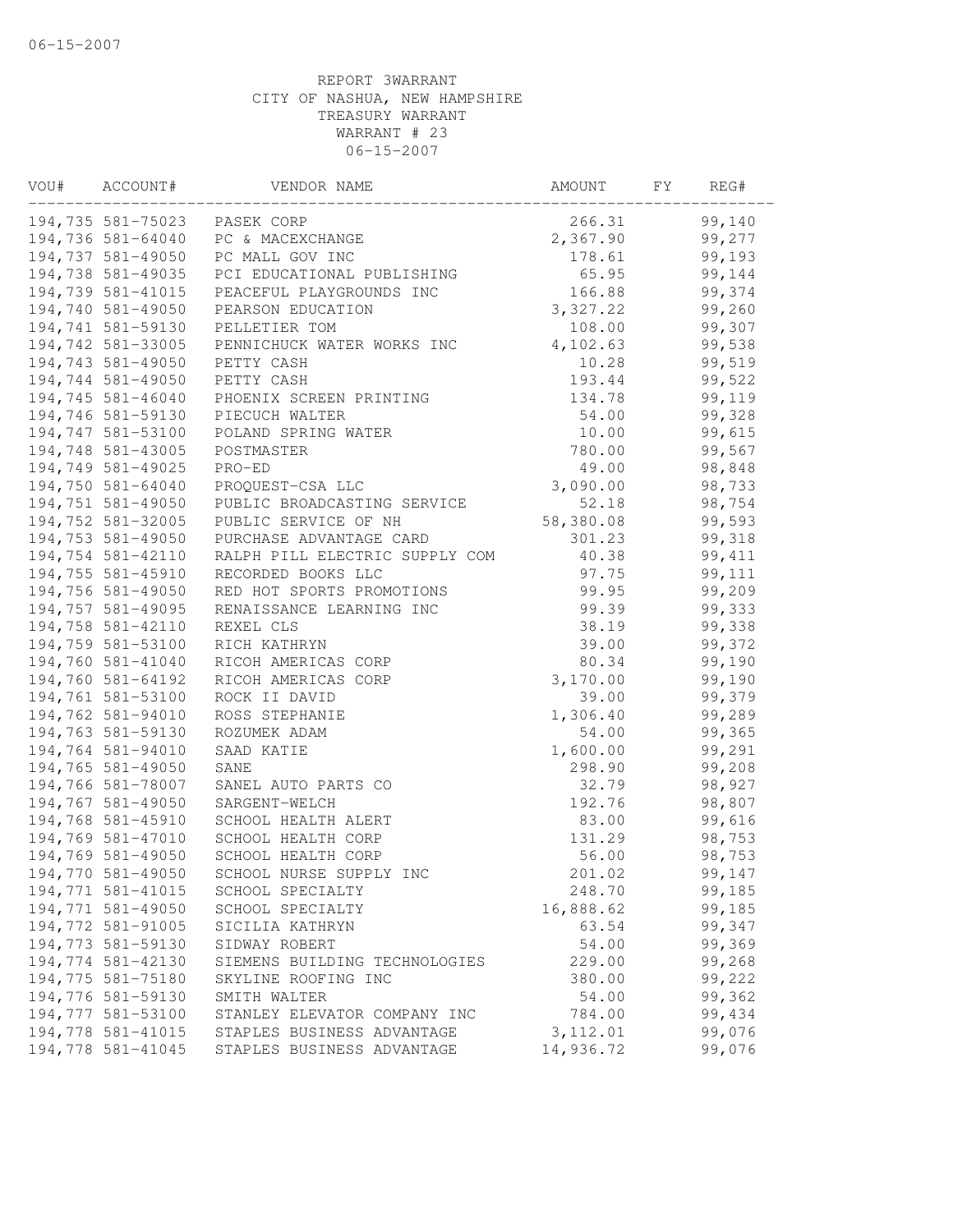| VOU# | ACCOUNT#          | VENDOR NAME                    | AMOUNT    | FY | REG#    |  |
|------|-------------------|--------------------------------|-----------|----|---------|--|
|      | 194,735 581-75023 | PASEK CORP                     | 266.31    |    | 99,140  |  |
|      | 194,736 581-64040 | PC & MACEXCHANGE               | 2,367.90  |    | 99,277  |  |
|      | 194,737 581-49050 | PC MALL GOV INC                | 178.61    |    | 99,193  |  |
|      | 194,738 581-49035 | PCI EDUCATIONAL PUBLISHING     | 65.95     |    | 99,144  |  |
|      | 194,739 581-41015 | PEACEFUL PLAYGROUNDS INC       | 166.88    |    | 99,374  |  |
|      | 194,740 581-49050 | PEARSON EDUCATION              | 3,327.22  |    | 99,260  |  |
|      | 194,741 581-59130 | PELLETIER TOM                  | 108.00    |    | 99,307  |  |
|      | 194,742 581-33005 | PENNICHUCK WATER WORKS INC     | 4,102.63  |    | 99,538  |  |
|      | 194,743 581-49050 | PETTY CASH                     | 10.28     |    | 99,519  |  |
|      | 194,744 581-49050 | PETTY CASH                     | 193.44    |    | 99,522  |  |
|      | 194,745 581-46040 | PHOENIX SCREEN PRINTING        | 134.78    |    | 99,119  |  |
|      | 194,746 581-59130 | PIECUCH WALTER                 | 54.00     |    | 99,328  |  |
|      | 194,747 581-53100 | POLAND SPRING WATER            | 10.00     |    | 99,615  |  |
|      | 194,748 581-43005 | POSTMASTER                     | 780.00    |    | 99,567  |  |
|      | 194,749 581-49025 | PRO-ED                         | 49.00     |    | 98,848  |  |
|      | 194,750 581-64040 | PROQUEST-CSA LLC               | 3,090.00  |    | 98,733  |  |
|      | 194,751 581-49050 | PUBLIC BROADCASTING SERVICE    | 52.18     |    | 98,754  |  |
|      | 194,752 581-32005 | PUBLIC SERVICE OF NH           | 58,380.08 |    | 99,593  |  |
|      | 194,753 581-49050 | PURCHASE ADVANTAGE CARD        | 301.23    |    | 99,318  |  |
|      | 194,754 581-42110 | RALPH PILL ELECTRIC SUPPLY COM | 40.38     |    | 99, 411 |  |
|      | 194,755 581-45910 | RECORDED BOOKS LLC             | 97.75     |    | 99,111  |  |
|      | 194,756 581-49050 | RED HOT SPORTS PROMOTIONS      | 99.95     |    | 99,209  |  |
|      | 194,757 581-49095 | RENAISSANCE LEARNING INC       | 99.39     |    | 99,333  |  |
|      | 194,758 581-42110 | REXEL CLS                      | 38.19     |    | 99,338  |  |
|      | 194,759 581-53100 | RICH KATHRYN                   | 39.00     |    | 99,372  |  |
|      | 194,760 581-41040 | RICOH AMERICAS CORP            | 80.34     |    | 99,190  |  |
|      | 194,760 581-64192 | RICOH AMERICAS CORP            | 3,170.00  |    | 99,190  |  |
|      | 194,761 581-53100 | ROCK II DAVID                  | 39.00     |    | 99,379  |  |
|      | 194,762 581-94010 | ROSS STEPHANIE                 | 1,306.40  |    | 99,289  |  |
|      | 194,763 581-59130 | ROZUMEK ADAM                   | 54.00     |    | 99,365  |  |
|      | 194,764 581-94010 | SAAD KATIE                     | 1,600.00  |    | 99,291  |  |
|      | 194,765 581-49050 | SANE                           | 298.90    |    | 99,208  |  |
|      | 194,766 581-78007 | SANEL AUTO PARTS CO            | 32.79     |    | 98,927  |  |
|      | 194,767 581-49050 | SARGENT-WELCH                  | 192.76    |    | 98,807  |  |
|      | 194,768 581-45910 | SCHOOL HEALTH ALERT            | 83.00     |    | 99,616  |  |
|      | 194,769 581-47010 | SCHOOL HEALTH CORP             | 131.29    |    | 98,753  |  |
|      | 194,769 581-49050 | SCHOOL HEALTH CORP             | 56.00     |    | 98,753  |  |
|      | 194,770 581-49050 | SCHOOL NURSE SUPPLY INC        | 201.02    |    | 99,147  |  |
|      | 194,771 581-41015 | SCHOOL SPECIALTY               | 248.70    |    | 99,185  |  |
|      | 194,771 581-49050 | SCHOOL SPECIALTY               | 16,888.62 |    | 99,185  |  |
|      | 194,772 581-91005 | SICILIA KATHRYN                | 63.54     |    | 99,347  |  |
|      | 194,773 581-59130 | SIDWAY ROBERT                  | 54.00     |    | 99,369  |  |
|      | 194,774 581-42130 | SIEMENS BUILDING TECHNOLOGIES  | 229.00    |    | 99,268  |  |
|      | 194,775 581-75180 | SKYLINE ROOFING INC            | 380.00    |    | 99,222  |  |
|      | 194,776 581-59130 | SMITH WALTER                   | 54.00     |    | 99,362  |  |
|      | 194,777 581-53100 | STANLEY ELEVATOR COMPANY INC   | 784.00    |    | 99,434  |  |
|      | 194,778 581-41015 | STAPLES BUSINESS ADVANTAGE     | 3, 112.01 |    | 99,076  |  |
|      | 194,778 581-41045 | STAPLES BUSINESS ADVANTAGE     | 14,936.72 |    | 99,076  |  |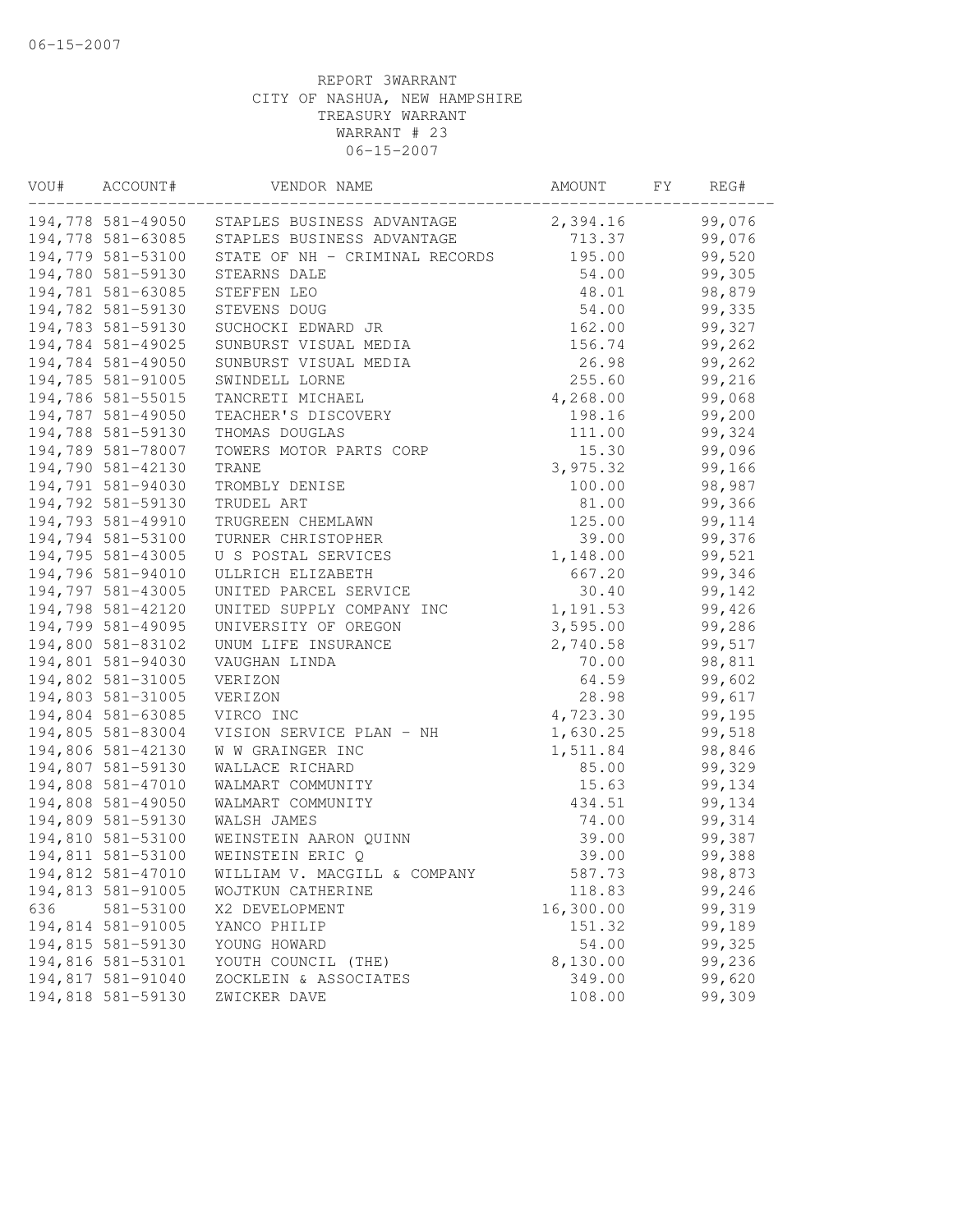| VOU# | ACCOUNT#          | VENDOR NAME                                  | AMOUNT    | FY | REG#   |  |
|------|-------------------|----------------------------------------------|-----------|----|--------|--|
|      |                   | 194,778 581-49050 STAPLES BUSINESS ADVANTAGE | 2,394.16  |    | 99,076 |  |
|      | 194,778 581-63085 | STAPLES BUSINESS ADVANTAGE                   | 713.37    |    | 99,076 |  |
|      | 194,779 581-53100 | STATE OF NH - CRIMINAL RECORDS               | 195.00    |    | 99,520 |  |
|      | 194,780 581-59130 | STEARNS DALE                                 | 54.00     |    | 99,305 |  |
|      | 194,781 581-63085 | STEFFEN LEO                                  | 48.01     |    | 98,879 |  |
|      | 194,782 581-59130 | STEVENS DOUG                                 | 54.00     |    | 99,335 |  |
|      | 194,783 581-59130 | SUCHOCKI EDWARD JR                           | 162.00    |    | 99,327 |  |
|      | 194,784 581-49025 | SUNBURST VISUAL MEDIA                        | 156.74    |    | 99,262 |  |
|      | 194,784 581-49050 | SUNBURST VISUAL MEDIA                        | 26.98     |    | 99,262 |  |
|      | 194,785 581-91005 | SWINDELL LORNE                               | 255.60    |    | 99,216 |  |
|      | 194,786 581-55015 | TANCRETI MICHAEL                             | 4,268.00  |    | 99,068 |  |
|      | 194,787 581-49050 | TEACHER'S DISCOVERY                          | 198.16    |    | 99,200 |  |
|      | 194,788 581-59130 | THOMAS DOUGLAS                               | 111.00    |    | 99,324 |  |
|      | 194,789 581-78007 | TOWERS MOTOR PARTS CORP                      | 15.30     |    | 99,096 |  |
|      | 194,790 581-42130 | TRANE                                        | 3,975.32  |    | 99,166 |  |
|      | 194,791 581-94030 | TROMBLY DENISE                               | 100.00    |    | 98,987 |  |
|      | 194,792 581-59130 | TRUDEL ART                                   | 81.00     |    | 99,366 |  |
|      | 194,793 581-49910 | TRUGREEN CHEMLAWN                            | 125.00    |    | 99,114 |  |
|      | 194,794 581-53100 | TURNER CHRISTOPHER                           | 39.00     |    | 99,376 |  |
|      | 194,795 581-43005 | U S POSTAL SERVICES                          | 1,148.00  |    | 99,521 |  |
|      | 194,796 581-94010 | ULLRICH ELIZABETH                            | 667.20    |    | 99,346 |  |
|      | 194,797 581-43005 | UNITED PARCEL SERVICE                        | 30.40     |    | 99,142 |  |
|      | 194,798 581-42120 | UNITED SUPPLY COMPANY INC                    | 1,191.53  |    | 99,426 |  |
|      | 194,799 581-49095 | UNIVERSITY OF OREGON                         | 3,595.00  |    | 99,286 |  |
|      | 194,800 581-83102 | UNUM LIFE INSURANCE                          | 2,740.58  |    | 99,517 |  |
|      | 194,801 581-94030 | VAUGHAN LINDA                                | 70.00     |    | 98,811 |  |
|      | 194,802 581-31005 | VERIZON                                      | 64.59     |    | 99,602 |  |
|      | 194,803 581-31005 | VERIZON                                      | 28.98     |    | 99,617 |  |
|      | 194,804 581-63085 | VIRCO INC                                    | 4,723.30  |    | 99,195 |  |
|      | 194,805 581-83004 | VISION SERVICE PLAN - NH                     | 1,630.25  |    | 99,518 |  |
|      | 194,806 581-42130 | W W GRAINGER INC                             | 1,511.84  |    | 98,846 |  |
|      | 194,807 581-59130 | WALLACE RICHARD                              | 85.00     |    | 99,329 |  |
|      | 194,808 581-47010 | WALMART COMMUNITY                            | 15.63     |    | 99,134 |  |
|      | 194,808 581-49050 | WALMART COMMUNITY                            | 434.51    |    | 99,134 |  |
|      | 194,809 581-59130 | WALSH JAMES                                  | 74.00     |    | 99,314 |  |
|      | 194,810 581-53100 | WEINSTEIN AARON QUINN                        | 39.00     |    | 99,387 |  |
|      | 194,811 581-53100 | WEINSTEIN ERIC Q                             | 39.00     |    | 99,388 |  |
|      | 194,812 581-47010 | WILLIAM V. MACGILL & COMPANY                 | 587.73    |    | 98,873 |  |
|      | 194,813 581-91005 | WOJTKUN CATHERINE                            | 118.83    |    | 99,246 |  |
| 636  | 581-53100         | X2 DEVELOPMENT                               | 16,300.00 |    | 99,319 |  |
|      | 194,814 581-91005 | YANCO PHILIP                                 | 151.32    |    | 99,189 |  |
|      | 194,815 581-59130 | YOUNG HOWARD                                 | 54.00     |    | 99,325 |  |
|      | 194,816 581-53101 | YOUTH COUNCIL (THE)                          | 8,130.00  |    | 99,236 |  |
|      | 194,817 581-91040 | ZOCKLEIN & ASSOCIATES                        | 349.00    |    | 99,620 |  |
|      | 194,818 581-59130 | ZWICKER DAVE                                 | 108.00    |    | 99,309 |  |
|      |                   |                                              |           |    |        |  |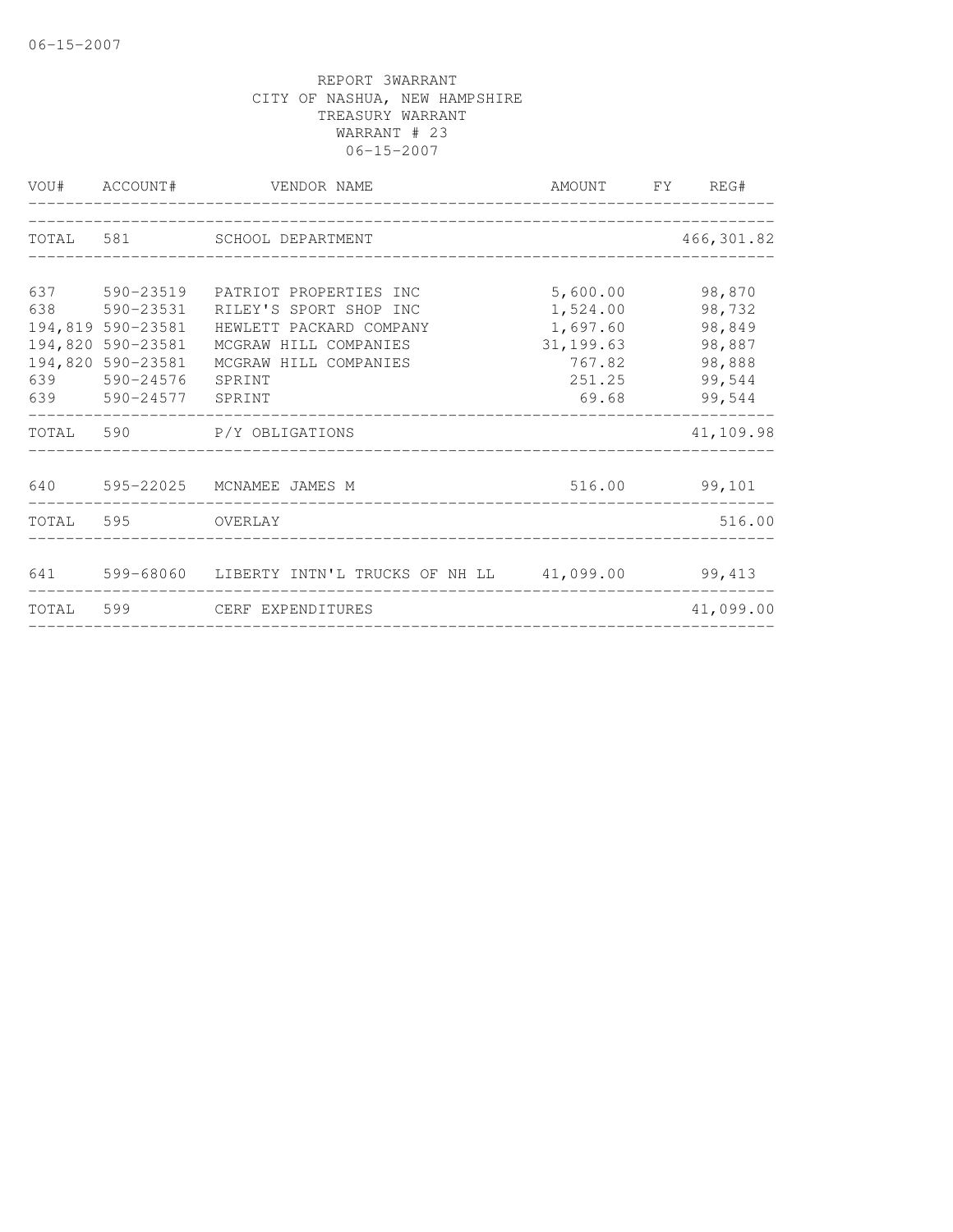|            |                                                                                                        | VOU# ACCOUNT# VENDOR NAME                                                                                                                                       | AMOUNT FY REG# |                                                                             |               |  |  |
|------------|--------------------------------------------------------------------------------------------------------|-----------------------------------------------------------------------------------------------------------------------------------------------------------------|----------------|-----------------------------------------------------------------------------|---------------|--|--|
|            | TOTAL 581 SCHOOL DEPARTMENT                                                                            |                                                                                                                                                                 |                |                                                                             | 466, 301.82   |  |  |
| 637<br>638 | 590-23519<br>590-23531<br>194,819 590-23581<br>194,820 590-23581<br>194,820 590-23581<br>639 590-24576 | PATRIOT PROPERTIES INC<br>RILEY'S SPORT SHOP INC<br>HEWLETT PACKARD COMPANY<br>MCGRAW HILL COMPANIES<br>MCGRAW HILL COMPANIES<br>SPRINT<br>639 590-24577 SPRINT |                | 5,600.00<br>1,524.00<br>1,697.60<br>31, 199.63<br>767.82<br>251.25<br>69.68 |               |  |  |
|            |                                                                                                        | TOTAL 590 P/Y OBLIGATIONS                                                                                                                                       |                |                                                                             | 41,109.98     |  |  |
|            |                                                                                                        | 640 595-22025 MCNAMEE JAMES M                                                                                                                                   |                |                                                                             | 516.00 99,101 |  |  |
|            | TOTAL 595 OVERLAY                                                                                      |                                                                                                                                                                 |                |                                                                             | 516.00        |  |  |
|            |                                                                                                        | 641 599-68060 LIBERTY INTN'L TRUCKS OF NH LL 41,099.00 99,413                                                                                                   |                |                                                                             |               |  |  |
|            |                                                                                                        | TOTAL 599 CERF EXPENDITURES                                                                                                                                     |                |                                                                             | 41,099.00     |  |  |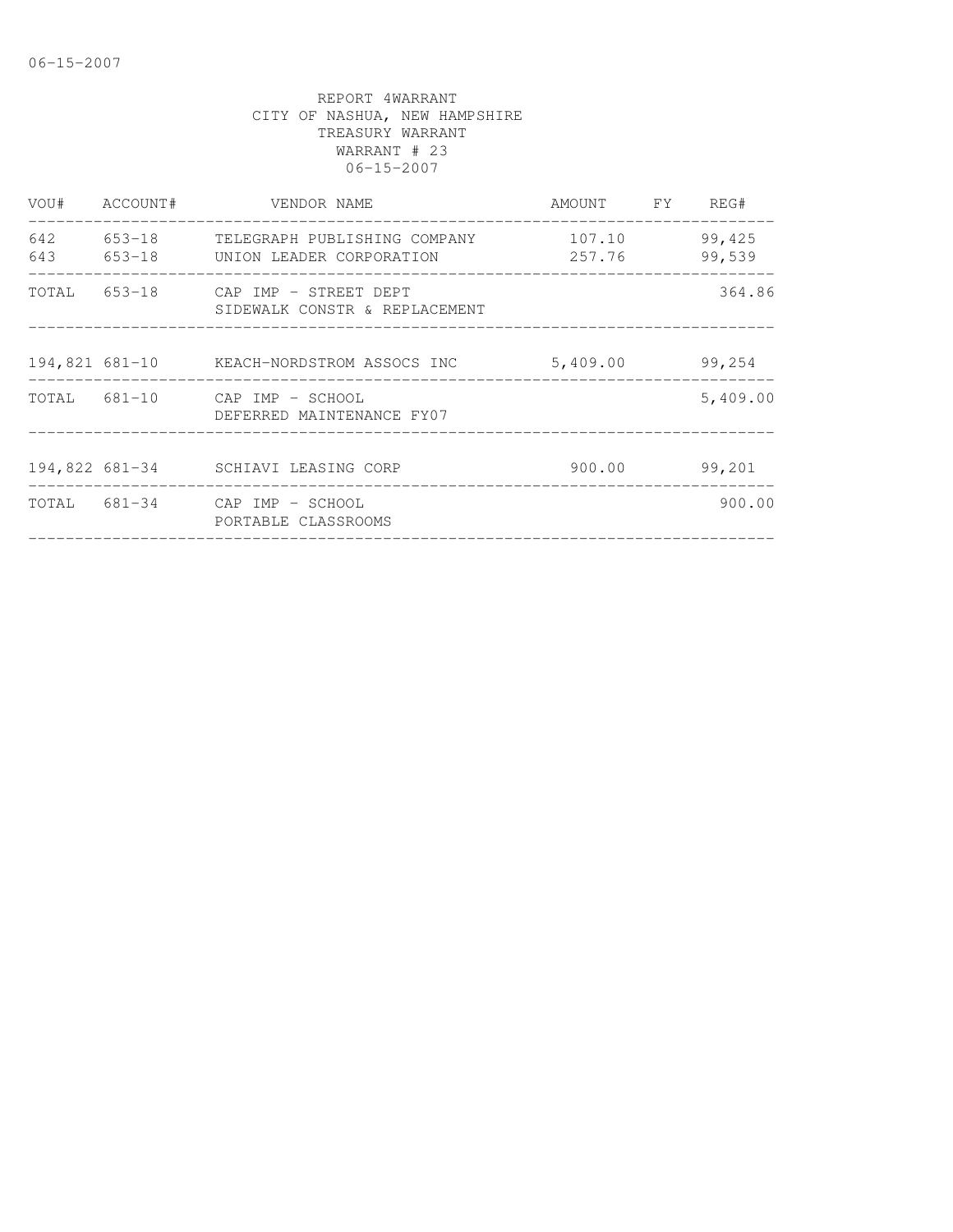|     | VOU# ACCOUNT# | VENDOR NAME                                                                | AMOUNT FY                                                |  | REG#             |  |
|-----|---------------|----------------------------------------------------------------------------|----------------------------------------------------------|--|------------------|--|
| 643 |               | 642 653-18 TELEGRAPH PUBLISHING COMPANY<br>653-18 UNION LEADER CORPORATION | 107.10<br>257.76<br>____________________________________ |  | 99,425<br>99,539 |  |
|     |               | TOTAL 653-18 CAP IMP - STREET DEPT<br>SIDEWALK CONSTR & REPLACEMENT        |                                                          |  | 364.86           |  |
|     |               | 194,821 681-10 KEACH-NORDSTROM ASSOCS INC                                  | 5,409.00                                                 |  | 99,254           |  |
|     |               | TOTAL 681-10 CAP IMP - SCHOOL<br>DEFERRED MAINTENANCE FY07                 |                                                          |  | 5,409.00         |  |
|     |               | 194,822 681-34 SCHIAVI LEASING CORP                                        | 900.00                                                   |  | 99,201           |  |
|     |               | TOTAL 681-34 CAP IMP - SCHOOL<br>PORTABLE CLASSROOMS                       |                                                          |  | 900.00           |  |
|     |               |                                                                            |                                                          |  |                  |  |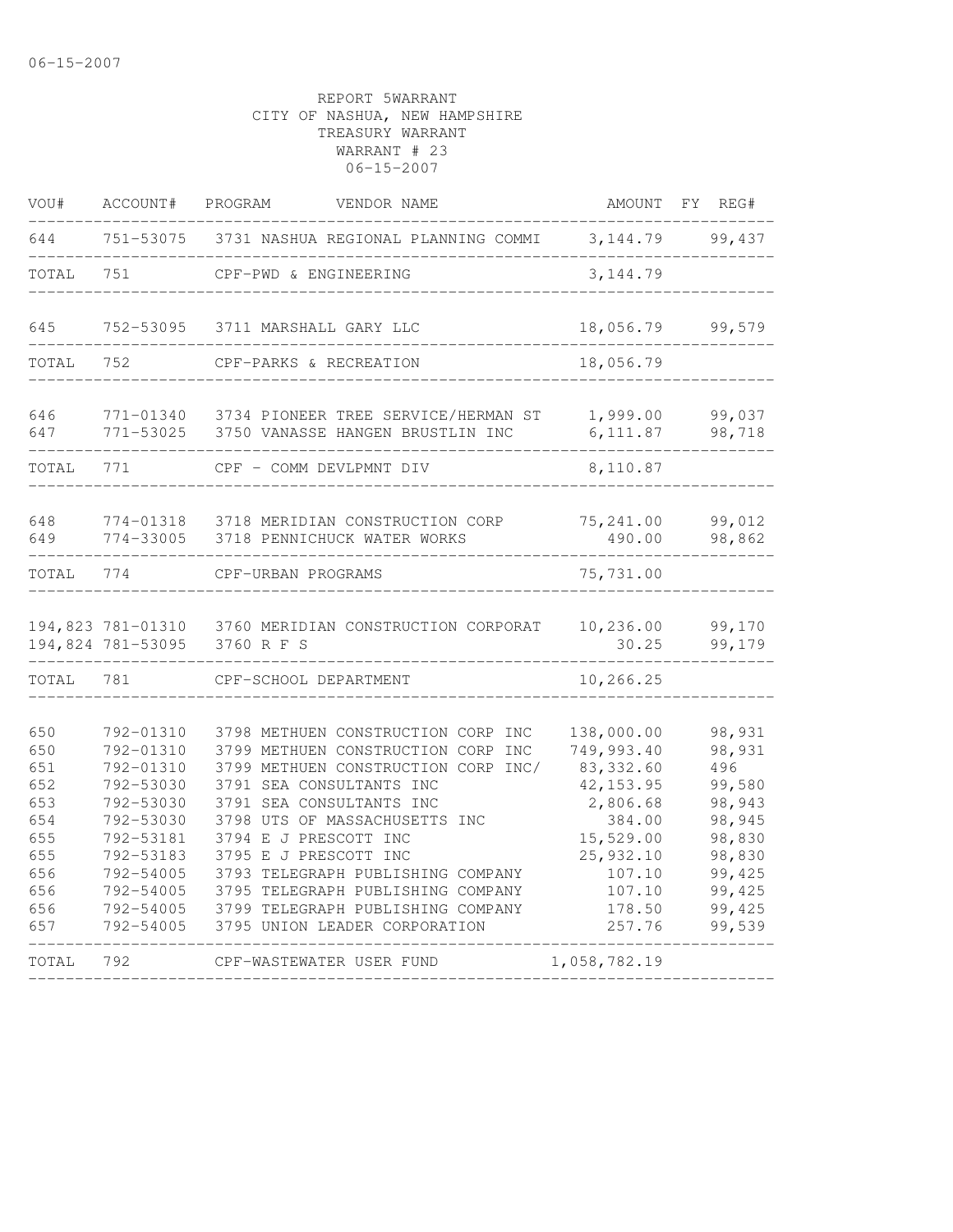| VOU#                                                                             | ACCOUNT#                                                                                                                                                 | PROGRAM<br>VENDOR NAME                                                                                                                                                                                                                                                                                                                                                                                     | AMOUNT                                                                                                                                       | REG#<br>FY                                                                                                        |
|----------------------------------------------------------------------------------|----------------------------------------------------------------------------------------------------------------------------------------------------------|------------------------------------------------------------------------------------------------------------------------------------------------------------------------------------------------------------------------------------------------------------------------------------------------------------------------------------------------------------------------------------------------------------|----------------------------------------------------------------------------------------------------------------------------------------------|-------------------------------------------------------------------------------------------------------------------|
| 644                                                                              | 751-53075                                                                                                                                                | 3731 NASHUA REGIONAL PLANNING COMMI                                                                                                                                                                                                                                                                                                                                                                        | 3, 144.79                                                                                                                                    | 99,437                                                                                                            |
| TOTAL                                                                            | 751                                                                                                                                                      | CPF-PWD & ENGINEERING                                                                                                                                                                                                                                                                                                                                                                                      | 3, 144.79                                                                                                                                    |                                                                                                                   |
| 645                                                                              | 752-53095                                                                                                                                                | 3711 MARSHALL GARY LLC                                                                                                                                                                                                                                                                                                                                                                                     | 18,056.79                                                                                                                                    | 99,579                                                                                                            |
| TOTAL                                                                            | 752                                                                                                                                                      | CPF-PARKS & RECREATION                                                                                                                                                                                                                                                                                                                                                                                     | 18,056.79                                                                                                                                    |                                                                                                                   |
| 646<br>647                                                                       | 771-01340<br>771-53025                                                                                                                                   | 3734 PIONEER TREE SERVICE/HERMAN ST<br>3750 VANASSE HANGEN BRUSTLIN INC                                                                                                                                                                                                                                                                                                                                    | 1,999.00<br>6, 111.87                                                                                                                        | 99,037<br>98,718                                                                                                  |
| TOTAL                                                                            | 771                                                                                                                                                      | CPF - COMM DEVLPMNT DIV                                                                                                                                                                                                                                                                                                                                                                                    | 8,110.87                                                                                                                                     |                                                                                                                   |
| 648<br>649                                                                       | 774-01318<br>774-33005                                                                                                                                   | 3718 MERIDIAN CONSTRUCTION CORP<br>3718 PENNICHUCK WATER WORKS                                                                                                                                                                                                                                                                                                                                             | 75,241.00<br>490.00                                                                                                                          | 99,012<br>98,862                                                                                                  |
| TOTAL                                                                            | 774                                                                                                                                                      | CPF-URBAN PROGRAMS                                                                                                                                                                                                                                                                                                                                                                                         | 75,731.00                                                                                                                                    |                                                                                                                   |
|                                                                                  | 194,823 781-01310<br>194,824 781-53095                                                                                                                   | 3760 MERIDIAN CONSTRUCTION CORPORAT<br>3760 R F S                                                                                                                                                                                                                                                                                                                                                          | 10, 236.00<br>30.25                                                                                                                          | 99,170<br>99,179                                                                                                  |
| TOTAL                                                                            | 781                                                                                                                                                      | CPF-SCHOOL DEPARTMENT                                                                                                                                                                                                                                                                                                                                                                                      | 10,266.25                                                                                                                                    |                                                                                                                   |
| 650<br>650<br>651<br>652<br>653<br>654<br>655<br>655<br>656<br>656<br>656<br>657 | 792-01310<br>792-01310<br>792-01310<br>792-53030<br>792-53030<br>792-53030<br>792-53181<br>792-53183<br>792-54005<br>792-54005<br>792-54005<br>792-54005 | 3798 METHUEN CONSTRUCTION CORP INC<br>3799 METHUEN CONSTRUCTION CORP INC<br>3799 METHUEN CONSTRUCTION CORP INC/<br>3791 SEA CONSULTANTS INC<br>3791 SEA CONSULTANTS INC<br>3798 UTS OF MASSACHUSETTS INC<br>3794 E J PRESCOTT INC<br>3795 E J PRESCOTT INC<br>3793 TELEGRAPH PUBLISHING COMPANY<br>3795 TELEGRAPH PUBLISHING COMPANY<br>3799 TELEGRAPH PUBLISHING COMPANY<br>3795 UNION LEADER CORPORATION | 138,000.00<br>749,993.40<br>83, 332.60<br>42, 153.95<br>2,806.68<br>384.00<br>15,529.00<br>25,932.10<br>107.10<br>107.10<br>178.50<br>257.76 | 98,931<br>98,931<br>496<br>99,580<br>98,943<br>98,945<br>98,830<br>98,830<br>99,425<br>99,425<br>99,425<br>99,539 |
| TOTAL                                                                            | 792                                                                                                                                                      | CPF-WASTEWATER USER FUND                                                                                                                                                                                                                                                                                                                                                                                   | 1,058,782.19                                                                                                                                 |                                                                                                                   |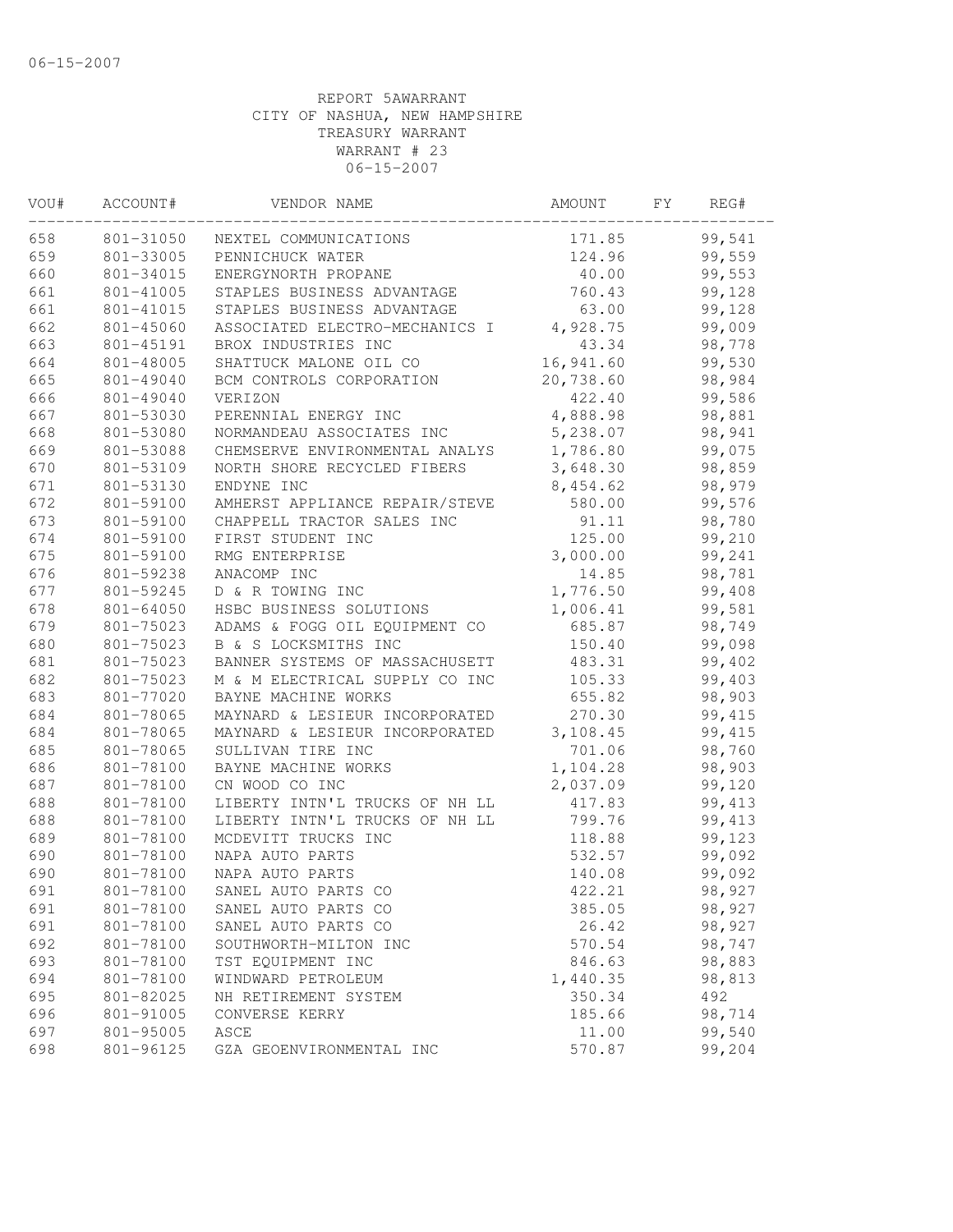| VOU# | ACCOUNT#      | VENDOR NAME                    | AMOUNT    | FY. | REG#    |  |
|------|---------------|--------------------------------|-----------|-----|---------|--|
| 658  | 801-31050     | NEXTEL COMMUNICATIONS          | 171.85    |     | 99,541  |  |
| 659  | 801-33005     | PENNICHUCK WATER               | 124.96    |     | 99,559  |  |
| 660  | 801-34015     | ENERGYNORTH PROPANE            | 40.00     |     | 99,553  |  |
| 661  | 801-41005     | STAPLES BUSINESS ADVANTAGE     | 760.43    |     | 99,128  |  |
| 661  | 801-41015     | STAPLES BUSINESS ADVANTAGE     | 63.00     |     | 99,128  |  |
| 662  | 801-45060     | ASSOCIATED ELECTRO-MECHANICS I | 4,928.75  |     | 99,009  |  |
| 663  | 801-45191     | BROX INDUSTRIES INC            | 43.34     |     | 98,778  |  |
| 664  | 801-48005     | SHATTUCK MALONE OIL CO         | 16,941.60 |     | 99,530  |  |
| 665  | 801-49040     | BCM CONTROLS CORPORATION       | 20,738.60 |     | 98,984  |  |
| 666  | 801-49040     | VERIZON                        | 422.40    |     | 99,586  |  |
| 667  | 801-53030     | PERENNIAL ENERGY INC           | 4,888.98  |     | 98,881  |  |
| 668  | 801-53080     | NORMANDEAU ASSOCIATES INC      | 5,238.07  |     | 98,941  |  |
| 669  | 801-53088     | CHEMSERVE ENVIRONMENTAL ANALYS | 1,786.80  |     | 99,075  |  |
| 670  | 801-53109     | NORTH SHORE RECYCLED FIBERS    | 3,648.30  |     | 98,859  |  |
| 671  | 801-53130     | ENDYNE INC                     | 8,454.62  |     | 98,979  |  |
| 672  | 801-59100     | AMHERST APPLIANCE REPAIR/STEVE | 580.00    |     | 99,576  |  |
| 673  | 801-59100     | CHAPPELL TRACTOR SALES INC     | 91.11     |     | 98,780  |  |
| 674  | 801-59100     | FIRST STUDENT INC              | 125.00    |     | 99,210  |  |
| 675  | 801-59100     | RMG ENTERPRISE                 | 3,000.00  |     | 99,241  |  |
| 676  | 801-59238     | ANACOMP INC                    | 14.85     |     | 98,781  |  |
| 677  | 801-59245     | D & R TOWING INC               | 1,776.50  |     | 99,408  |  |
| 678  | $801 - 64050$ | HSBC BUSINESS SOLUTIONS        | 1,006.41  |     | 99,581  |  |
| 679  | 801-75023     | ADAMS & FOGG OIL EQUIPMENT CO  | 685.87    |     | 98,749  |  |
| 680  | 801-75023     | B & S LOCKSMITHS INC           | 150.40    |     | 99,098  |  |
| 681  | 801-75023     | BANNER SYSTEMS OF MASSACHUSETT | 483.31    |     | 99,402  |  |
| 682  | 801-75023     | M & M ELECTRICAL SUPPLY CO INC | 105.33    |     | 99,403  |  |
| 683  | 801-77020     | BAYNE MACHINE WORKS            | 655.82    |     | 98,903  |  |
| 684  | 801-78065     | MAYNARD & LESIEUR INCORPORATED | 270.30    |     | 99, 415 |  |
| 684  | 801-78065     | MAYNARD & LESIEUR INCORPORATED | 3,108.45  |     | 99, 415 |  |
| 685  | 801-78065     | SULLIVAN TIRE INC              | 701.06    |     | 98,760  |  |
| 686  | 801-78100     | BAYNE MACHINE WORKS            | 1,104.28  |     | 98,903  |  |
| 687  | 801-78100     | CN WOOD CO INC                 | 2,037.09  |     | 99,120  |  |
| 688  | 801-78100     | LIBERTY INTN'L TRUCKS OF NH LL | 417.83    |     | 99, 413 |  |
| 688  | 801-78100     | LIBERTY INTN'L TRUCKS OF NH LL | 799.76    |     | 99, 413 |  |
| 689  | 801-78100     | MCDEVITT TRUCKS INC            | 118.88    |     | 99,123  |  |
| 690  | 801-78100     | NAPA AUTO PARTS                | 532.57    |     | 99,092  |  |
| 690  | 801-78100     | NAPA AUTO PARTS                | 140.08    |     | 99,092  |  |
| 691  | 801-78100     | SANEL AUTO PARTS CO            | 422.21    |     | 98,927  |  |
| 691  | 801-78100     | SANEL AUTO PARTS CO            | 385.05    |     | 98,927  |  |
| 691  | 801-78100     | SANEL AUTO PARTS CO            | 26.42     |     | 98,927  |  |
| 692  | 801-78100     | SOUTHWORTH-MILTON INC          | 570.54    |     | 98,747  |  |
| 693  | 801-78100     | TST EQUIPMENT INC              | 846.63    |     | 98,883  |  |
| 694  | 801-78100     | WINDWARD PETROLEUM             | 1,440.35  |     | 98,813  |  |
| 695  | 801-82025     | NH RETIREMENT SYSTEM           | 350.34    |     | 492     |  |
| 696  | 801-91005     | CONVERSE KERRY                 | 185.66    |     | 98,714  |  |
| 697  | 801-95005     | ASCE                           | 11.00     |     | 99,540  |  |
| 698  | 801-96125     | GZA GEOENVIRONMENTAL INC       | 570.87    |     | 99,204  |  |
|      |               |                                |           |     |         |  |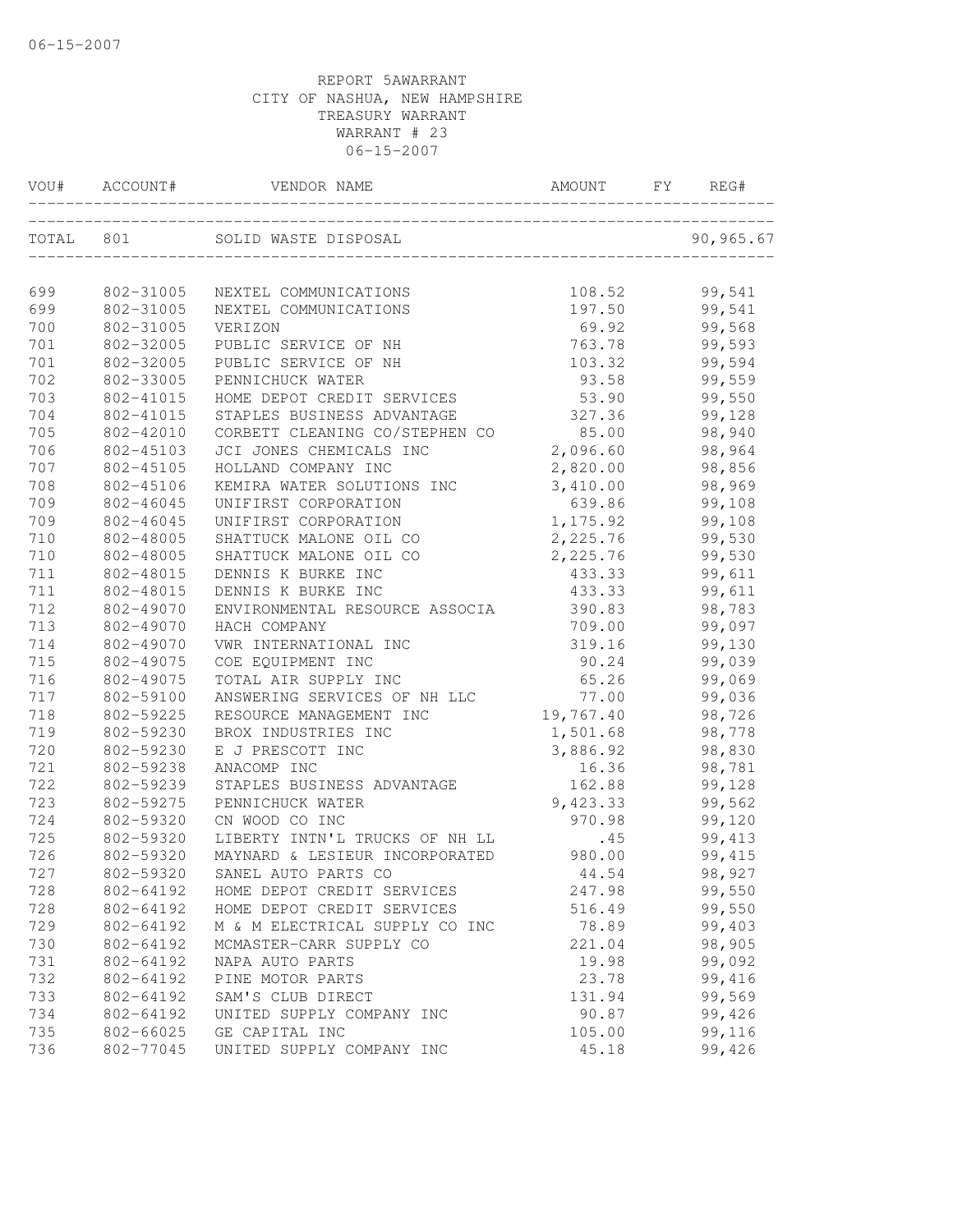| VOU#      | ACCOUNT#  | VENDOR NAME                    | AMOUNT    | FY. | REG#      |
|-----------|-----------|--------------------------------|-----------|-----|-----------|
| TOTAL 801 |           | SOLID WASTE DISPOSAL           |           |     | 90,965.67 |
| 699       | 802-31005 | NEXTEL COMMUNICATIONS          | 108.52    |     | 99,541    |
| 699       | 802-31005 | NEXTEL COMMUNICATIONS          | 197.50    |     | 99,541    |
| 700       | 802-31005 | VERIZON                        | 69.92     |     | 99,568    |
| 701       | 802-32005 | PUBLIC SERVICE OF NH           | 763.78    |     | 99,593    |
| 701       | 802-32005 | PUBLIC SERVICE OF NH           | 103.32    |     | 99,594    |
| 702       | 802-33005 | PENNICHUCK WATER               | 93.58     |     | 99,559    |
| 703       | 802-41015 | HOME DEPOT CREDIT SERVICES     | 53.90     |     | 99,550    |
| 704       | 802-41015 | STAPLES BUSINESS ADVANTAGE     | 327.36    |     | 99,128    |
| 705       | 802-42010 | CORBETT CLEANING CO/STEPHEN CO | 85.00     |     | 98,940    |
| 706       | 802-45103 | JCI JONES CHEMICALS INC        | 2,096.60  |     | 98,964    |
| 707       | 802-45105 | HOLLAND COMPANY INC            | 2,820.00  |     | 98,856    |
| 708       | 802-45106 | KEMIRA WATER SOLUTIONS INC     | 3,410.00  |     | 98,969    |
| 709       | 802-46045 | UNIFIRST CORPORATION           | 639.86    |     | 99,108    |
| 709       | 802-46045 | UNIFIRST CORPORATION           | 1,175.92  |     | 99,108    |
| 710       | 802-48005 | SHATTUCK MALONE OIL CO         | 2,225.76  |     | 99,530    |
| 710       | 802-48005 | SHATTUCK MALONE OIL CO         | 2,225.76  |     | 99,530    |
| 711       | 802-48015 | DENNIS K BURKE INC             | 433.33    |     | 99,611    |
| 711       | 802-48015 | DENNIS K BURKE INC             | 433.33    |     | 99,611    |
| 712       | 802-49070 | ENVIRONMENTAL RESOURCE ASSOCIA | 390.83    |     | 98,783    |
| 713       | 802-49070 | HACH COMPANY                   | 709.00    |     | 99,097    |
| 714       | 802-49070 | VWR INTERNATIONAL INC          | 319.16    |     | 99,130    |
| 715       | 802-49075 | COE EQUIPMENT INC              | 90.24     |     | 99,039    |
| 716       | 802-49075 | TOTAL AIR SUPPLY INC           | 65.26     |     | 99,069    |
| 717       | 802-59100 | ANSWERING SERVICES OF NH LLC   | 77.00     |     | 99,036    |
| 718       | 802-59225 | RESOURCE MANAGEMENT INC        | 19,767.40 |     | 98,726    |
| 719       | 802-59230 | BROX INDUSTRIES INC            | 1,501.68  |     | 98,778    |
| 720       | 802-59230 | E J PRESCOTT INC               | 3,886.92  |     | 98,830    |
| 721       | 802-59238 | ANACOMP INC                    | 16.36     |     | 98,781    |
| 722       | 802-59239 | STAPLES BUSINESS ADVANTAGE     | 162.88    |     | 99,128    |
| 723       | 802-59275 | PENNICHUCK WATER               | 9,423.33  |     | 99,562    |
| 724       | 802-59320 | CN WOOD CO INC                 | 970.98    |     | 99,120    |
| 725       | 802-59320 | LIBERTY INTN'L TRUCKS OF NH LL | .45       |     | 99, 413   |
| 726       | 802-59320 | MAYNARD & LESIEUR INCORPORATED | 980.00    |     | 99, 415   |
| 727       | 802-59320 | SANEL AUTO PARTS CO            | 44.54     |     | 98,927    |
| 728       | 802-64192 | HOME DEPOT CREDIT SERVICES     | 247.98    |     | 99,550    |
| 728       | 802-64192 | HOME DEPOT CREDIT SERVICES     | 516.49    |     | 99,550    |
| 729       | 802-64192 | M & M ELECTRICAL SUPPLY CO INC | 78.89     |     | 99,403    |
| 730       | 802-64192 | MCMASTER-CARR SUPPLY CO        | 221.04    |     | 98,905    |
| 731       | 802-64192 | NAPA AUTO PARTS                | 19.98     |     | 99,092    |
| 732       | 802-64192 | PINE MOTOR PARTS               | 23.78     |     | 99,416    |
| 733       | 802-64192 | SAM'S CLUB DIRECT              | 131.94    |     | 99,569    |
| 734       | 802-64192 | UNITED SUPPLY COMPANY INC      | 90.87     |     | 99,426    |
| 735       | 802-66025 | GE CAPITAL INC                 | 105.00    |     | 99,116    |
| 736       | 802-77045 | UNITED SUPPLY COMPANY INC      | 45.18     |     | 99,426    |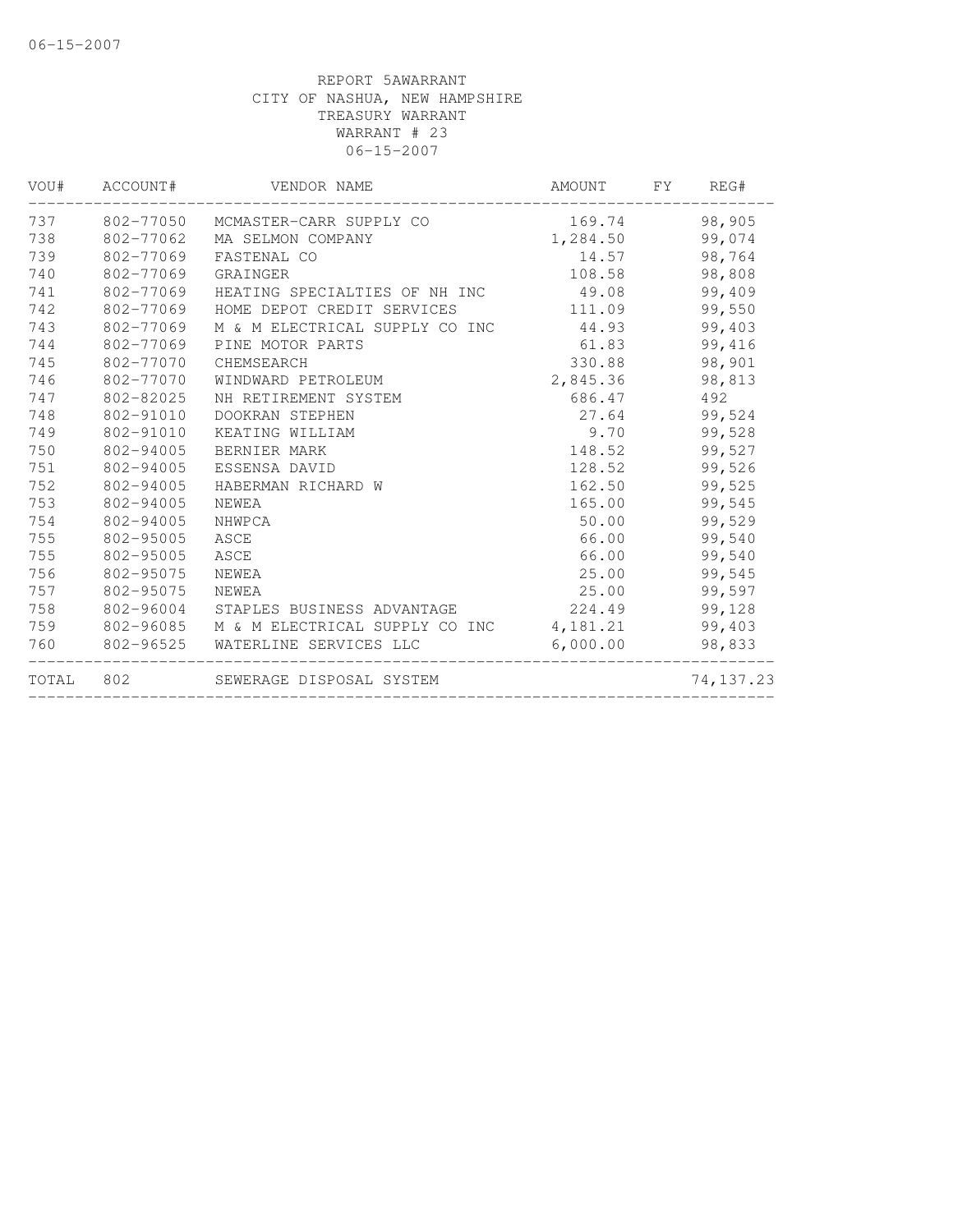|           |                                                                                                                                                                                                 |                                                               |                               | AMOUNT FY REG#                                                                                                                                                                                                                                                                                                           |  |
|-----------|-------------------------------------------------------------------------------------------------------------------------------------------------------------------------------------------------|---------------------------------------------------------------|-------------------------------|--------------------------------------------------------------------------------------------------------------------------------------------------------------------------------------------------------------------------------------------------------------------------------------------------------------------------|--|
|           |                                                                                                                                                                                                 |                                                               |                               | 98,905                                                                                                                                                                                                                                                                                                                   |  |
|           | MA SELMON COMPANY                                                                                                                                                                               |                                                               |                               |                                                                                                                                                                                                                                                                                                                          |  |
|           | FASTENAL CO                                                                                                                                                                                     |                                                               |                               |                                                                                                                                                                                                                                                                                                                          |  |
|           | GRAINGER                                                                                                                                                                                        |                                                               |                               | 98,808                                                                                                                                                                                                                                                                                                                   |  |
| 802-77069 |                                                                                                                                                                                                 |                                                               |                               | 99,409                                                                                                                                                                                                                                                                                                                   |  |
| 802-77069 | HOME DEPOT CREDIT SERVICES                                                                                                                                                                      |                                                               |                               | 99,550                                                                                                                                                                                                                                                                                                                   |  |
|           |                                                                                                                                                                                                 |                                                               |                               | 99,403                                                                                                                                                                                                                                                                                                                   |  |
|           | PINE MOTOR PARTS                                                                                                                                                                                |                                                               |                               | 99,416                                                                                                                                                                                                                                                                                                                   |  |
| 802-77070 | CHEMSEARCH                                                                                                                                                                                      |                                                               |                               | 98,901                                                                                                                                                                                                                                                                                                                   |  |
|           | WINDWARD PETROLEUM                                                                                                                                                                              |                                                               |                               | 98,813                                                                                                                                                                                                                                                                                                                   |  |
|           | NH RETIREMENT SYSTEM                                                                                                                                                                            |                                                               |                               | 492                                                                                                                                                                                                                                                                                                                      |  |
| 802-91010 | DOOKRAN STEPHEN                                                                                                                                                                                 |                                                               |                               | 99,524                                                                                                                                                                                                                                                                                                                   |  |
| 802-91010 | KEATING WILLIAM                                                                                                                                                                                 |                                                               |                               | 99,528                                                                                                                                                                                                                                                                                                                   |  |
| 802-94005 | BERNIER MARK                                                                                                                                                                                    |                                                               |                               | 99,527                                                                                                                                                                                                                                                                                                                   |  |
|           | ESSENSA DAVID                                                                                                                                                                                   |                                                               |                               | 99,526                                                                                                                                                                                                                                                                                                                   |  |
|           | HABERMAN RICHARD W                                                                                                                                                                              |                                                               |                               | 99,525                                                                                                                                                                                                                                                                                                                   |  |
| 802-94005 | NEWEA                                                                                                                                                                                           |                                                               |                               | 99,545                                                                                                                                                                                                                                                                                                                   |  |
|           | NHWPCA                                                                                                                                                                                          |                                                               |                               | 99,529                                                                                                                                                                                                                                                                                                                   |  |
|           | ASCE                                                                                                                                                                                            |                                                               |                               | 99,540                                                                                                                                                                                                                                                                                                                   |  |
|           | ASCE                                                                                                                                                                                            |                                                               |                               | 99,540                                                                                                                                                                                                                                                                                                                   |  |
| 802-95075 | NEWEA                                                                                                                                                                                           |                                                               |                               | 99,545                                                                                                                                                                                                                                                                                                                   |  |
|           | NEWEA                                                                                                                                                                                           |                                                               |                               | 99,597                                                                                                                                                                                                                                                                                                                   |  |
|           |                                                                                                                                                                                                 |                                                               |                               | 99,128                                                                                                                                                                                                                                                                                                                   |  |
|           |                                                                                                                                                                                                 |                                                               |                               | 99,403                                                                                                                                                                                                                                                                                                                   |  |
|           | WATERLINE SERVICES LLC                                                                                                                                                                          |                                                               |                               | 98,833                                                                                                                                                                                                                                                                                                                   |  |
|           |                                                                                                                                                                                                 |                                                               |                               | 74,137.23                                                                                                                                                                                                                                                                                                                |  |
|           | 802-77062<br>802-77069<br>802-77069<br>802-77069<br>802-77069<br>802-77070<br>802-82025<br>802-94005<br>802-94005<br>802-94005<br>802-95005<br>802-95005<br>802-95075<br>802-96525<br>TOTAL 802 | 802-77050 MCMASTER-CARR SUPPLY CO<br>SEWERAGE DISPOSAL SYSTEM | HEATING SPECIALTIES OF NH INC | 169.74<br>1,284.50 99,074<br>14.57<br>108.58<br>49.08<br>111.09<br>M & M ELECTRICAL SUPPLY CO INC 44.93<br>61.83<br>330.88<br>2,845.36<br>686.47<br>27.64<br>9.70<br>148.52<br>128.52<br>162.50<br>165.00<br>50.00<br>66.00<br>66.00<br>25.00<br>25.00<br>802-96085 M & M ELECTRICAL SUPPLY CO INC 4, 181.21<br>6,000.00 |  |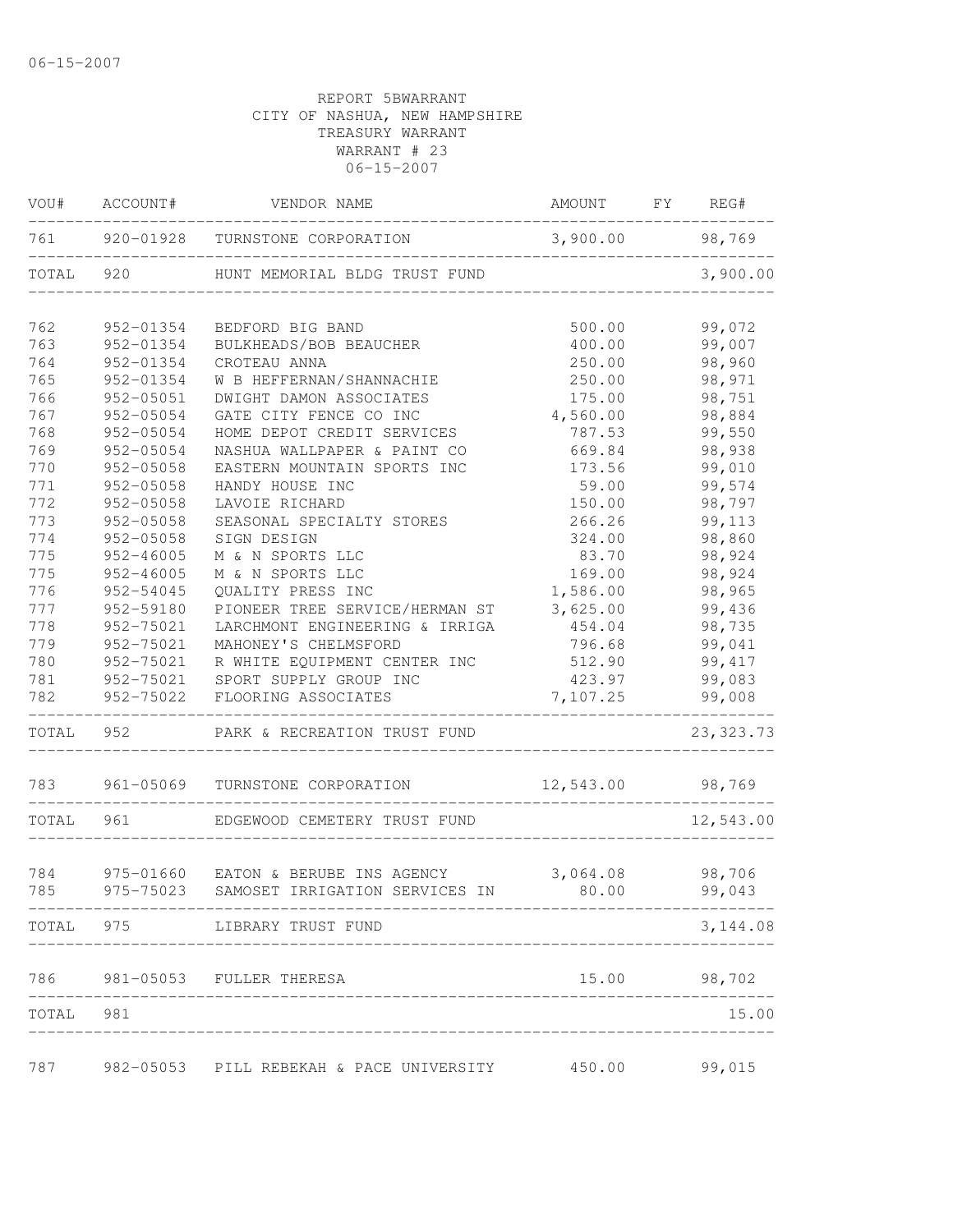| VOU#      | ACCOUNT#      | VENDOR NAME                                 | AMOUNT FY REG# |  |            |  |
|-----------|---------------|---------------------------------------------|----------------|--|------------|--|
| 761       |               | 920-01928 TURNSTONE CORPORATION             | 3,900.00       |  | 98,769     |  |
| TOTAL 920 |               | HUNT MEMORIAL BLDG TRUST FUND               |                |  | 3,900.00   |  |
| 762       | 952-01354     | BEDFORD BIG BAND                            | 500.00         |  | 99,072     |  |
| 763       | 952-01354     | BULKHEADS/BOB BEAUCHER                      | 400.00         |  | 99,007     |  |
| 764       | 952-01354     | CROTEAU ANNA                                | 250.00         |  | 98,960     |  |
| 765       | 952-01354     | W B HEFFERNAN/SHANNACHIE                    | 250.00         |  | 98,971     |  |
| 766       | 952-05051     | DWIGHT DAMON ASSOCIATES                     | 175.00         |  | 98,751     |  |
| 767       | 952-05054     | GATE CITY FENCE CO INC                      | 4,560.00       |  | 98,884     |  |
| 768       | 952-05054     | HOME DEPOT CREDIT SERVICES                  | 787.53         |  | 99,550     |  |
| 769       | 952-05054     | NASHUA WALLPAPER & PAINT CO                 | 669.84         |  | 98,938     |  |
| 770       | 952-05058     | EASTERN MOUNTAIN SPORTS INC                 | 173.56         |  | 99,010     |  |
| 771       | 952-05058     | HANDY HOUSE INC                             | 59.00          |  | 99,574     |  |
| 772       | 952-05058     | LAVOIE RICHARD                              | 150.00         |  | 98,797     |  |
| 773       | $952 - 05058$ | SEASONAL SPECIALTY STORES                   | 266.26         |  | 99,113     |  |
| 774       | 952-05058     | SIGN DESIGN                                 | 324.00         |  | 98,860     |  |
| 775       | $952 - 46005$ | M & N SPORTS LLC                            | 83.70          |  | 98,924     |  |
| 775       | $952 - 46005$ | M & N SPORTS LLC                            | 169.00         |  | 98,924     |  |
| 776       | 952-54045     | QUALITY PRESS INC                           | 1,586.00       |  | 98,965     |  |
| 777       | 952-59180     | PIONEER TREE SERVICE/HERMAN ST              | 3,625.00       |  | 99,436     |  |
| 778       | 952-75021     | LARCHMONT ENGINEERING & IRRIGA              | 454.04         |  | 98,735     |  |
| 779       | 952-75021     | MAHONEY'S CHELMSFORD                        | 796.68         |  | 99,041     |  |
| 780       | 952-75021     | R WHITE EQUIPMENT CENTER INC                | 512.90         |  | 99, 417    |  |
| 781       | 952-75021     | SPORT SUPPLY GROUP INC                      | 423.97         |  | 99,083     |  |
| 782       | 952-75022     | FLOORING ASSOCIATES                         | 7,107.25       |  | 99,008     |  |
| TOTAL 952 |               | PARK & RECREATION TRUST FUND                |                |  | 23, 323.73 |  |
| 783       | 961-05069     | TURNSTONE CORPORATION                       | 12,543.00      |  | 98,769     |  |
| TOTAL     | 961           | EDGEWOOD CEMETERY TRUST FUND                |                |  | 12,543.00  |  |
| 784       | 975-01660     | EATON & BERUBE INS AGENCY                   | 3,064.08       |  | 98,706     |  |
| 785       | 975-75023     | SAMOSET IRRIGATION SERVICES IN 80.00 99,043 |                |  |            |  |
| TOTAL     | 975           | LIBRARY TRUST FUND                          |                |  | 3,144.08   |  |
|           |               | 786 981-05053 FULLER THERESA                | 15.00          |  | 98,702     |  |
| TOTAL     | 981           |                                             |                |  | 15.00      |  |
|           |               |                                             |                |  |            |  |
| 787       |               | 982-05053 PILL REBEKAH & PACE UNIVERSITY    | 450.00         |  | 99,015     |  |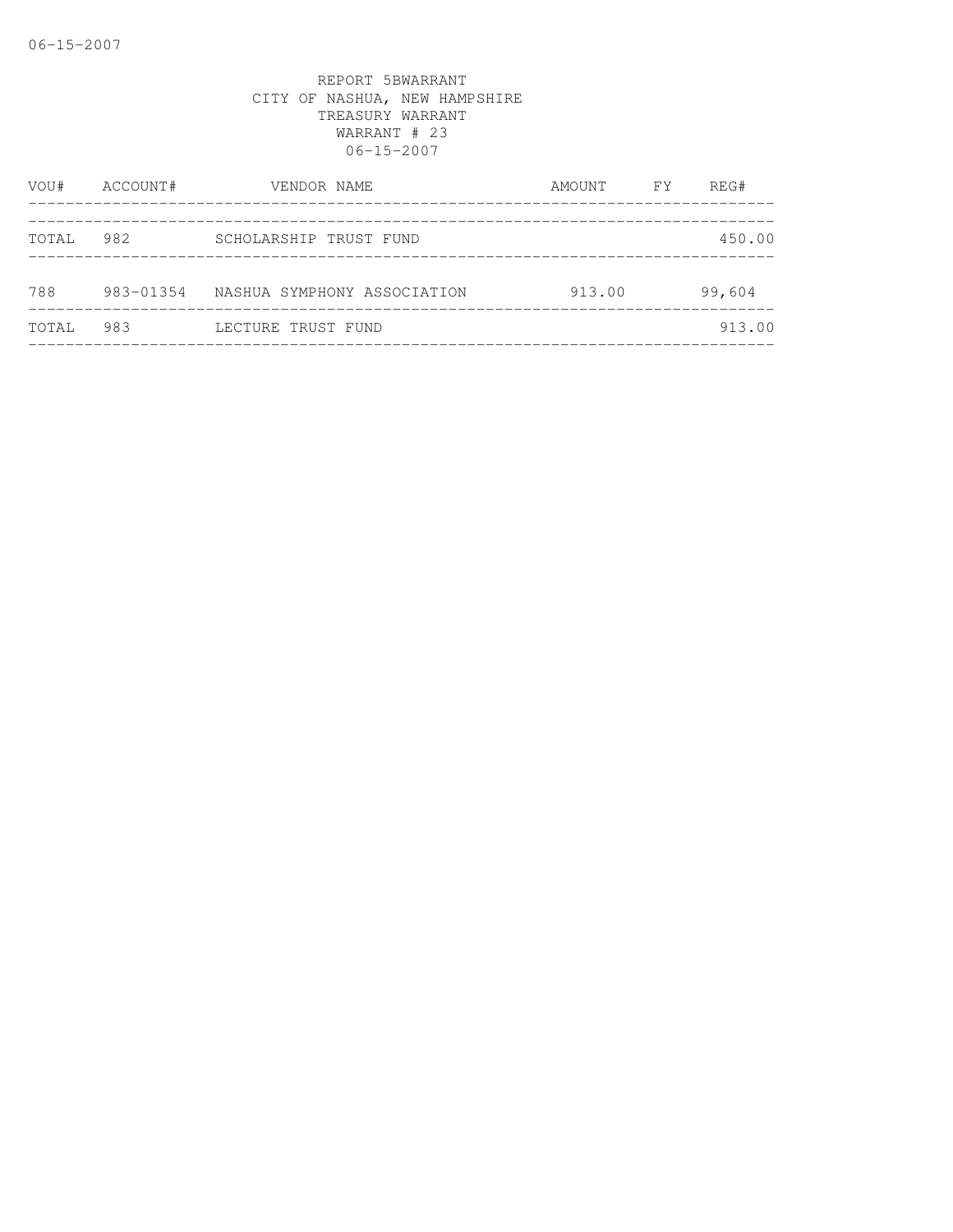| VOU#  | ACCOUNT#<br>VENDOR NAME |                             | AMOUNT | <b>FY</b> | REG#   |
|-------|-------------------------|-----------------------------|--------|-----------|--------|
| TOTAL | 982                     | SCHOLARSHIP TRUST FUND      |        |           | 450.00 |
| 788   | 983-01354               | NASHUA SYMPHONY ASSOCIATION | 913.00 |           | 99,604 |
| TOTAL | 983                     | LECTURE TRUST FUND          |        |           | 913.00 |
|       |                         |                             |        |           |        |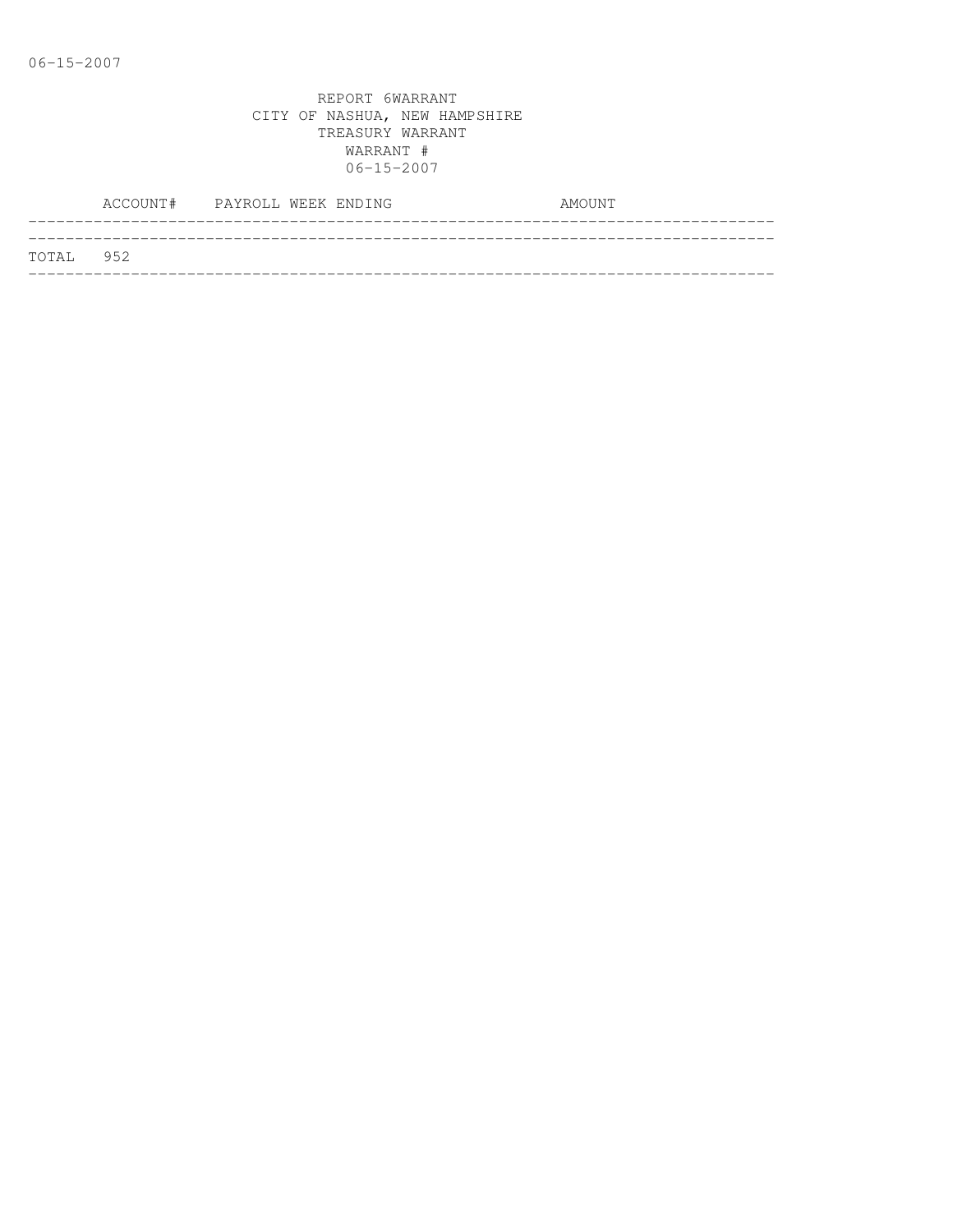|           | ACCOUNT# PAYROLL WEEK ENDING |  |  | AMOUNT |
|-----------|------------------------------|--|--|--------|
| TOTAL 952 |                              |  |  |        |
|           |                              |  |  |        |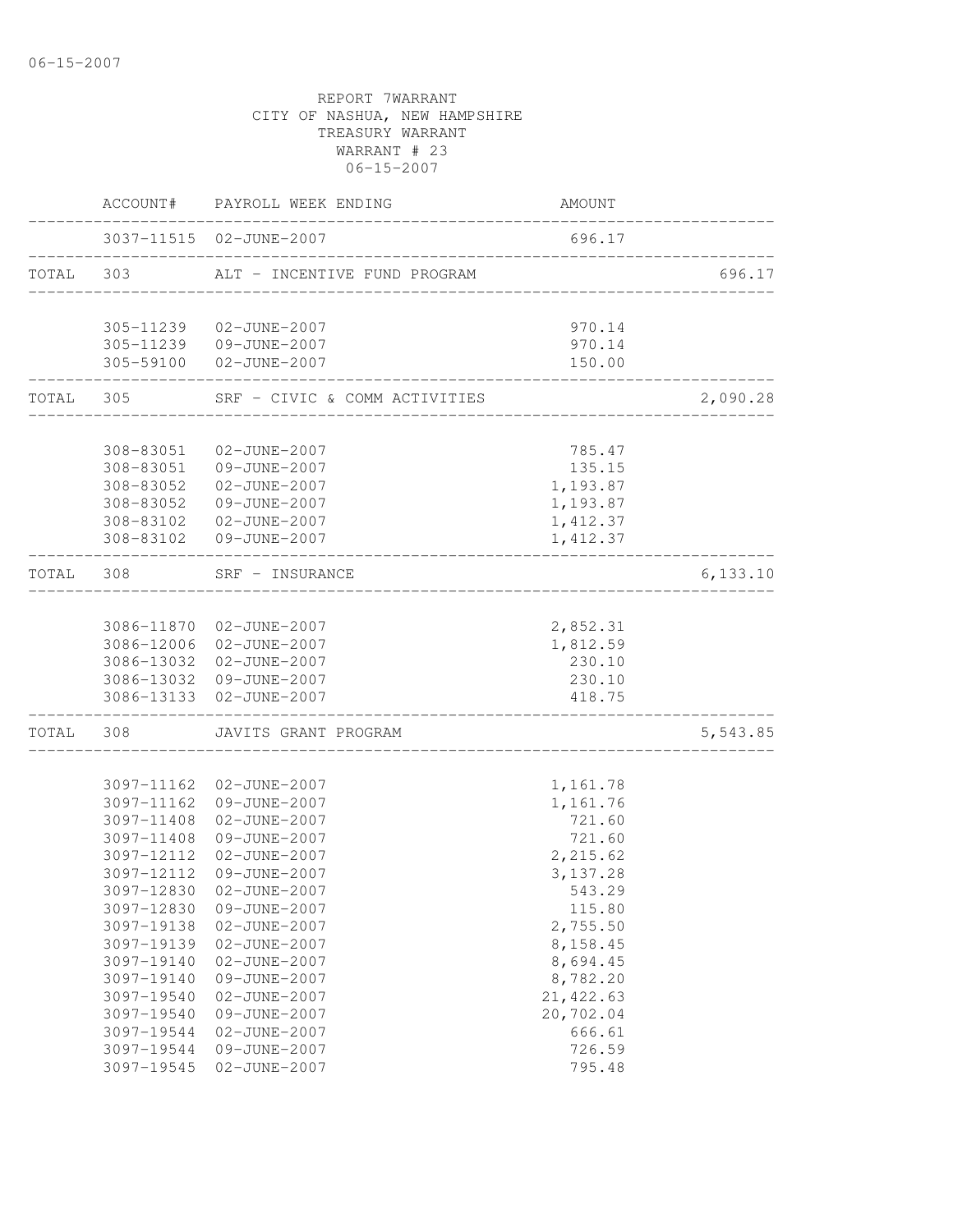|           |                          | ACCOUNT# PAYROLL WEEK ENDING                       | AMOUNT                           |          |
|-----------|--------------------------|----------------------------------------------------|----------------------------------|----------|
|           |                          | 3037-11515 02-JUNE-2007                            | 696.17                           |          |
| TOTAL 303 |                          | ALT - INCENTIVE FUND PROGRAM                       | ________________________________ | 696.17   |
|           |                          |                                                    |                                  |          |
|           |                          | 305-11239  02-JUNE-2007                            | 970.14<br>970.14                 |          |
|           | 305-59100                | 305-11239  09-JUNE-2007<br>02-JUNE-2007            | 150.00                           |          |
|           | TOTAL 305                | SRF - CIVIC & COMM ACTIVITIES                      |                                  | 2,090.28 |
|           |                          |                                                    |                                  |          |
|           | 308-83051                | 02-JUNE-2007                                       | 785.47                           |          |
|           | 308-83051                | 09-JUNE-2007                                       | 135.15                           |          |
|           | 308-83052                | 02-JUNE-2007                                       | 1,193.87                         |          |
|           | 308-83052                | 09-JUNE-2007                                       | 1,193.87                         |          |
|           | 308-83102                | 02-JUNE-2007                                       | 1,412.37                         |          |
|           | 308-83102                | 09-JUNE-2007                                       | 1,412.37                         |          |
| TOTAL 308 |                          | SRF - INSURANCE<br>____________________________    |                                  | 6,133.10 |
|           |                          |                                                    |                                  |          |
|           |                          | 3086-11870 02-JUNE-2007                            | 2,852.31                         |          |
|           |                          | 3086-12006 02-JUNE-2007                            | 1,812.59                         |          |
|           |                          | 3086-13032 02-JUNE-2007                            | 230.10                           |          |
|           |                          | 3086-13032 09-JUNE-2007<br>3086-13133 02-JUNE-2007 | 230.10<br>418.75                 |          |
|           |                          |                                                    | ______________                   |          |
| TOTAL     | 308                      | JAVITS GRANT PROGRAM                               |                                  | 5,543.85 |
|           | 3097-11162               | 02-JUNE-2007                                       | 1,161.78                         |          |
|           | 3097-11162               | 09-JUNE-2007                                       | 1,161.76                         |          |
|           | 3097-11408               | 02-JUNE-2007                                       | 721.60                           |          |
|           | 3097-11408               | 09-JUNE-2007                                       | 721.60                           |          |
|           | 3097-12112               | 02-JUNE-2007                                       | 2,215.62                         |          |
|           | 3097-12112               | 09-JUNE-2007                                       | 3, 137.28                        |          |
|           |                          |                                                    | 543.29                           |          |
|           | 3097-12830<br>3097-12830 | 02-JUNE-2007                                       |                                  |          |
|           | 3097-19138               | 09-JUNE-2007<br>02-JUNE-2007                       | 115.80<br>2,755.50               |          |
|           |                          |                                                    | 8,158.45                         |          |
|           | 3097-19139               | 02-JUNE-2007<br>02-JUNE-2007                       | 8,694.45                         |          |
|           | 3097-19140               |                                                    |                                  |          |
|           | 3097-19140               | 09-JUNE-2007                                       | 8,782.20                         |          |
|           | 3097-19540               | 02-JUNE-2007                                       | 21, 422.63                       |          |
|           | 3097-19540               | 09-JUNE-2007                                       | 20,702.04                        |          |
|           | 3097-19544               | 02-JUNE-2007                                       | 666.61                           |          |
|           | 3097-19544               | 09-JUNE-2007                                       | 726.59                           |          |
|           | 3097-19545               | 02-JUNE-2007                                       | 795.48                           |          |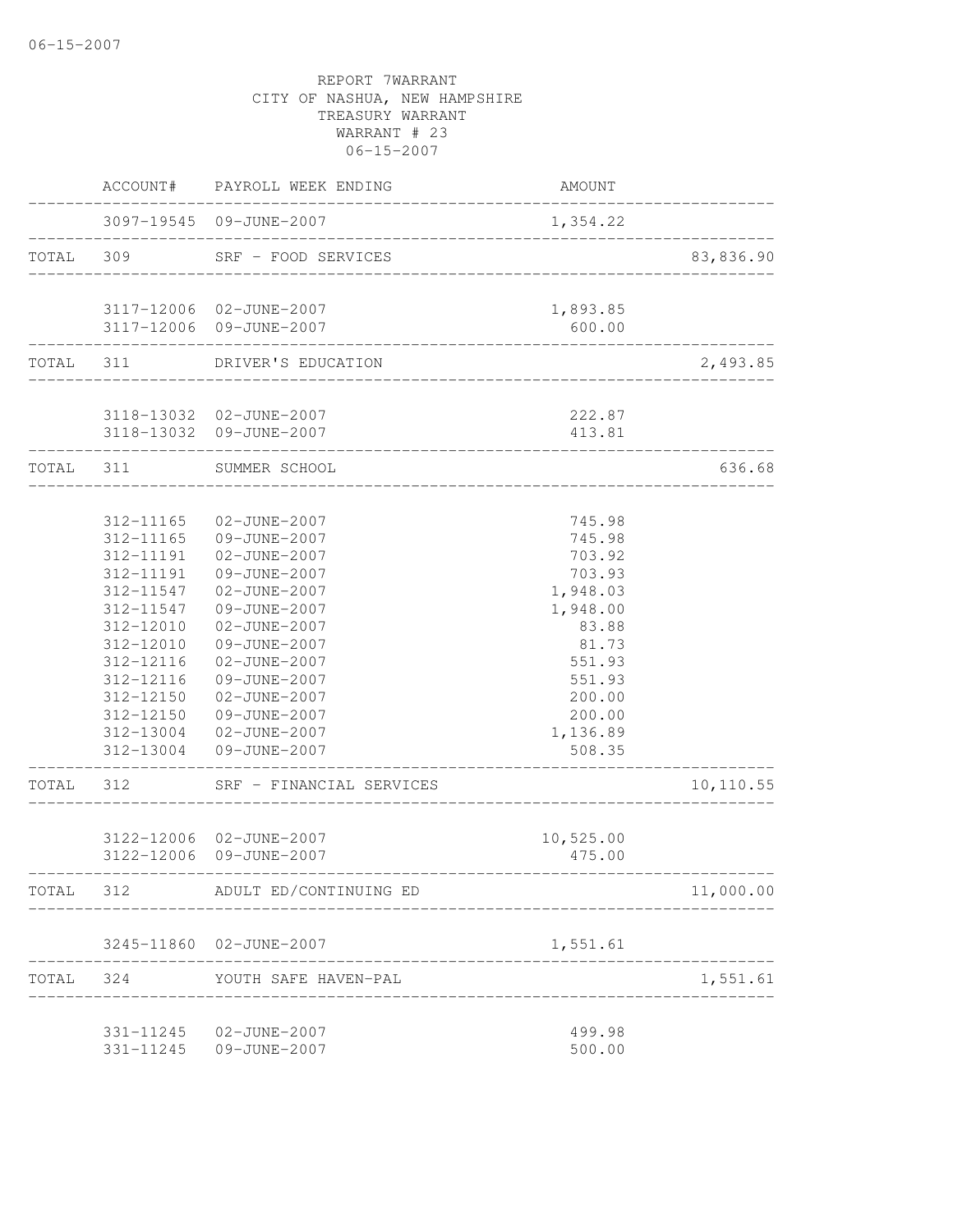|           |                                                                                                                                                          | ACCOUNT# PAYROLL WEEK ENDING                                                                                                                                                                                                                                                 | AMOUNT                                                                                                                                       |           |
|-----------|----------------------------------------------------------------------------------------------------------------------------------------------------------|------------------------------------------------------------------------------------------------------------------------------------------------------------------------------------------------------------------------------------------------------------------------------|----------------------------------------------------------------------------------------------------------------------------------------------|-----------|
|           |                                                                                                                                                          | 3097-19545 09-JUNE-2007                                                                                                                                                                                                                                                      | 1,354.22                                                                                                                                     |           |
| TOTAL 309 |                                                                                                                                                          | SRF - FOOD SERVICES                                                                                                                                                                                                                                                          | __________________________                                                                                                                   | 83,836.90 |
|           |                                                                                                                                                          | 3117-12006 02-JUNE-2007<br>3117-12006 09-JUNE-2007                                                                                                                                                                                                                           | 1,893.85<br>600.00                                                                                                                           |           |
|           |                                                                                                                                                          | TOTAL 311 DRIVER'S EDUCATION                                                                                                                                                                                                                                                 |                                                                                                                                              | 2,493.85  |
|           |                                                                                                                                                          | 3118-13032 02-JUNE-2007<br>3118-13032 09-JUNE-2007                                                                                                                                                                                                                           | 222.87<br>413.81                                                                                                                             |           |
| TOTAL 311 |                                                                                                                                                          | SUMMER SCHOOL                                                                                                                                                                                                                                                                |                                                                                                                                              | 636.68    |
| TOTAL 312 | 312-11165<br>312-11165<br>312-11191<br>312-11191<br>312-11547<br>312-11547<br>312-12010<br>312-12010<br>312-12116<br>312-12116<br>312-12150<br>312-12150 | 02-JUNE-2007<br>09-JUNE-2007<br>02-JUNE-2007<br>09-JUNE-2007<br>02-JUNE-2007<br>09-JUNE-2007<br>02-JUNE-2007<br>09-JUNE-2007<br>02-JUNE-2007<br>09-JUNE-2007<br>02-JUNE-2007<br>09-JUNE-2007<br>312-13004 02-JUNE-2007<br>312-13004 09-JUNE-2007<br>SRF - FINANCIAL SERVICES | 745.98<br>745.98<br>703.92<br>703.93<br>1,948.03<br>1,948.00<br>83.88<br>81.73<br>551.93<br>551.93<br>200.00<br>200.00<br>1,136.89<br>508.35 | 10,110.55 |
|           |                                                                                                                                                          | 3122-12006 02-JUNE-2007<br>3122-12006 09-JUNE-2007                                                                                                                                                                                                                           | 10,525.00<br>475.00                                                                                                                          |           |
| TOTAL     | 312                                                                                                                                                      | ADULT ED/CONTINUING ED                                                                                                                                                                                                                                                       |                                                                                                                                              | 11,000.00 |
|           |                                                                                                                                                          | 3245-11860 02-JUNE-2007                                                                                                                                                                                                                                                      | 1,551.61                                                                                                                                     |           |
| TOTAL     |                                                                                                                                                          | 324 YOUTH SAFE HAVEN-PAL                                                                                                                                                                                                                                                     |                                                                                                                                              | 1,551.61  |
|           |                                                                                                                                                          | 331-11245  02-JUNE-2007<br>331-11245 09-JUNE-2007                                                                                                                                                                                                                            | 499.98<br>500.00                                                                                                                             |           |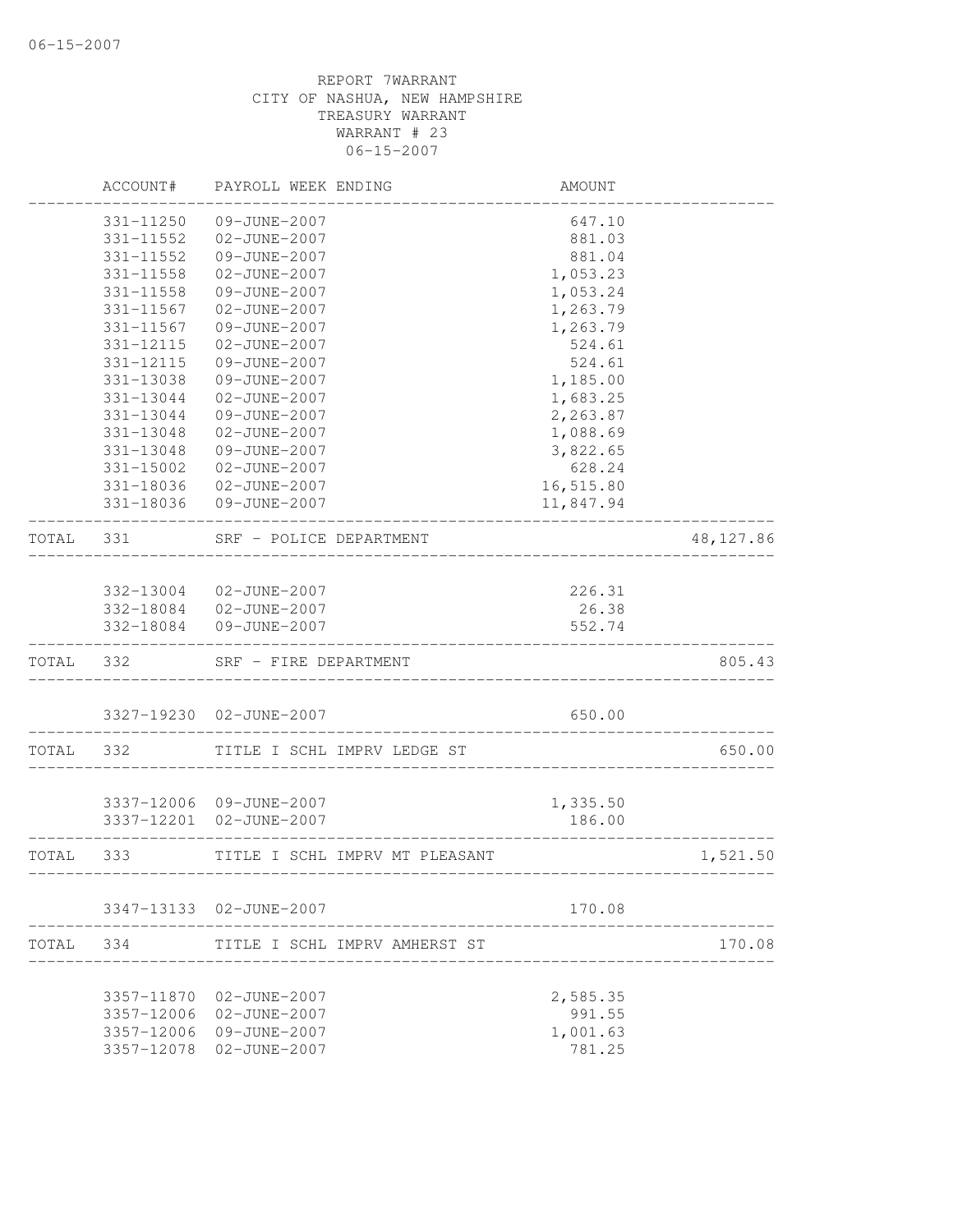|           | ACCOUNT#      | PAYROLL WEEK ENDING     |                                | AMOUNT                    |            |
|-----------|---------------|-------------------------|--------------------------------|---------------------------|------------|
|           | 331-11250     | 09-JUNE-2007            |                                | 647.10                    |            |
|           | 331-11552     | 02-JUNE-2007            |                                | 881.03                    |            |
|           | 331-11552     | 09-JUNE-2007            |                                | 881.04                    |            |
|           | $331 - 11558$ | 02-JUNE-2007            |                                | 1,053.23                  |            |
|           | 331-11558     | 09-JUNE-2007            |                                | 1,053.24                  |            |
|           | 331-11567     | 02-JUNE-2007            |                                | 1,263.79                  |            |
|           | 331-11567     | 09-JUNE-2007            |                                | 1,263.79                  |            |
|           | 331-12115     | 02-JUNE-2007            |                                | 524.61                    |            |
|           | 331-12115     | 09-JUNE-2007            |                                | 524.61                    |            |
|           | 331-13038     | 09-JUNE-2007            |                                | 1,185.00                  |            |
|           | 331-13044     | 02-JUNE-2007            |                                | 1,683.25                  |            |
|           | 331-13044     | 09-JUNE-2007            |                                | 2,263.87                  |            |
|           | 331-13048     | 02-JUNE-2007            |                                | 1,088.69                  |            |
|           | 331-13048     | 09-JUNE-2007            |                                | 3,822.65                  |            |
|           | 331-15002     | 02-JUNE-2007            |                                | 628.24                    |            |
|           | 331-18036     | 02-JUNE-2007            |                                | 16,515.80                 |            |
|           |               | 331-18036 09-JUNE-2007  |                                | 11,847.94                 |            |
| TOTAL     | 331           | SRF - POLICE DEPARTMENT |                                |                           | 48, 127.86 |
|           |               |                         |                                |                           |            |
|           |               | 332-13004 02-JUNE-2007  |                                | 226.31                    |            |
|           |               | 332-18084  02-JUNE-2007 |                                | 26.38                     |            |
|           | 332-18084     | 09-JUNE-2007            |                                | 552.74                    |            |
| TOTAL 332 |               | SRF - FIRE DEPARTMENT   |                                |                           | 805.43     |
|           |               | 3327-19230 02-JUNE-2007 |                                | 650.00                    |            |
|           |               |                         |                                |                           |            |
| TOTAL     | 332           |                         | TITLE I SCHL IMPRV LEDGE ST    |                           | 650.00     |
|           |               |                         |                                |                           |            |
|           |               | 3337-12006 09-JUNE-2007 |                                | 1,335.50                  |            |
|           |               | 3337-12201 02-JUNE-2007 |                                | 186.00                    |            |
| TOTAL     | 333           |                         | TITLE I SCHL IMPRV MT PLEASANT | _________________________ | 1,521.50   |
|           |               | 3347-13133 02-JUNE-2007 |                                | 170.08                    |            |
| TOTAL     | 334           |                         | TITLE I SCHL IMPRV AMHERST ST  |                           | 170.08     |
|           |               |                         |                                |                           |            |
|           | 3357-11870    | 02-JUNE-2007            |                                | 2,585.35                  |            |
|           | 3357-12006    | 02-JUNE-2007            |                                | 991.55                    |            |
|           | 3357-12006    | 09-JUNE-2007            |                                | 1,001.63                  |            |
|           | 3357-12078    | 02-JUNE-2007            |                                | 781.25                    |            |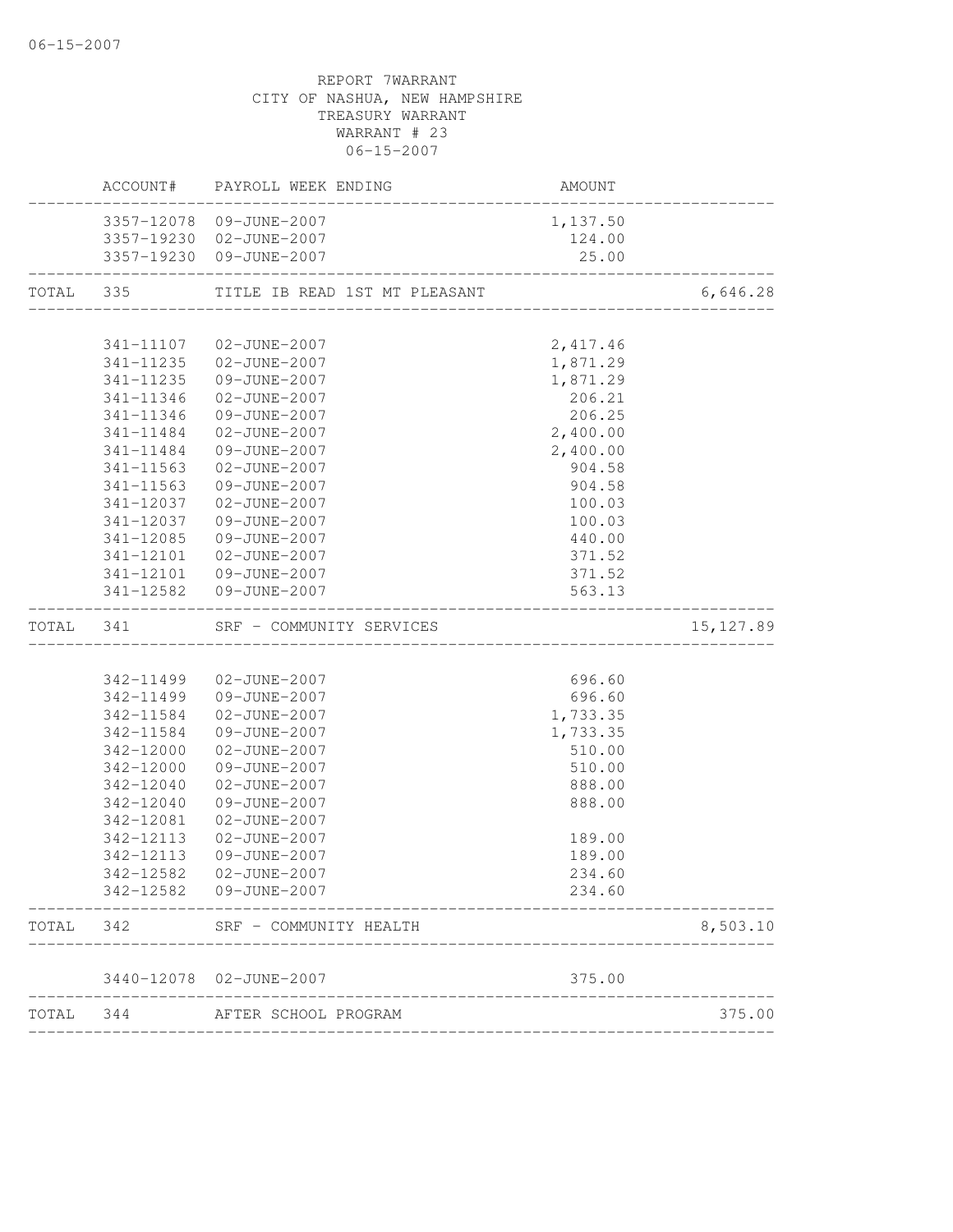|           |           | ACCOUNT# PAYROLL WEEK ENDING  | <b>AMOUNT</b>                  |            |
|-----------|-----------|-------------------------------|--------------------------------|------------|
|           |           | 3357-12078 09-JUNE-2007       | 1,137.50                       |            |
|           |           | 3357-19230 02-JUNE-2007       | 124.00                         |            |
|           |           | 3357-19230 09-JUNE-2007       | 25.00                          |            |
| TOTAL 335 |           | TITLE IB READ 1ST MT PLEASANT |                                | 6,646.28   |
|           |           |                               |                                |            |
|           | 341-11107 | 02-JUNE-2007                  | 2,417.46                       |            |
|           | 341-11235 | 02-JUNE-2007                  | 1,871.29                       |            |
|           | 341-11235 | 09-JUNE-2007                  | 1,871.29                       |            |
|           | 341-11346 | 02-JUNE-2007                  | 206.21                         |            |
|           | 341-11346 | 09-JUNE-2007                  | 206.25                         |            |
|           | 341-11484 | 02-JUNE-2007                  | 2,400.00                       |            |
|           | 341-11484 | 09-JUNE-2007                  | 2,400.00                       |            |
|           | 341-11563 | 02-JUNE-2007                  | 904.58                         |            |
|           | 341-11563 | 09-JUNE-2007                  | 904.58                         |            |
|           | 341-12037 | 02-JUNE-2007                  | 100.03                         |            |
|           | 341-12037 | 09-JUNE-2007                  | 100.03                         |            |
|           | 341-12085 | 09-JUNE-2007                  | 440.00                         |            |
|           | 341-12101 | 02-JUNE-2007                  | 371.52                         |            |
|           |           | 341-12101 09-JUNE-2007        | 371.52                         |            |
|           |           | 341-12582  09-JUNE-2007       | 563.13<br>____________________ |            |
| TOTAL 341 |           | SRF - COMMUNITY SERVICES      |                                | 15, 127.89 |
|           |           |                               |                                |            |
|           | 342-11499 | 02-JUNE-2007                  | 696.60                         |            |
|           | 342-11499 | 09-JUNE-2007                  | 696.60                         |            |
|           | 342-11584 | 02-JUNE-2007                  | 1,733.35                       |            |
|           | 342-11584 | 09-JUNE-2007                  | 1,733.35                       |            |
|           | 342-12000 | 02-JUNE-2007                  | 510.00                         |            |
|           | 342-12000 | 09-JUNE-2007                  | 510.00                         |            |
|           | 342-12040 | 02-JUNE-2007                  | 888.00                         |            |
|           | 342-12040 | 09-JUNE-2007                  | 888.00                         |            |
|           | 342-12081 | 02-JUNE-2007                  |                                |            |
|           | 342-12113 | 02-JUNE-2007                  | 189.00                         |            |
|           | 342-12113 | 09-JUNE-2007                  | 189.00                         |            |
|           | 342-12582 | $02 - JUNE - 2007$            | 234.60                         |            |
|           | 342-12582 | 09-JUNE-2007                  | 234.60                         |            |
| TOTAL     | 342       | SRF - COMMUNITY HEALTH        |                                | 8,503.10   |
|           |           | 3440-12078 02-JUNE-2007       | 375.00                         |            |
| TOTAL     | 344       | AFTER SCHOOL PROGRAM          |                                | 375.00     |
|           |           |                               |                                |            |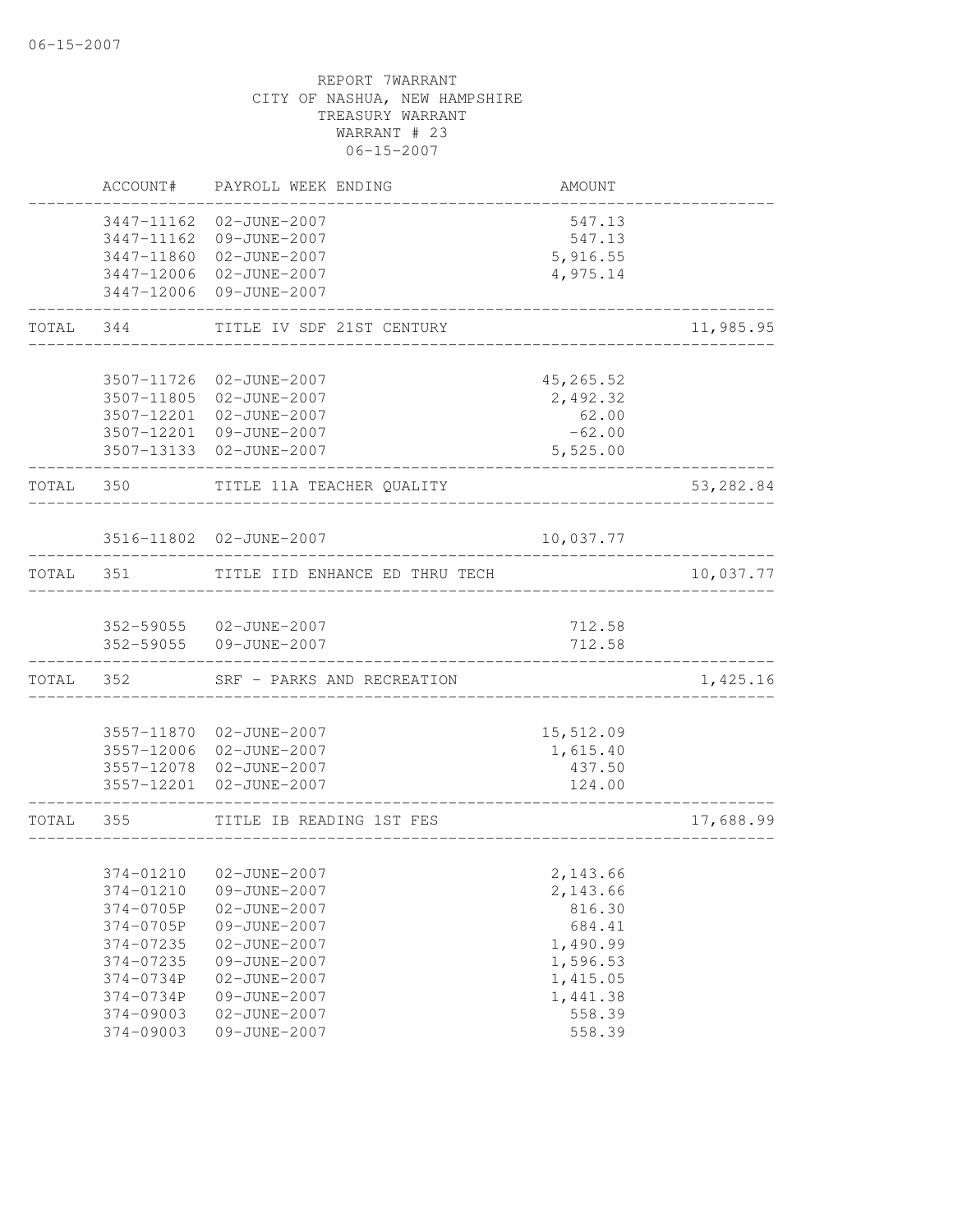|           | ACCOUNT#                 | PAYROLL WEEK ENDING                                     | AMOUNT                       |           |
|-----------|--------------------------|---------------------------------------------------------|------------------------------|-----------|
|           | 3447-11162<br>3447-11860 | 3447-11162 02-JUNE-2007<br>09-JUNE-2007<br>02-JUNE-2007 | 547.13<br>547.13<br>5,916.55 |           |
|           |                          | 3447-12006 02-JUNE-2007<br>3447-12006 09-JUNE-2007      | 4,975.14                     |           |
| TOTAL     | 344                      | TITLE IV SDF 21ST CENTURY                               |                              | 11,985.95 |
|           |                          | 3507-11726 02-JUNE-2007                                 | 45,265.52                    |           |
|           |                          | 3507-11805 02-JUNE-2007<br>3507-12201 02-JUNE-2007      | 2,492.32<br>62.00            |           |
|           |                          | 3507-12201 09-JUNE-2007                                 | $-62.00$                     |           |
|           |                          | 3507-13133  02-JUNE-2007                                | 5,525.00                     |           |
| TOTAL 350 |                          | TITLE 11A TEACHER QUALITY                               |                              | 53,282.84 |
|           |                          | 3516-11802 02-JUNE-2007                                 | 10,037.77                    |           |
| TOTAL     | 351                      | TITLE IID ENHANCE ED THRU TECH                          |                              | 10,037.77 |
|           |                          | 352-59055 02-JUNE-2007                                  | 712.58                       |           |
|           | 352-59055                | 09-JUNE-2007                                            | 712.58                       |           |
| TOTAL     | 352                      | SRF - PARKS AND RECREATION                              |                              | 1,425.16  |
|           |                          | 3557-11870 02-JUNE-2007                                 | 15,512.09                    |           |
|           |                          | 3557-12006 02-JUNE-2007                                 | 1,615.40                     |           |
|           |                          | 3557-12078 02-JUNE-2007<br>3557-12201 02-JUNE-2007      | 437.50<br>124.00             |           |
| TOTAL     | 355                      | TITLE IB READING 1ST FES                                |                              | 17,688.99 |
|           |                          | 374-01210  02-JUNE-2007                                 | 2,143.66                     |           |
|           | 374-01210                | 09-JUNE-2007                                            | 2,143.66                     |           |
|           | 374-0705P                | 02-JUNE-2007                                            | 816.30                       |           |
|           | 374-0705P                | 09-JUNE-2007                                            | 684.41                       |           |
|           | 374-07235                | 02-JUNE-2007                                            | 1,490.99                     |           |
|           | 374-07235                | 09-JUNE-2007                                            | 1,596.53                     |           |
|           | 374-0734P                | 02-JUNE-2007                                            | 1,415.05                     |           |
|           | 374-0734P                | 09-JUNE-2007                                            | 1,441.38                     |           |
|           | $374 - 09003$            | 02-JUNE-2007                                            | 558.39                       |           |
|           | 374-09003                | 09-JUNE-2007                                            | 558.39                       |           |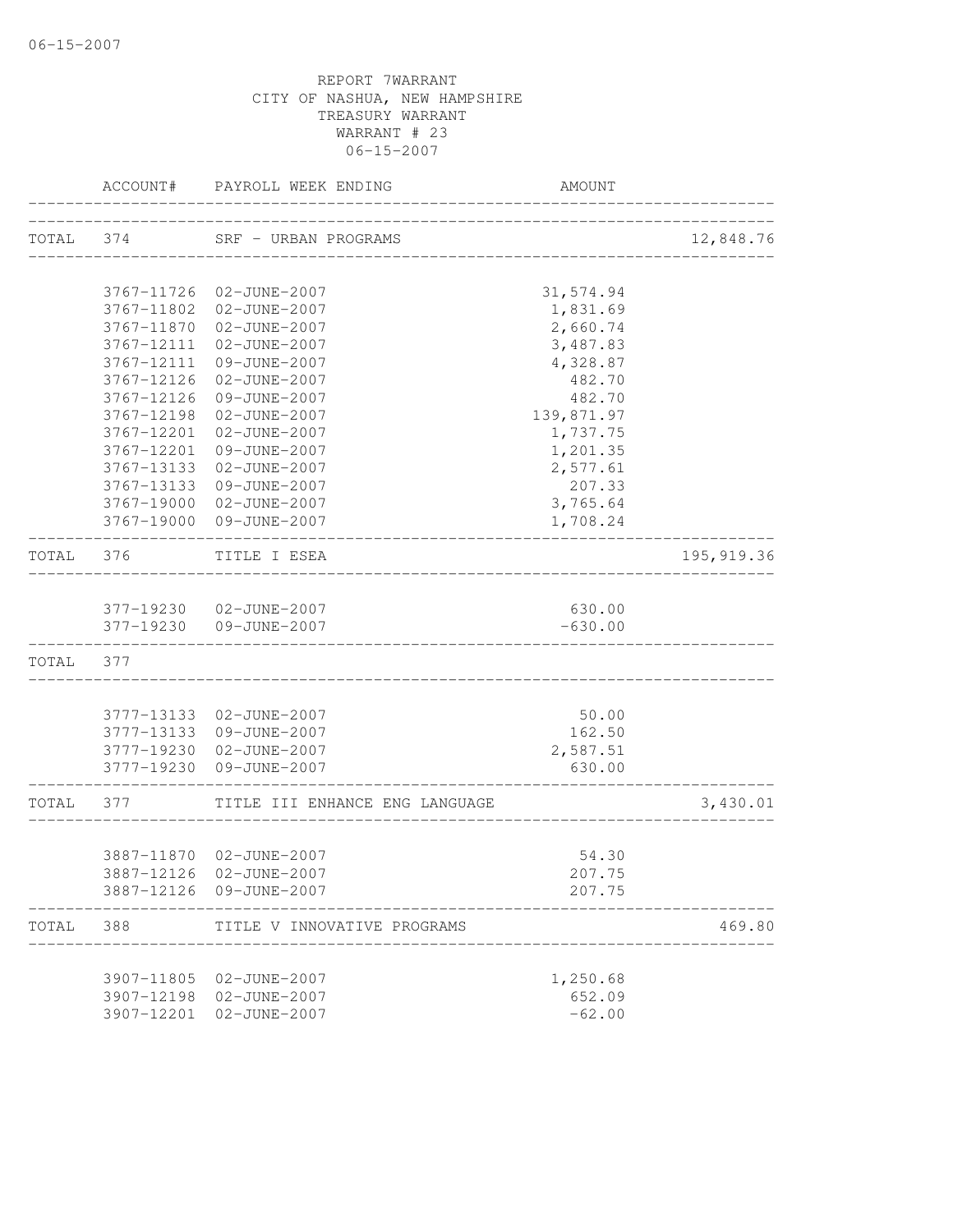|           | ACCOUNT#   | PAYROLL WEEK ENDING                                | <b>AMOUNT</b>      |             |
|-----------|------------|----------------------------------------------------|--------------------|-------------|
| TOTAL 374 |            | SRF - URBAN PROGRAMS                               |                    | 12,848.76   |
|           |            | 3767-11726 02-JUNE-2007                            | 31,574.94          |             |
|           | 3767-11802 | 02-JUNE-2007                                       | 1,831.69           |             |
|           |            | 3767-11870 02-JUNE-2007                            | 2,660.74           |             |
|           | 3767-12111 | 02-JUNE-2007                                       | 3,487.83           |             |
|           | 3767-12111 | 09-JUNE-2007                                       | 4,328.87           |             |
|           | 3767-12126 | 02-JUNE-2007                                       | 482.70             |             |
|           | 3767-12126 | 09-JUNE-2007                                       | 482.70             |             |
|           | 3767-12198 | 02-JUNE-2007                                       | 139,871.97         |             |
|           | 3767-12201 | 02-JUNE-2007                                       | 1,737.75           |             |
|           | 3767-12201 | 09-JUNE-2007                                       | 1,201.35           |             |
|           | 3767-13133 | 02-JUNE-2007                                       | 2,577.61           |             |
|           | 3767-13133 | 09-JUNE-2007                                       | 207.33             |             |
|           |            | 3767-19000 02-JUNE-2007                            | 3,765.64           |             |
|           |            | 3767-19000 09-JUNE-2007                            | 1,708.24           |             |
| TOTAL     | 376        | TITLE I ESEA                                       |                    | 195, 919.36 |
|           |            |                                                    |                    |             |
|           |            | 377-19230 02-JUNE-2007                             | 630.00             |             |
|           |            | 377-19230 09-JUNE-2007                             | $-630.00$          |             |
| TOTAL     | 377        |                                                    |                    |             |
|           |            |                                                    |                    |             |
|           |            | 3777-13133 02-JUNE-2007                            | 50.00              |             |
|           |            | 3777-13133 09-JUNE-2007                            | 162.50             |             |
|           |            | 3777-19230 02-JUNE-2007<br>3777-19230 09-JUNE-2007 | 2,587.51<br>630.00 |             |
| TOTAL 377 |            | TITLE III ENHANCE ENG LANGUAGE                     |                    | 3,430.01    |
|           |            |                                                    |                    |             |
|           |            | 3887-11870 02-JUNE-2007                            | 54.30              |             |
|           |            | 3887-12126 02-JUNE-2007                            | 207.75             |             |
|           |            | 3887-12126 09-JUNE-2007                            | 207.75             |             |
| TOTAL     | 388        | TITLE V INNOVATIVE PROGRAMS                        |                    | 469.80      |
|           |            |                                                    |                    |             |
|           |            | 3907-11805 02-JUNE-2007                            | 1,250.68           |             |
|           |            | 3907-12198 02-JUNE-2007                            | 652.09             |             |
|           | 3907-12201 | 02-JUNE-2007                                       | $-62.00$           |             |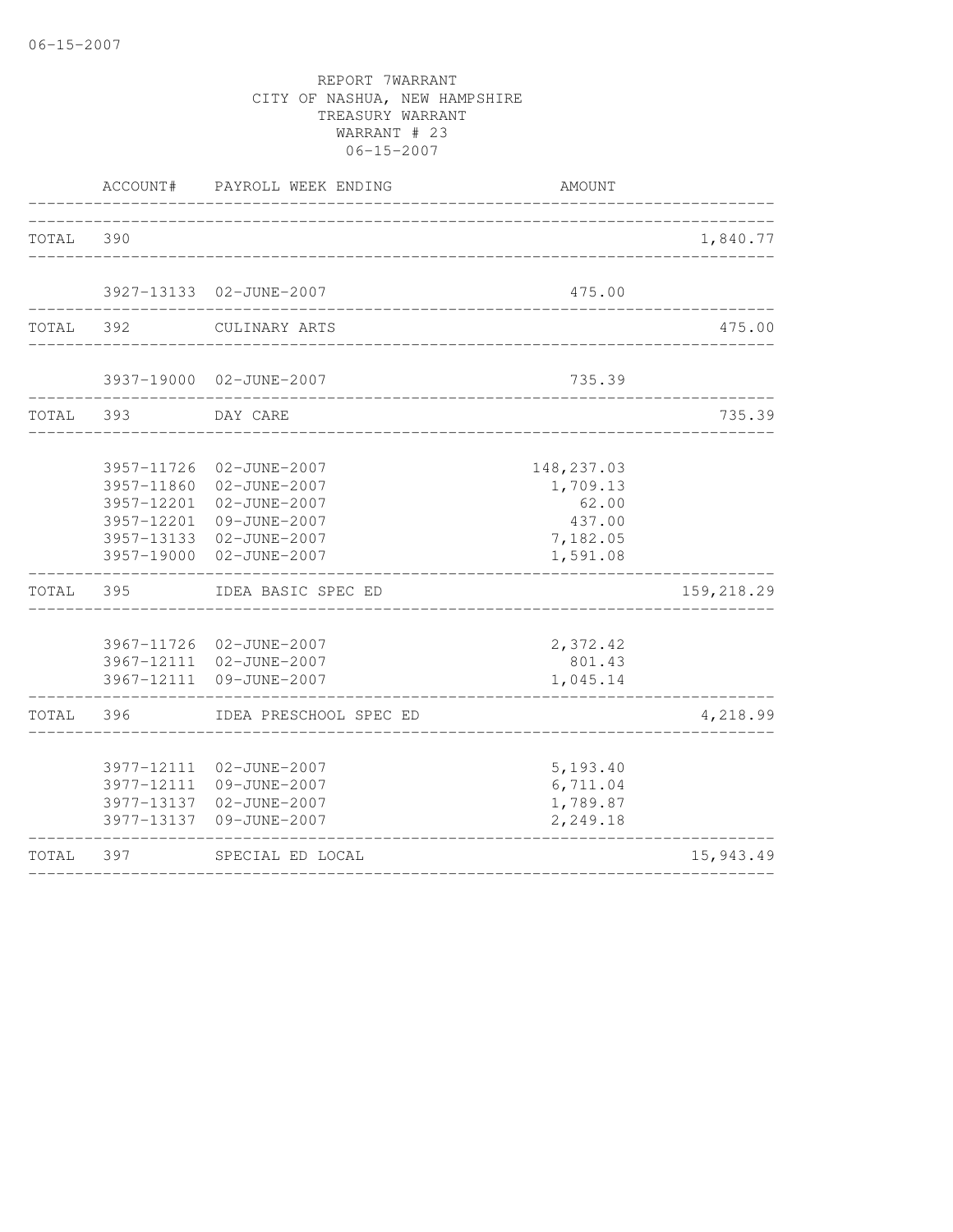|       | ACCOUNT#                                                           | PAYROLL WEEK ENDING                                                                                     | AMOUNT                                                             |            |
|-------|--------------------------------------------------------------------|---------------------------------------------------------------------------------------------------------|--------------------------------------------------------------------|------------|
| TOTAL | 390                                                                |                                                                                                         |                                                                    | 1,840.77   |
|       |                                                                    |                                                                                                         | __________________________                                         |            |
|       |                                                                    | 3927-13133 02-JUNE-2007                                                                                 | 475.00                                                             |            |
| TOTAL | 392                                                                | CULINARY ARTS                                                                                           |                                                                    | 475.00     |
|       |                                                                    | 3937-19000 02-JUNE-2007                                                                                 | 735.39                                                             |            |
| TOTAL | 393                                                                | DAY CARE                                                                                                |                                                                    | 735.39     |
|       | 3957-11726<br>3957-11860<br>3957-12201<br>3957-12201<br>3957-19000 | 02-JUNE-2007<br>02-JUNE-2007<br>02-JUNE-2007<br>09-JUNE-2007<br>3957-13133 02-JUNE-2007<br>02-JUNE-2007 | 148, 237.03<br>1,709.13<br>62.00<br>437.00<br>7,182.05<br>1,591.08 |            |
| TOTAL | 395                                                                | IDEA BASIC SPEC ED                                                                                      |                                                                    | 159,218.29 |
|       |                                                                    | 3967-11726 02-JUNE-2007<br>3967-12111 02-JUNE-2007<br>3967-12111 09-JUNE-2007                           | 2,372.42<br>801.43<br>1,045.14                                     |            |
| TOTAL | 396                                                                | IDEA PRESCHOOL SPEC ED                                                                                  |                                                                    | 4,218.99   |
|       | 3977-12111<br>3977-13137                                           | 3977-12111 02-JUNE-2007<br>09-JUNE-2007<br>3977-13137 02-JUNE-2007<br>09-JUNE-2007                      | 5,193.40<br>6,711.04<br>1,789.87<br>2,249.18                       |            |
| TOTAL | 397                                                                | SPECIAL ED LOCAL                                                                                        |                                                                    | 15,943.49  |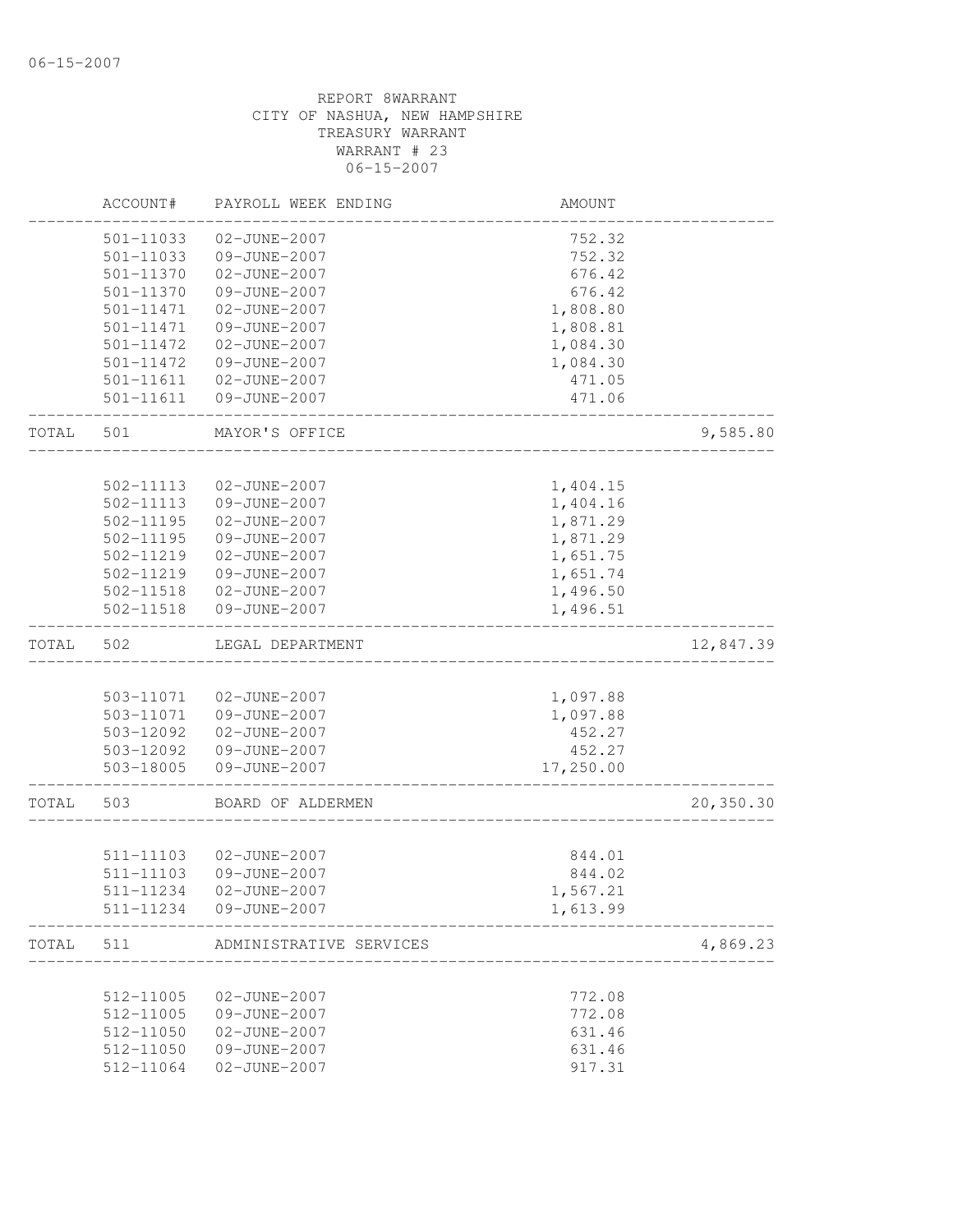|       | ACCOUNT#               | PAYROLL WEEK ENDING          | AMOUNT           |           |
|-------|------------------------|------------------------------|------------------|-----------|
|       | 501-11033              | 02-JUNE-2007                 | 752.32           |           |
|       | $501 - 11033$          | 09-JUNE-2007                 | 752.32           |           |
|       | 501-11370              | 02-JUNE-2007                 | 676.42           |           |
|       | 501-11370              | 09-JUNE-2007                 | 676.42           |           |
|       | 501-11471              | 02-JUNE-2007                 | 1,808.80         |           |
|       | 501-11471              | 09-JUNE-2007                 | 1,808.81         |           |
|       | 501-11472              | 02-JUNE-2007                 | 1,084.30         |           |
|       | 501-11472              | 09-JUNE-2007                 | 1,084.30         |           |
|       | 501-11611              | 02-JUNE-2007                 | 471.05           |           |
|       | 501-11611              | 09-JUNE-2007                 | 471.06           |           |
| TOTAL | 501                    | MAYOR'S OFFICE               |                  | 9,585.80  |
|       |                        |                              |                  |           |
|       | 502-11113              | 02-JUNE-2007                 | 1,404.15         |           |
|       | 502-11113              | 09-JUNE-2007                 | 1,404.16         |           |
|       | $502 - 11195$          | 02-JUNE-2007                 | 1,871.29         |           |
|       | $502 - 11195$          | 09-JUNE-2007                 | 1,871.29         |           |
|       | 502-11219              | 02-JUNE-2007                 | 1,651.75         |           |
|       | 502-11219              | 09-JUNE-2007                 | 1,651.74         |           |
|       | 502-11518              | 02-JUNE-2007                 | 1,496.50         |           |
|       | 502-11518              | 09-JUNE-2007                 | 1,496.51         |           |
| TOTAL | 502                    | LEGAL DEPARTMENT             |                  | 12,847.39 |
|       |                        |                              |                  |           |
|       | 503-11071              | 02-JUNE-2007                 | 1,097.88         |           |
|       | 503-11071              | 09-JUNE-2007                 | 1,097.88         |           |
|       | 503-12092              | 02-JUNE-2007                 | 452.27           |           |
|       | 503-12092              | 09-JUNE-2007                 | 452.27           |           |
|       | 503-18005              | 09-JUNE-2007                 | 17,250.00        |           |
| TOTAL | 503                    | BOARD OF ALDERMEN            |                  | 20,350.30 |
|       |                        |                              |                  |           |
|       | 511-11103              | 02-JUNE-2007                 | 844.01           |           |
|       | 511-11103              | 09-JUNE-2007                 | 844.02           |           |
|       | 511-11234              | 02-JUNE-2007                 | 1,567.21         |           |
|       | 511-11234              | 09-JUNE-2007                 | 1,613.99         |           |
| TOTAL | 511                    | ADMINISTRATIVE SERVICES      |                  | 4,869.23  |
|       |                        |                              |                  |           |
|       | 512-11005<br>512-11005 | 02-JUNE-2007                 | 772.08           |           |
|       | 512-11050              | 09-JUNE-2007                 | 772.08<br>631.46 |           |
|       | 512-11050              | 02-JUNE-2007<br>09-JUNE-2007 | 631.46           |           |
|       | 512-11064              | 02-JUNE-2007                 | 917.31           |           |
|       |                        |                              |                  |           |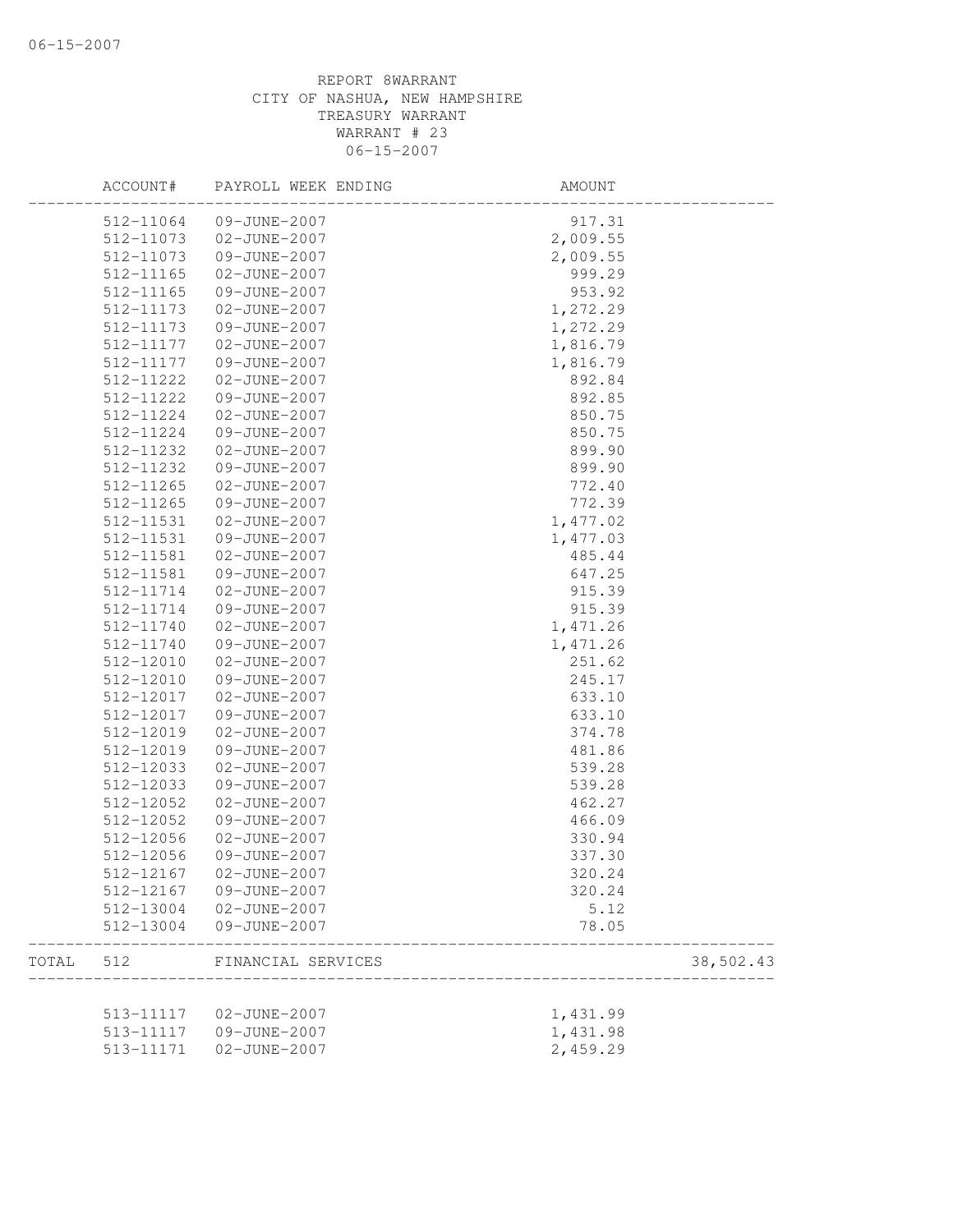|       | ACCOUNT#      | PAYROLL WEEK ENDING | AMOUNT   |           |
|-------|---------------|---------------------|----------|-----------|
|       | 512-11064     | 09-JUNE-2007        | 917.31   |           |
|       | 512-11073     | 02-JUNE-2007        | 2,009.55 |           |
|       | 512-11073     | 09-JUNE-2007        | 2,009.55 |           |
|       | 512-11165     | 02-JUNE-2007        | 999.29   |           |
|       | 512-11165     | 09-JUNE-2007        | 953.92   |           |
|       | 512-11173     | 02-JUNE-2007        | 1,272.29 |           |
|       | 512-11173     | 09-JUNE-2007        | 1,272.29 |           |
|       | 512-11177     | 02-JUNE-2007        | 1,816.79 |           |
|       | 512-11177     | 09-JUNE-2007        | 1,816.79 |           |
|       | $512 - 11222$ | 02-JUNE-2007        | 892.84   |           |
|       | 512-11222     | 09-JUNE-2007        | 892.85   |           |
|       | 512-11224     | 02-JUNE-2007        | 850.75   |           |
|       | 512-11224     | 09-JUNE-2007        | 850.75   |           |
|       | 512-11232     | 02-JUNE-2007        | 899.90   |           |
|       | 512-11232     | 09-JUNE-2007        | 899.90   |           |
|       | $512 - 11265$ | 02-JUNE-2007        | 772.40   |           |
|       | $512 - 11265$ | 09-JUNE-2007        | 772.39   |           |
|       | 512-11531     | 02-JUNE-2007        | 1,477.02 |           |
|       | 512-11531     | 09-JUNE-2007        | 1,477.03 |           |
|       | 512-11581     | 02-JUNE-2007        | 485.44   |           |
|       | 512-11581     | 09-JUNE-2007        | 647.25   |           |
|       | 512-11714     | 02-JUNE-2007        | 915.39   |           |
|       | 512-11714     | 09-JUNE-2007        | 915.39   |           |
|       | 512-11740     | 02-JUNE-2007        | 1,471.26 |           |
|       | 512-11740     | 09-JUNE-2007        | 1,471.26 |           |
|       | 512-12010     | 02-JUNE-2007        | 251.62   |           |
|       | 512-12010     | 09-JUNE-2007        | 245.17   |           |
|       | 512-12017     | 02-JUNE-2007        | 633.10   |           |
|       | 512-12017     | 09-JUNE-2007        | 633.10   |           |
|       | 512-12019     | 02-JUNE-2007        | 374.78   |           |
|       | 512-12019     | 09-JUNE-2007        | 481.86   |           |
|       | 512-12033     | 02-JUNE-2007        | 539.28   |           |
|       | 512-12033     | 09-JUNE-2007        | 539.28   |           |
|       | 512-12052     | 02-JUNE-2007        | 462.27   |           |
|       | 512-12052     | 09-JUNE-2007        | 466.09   |           |
|       | 512-12056     | 02-JUNE-2007        | 330.94   |           |
|       | 512-12056     | 09-JUNE-2007        | 337.30   |           |
|       | 512-12167     | 02-JUNE-2007        | 320.24   |           |
|       | 512-12167     | 09-JUNE-2007        | 320.24   |           |
|       |               | 02-JUNE-2007        | 5.12     |           |
|       | 512-13004     | 09-JUNE-2007        | 78.05    |           |
|       | 512-13004     |                     |          |           |
| TOTAL | 512           | FINANCIAL SERVICES  |          | 38,502.43 |
|       |               |                     |          |           |
|       | 513-11117     | 02-JUNE-2007        | 1,431.99 |           |
|       | 513-11117     | 09-JUNE-2007        | 1,431.98 |           |
|       | 513-11171     | 02-JUNE-2007        | 2,459.29 |           |
|       |               |                     |          |           |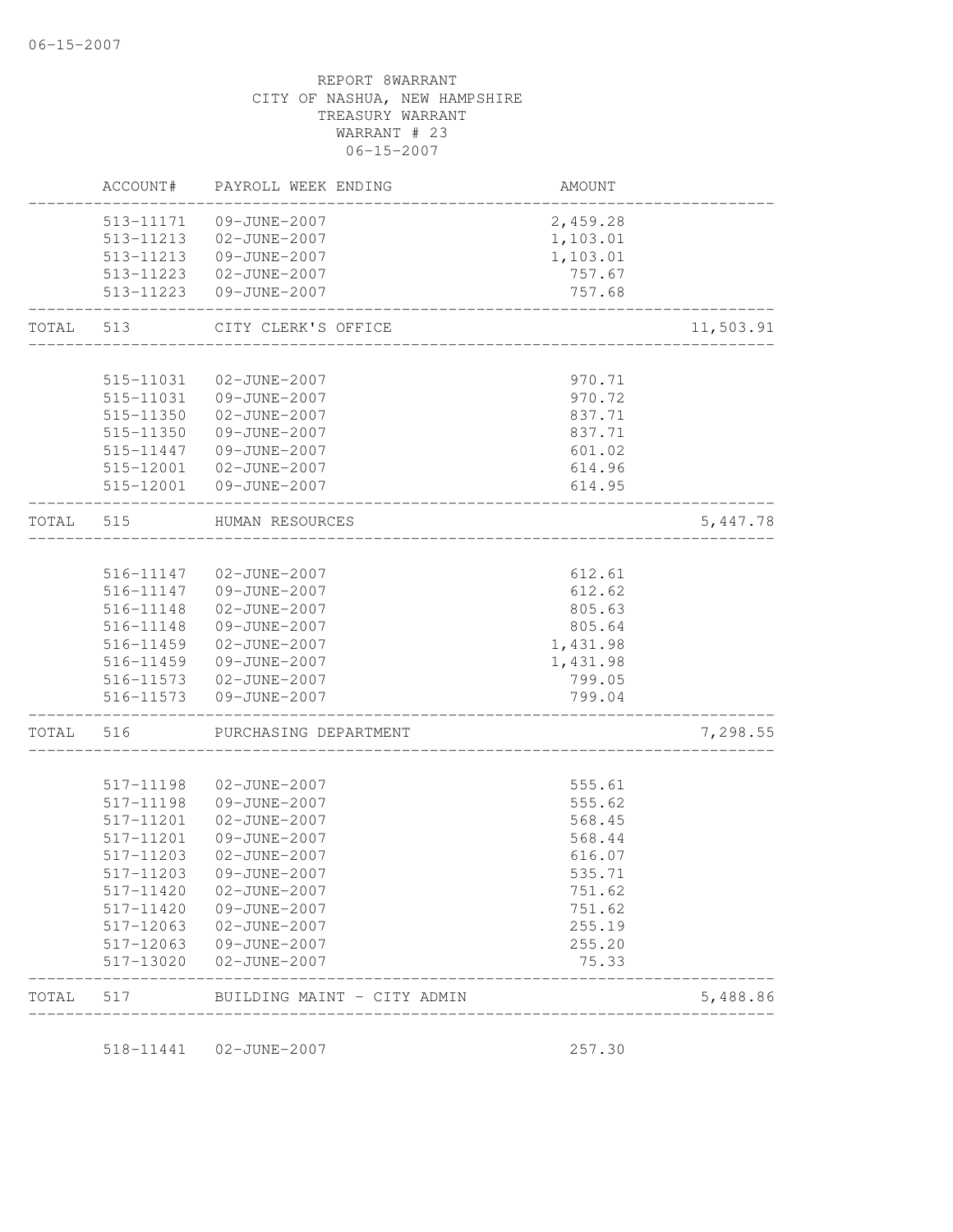|       | ACCOUNT#               | PAYROLL WEEK ENDING                | AMOUNT           |           |
|-------|------------------------|------------------------------------|------------------|-----------|
|       | 513-11171              | 09-JUNE-2007                       | 2,459.28         |           |
|       | 513-11213              | 02-JUNE-2007                       | 1,103.01         |           |
|       | 513-11213              | 09-JUNE-2007                       | 1,103.01         |           |
|       | 513-11223              | 02-JUNE-2007                       | 757.67           |           |
|       | 513-11223              | 09-JUNE-2007                       | 757.68           |           |
| TOTAL | 513                    | CITY CLERK'S OFFICE                |                  | 11,503.91 |
|       | 515-11031              | 02-JUNE-2007                       | 970.71           |           |
|       | 515-11031              | 09-JUNE-2007                       | 970.72           |           |
|       | 515-11350              | 02-JUNE-2007                       | 837.71           |           |
|       | 515-11350              | 09-JUNE-2007                       | 837.71           |           |
|       | 515-11447              | 09-JUNE-2007                       | 601.02           |           |
|       | 515-12001              | 02-JUNE-2007                       | 614.96           |           |
|       | 515-12001              | 09-JUNE-2007                       | 614.95           |           |
| TOTAL | 515                    | HUMAN RESOURCES                    |                  | 5,447.78  |
|       |                        |                                    |                  |           |
|       | 516-11147              | 02-JUNE-2007                       | 612.61           |           |
|       | 516-11147              | 09-JUNE-2007                       | 612.62           |           |
|       | 516-11148              | 02-JUNE-2007                       | 805.63           |           |
|       | 516-11148              | 09-JUNE-2007                       | 805.64           |           |
|       | 516-11459              | 02-JUNE-2007                       | 1,431.98         |           |
|       | 516-11459              | 09-JUNE-2007                       | 1,431.98         |           |
|       | 516-11573<br>516-11573 | 02-JUNE-2007<br>09-JUNE-2007       | 799.05<br>799.04 |           |
| TOTAL | 516                    | PURCHASING DEPARTMENT              |                  | 7,298.55  |
|       |                        |                                    |                  |           |
|       | 517-11198              | 02-JUNE-2007                       | 555.61           |           |
|       | 517-11198              | 09-JUNE-2007                       | 555.62           |           |
|       | 517-11201              | 02-JUNE-2007                       | 568.45           |           |
|       | 517-11201              | 09-JUNE-2007                       | 568.44           |           |
|       | 517-11203              | 02-JUNE-2007                       | 616.07           |           |
|       | 517-11203              | 09-JUNE-2007                       | 535.71           |           |
|       | 517-11420              | 02-JUNE-2007                       | 751.62           |           |
|       | 517-11420              | 09-JUNE-2007                       | 751.62           |           |
|       | 517-12063              | 02-JUNE-2007                       | 255.19           |           |
|       | 517-12063<br>517-13020 | 09-JUNE-2007<br>$02 - JUNE - 2007$ | 255.20<br>75.33  |           |
| TOTAL | 517                    | BUILDING MAINT - CITY ADMIN        |                  | 5,488.86  |

518-11441 02-JUNE-2007 257.30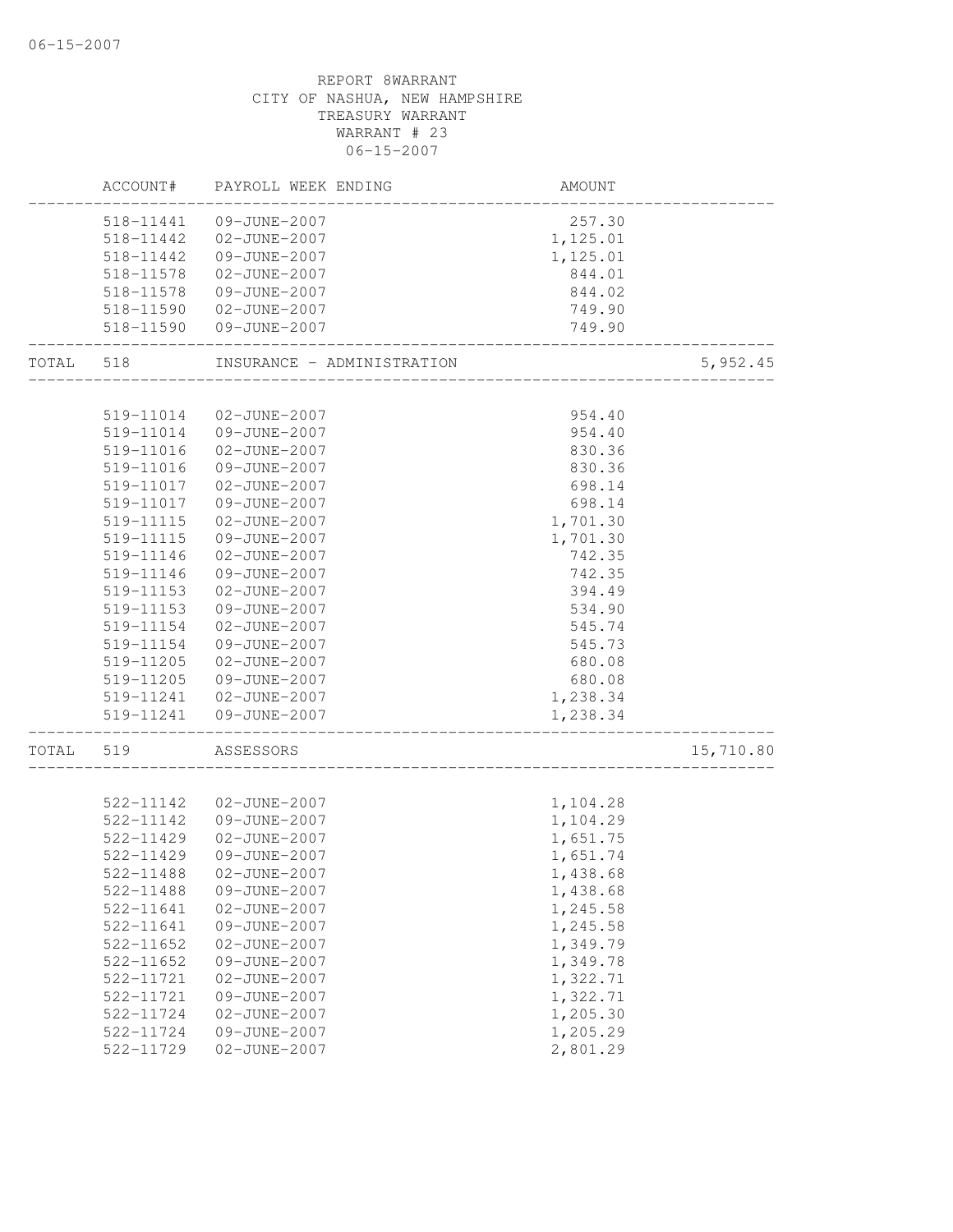|       | ACCOUNT#      | PAYROLL WEEK ENDING        | AMOUNT   |           |
|-------|---------------|----------------------------|----------|-----------|
|       | 518-11441     | 09-JUNE-2007               | 257.30   |           |
|       | 518-11442     | 02-JUNE-2007               | 1,125.01 |           |
|       | 518-11442     | 09-JUNE-2007               | 1,125.01 |           |
|       | 518-11578     | 02-JUNE-2007               | 844.01   |           |
|       | 518-11578     | 09-JUNE-2007               | 844.02   |           |
|       | 518-11590     | 02-JUNE-2007               | 749.90   |           |
|       | 518-11590     | 09-JUNE-2007               | 749.90   |           |
| TOTAL | 518           | INSURANCE - ADMINISTRATION |          | 5,952.45  |
|       |               |                            |          |           |
|       | 519-11014     | 02-JUNE-2007               | 954.40   |           |
|       | 519-11014     | 09-JUNE-2007               | 954.40   |           |
|       | 519-11016     | 02-JUNE-2007               | 830.36   |           |
|       | 519-11016     | 09-JUNE-2007               | 830.36   |           |
|       | 519-11017     | 02-JUNE-2007               | 698.14   |           |
|       | 519-11017     | 09-JUNE-2007               | 698.14   |           |
|       | 519-11115     | 02-JUNE-2007               | 1,701.30 |           |
|       | 519-11115     | 09-JUNE-2007               | 1,701.30 |           |
|       | 519-11146     | 02-JUNE-2007               | 742.35   |           |
|       | 519-11146     | 09-JUNE-2007               | 742.35   |           |
|       | 519-11153     | 02-JUNE-2007               | 394.49   |           |
|       | 519-11153     | 09-JUNE-2007               | 534.90   |           |
|       | 519-11154     | 02-JUNE-2007               | 545.74   |           |
|       | 519-11154     | 09-JUNE-2007               | 545.73   |           |
|       | 519-11205     | 02-JUNE-2007               | 680.08   |           |
|       | 519-11205     | 09-JUNE-2007               | 680.08   |           |
|       | 519-11241     | 02-JUNE-2007               | 1,238.34 |           |
|       | 519-11241     | 09-JUNE-2007               | 1,238.34 |           |
| TOTAL | 519           | ASSESSORS                  |          | 15,710.80 |
|       |               |                            |          |           |
|       | 522-11142     | 02-JUNE-2007               | 1,104.28 |           |
|       | 522-11142     | 09-JUNE-2007               | 1,104.29 |           |
|       | 522-11429     | 02-JUNE-2007               | 1,651.75 |           |
|       | 522-11429     | 09-JUNE-2007               | 1,651.74 |           |
|       | 522-11488     | 02-JUNE-2007               | 1,438.68 |           |
|       | 522-11488     | 09-JUNE-2007               | 1,438.68 |           |
|       | 522-11641     | 02-JUNE-2007               | 1,245.58 |           |
|       | 522-11641     | 09-JUNE-2007               | 1,245.58 |           |
|       | $522 - 11652$ | 02-JUNE-2007               | 1,349.79 |           |
|       | $522 - 11652$ | 09-JUNE-2007               | 1,349.78 |           |
|       | 522-11721     | 02-JUNE-2007               | 1,322.71 |           |
|       | 522-11721     | 09-JUNE-2007               | 1,322.71 |           |
|       | 522-11724     | 02-JUNE-2007               | 1,205.30 |           |
|       | 522-11724     | 09-JUNE-2007               | 1,205.29 |           |
|       | 522-11729     | $02 - JUNE - 2007$         | 2,801.29 |           |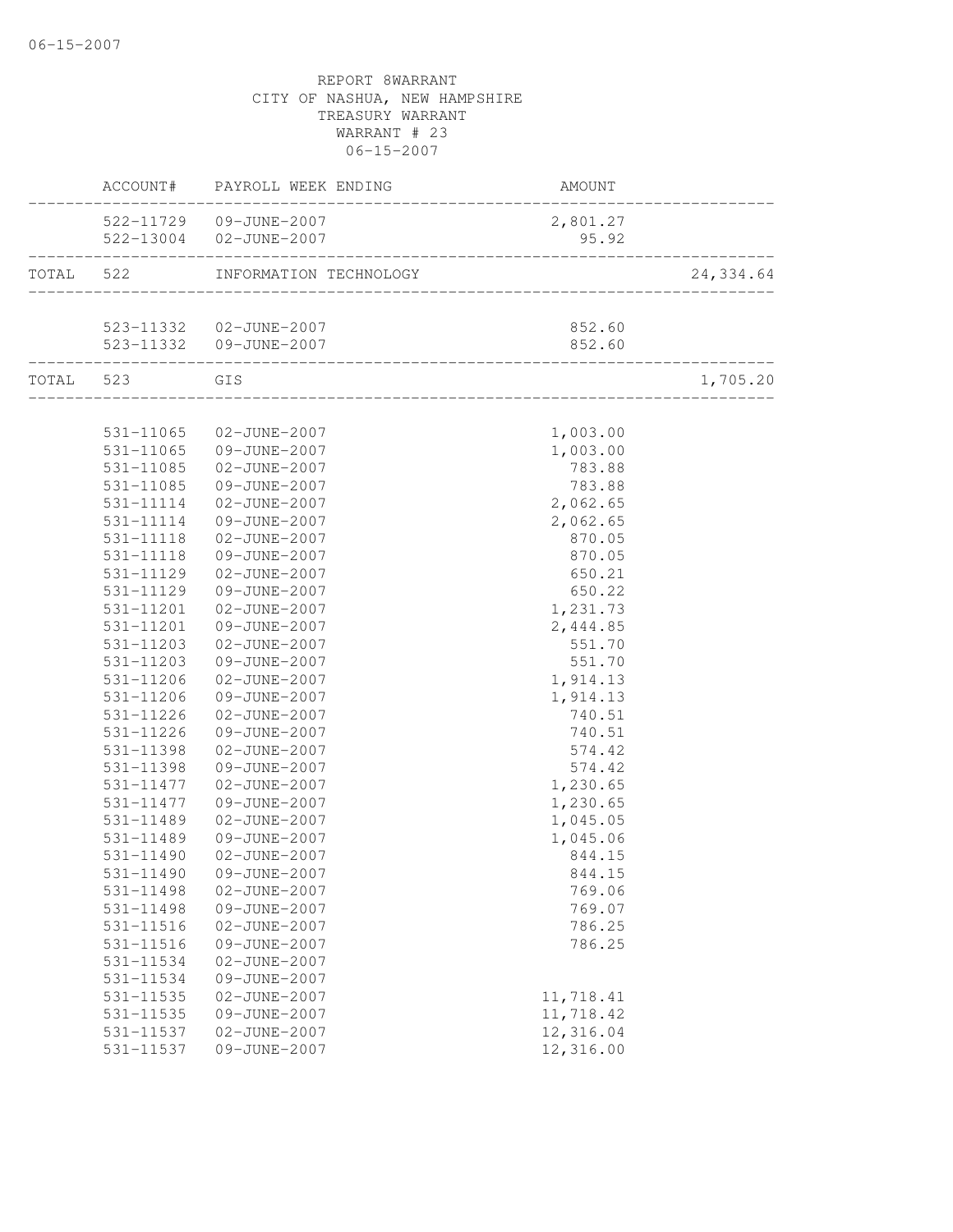|           | ACCOUNT#               | PAYROLL WEEK ENDING                                | AMOUNT                                   |           |
|-----------|------------------------|----------------------------------------------------|------------------------------------------|-----------|
|           |                        | 522-11729 09-JUNE-2007                             | 2,801.27                                 |           |
|           |                        | 522-13004 02-JUNE-2007                             | 95.92<br>_______________________________ |           |
| TOTAL 522 |                        | INFORMATION TECHNOLOGY                             |                                          | 24,334.64 |
|           |                        |                                                    |                                          |           |
|           |                        | 523-11332  02-JUNE-2007<br>523-11332  09-JUNE-2007 | 852.60<br>852.60                         |           |
|           | ___________________    |                                                    |                                          |           |
|           | TOTAL 523 GIS          |                                                    |                                          | 1,705.20  |
|           |                        | 531-11065 02-JUNE-2007                             | 1,003.00                                 |           |
|           | 531-11065              | 09-JUNE-2007                                       | 1,003.00                                 |           |
|           | 531-11085              | 02-JUNE-2007                                       | 783.88                                   |           |
|           | 531-11085              | 09-JUNE-2007                                       | 783.88                                   |           |
|           | 531-11114              | 02-JUNE-2007                                       | 2,062.65                                 |           |
|           | 531-11114              | 09-JUNE-2007                                       | 2,062.65                                 |           |
|           | 531-11118              | 02-JUNE-2007                                       | 870.05                                   |           |
|           | 531-11118              | 09-JUNE-2007                                       | 870.05                                   |           |
|           | 531-11129              | 02-JUNE-2007                                       | 650.21                                   |           |
|           | 531-11129              | 09-JUNE-2007                                       | 650.22                                   |           |
|           | 531-11201              | 02-JUNE-2007                                       | 1,231.73                                 |           |
|           | 531-11201              | 09-JUNE-2007                                       | 2,444.85                                 |           |
|           | 531-11203              | 02-JUNE-2007                                       | 551.70                                   |           |
|           | 531-11203              | 09-JUNE-2007                                       | 551.70                                   |           |
|           | 531-11206              | 02-JUNE-2007                                       | 1,914.13                                 |           |
|           | 531-11206              | 09-JUNE-2007                                       | 1,914.13                                 |           |
|           | 531-11226              | 02-JUNE-2007                                       | 740.51                                   |           |
|           | 531-11226              | 09-JUNE-2007                                       | 740.51                                   |           |
|           | 531-11398              | 02-JUNE-2007                                       | 574.42                                   |           |
|           | 531-11398              | 09-JUNE-2007                                       | 574.42                                   |           |
|           | 531-11477              | 02-JUNE-2007                                       | 1,230.65                                 |           |
|           | 531-11477              | 09-JUNE-2007                                       | 1,230.65                                 |           |
|           | 531-11489              | 02-JUNE-2007                                       | 1,045.05                                 |           |
|           | 531-11489<br>531-11490 | 09-JUNE-2007<br>02-JUNE-2007                       | 1,045.06                                 |           |
|           |                        | 09-JUNE-2007                                       | 844.15                                   |           |
|           | 531-11490              |                                                    | 844.15                                   |           |
|           | 531-11498<br>531-11498 | 02-JUNE-2007<br>09-JUNE-2007                       | 769.06<br>769.07                         |           |
|           | 531-11516              | 02-JUNE-2007                                       | 786.25                                   |           |
|           | 531-11516              | 09-JUNE-2007                                       | 786.25                                   |           |
|           | 531-11534              | 02-JUNE-2007                                       |                                          |           |
|           | 531-11534              | 09-JUNE-2007                                       |                                          |           |
|           | 531-11535              | 02-JUNE-2007                                       | 11,718.41                                |           |
|           | 531-11535              | 09-JUNE-2007                                       | 11,718.42                                |           |
|           | 531-11537              | 02-JUNE-2007                                       | 12,316.04                                |           |
|           | 531-11537              | 09-JUNE-2007                                       | 12,316.00                                |           |
|           |                        |                                                    |                                          |           |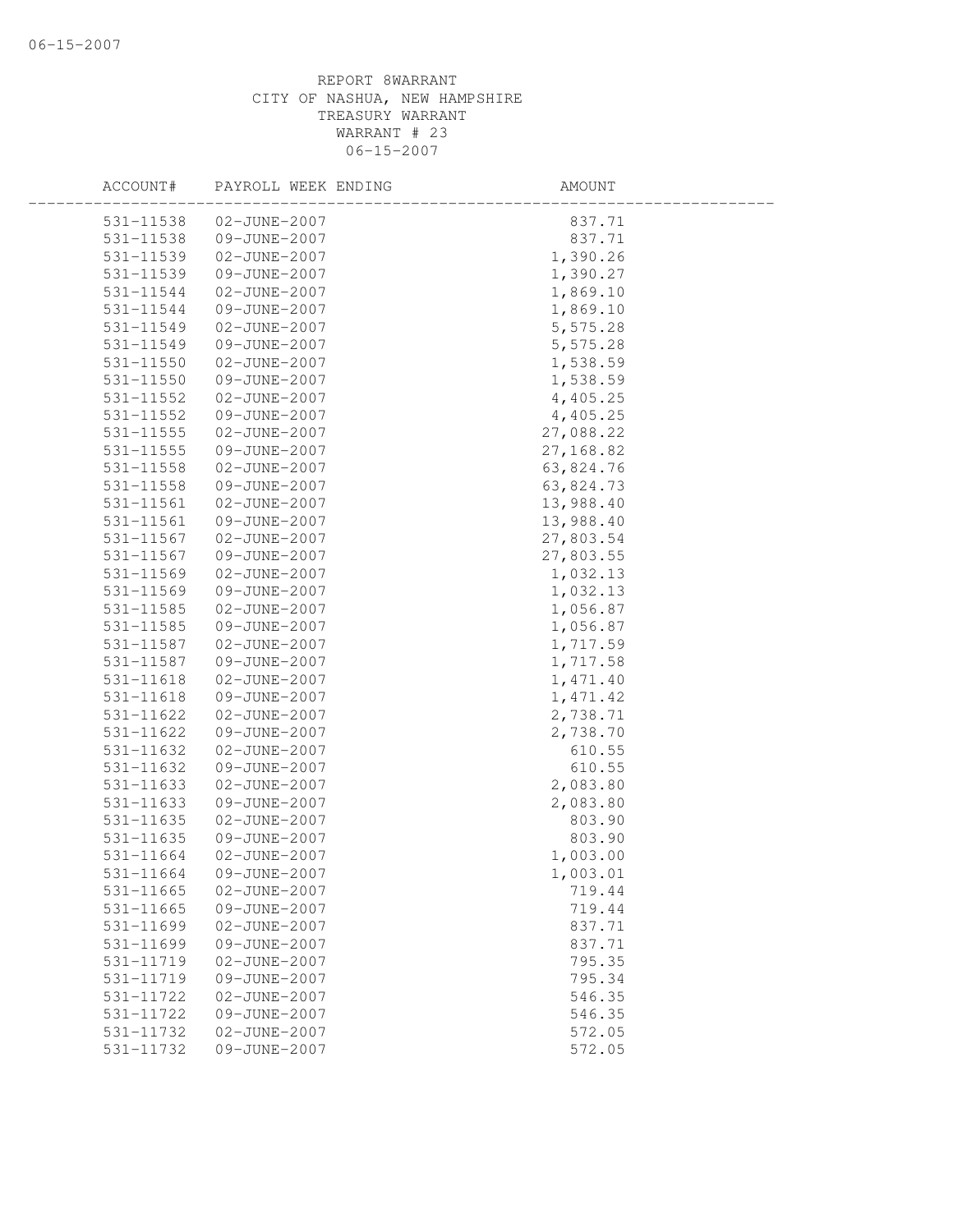| ACCOUNT#      | PAYROLL WEEK ENDING | AMOUNT    |  |
|---------------|---------------------|-----------|--|
| 531-11538     | 02-JUNE-2007        | 837.71    |  |
| 531-11538     | 09-JUNE-2007        | 837.71    |  |
| 531-11539     | 02-JUNE-2007        | 1,390.26  |  |
| 531-11539     | 09-JUNE-2007        | 1,390.27  |  |
| 531-11544     | 02-JUNE-2007        | 1,869.10  |  |
| 531-11544     | 09-JUNE-2007        | 1,869.10  |  |
| 531-11549     | 02-JUNE-2007        | 5,575.28  |  |
| 531-11549     | 09-JUNE-2007        | 5,575.28  |  |
| 531-11550     | 02-JUNE-2007        | 1,538.59  |  |
| 531-11550     | 09-JUNE-2007        | 1,538.59  |  |
| 531-11552     | 02-JUNE-2007        | 4,405.25  |  |
| 531-11552     | 09-JUNE-2007        | 4,405.25  |  |
| 531-11555     | 02-JUNE-2007        | 27,088.22 |  |
| 531-11555     | 09-JUNE-2007        | 27,168.82 |  |
| 531-11558     | 02-JUNE-2007        | 63,824.76 |  |
| 531-11558     | 09-JUNE-2007        | 63,824.73 |  |
| 531-11561     | 02-JUNE-2007        | 13,988.40 |  |
| 531-11561     | 09-JUNE-2007        | 13,988.40 |  |
| 531-11567     | 02-JUNE-2007        | 27,803.54 |  |
| 531-11567     | 09-JUNE-2007        | 27,803.55 |  |
| 531-11569     | 02-JUNE-2007        | 1,032.13  |  |
| 531-11569     | 09-JUNE-2007        | 1,032.13  |  |
| 531-11585     | 02-JUNE-2007        | 1,056.87  |  |
| 531-11585     | 09-JUNE-2007        | 1,056.87  |  |
| 531-11587     | 02-JUNE-2007        | 1,717.59  |  |
| 531-11587     | 09-JUNE-2007        | 1,717.58  |  |
| 531-11618     | 02-JUNE-2007        | 1,471.40  |  |
| 531-11618     | 09-JUNE-2007        | 1,471.42  |  |
| 531-11622     | 02-JUNE-2007        | 2,738.71  |  |
| 531-11622     | 09-JUNE-2007        | 2,738.70  |  |
| 531-11632     | 02-JUNE-2007        | 610.55    |  |
| 531-11632     | 09-JUNE-2007        | 610.55    |  |
| 531-11633     | 02-JUNE-2007        | 2,083.80  |  |
| 531-11633     | 09-JUNE-2007        | 2,083.80  |  |
| 531-11635     | 02-JUNE-2007        | 803.90    |  |
| 531-11635     | 09-JUNE-2007        | 803.90    |  |
| 531-11664     | 02-JUNE-2007        | 1,003.00  |  |
| 531-11664     | 09-JUNE-2007        | 1,003.01  |  |
| 531-11665     | 02-JUNE-2007        | 719.44    |  |
| $531 - 11665$ | 09-JUNE-2007        | 719.44    |  |
| 531-11699     | 02-JUNE-2007        | 837.71    |  |
| 531-11699     | 09-JUNE-2007        | 837.71    |  |
| 531-11719     | 02-JUNE-2007        | 795.35    |  |
| 531-11719     | 09-JUNE-2007        | 795.34    |  |
| 531-11722     | 02-JUNE-2007        | 546.35    |  |
| 531-11722     | 09-JUNE-2007        | 546.35    |  |
| 531-11732     | 02-JUNE-2007        | 572.05    |  |
| 531-11732     | 09-JUNE-2007        | 572.05    |  |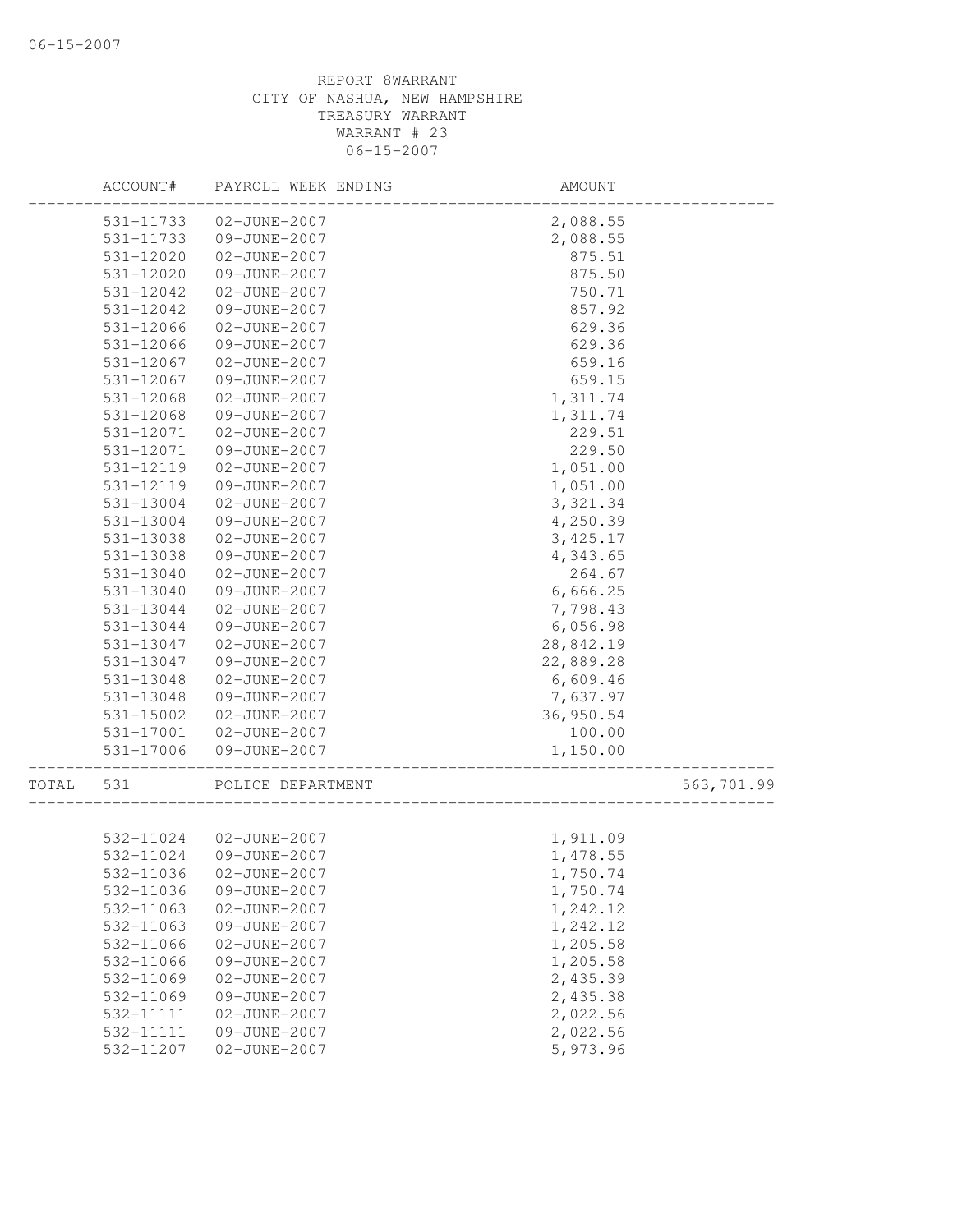|       | ACCOUNT#  | PAYROLL WEEK ENDING | AMOUNT    |            |
|-------|-----------|---------------------|-----------|------------|
|       | 531-11733 | 02-JUNE-2007        | 2,088.55  |            |
|       | 531-11733 | 09-JUNE-2007        | 2,088.55  |            |
|       | 531-12020 | 02-JUNE-2007        | 875.51    |            |
|       | 531-12020 | 09-JUNE-2007        | 875.50    |            |
|       | 531-12042 | 02-JUNE-2007        | 750.71    |            |
|       | 531-12042 | 09-JUNE-2007        | 857.92    |            |
|       | 531-12066 | 02-JUNE-2007        | 629.36    |            |
|       | 531-12066 | 09-JUNE-2007        | 629.36    |            |
|       | 531-12067 | 02-JUNE-2007        | 659.16    |            |
|       | 531-12067 | 09-JUNE-2007        | 659.15    |            |
|       | 531-12068 | 02-JUNE-2007        | 1,311.74  |            |
|       | 531-12068 | 09-JUNE-2007        | 1,311.74  |            |
|       | 531-12071 | 02-JUNE-2007        | 229.51    |            |
|       | 531-12071 | 09-JUNE-2007        | 229.50    |            |
|       | 531-12119 | 02-JUNE-2007        | 1,051.00  |            |
|       | 531-12119 | 09-JUNE-2007        | 1,051.00  |            |
|       | 531-13004 | 02-JUNE-2007        | 3,321.34  |            |
|       | 531-13004 | 09-JUNE-2007        | 4,250.39  |            |
|       | 531-13038 | 02-JUNE-2007        | 3,425.17  |            |
|       | 531-13038 | 09-JUNE-2007        | 4,343.65  |            |
|       | 531-13040 | 02-JUNE-2007        | 264.67    |            |
|       | 531-13040 | 09-JUNE-2007        | 6,666.25  |            |
|       | 531-13044 | 02-JUNE-2007        | 7,798.43  |            |
|       | 531-13044 | 09-JUNE-2007        | 6,056.98  |            |
|       | 531-13047 | 02-JUNE-2007        | 28,842.19 |            |
|       | 531-13047 | 09-JUNE-2007        | 22,889.28 |            |
|       | 531-13048 | 02-JUNE-2007        | 6,609.46  |            |
|       | 531-13048 | 09-JUNE-2007        | 7,637.97  |            |
|       | 531-15002 | 02-JUNE-2007        | 36,950.54 |            |
|       | 531-17001 | 02-JUNE-2007        | 100.00    |            |
|       | 531-17006 | 09-JUNE-2007        | 1,150.00  |            |
|       |           |                     |           |            |
| TOTAL | 531       | POLICE DEPARTMENT   |           | 563,701.99 |
|       | 532-11024 | 02-JUNE-2007        | 1,911.09  |            |
|       | 532-11024 | 09-JUNE-2007        | 1,478.55  |            |
|       | 532-11036 | 02-JUNE-2007        | 1,750.74  |            |
|       | 532-11036 | 09-JUNE-2007        | 1,750.74  |            |
|       | 532-11063 | 02-JUNE-2007        | 1,242.12  |            |
|       | 532-11063 | 09-JUNE-2007        | 1,242.12  |            |
|       | 532-11066 | 02-JUNE-2007        | 1,205.58  |            |
|       | 532-11066 | 09-JUNE-2007        | 1,205.58  |            |
|       | 532-11069 | 02-JUNE-2007        | 2,435.39  |            |
|       | 532-11069 | 09-JUNE-2007        | 2,435.38  |            |
|       | 532-11111 | 02-JUNE-2007        | 2,022.56  |            |
|       | 532-11111 | 09-JUNE-2007        | 2,022.56  |            |
|       | 532-11207 | 02-JUNE-2007        | 5,973.96  |            |
|       |           |                     |           |            |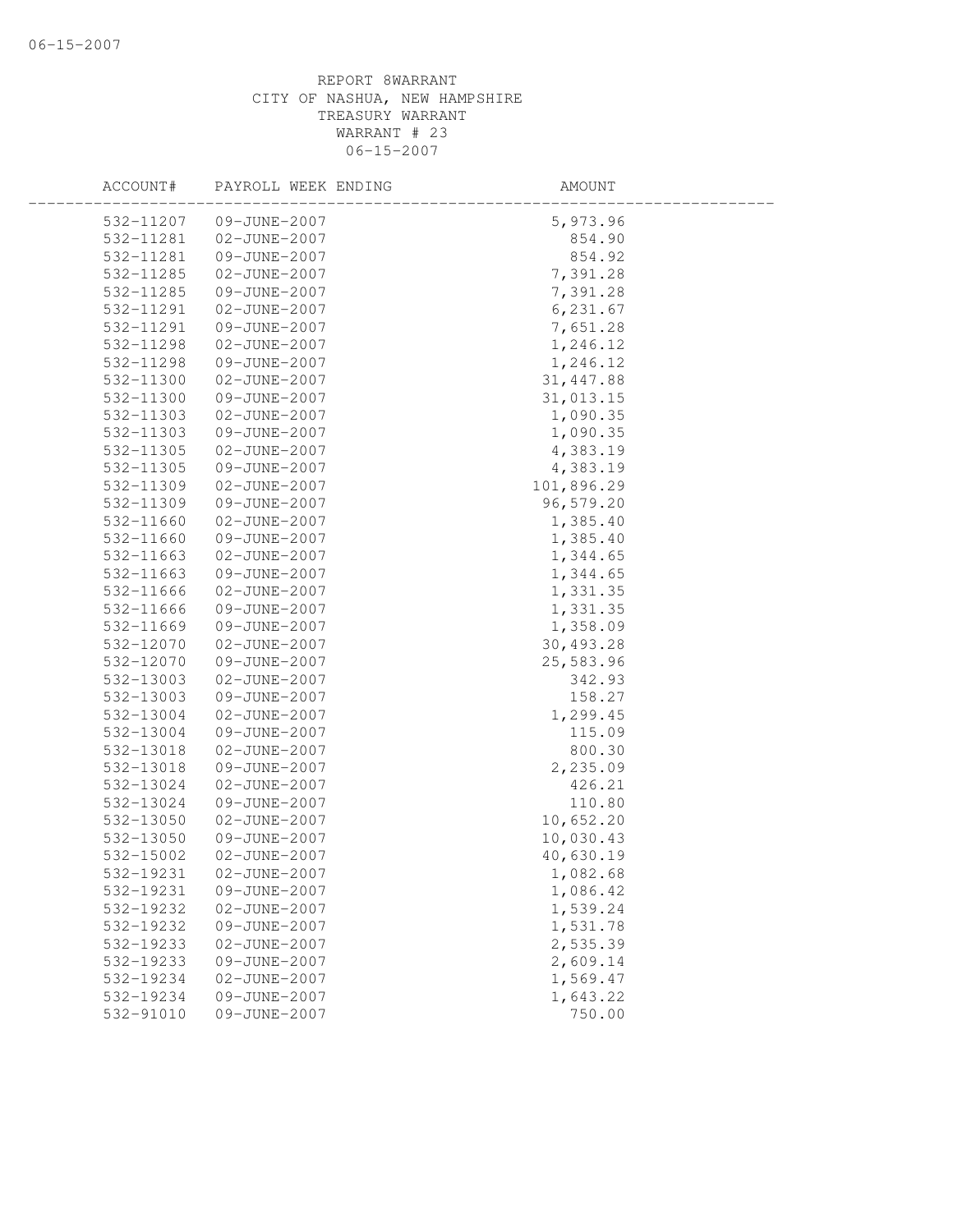| ACCOUNT#               | PAYROLL WEEK ENDING          | AMOUNT             |  |
|------------------------|------------------------------|--------------------|--|
| 532-11207              | 09-JUNE-2007                 | 5,973.96           |  |
| 532-11281              | 02-JUNE-2007                 | 854.90             |  |
| 532-11281              | 09-JUNE-2007                 | 854.92             |  |
| 532-11285              | 02-JUNE-2007                 | 7,391.28           |  |
| 532-11285              | 09-JUNE-2007                 | 7,391.28           |  |
| 532-11291              | 02-JUNE-2007                 | 6,231.67           |  |
| 532-11291              | 09-JUNE-2007                 | 7,651.28           |  |
| 532-11298              | 02-JUNE-2007                 | 1,246.12           |  |
| 532-11298              | 09-JUNE-2007                 | 1,246.12           |  |
| 532-11300              | 02-JUNE-2007                 | 31, 447.88         |  |
| 532-11300              | 09-JUNE-2007                 | 31,013.15          |  |
| 532-11303              | 02-JUNE-2007                 | 1,090.35           |  |
| 532-11303              | 09-JUNE-2007                 | 1,090.35           |  |
| 532-11305              | 02-JUNE-2007                 | 4,383.19           |  |
| 532-11305              | 09-JUNE-2007                 | 4,383.19           |  |
| 532-11309              | 02-JUNE-2007                 | 101,896.29         |  |
| 532-11309              | 09-JUNE-2007                 | 96,579.20          |  |
| 532-11660              | 02-JUNE-2007                 | 1,385.40           |  |
| 532-11660              | 09-JUNE-2007                 | 1,385.40           |  |
| 532-11663              | 02-JUNE-2007                 | 1,344.65           |  |
| 532-11663              | 09-JUNE-2007                 | 1,344.65           |  |
| 532-11666              | 02-JUNE-2007                 | 1,331.35           |  |
| 532-11666              | 09-JUNE-2007                 | 1,331.35           |  |
| 532-11669              | 09-JUNE-2007                 | 1,358.09           |  |
| 532-12070              | 02-JUNE-2007                 | 30,493.28          |  |
| 532-12070              | 09-JUNE-2007                 | 25,583.96          |  |
| 532-13003              | 02-JUNE-2007                 | 342.93             |  |
| 532-13003              | 09-JUNE-2007                 | 158.27             |  |
| 532-13004              | 02-JUNE-2007                 | 1,299.45           |  |
| 532-13004              | 09-JUNE-2007                 | 115.09             |  |
| 532-13018<br>532-13018 | 02-JUNE-2007<br>09-JUNE-2007 | 800.30<br>2,235.09 |  |
| 532-13024              | 02-JUNE-2007                 | 426.21             |  |
| 532-13024              | 09-JUNE-2007                 | 110.80             |  |
| 532-13050              | 02-JUNE-2007                 | 10,652.20          |  |
| 532-13050              | 09-JUNE-2007                 | 10,030.43          |  |
| 532-15002              | 02-JUNE-2007                 | 40,630.19          |  |
| 532-19231              | $02 - JUNE - 2007$           | 1,082.68           |  |
| 532-19231              | 09-JUNE-2007                 | 1,086.42           |  |
| 532-19232              | 02-JUNE-2007                 | 1,539.24           |  |
| 532-19232              | 09-JUNE-2007                 | 1,531.78           |  |
| 532-19233              | 02-JUNE-2007                 | 2,535.39           |  |
| 532-19233              | 09-JUNE-2007                 | 2,609.14           |  |
| 532-19234              | 02-JUNE-2007                 | 1,569.47           |  |
| 532-19234              | 09-JUNE-2007                 | 1,643.22           |  |
| 532-91010              | 09-JUNE-2007                 | 750.00             |  |
|                        |                              |                    |  |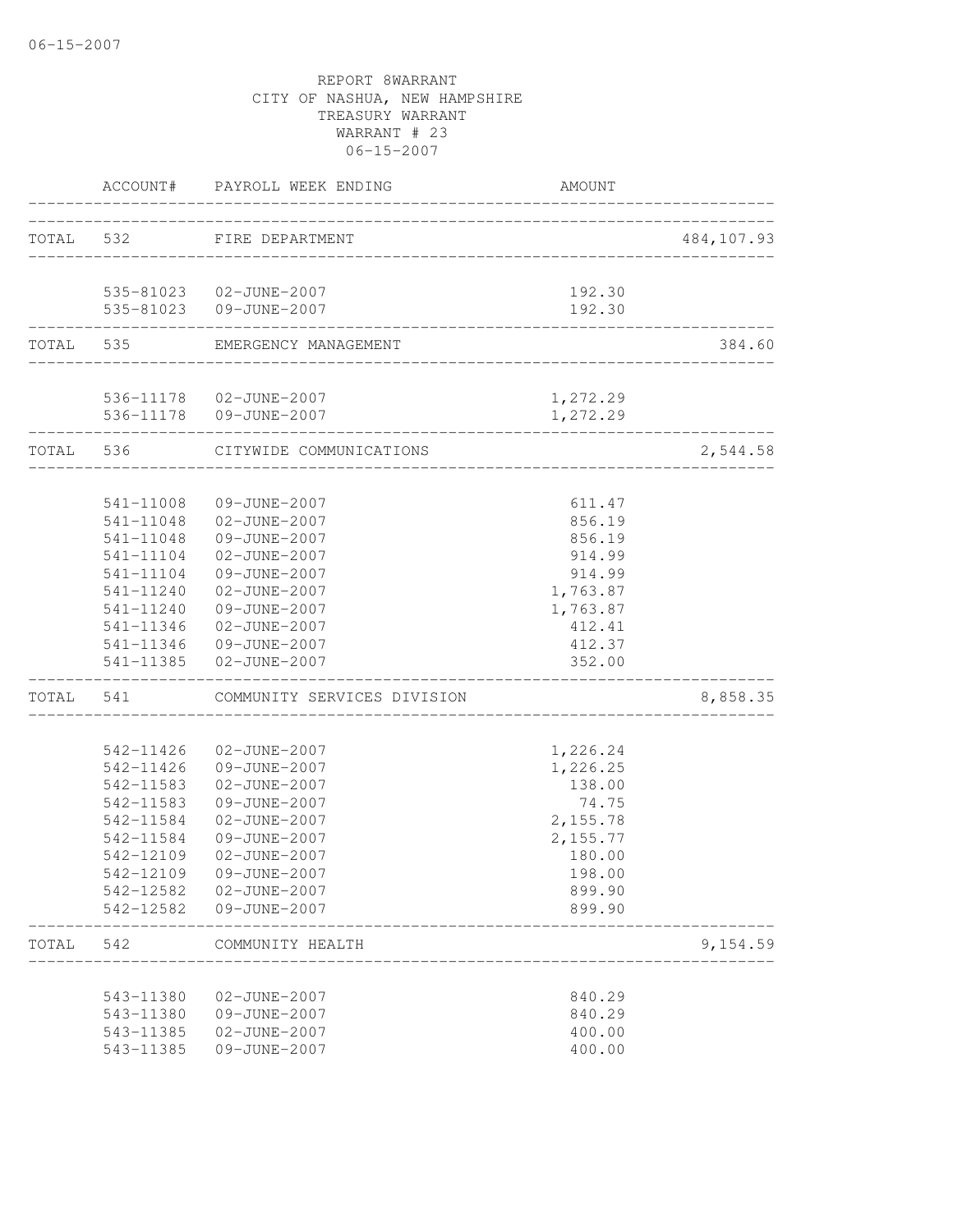|       |                        | ACCOUNT# PAYROLL WEEK ENDING      | <b>AMOUNT</b>     |            |
|-------|------------------------|-----------------------------------|-------------------|------------|
|       | TOTAL 532              | FIRE DEPARTMENT                   |                   | 484,107.93 |
|       |                        | _____________________             |                   |            |
|       |                        | 535-81023  02-JUNE-2007           | 192.30            |            |
|       |                        | 535-81023 09-JUNE-2007            | 192.30            |            |
|       | TOTAL 535              | EMERGENCY MANAGEMENT              |                   | 384.60     |
|       |                        | 536-11178  02-JUNE-2007           | 1,272.29          |            |
|       |                        | 536-11178  09-JUNE-2007           | 1,272.29          |            |
|       |                        | TOTAL 536 CITYWIDE COMMUNICATIONS |                   | 2,544.58   |
|       |                        |                                   |                   |            |
|       | 541-11008              | 09-JUNE-2007                      | 611.47            |            |
|       |                        | 541-11048 02-JUNE-2007            | 856.19            |            |
|       | 541-11048<br>541-11104 | 09-JUNE-2007<br>02-JUNE-2007      | 856.19<br>914.99  |            |
|       | 541-11104              | 09-JUNE-2007                      | 914.99            |            |
|       | 541-11240              | 02-JUNE-2007                      | 1,763.87          |            |
|       | 541-11240              | 09-JUNE-2007                      | 1,763.87          |            |
|       | 541-11346              | 02-JUNE-2007                      | 412.41            |            |
|       | 541-11346              | 09-JUNE-2007                      | 412.37            |            |
|       |                        | 541-11385 02-JUNE-2007            | 352.00            |            |
| TOTAL | 541                    | COMMUNITY SERVICES DIVISION       |                   | 8,858.35   |
|       |                        |                                   |                   |            |
|       | 542-11426              | 02-JUNE-2007                      | 1,226.24          |            |
|       | 542-11426              | 09-JUNE-2007                      | 1,226.25          |            |
|       | 542-11583              | 02-JUNE-2007<br>09-JUNE-2007      | 138.00            |            |
|       | 542-11583<br>542-11584 | 02-JUNE-2007                      | 74.75<br>2,155.78 |            |
|       | 542-11584              | 09-JUNE-2007                      | 2,155.77          |            |
|       | 542-12109              | 02-JUNE-2007                      | 180.00            |            |
|       | 542-12109              | 09-JUNE-2007                      | 198.00            |            |
|       | 542-12582              | 02-JUNE-2007                      | 899.90            |            |
|       | 542-12582              | 09-JUNE-2007                      | 899.90            |            |
| TOTAL | 542                    | COMMUNITY HEALTH                  |                   | 9,154.59   |
|       |                        |                                   |                   |            |
|       | 543-11380              | 02-JUNE-2007                      | 840.29            |            |
|       | 543-11380              | 09-JUNE-2007                      | 840.29            |            |
|       | 543-11385              | 02-JUNE-2007                      | 400.00            |            |
|       | 543-11385              | 09-JUNE-2007                      | 400.00            |            |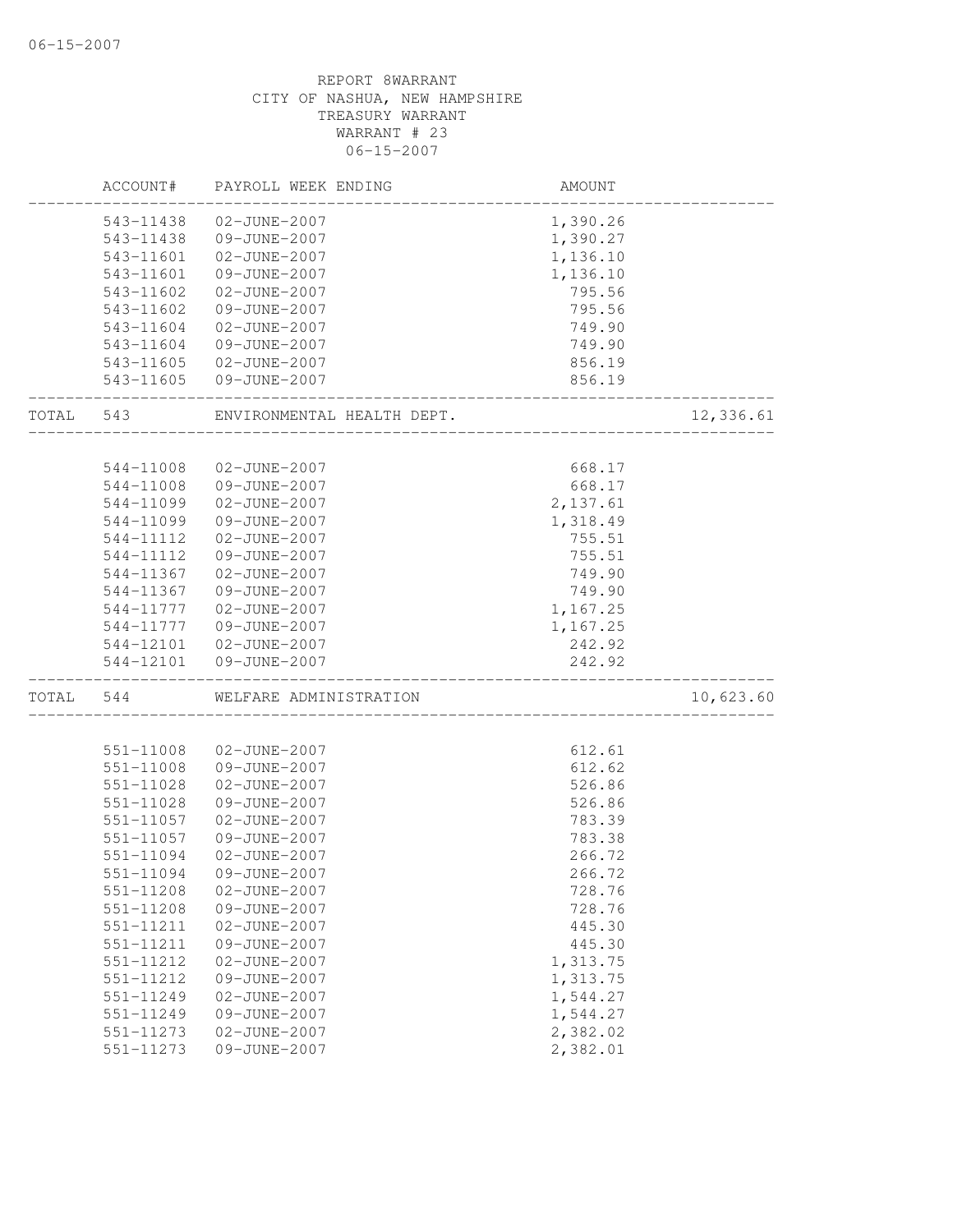|       | ACCOUNT#      | PAYROLL WEEK ENDING        | AMOUNT   |           |
|-------|---------------|----------------------------|----------|-----------|
|       | 543-11438     | 02-JUNE-2007               | 1,390.26 |           |
|       | 543-11438     | 09-JUNE-2007               | 1,390.27 |           |
|       | 543-11601     | 02-JUNE-2007               | 1,136.10 |           |
|       | 543-11601     | 09-JUNE-2007               | 1,136.10 |           |
|       | 543-11602     | 02-JUNE-2007               | 795.56   |           |
|       | 543-11602     | 09-JUNE-2007               | 795.56   |           |
|       | 543-11604     | 02-JUNE-2007               | 749.90   |           |
|       | 543-11604     | 09-JUNE-2007               | 749.90   |           |
|       | 543-11605     | 02-JUNE-2007               | 856.19   |           |
|       | 543-11605     | 09-JUNE-2007               | 856.19   |           |
| TOTAL | 543           | ENVIRONMENTAL HEALTH DEPT. |          | 12,336.61 |
|       |               |                            |          |           |
|       | 544-11008     | 02-JUNE-2007               | 668.17   |           |
|       | 544-11008     | 09-JUNE-2007               | 668.17   |           |
|       | 544-11099     | 02-JUNE-2007               | 2,137.61 |           |
|       | 544-11099     | 09-JUNE-2007               | 1,318.49 |           |
|       | 544-11112     | 02-JUNE-2007               | 755.51   |           |
|       | 544-11112     | 09-JUNE-2007               | 755.51   |           |
|       | 544-11367     | 02-JUNE-2007               | 749.90   |           |
|       | 544-11367     | 09-JUNE-2007               | 749.90   |           |
|       | 544-11777     | 02-JUNE-2007               | 1,167.25 |           |
|       | 544-11777     | 09-JUNE-2007               | 1,167.25 |           |
|       | 544-12101     | 02-JUNE-2007               | 242.92   |           |
|       | 544-12101     | 09-JUNE-2007               | 242.92   |           |
| TOTAL | 544           | WELFARE ADMINISTRATION     |          | 10,623.60 |
|       |               |                            |          |           |
|       | 551-11008     | 02-JUNE-2007               | 612.61   |           |
|       | 551-11008     | 09-JUNE-2007               | 612.62   |           |
|       | 551-11028     | 02-JUNE-2007               | 526.86   |           |
|       | 551-11028     | 09-JUNE-2007               | 526.86   |           |
|       | 551-11057     | 02-JUNE-2007               | 783.39   |           |
|       | 551-11057     | 09-JUNE-2007               | 783.38   |           |
|       | 551-11094     | 02-JUNE-2007               | 266.72   |           |
|       | 551-11094     | 09-JUNE-2007               | 266.72   |           |
|       | 551-11208     | 02-JUNE-2007               | 728.76   |           |
|       | 551-11208     | 09-JUNE-2007               | 728.76   |           |
|       | 551-11211     | 02-JUNE-2007               | 445.30   |           |
|       | 551-11211     | 09-JUNE-2007               | 445.30   |           |
|       | 551-11212     | 02-JUNE-2007               | 1,313.75 |           |
|       | 551-11212     | 09-JUNE-2007               | 1,313.75 |           |
|       | 551-11249     | 02-JUNE-2007               | 1,544.27 |           |
|       | 551-11249     | 09-JUNE-2007               | 1,544.27 |           |
|       | 551-11273     | 02-JUNE-2007               | 2,382.02 |           |
|       | $551 - 11273$ | 09-JUNE-2007               | 2,382.01 |           |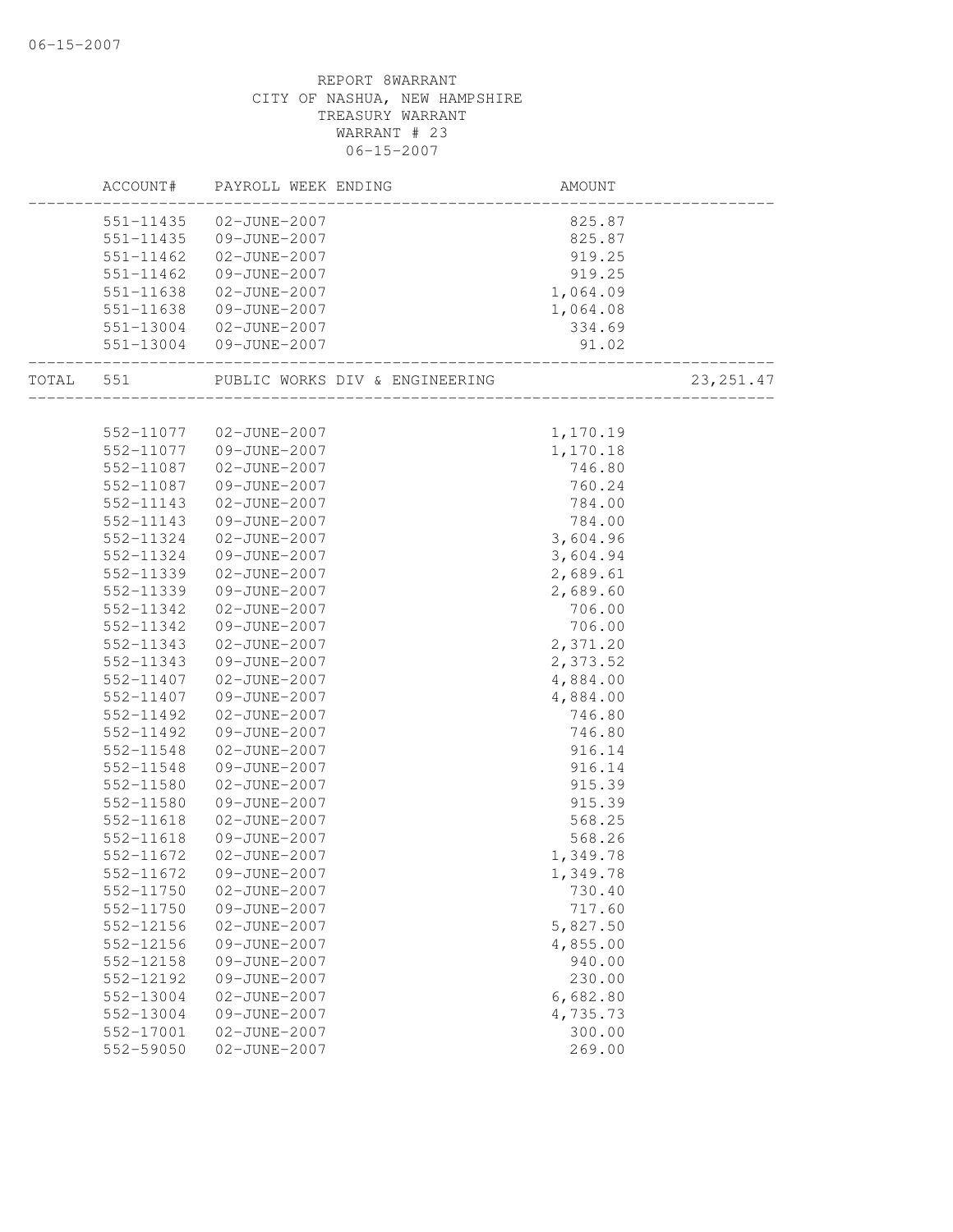| ACCOUNT#  | PAYROLL WEEK ENDING     |                                              | AMOUNT   |            |
|-----------|-------------------------|----------------------------------------------|----------|------------|
|           | 551-11435 02-JUNE-2007  |                                              | 825.87   |            |
|           | 551-11435 09-JUNE-2007  |                                              | 825.87   |            |
| 551-11462 | 02-JUNE-2007            |                                              | 919.25   |            |
| 551-11462 | 09-JUNE-2007            |                                              | 919.25   |            |
| 551-11638 | 02-JUNE-2007            |                                              | 1,064.09 |            |
| 551-11638 | 09-JUNE-2007            |                                              | 1,064.08 |            |
|           | 551-13004 02-JUNE-2007  |                                              | 334.69   |            |
|           | 551-13004 09-JUNE-2007  | _____________________________                | 91.02    |            |
|           |                         | TOTAL 551 PUBLIC WORKS DIV & ENGINEERING 23, |          | 23, 251.47 |
|           |                         |                                              |          |            |
|           | 552-11077  02-JUNE-2007 |                                              | 1,170.19 |            |
|           | 552-11077 09-JUNE-2007  |                                              | 1,170.18 |            |
| 552-11087 | 02-JUNE-2007            |                                              | 746.80   |            |
| 552-11087 | 09-JUNE-2007            |                                              | 760.24   |            |
| 552-11143 | 02-JUNE-2007            |                                              | 784.00   |            |
| 552-11143 | 09-JUNE-2007            |                                              | 784.00   |            |
| 552-11324 | 02-JUNE-2007            |                                              | 3,604.96 |            |
| 552-11324 | 09-JUNE-2007            |                                              | 3,604.94 |            |
| 552-11339 | 02-JUNE-2007            |                                              | 2,689.61 |            |
| 552-11339 | 09-JUNE-2007            |                                              | 2,689.60 |            |
| 552-11342 | 02-JUNE-2007            |                                              | 706.00   |            |
| 552-11342 | 09-JUNE-2007            |                                              | 706.00   |            |
| 552-11343 | 02-JUNE-2007            |                                              | 2,371.20 |            |
| 552-11343 | 09-JUNE-2007            |                                              | 2,373.52 |            |
| 552-11407 | 02-JUNE-2007            |                                              | 4,884.00 |            |
| 552-11407 | 09-JUNE-2007            |                                              | 4,884.00 |            |
| 552-11492 | 02-JUNE-2007            |                                              | 746.80   |            |
| 552-11492 | 09-JUNE-2007            |                                              | 746.80   |            |
| 552-11548 | 02-JUNE-2007            |                                              | 916.14   |            |
| 552-11548 | 09-JUNE-2007            |                                              | 916.14   |            |
| 552-11580 | 02-JUNE-2007            |                                              | 915.39   |            |
| 552-11580 | 09-JUNE-2007            |                                              | 915.39   |            |
| 552-11618 | 02-JUNE-2007            |                                              | 568.25   |            |
| 552-11618 | 09-JUNE-2007            |                                              | 568.26   |            |
| 552-11672 | 02-JUNE-2007            |                                              | 1,349.78 |            |
| 552-11672 | 09-JUNE-2007            |                                              | 1,349.78 |            |
| 552-11750 | 02-JUNE-2007            |                                              | 730.40   |            |
| 552-11750 | 09-JUNE-2007            |                                              | 717.60   |            |
| 552-12156 | 02-JUNE-2007            |                                              | 5,827.50 |            |
| 552-12156 | 09-JUNE-2007            |                                              | 4,855.00 |            |
| 552-12158 | 09-JUNE-2007            |                                              | 940.00   |            |
| 552-12192 | 09-JUNE-2007            |                                              | 230.00   |            |
| 552-13004 | 02-JUNE-2007            |                                              | 6,682.80 |            |
| 552-13004 | 09-JUNE-2007            |                                              | 4,735.73 |            |
| 552-17001 | 02-JUNE-2007            |                                              | 300.00   |            |
| 552-59050 | 02-JUNE-2007            |                                              | 269.00   |            |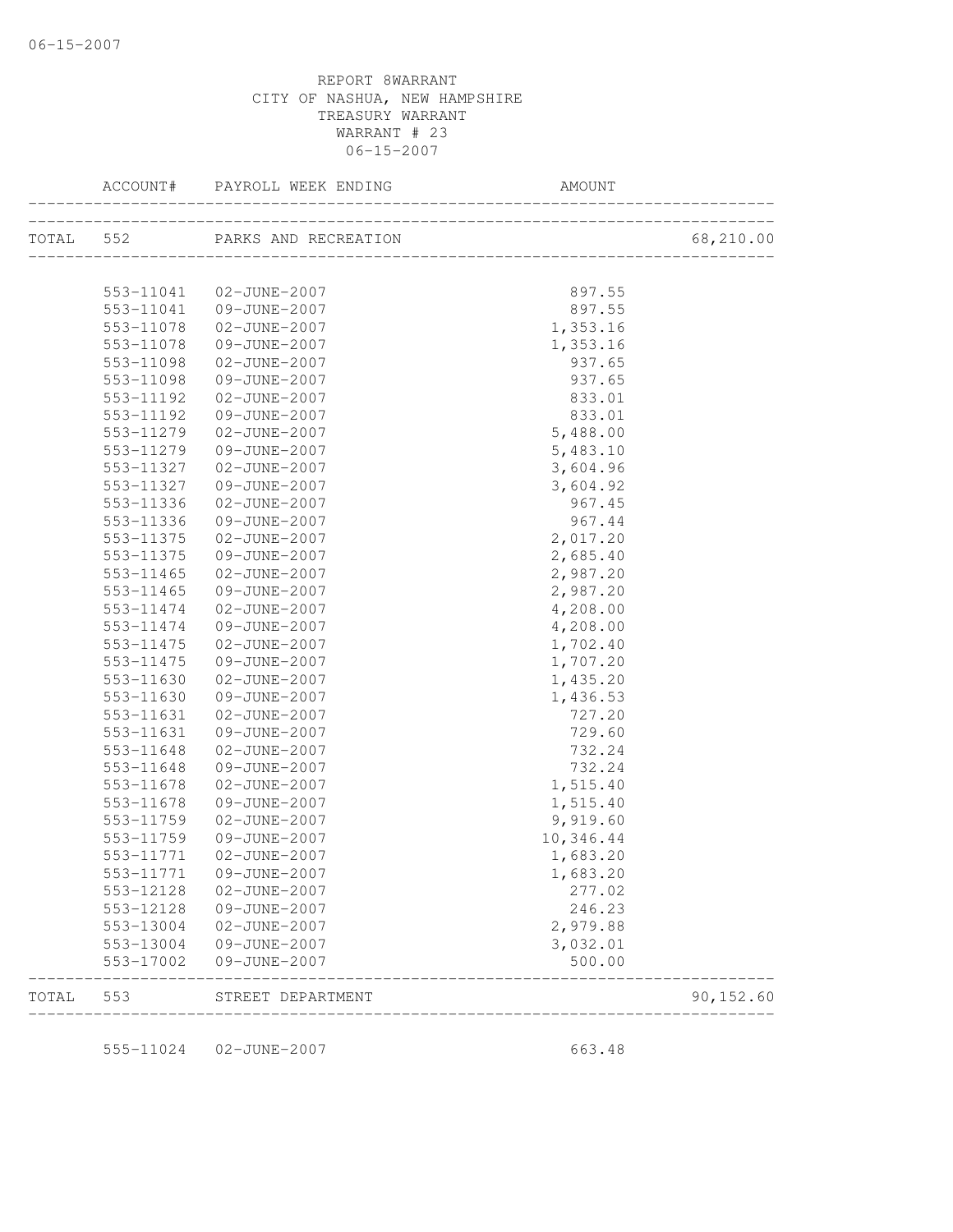|       |                        | ACCOUNT# PAYROLL WEEK ENDING   | AMOUNT                               |            |
|-------|------------------------|--------------------------------|--------------------------------------|------------|
|       |                        | TOTAL 552 PARKS AND RECREATION |                                      | 68,210.00  |
|       |                        |                                |                                      |            |
|       | 553-11041              | 02-JUNE-2007                   | 897.55                               |            |
|       | 553-11041              | 09-JUNE-2007                   | 897.55                               |            |
|       | 553-11078              | 02-JUNE-2007                   | 1,353.16                             |            |
|       | 553-11078              | 09-JUNE-2007                   | 1,353.16                             |            |
|       | 553-11098              | 02-JUNE-2007                   | 937.65                               |            |
|       | 553-11098              | 09-JUNE-2007                   | 937.65                               |            |
|       | 553-11192              | 02-JUNE-2007                   | 833.01                               |            |
|       | 553-11192              | 09-JUNE-2007                   | 833.01                               |            |
|       | 553-11279              | 02-JUNE-2007                   | 5,488.00                             |            |
|       | 553-11279              | 09-JUNE-2007                   | 5,483.10                             |            |
|       | 553-11327              | 02-JUNE-2007                   | 3,604.96                             |            |
|       | 553-11327              | 09-JUNE-2007                   | 3,604.92                             |            |
|       | 553-11336              | 02-JUNE-2007                   | 967.45                               |            |
|       | 553-11336              | 09-JUNE-2007                   | 967.44                               |            |
|       | 553-11375              | 02-JUNE-2007                   | 2,017.20                             |            |
|       | 553-11375              | 09-JUNE-2007                   | 2,685.40                             |            |
|       | 553-11465              | 02-JUNE-2007                   | 2,987.20                             |            |
|       | 553-11465              | 09-JUNE-2007                   | 2,987.20                             |            |
|       | 553-11474              | 02-JUNE-2007                   | 4,208.00                             |            |
|       | 553-11474              | 09-JUNE-2007                   | 4,208.00                             |            |
|       | 553-11475              | 02-JUNE-2007                   | 1,702.40                             |            |
|       | 553-11475              | 09-JUNE-2007                   | 1,707.20                             |            |
|       | 553-11630              | 02-JUNE-2007                   | 1,435.20                             |            |
|       | 553-11630              | 09-JUNE-2007                   | 1,436.53                             |            |
|       | 553-11631              | 02-JUNE-2007                   | 727.20                               |            |
|       | 553-11631              | 09-JUNE-2007                   | 729.60                               |            |
|       | 553-11648              | 02-JUNE-2007                   | 732.24                               |            |
|       | 553-11648              | 09-JUNE-2007                   | 732.24                               |            |
|       | 553-11678              | 02-JUNE-2007                   | 1,515.40                             |            |
|       | 553-11678              | 09-JUNE-2007                   | 1,515.40                             |            |
|       | 553-11759              | 02-JUNE-2007                   | 9,919.60                             |            |
|       | 553-11759              | 09-JUNE-2007                   | 10,346.44                            |            |
|       | 553-11771              | 02-JUNE-2007                   | 1,683.20                             |            |
|       | 553-11771              | 09-JUNE-2007                   | 1,683.20                             |            |
|       |                        |                                |                                      |            |
|       | 553-12128              | 02-JUNE-2007                   | 277.02<br>246.23                     |            |
|       | 553-12128              | 09-JUNE-2007                   |                                      |            |
|       | 553-13004              | 02-JUNE-2007                   | 2,979.88                             |            |
|       | 553-13004<br>553-17002 | 09-JUNE-2007<br>09-JUNE-2007   | 3,032.01<br>500.00                   |            |
| TOTAL | 553                    | STREET DEPARTMENT              | ____________________________________ | 90, 152.60 |
|       |                        |                                |                                      |            |
|       | 555-11024              | 02-JUNE-2007                   | 663.48                               |            |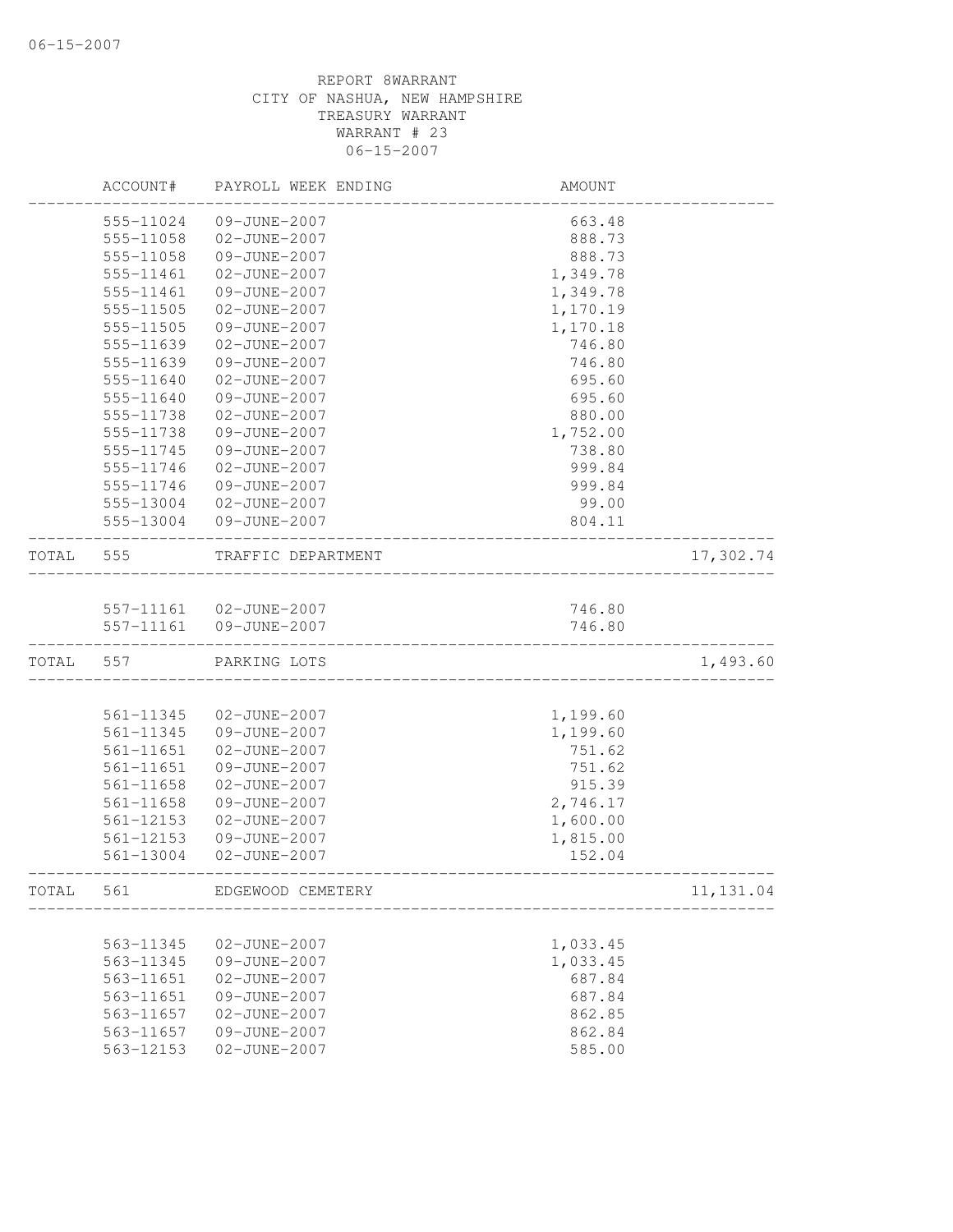|       | ACCOUNT#               | PAYROLL WEEK ENDING          | AMOUNT   |            |
|-------|------------------------|------------------------------|----------|------------|
|       | 555-11024              | 09-JUNE-2007                 | 663.48   |            |
|       | 555-11058              | 02-JUNE-2007                 | 888.73   |            |
|       | 555-11058              | 09-JUNE-2007                 | 888.73   |            |
|       | 555-11461              | 02-JUNE-2007                 | 1,349.78 |            |
|       | 555-11461              | 09-JUNE-2007                 | 1,349.78 |            |
|       | 555-11505              | 02-JUNE-2007                 | 1,170.19 |            |
|       | 555-11505              | 09-JUNE-2007                 | 1,170.18 |            |
|       | 555-11639              | 02-JUNE-2007                 | 746.80   |            |
|       | 555-11639              | 09-JUNE-2007                 | 746.80   |            |
|       | 555-11640              | 02-JUNE-2007                 | 695.60   |            |
|       | 555-11640              | 09-JUNE-2007                 | 695.60   |            |
|       | 555-11738              | 02-JUNE-2007                 | 880.00   |            |
|       | 555-11738              | 09-JUNE-2007                 | 1,752.00 |            |
|       | 555-11745              | 09-JUNE-2007                 | 738.80   |            |
|       | 555-11746              | 02-JUNE-2007                 | 999.84   |            |
|       | 555-11746              | 09-JUNE-2007                 | 999.84   |            |
|       | 555-13004              | 02-JUNE-2007                 | 99.00    |            |
|       | 555-13004              | 09-JUNE-2007                 | 804.11   |            |
| TOTAL | 555                    | TRAFFIC DEPARTMENT           |          | 17,302.74  |
|       |                        |                              |          |            |
|       |                        | 557-11161 02-JUNE-2007       | 746.80   |            |
|       | 557-11161              | 09-JUNE-2007                 | 746.80   |            |
| TOTAL | 557                    | PARKING LOTS                 |          | 1,493.60   |
|       |                        |                              |          |            |
|       | 561-11345              | 02-JUNE-2007                 | 1,199.60 |            |
|       | 561-11345              | 09-JUNE-2007                 | 1,199.60 |            |
|       | 561-11651              | 02-JUNE-2007                 | 751.62   |            |
|       | 561-11651              | 09-JUNE-2007                 | 751.62   |            |
|       | 561-11658              | 02-JUNE-2007                 | 915.39   |            |
|       | 561-11658              | 09-JUNE-2007                 | 2,746.17 |            |
|       | $561 - 12153$          | 02-JUNE-2007                 | 1,600.00 |            |
|       | 561-12153              | 09-JUNE-2007                 | 1,815.00 |            |
|       | 561-13004              | 02-JUNE-2007                 | 152.04   |            |
| TOTAL | 561                    | EDGEWOOD CEMETERY            |          | 11, 131.04 |
|       |                        |                              | 1,033.45 |            |
|       | 563-11345<br>563-11345 | 02-JUNE-2007<br>09-JUNE-2007 | 1,033.45 |            |
|       | 563-11651              | 02-JUNE-2007                 | 687.84   |            |
|       | 563-11651              | 09-JUNE-2007                 | 687.84   |            |
|       | 563-11657              | 02-JUNE-2007                 | 862.85   |            |
|       | 563-11657              | 09-JUNE-2007                 | 862.84   |            |
|       | 563-12153              | 02-JUNE-2007                 | 585.00   |            |
|       |                        |                              |          |            |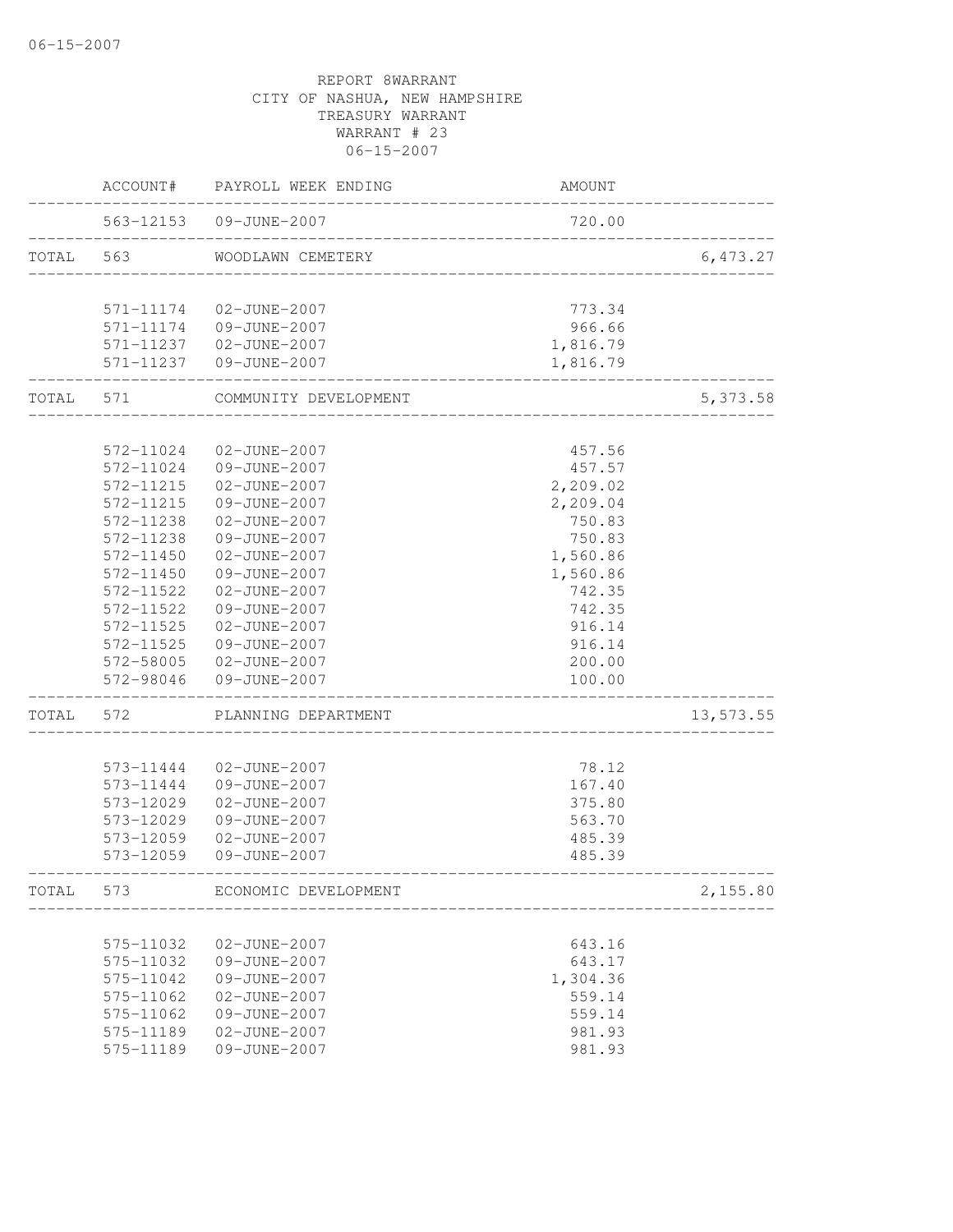|       |           | ACCOUNT# PAYROLL WEEK ENDING | AMOUNT                       |           |
|-------|-----------|------------------------------|------------------------------|-----------|
|       |           | 563-12153  09-JUNE-2007      | 720.00                       |           |
| TOTAL | 563       | WOODLAWN CEMETERY            | ____________________________ | 6,473.27  |
|       |           | 571-11174 02-JUNE-2007       | 773.34                       |           |
|       |           | 571-11174 09-JUNE-2007       | 966.66                       |           |
|       |           | 571-11237  02-JUNE-2007      | 1,816.79                     |           |
|       |           | 571-11237 09-JUNE-2007       | 1,816.79                     |           |
| TOTAL | 571       | COMMUNITY DEVELOPMENT        |                              | 5,373.58  |
|       |           |                              |                              |           |
|       | 572-11024 | 02-JUNE-2007                 | 457.56                       |           |
|       | 572-11024 | 09-JUNE-2007                 | 457.57                       |           |
|       | 572-11215 | 02-JUNE-2007                 | 2,209.02                     |           |
|       | 572-11215 | 09-JUNE-2007                 | 2,209.04                     |           |
|       | 572-11238 | 02-JUNE-2007                 | 750.83                       |           |
|       | 572-11238 | 09-JUNE-2007                 | 750.83                       |           |
|       | 572-11450 | 02-JUNE-2007                 | 1,560.86                     |           |
|       | 572-11450 | 09-JUNE-2007                 | 1,560.86                     |           |
|       | 572-11522 | 02-JUNE-2007                 | 742.35                       |           |
|       | 572-11522 | 09-JUNE-2007                 | 742.35                       |           |
|       | 572-11525 | 02-JUNE-2007                 | 916.14                       |           |
|       | 572-11525 | 09-JUNE-2007                 | 916.14                       |           |
|       |           | 572-58005 02-JUNE-2007       | 200.00                       |           |
|       | 572-98046 | 09-JUNE-2007                 | 100.00                       |           |
| TOTAL | 572       | PLANNING DEPARTMENT          |                              | 13,573.55 |
|       | 573-11444 | 02-JUNE-2007                 | 78.12                        |           |
|       | 573-11444 | 09-JUNE-2007                 | 167.40                       |           |
|       | 573-12029 | 02-JUNE-2007                 | 375.80                       |           |
|       | 573-12029 | 09-JUNE-2007                 | 563.70                       |           |
|       | 573-12059 | 02-JUNE-2007                 | 485.39                       |           |
|       | 573-12059 | 09-JUNE-2007                 | 485.39                       |           |
| TOTAL | 573       | ECONOMIC DEVELOPMENT         |                              | 2,155.80  |
|       |           |                              |                              |           |
|       | 575-11032 | 02-JUNE-2007                 | 643.16                       |           |
|       | 575-11032 | 09-JUNE-2007                 | 643.17                       |           |
|       | 575-11042 | 09-JUNE-2007                 | 1,304.36                     |           |
|       | 575-11062 | 02-JUNE-2007                 | 559.14                       |           |
|       | 575-11062 | 09-JUNE-2007                 | 559.14                       |           |
|       | 575-11189 | 02-JUNE-2007                 | 981.93                       |           |
|       | 575-11189 | 09-JUNE-2007                 | 981.93                       |           |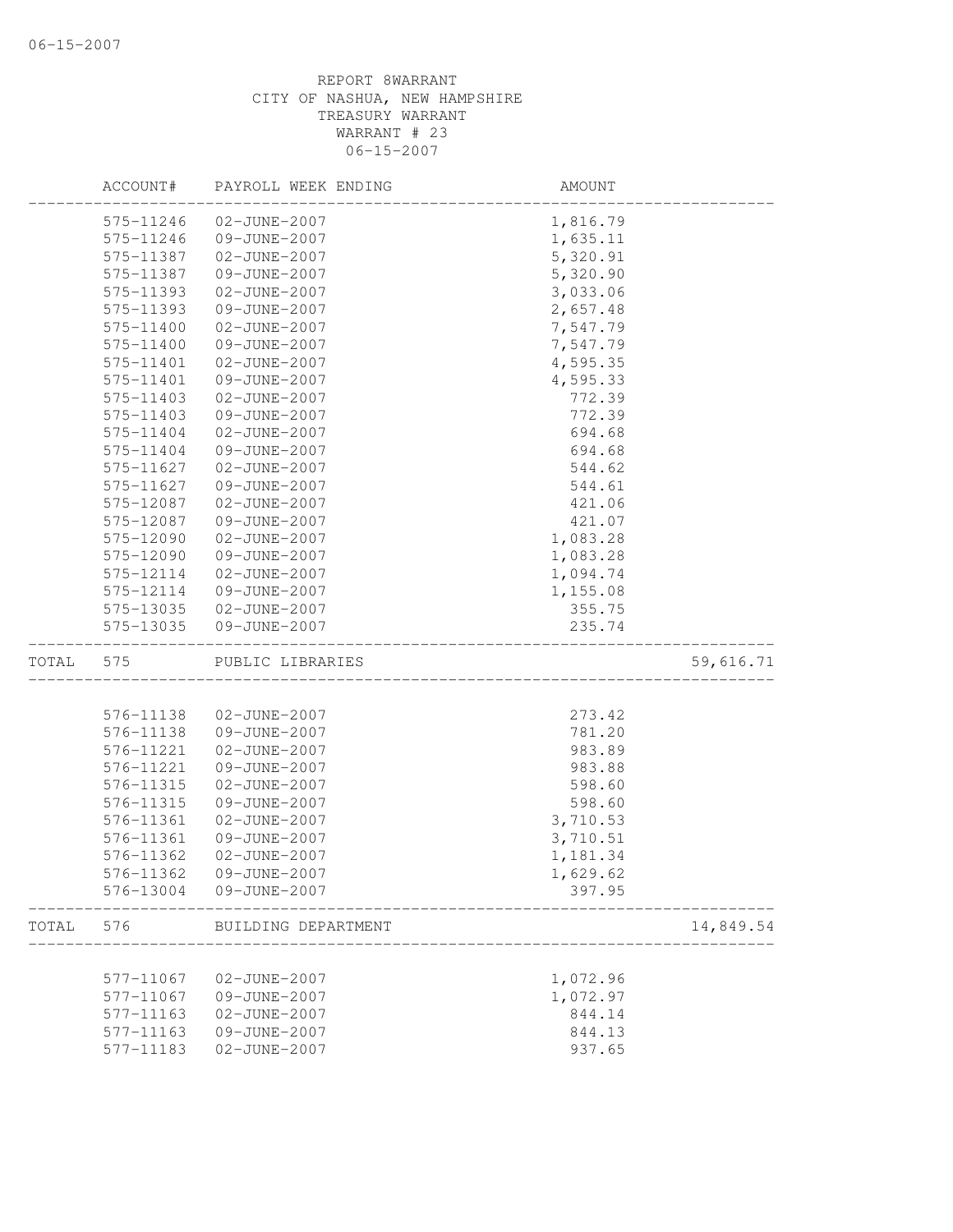|       | ACCOUNT#  | PAYROLL WEEK ENDING | AMOUNT   |           |
|-------|-----------|---------------------|----------|-----------|
|       | 575-11246 | 02-JUNE-2007        | 1,816.79 |           |
|       | 575-11246 | 09-JUNE-2007        | 1,635.11 |           |
|       | 575-11387 | 02-JUNE-2007        | 5,320.91 |           |
|       | 575-11387 | 09-JUNE-2007        | 5,320.90 |           |
|       | 575-11393 | 02-JUNE-2007        | 3,033.06 |           |
|       | 575-11393 | 09-JUNE-2007        | 2,657.48 |           |
|       | 575-11400 | 02-JUNE-2007        | 7,547.79 |           |
|       | 575-11400 | 09-JUNE-2007        | 7,547.79 |           |
|       | 575-11401 | 02-JUNE-2007        | 4,595.35 |           |
|       | 575-11401 | 09-JUNE-2007        | 4,595.33 |           |
|       | 575-11403 | 02-JUNE-2007        | 772.39   |           |
|       | 575-11403 | 09-JUNE-2007        | 772.39   |           |
|       | 575-11404 | 02-JUNE-2007        | 694.68   |           |
|       | 575-11404 | 09-JUNE-2007        | 694.68   |           |
|       | 575-11627 | 02-JUNE-2007        | 544.62   |           |
|       | 575-11627 | 09-JUNE-2007        | 544.61   |           |
|       | 575-12087 | 02-JUNE-2007        | 421.06   |           |
|       | 575-12087 | 09-JUNE-2007        | 421.07   |           |
|       | 575-12090 | 02-JUNE-2007        | 1,083.28 |           |
|       | 575-12090 | 09-JUNE-2007        | 1,083.28 |           |
|       | 575-12114 | 02-JUNE-2007        | 1,094.74 |           |
|       | 575-12114 | 09-JUNE-2007        | 1,155.08 |           |
|       | 575-13035 | 02-JUNE-2007        | 355.75   |           |
|       | 575-13035 | 09-JUNE-2007        | 235.74   |           |
| TOTAL | 575       | PUBLIC LIBRARIES    |          | 59,616.71 |
|       |           |                     |          |           |
|       | 576-11138 | 02-JUNE-2007        | 273.42   |           |
|       | 576-11138 | 09-JUNE-2007        | 781.20   |           |
|       | 576-11221 | 02-JUNE-2007        | 983.89   |           |
|       | 576-11221 | 09-JUNE-2007        | 983.88   |           |
|       | 576-11315 | 02-JUNE-2007        | 598.60   |           |
|       | 576-11315 | 09-JUNE-2007        | 598.60   |           |
|       | 576-11361 | 02-JUNE-2007        | 3,710.53 |           |
|       | 576-11361 | 09-JUNE-2007        | 3,710.51 |           |
|       | 576-11362 | 02-JUNE-2007        | 1,181.34 |           |
|       | 576-11362 | 09-JUNE-2007        | 1,629.62 |           |
|       | 576-13004 | 09-JUNE-2007        | 397.95   |           |
| TOTAL | 576       | BUILDING DEPARTMENT |          | 14,849.54 |
|       |           |                     |          |           |
|       | 577-11067 | 02-JUNE-2007        | 1,072.96 |           |
|       | 577-11067 | 09-JUNE-2007        | 1,072.97 |           |
|       | 577-11163 | $02 - JUNE - 2007$  | 844.14   |           |
|       | 577-11163 | 09-JUNE-2007        | 844.13   |           |
|       | 577-11183 | 02-JUNE-2007        | 937.65   |           |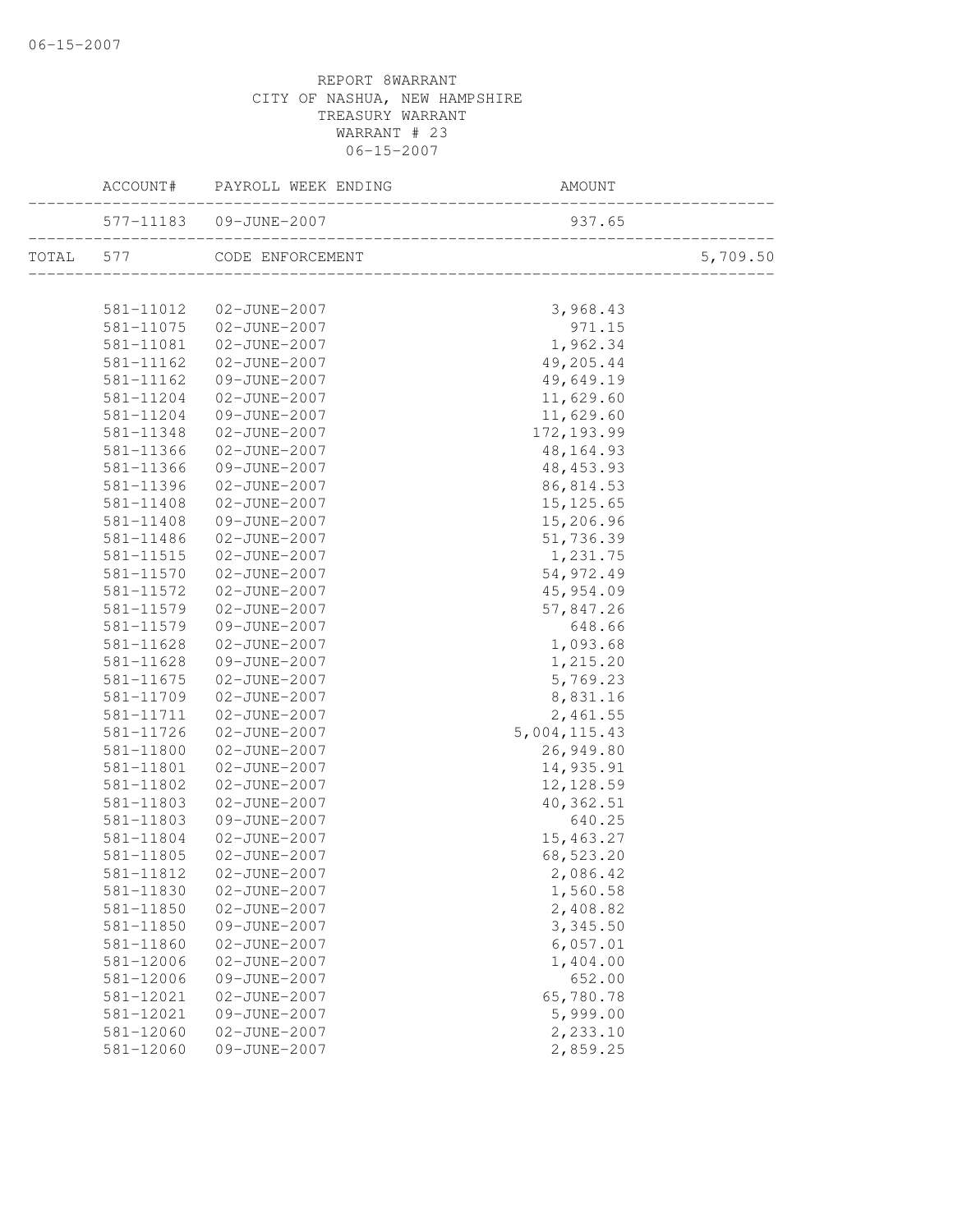|           | ACCOUNT#               | PAYROLL WEEK ENDING          | AMOUNT                                 |          |
|-----------|------------------------|------------------------------|----------------------------------------|----------|
|           |                        | 577-11183  09-JUNE-2007      | 937.65<br>____________________________ |          |
| TOTAL 577 |                        | CODE ENFORCEMENT             |                                        | 5,709.50 |
|           | 581-11012              | 02-JUNE-2007                 | 3,968.43                               |          |
|           | 581-11075              | 02-JUNE-2007                 | 971.15                                 |          |
|           | 581-11081              | 02-JUNE-2007                 | 1,962.34                               |          |
|           | 581-11162              | 02-JUNE-2007                 | 49,205.44                              |          |
|           | 581-11162              | 09-JUNE-2007                 | 49,649.19                              |          |
|           | 581-11204              | 02-JUNE-2007                 | 11,629.60                              |          |
|           | 581-11204              | 09-JUNE-2007                 | 11,629.60                              |          |
|           | 581-11348              | 02-JUNE-2007                 | 172, 193.99                            |          |
|           | 581-11366              | 02-JUNE-2007                 | 48, 164. 93                            |          |
|           | 581-11366              | 09-JUNE-2007                 | 48, 453.93                             |          |
|           | 581-11396              | 02-JUNE-2007                 | 86, 814.53                             |          |
|           | 581-11408              | 02-JUNE-2007                 | 15, 125.65                             |          |
|           | 581-11408              | 09-JUNE-2007                 | 15,206.96                              |          |
|           | 581-11486              | 02-JUNE-2007                 | 51,736.39                              |          |
|           | 581-11515              | 02-JUNE-2007                 | 1,231.75                               |          |
|           | 581-11570              | 02-JUNE-2007                 | 54,972.49                              |          |
|           | 581-11572              | 02-JUNE-2007                 | 45,954.09                              |          |
|           | 581-11579              | 02-JUNE-2007                 | 57,847.26                              |          |
|           | 581-11579              | 09-JUNE-2007                 | 648.66                                 |          |
|           | 581-11628              | 02-JUNE-2007                 | 1,093.68                               |          |
|           | 581-11628              | 09-JUNE-2007                 | 1,215.20                               |          |
|           | 581-11675              | 02-JUNE-2007                 | 5,769.23                               |          |
|           | 581-11709              | 02-JUNE-2007                 | 8,831.16                               |          |
|           | 581-11711              | 02-JUNE-2007                 | 2,461.55                               |          |
|           | 581-11726              | 02-JUNE-2007                 | 5,004,115.43                           |          |
|           | 581-11800              | 02-JUNE-2007                 | 26,949.80                              |          |
|           | 581-11801              | 02-JUNE-2007                 | 14,935.91                              |          |
|           | 581-11802              | 02-JUNE-2007                 | 12, 128.59                             |          |
|           | 581-11803              | 02-JUNE-2007                 | 40, 362.51                             |          |
|           | 581-11803              | 09-JUNE-2007                 | 640.25                                 |          |
|           | 581-11804              | 02-JUNE-2007                 | 15,463.27                              |          |
|           | 581-11805              | 02-JUNE-2007                 | 68,523.20                              |          |
|           | 581-11812              | 02-JUNE-2007                 | 2,086.42                               |          |
|           | 581-11830              | 02-JUNE-2007                 | 1,560.58                               |          |
|           | 581-11850              | 02-JUNE-2007                 | 2,408.82                               |          |
|           | 581-11850              | 09-JUNE-2007<br>02-JUNE-2007 | 3,345.50                               |          |
|           | 581-11860<br>581-12006 | 02-JUNE-2007                 | 6,057.01<br>1,404.00                   |          |
|           | $581 - 12006$          | 09-JUNE-2007                 | 652.00                                 |          |
|           | 581-12021              | 02-JUNE-2007                 | 65,780.78                              |          |
|           | 581-12021              | 09-JUNE-2007                 | 5,999.00                               |          |
|           | 581-12060              | 02-JUNE-2007                 | 2,233.10                               |          |
|           | 581-12060              | 09-JUNE-2007                 | 2,859.25                               |          |
|           |                        |                              |                                        |          |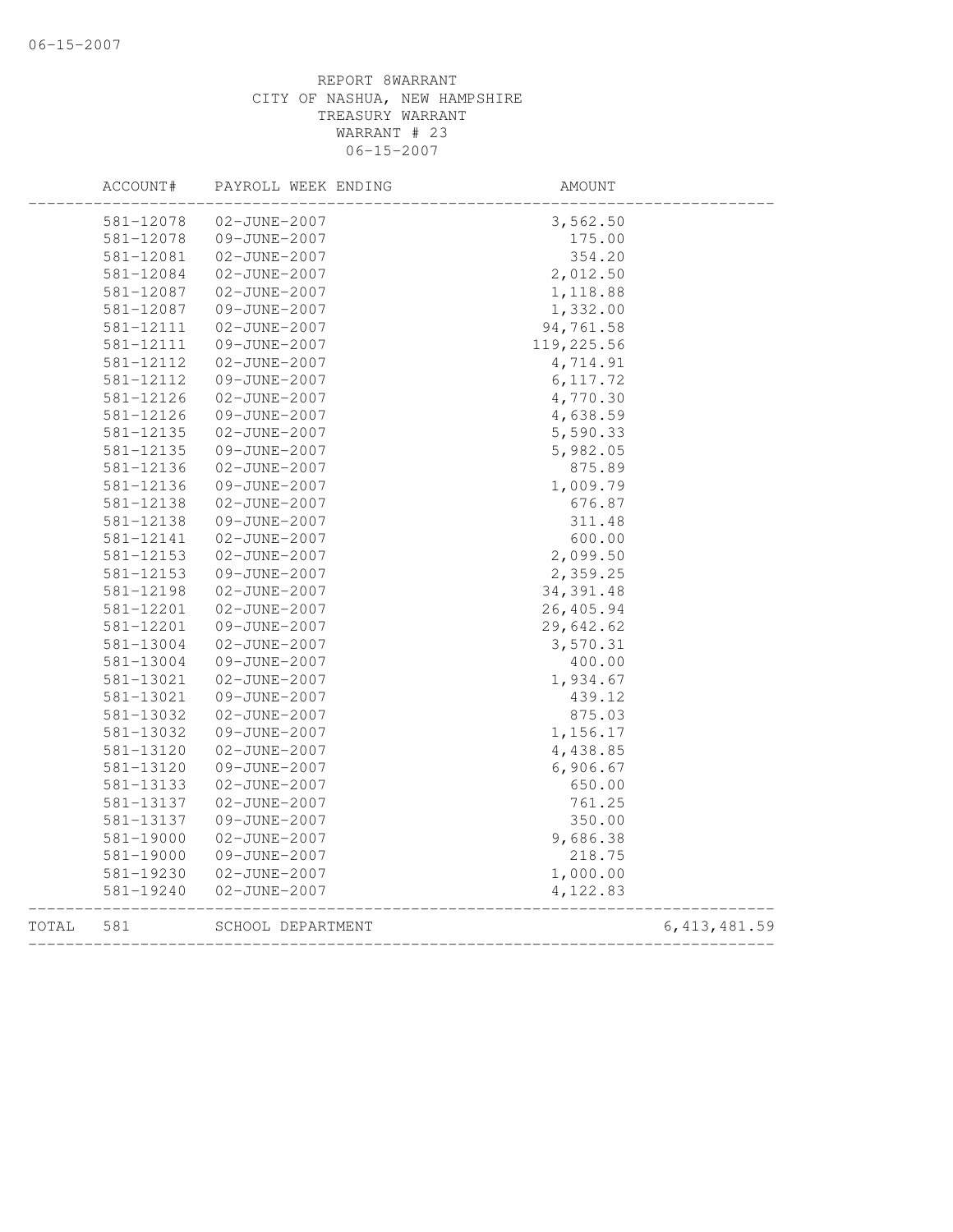|       | ACCOUNT#      | PAYROLL WEEK ENDING | AMOUNT     |                |
|-------|---------------|---------------------|------------|----------------|
|       | 581-12078     | 02-JUNE-2007        | 3,562.50   |                |
|       | 581-12078     | 09-JUNE-2007        | 175.00     |                |
|       | 581-12081     | 02-JUNE-2007        | 354.20     |                |
|       | 581-12084     | 02-JUNE-2007        | 2,012.50   |                |
|       | 581-12087     | 02-JUNE-2007        | 1,118.88   |                |
|       | 581-12087     | 09-JUNE-2007        | 1,332.00   |                |
|       | 581-12111     | 02-JUNE-2007        | 94,761.58  |                |
|       | 581-12111     | 09-JUNE-2007        | 119,225.56 |                |
|       | 581-12112     | 02-JUNE-2007        | 4,714.91   |                |
|       | 581-12112     | 09-JUNE-2007        | 6, 117.72  |                |
|       | 581-12126     | 02-JUNE-2007        | 4,770.30   |                |
|       | 581-12126     | 09-JUNE-2007        | 4,638.59   |                |
|       | 581-12135     | 02-JUNE-2007        | 5,590.33   |                |
|       | 581-12135     | 09-JUNE-2007        | 5,982.05   |                |
|       | 581-12136     | 02-JUNE-2007        | 875.89     |                |
|       | 581-12136     | 09-JUNE-2007        | 1,009.79   |                |
|       | 581-12138     | 02-JUNE-2007        | 676.87     |                |
|       | 581-12138     | 09-JUNE-2007        | 311.48     |                |
|       | 581-12141     | 02-JUNE-2007        | 600.00     |                |
|       | 581-12153     | 02-JUNE-2007        | 2,099.50   |                |
|       | 581-12153     | 09-JUNE-2007        | 2,359.25   |                |
|       | 581-12198     | 02-JUNE-2007        | 34, 391.48 |                |
|       | 581-12201     | 02-JUNE-2007        | 26,405.94  |                |
|       | 581-12201     | 09-JUNE-2007        | 29,642.62  |                |
|       | 581-13004     | 02-JUNE-2007        | 3,570.31   |                |
|       | 581-13004     | 09-JUNE-2007        | 400.00     |                |
|       | 581-13021     | 02-JUNE-2007        | 1,934.67   |                |
|       | 581-13021     | 09-JUNE-2007        | 439.12     |                |
|       | 581-13032     | 02-JUNE-2007        | 875.03     |                |
|       | 581-13032     | 09-JUNE-2007        | 1,156.17   |                |
|       | 581-13120     | 02-JUNE-2007        | 4,438.85   |                |
|       | 581-13120     | 09-JUNE-2007        | 6,906.67   |                |
|       | 581-13133     | $02 - JUNE - 2007$  | 650.00     |                |
|       | 581-13137     | 02-JUNE-2007        | 761.25     |                |
|       | 581-13137     | 09-JUNE-2007        | 350.00     |                |
|       | 581-19000     | 02-JUNE-2007        | 9,686.38   |                |
|       | $581 - 19000$ | 09-JUNE-2007        | 218.75     |                |
|       | 581-19230     | 02-JUNE-2007        | 1,000.00   |                |
|       | 581-19240     | 02-JUNE-2007        | 4,122.83   |                |
| TOTAL | 581           | SCHOOL DEPARTMENT   |            | 6, 413, 481.59 |
|       |               |                     |            |                |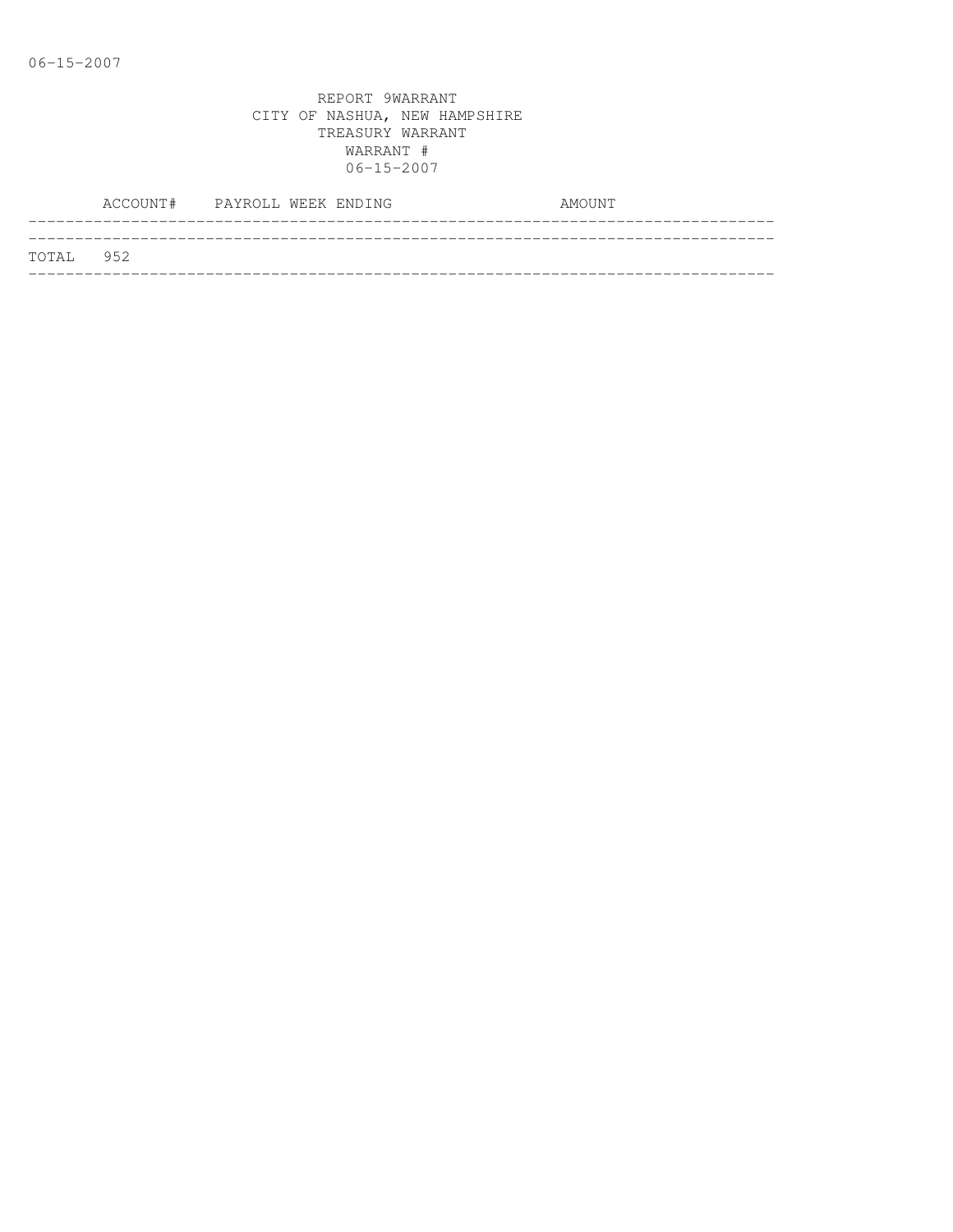|           | ACCOUNT# PAYROLL WEEK ENDING |  |  | AMOUNT |  |
|-----------|------------------------------|--|--|--------|--|
| TOTAL 952 |                              |  |  |        |  |
|           |                              |  |  |        |  |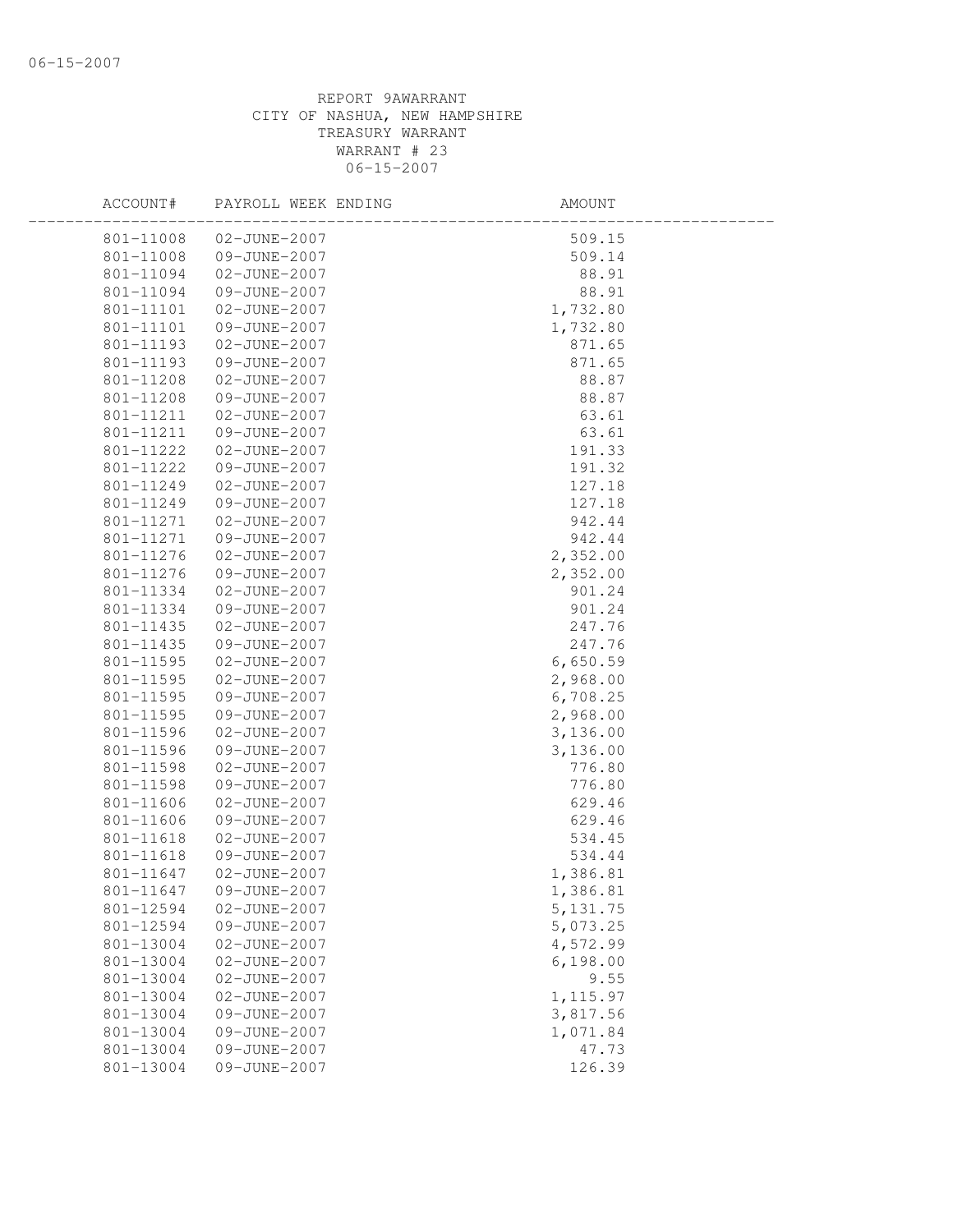| ACCOUNT#  | PAYROLL WEEK ENDING | AMOUNT    |  |
|-----------|---------------------|-----------|--|
| 801-11008 | 02-JUNE-2007        | 509.15    |  |
| 801-11008 | 09-JUNE-2007        | 509.14    |  |
| 801-11094 | 02-JUNE-2007        | 88.91     |  |
| 801-11094 | 09-JUNE-2007        | 88.91     |  |
| 801-11101 | 02-JUNE-2007        | 1,732.80  |  |
| 801-11101 | 09-JUNE-2007        | 1,732.80  |  |
| 801-11193 | 02-JUNE-2007        | 871.65    |  |
| 801-11193 | 09-JUNE-2007        | 871.65    |  |
| 801-11208 | 02-JUNE-2007        | 88.87     |  |
| 801-11208 | 09-JUNE-2007        | 88.87     |  |
| 801-11211 | 02-JUNE-2007        | 63.61     |  |
| 801-11211 | 09-JUNE-2007        | 63.61     |  |
| 801-11222 | 02-JUNE-2007        | 191.33    |  |
| 801-11222 | 09-JUNE-2007        | 191.32    |  |
| 801-11249 | 02-JUNE-2007        | 127.18    |  |
| 801-11249 | 09-JUNE-2007        | 127.18    |  |
| 801-11271 | 02-JUNE-2007        | 942.44    |  |
| 801-11271 | 09-JUNE-2007        | 942.44    |  |
| 801-11276 | 02-JUNE-2007        | 2,352.00  |  |
| 801-11276 | 09-JUNE-2007        | 2,352.00  |  |
| 801-11334 | 02-JUNE-2007        | 901.24    |  |
| 801-11334 | 09-JUNE-2007        | 901.24    |  |
| 801-11435 | 02-JUNE-2007        | 247.76    |  |
| 801-11435 | 09-JUNE-2007        | 247.76    |  |
| 801-11595 | 02-JUNE-2007        | 6,650.59  |  |
| 801-11595 | 02-JUNE-2007        | 2,968.00  |  |
| 801-11595 | 09-JUNE-2007        | 6,708.25  |  |
| 801-11595 | 09-JUNE-2007        | 2,968.00  |  |
| 801-11596 | 02-JUNE-2007        | 3,136.00  |  |
| 801-11596 | 09-JUNE-2007        | 3,136.00  |  |
| 801-11598 | 02-JUNE-2007        | 776.80    |  |
| 801-11598 | 09-JUNE-2007        | 776.80    |  |
| 801-11606 | 02-JUNE-2007        | 629.46    |  |
| 801-11606 | 09-JUNE-2007        | 629.46    |  |
| 801-11618 | 02-JUNE-2007        | 534.45    |  |
| 801-11618 | 09-JUNE-2007        | 534.44    |  |
| 801-11647 | 02-JUNE-2007        | 1,386.81  |  |
| 801-11647 | 09-JUNE-2007        | 1,386.81  |  |
| 801-12594 | 02-JUNE-2007        | 5, 131.75 |  |
| 801-12594 | 09-JUNE-2007        | 5,073.25  |  |
| 801-13004 | 02-JUNE-2007        | 4,572.99  |  |
| 801-13004 | 02-JUNE-2007        | 6,198.00  |  |
| 801-13004 | 02-JUNE-2007        | 9.55      |  |
| 801-13004 | 02-JUNE-2007        | 1, 115.97 |  |
| 801-13004 | 09-JUNE-2007        | 3,817.56  |  |
| 801-13004 | 09-JUNE-2007        | 1,071.84  |  |
| 801-13004 | 09-JUNE-2007        | 47.73     |  |
| 801-13004 | 09-JUNE-2007        | 126.39    |  |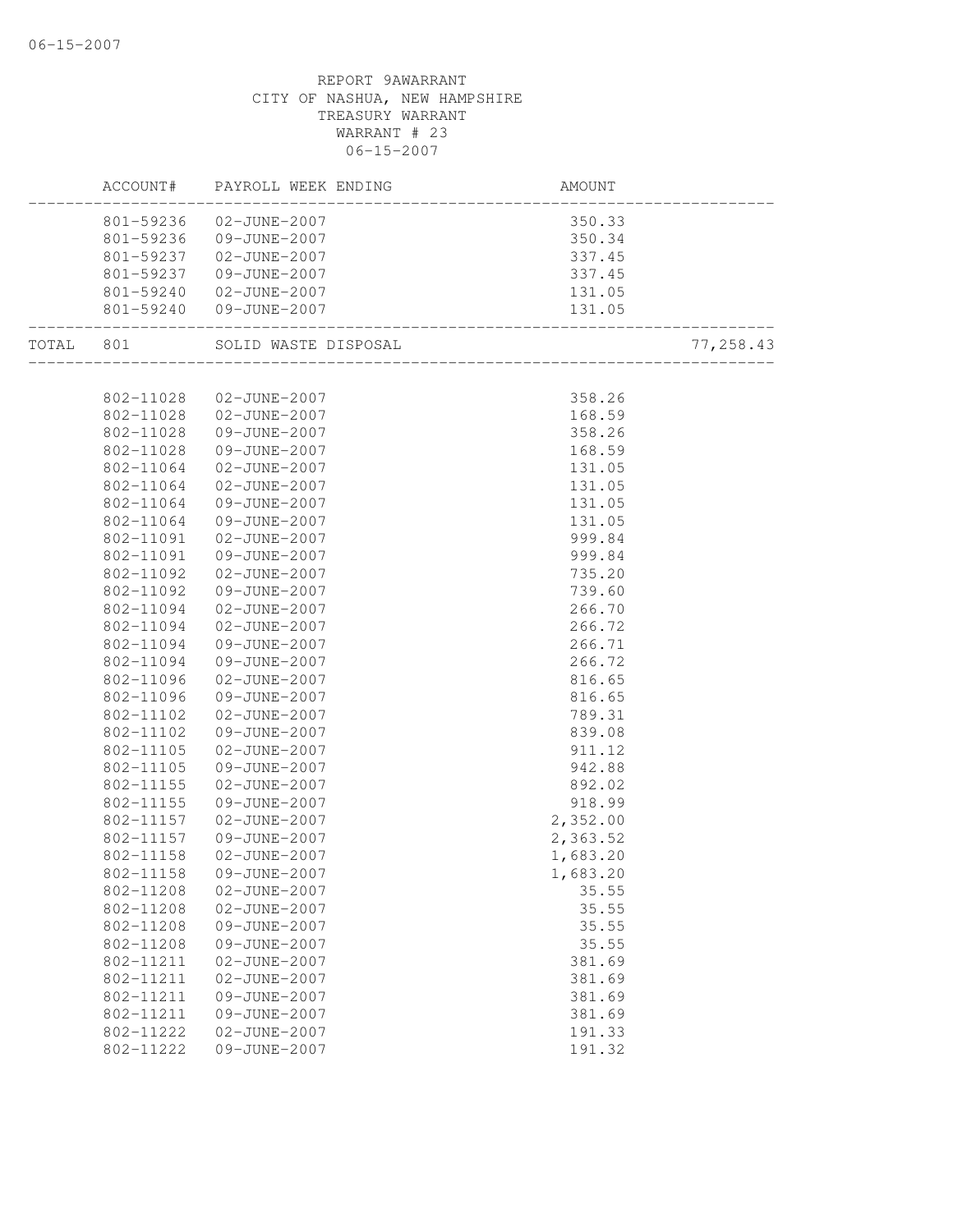| ACCOUNT#               |                              | AMOUNT           |           |
|------------------------|------------------------------|------------------|-----------|
|                        | 801-59236 02-JUNE-2007       | 350.33           |           |
|                        | 801-59236 09-JUNE-2007       | 350.34           |           |
|                        | 801-59237  02-JUNE-2007      | 337.45           |           |
| 801-59237              | 09-JUNE-2007                 | 337.45           |           |
| 801-59240              | $02 - JUNE - 2007$           |                  |           |
| .__________________    | 801-59240 09-JUNE-2007       |                  |           |
|                        |                              |                  | 77,258.43 |
|                        |                              |                  |           |
| 802-11028              | 02-JUNE-2007                 | 358.26           |           |
| 802-11028              | 02-JUNE-2007                 | 168.59           |           |
| 802-11028              | 09-JUNE-2007                 | 358.26           |           |
| 802-11028              | 09-JUNE-2007                 | 168.59           |           |
| 802-11064              | 02-JUNE-2007                 | 131.05           |           |
| 802-11064              | 02-JUNE-2007                 | 131.05           |           |
| 802-11064              | 09-JUNE-2007                 | 131.05           |           |
| 802-11064              | 09-JUNE-2007                 | 131.05           |           |
| 802-11091              | 02-JUNE-2007                 | 999.84           |           |
| 802-11091              | 09-JUNE-2007                 | 999.84           |           |
| 802-11092              | 02-JUNE-2007                 | 735.20           |           |
| 802-11092              | 09-JUNE-2007                 | 739.60           |           |
| 802-11094              | 02-JUNE-2007                 | 266.70           |           |
| 802-11094              | 02-JUNE-2007                 | 266.72           |           |
| 802-11094              | 09-JUNE-2007                 | 266.71           |           |
| 802-11094              | 09-JUNE-2007                 | 266.72           |           |
| 802-11096              | 02-JUNE-2007                 | 816.65           |           |
| 802-11096              | 09-JUNE-2007                 | 816.65           |           |
| 802-11102              | 02-JUNE-2007                 | 789.31<br>839.08 |           |
| 802-11102              | 09-JUNE-2007                 |                  |           |
| 802-11105<br>802-11105 | 02-JUNE-2007<br>09-JUNE-2007 | 911.12<br>942.88 |           |
| 802-11155              | 02-JUNE-2007                 | 892.02           |           |
| 802-11155              | 09-JUNE-2007                 | 918.99           |           |
| 802-11157              | 02-JUNE-2007                 | 2,352.00         |           |
| 802-11157              | 09-JUNE-2007                 | 2,363.52         |           |
| 802-11158              | 02-JUNE-2007                 | 1,683.20         |           |
| 802-11158              | 09-JUNE-2007                 | 1,683.20         |           |
| 802-11208              | 02-JUNE-2007                 | 35.55            |           |
| 802-11208              | 02-JUNE-2007                 | 35.55            |           |
| 802-11208              | 09-JUNE-2007                 | 35.55            |           |
| 802-11208              | 09-JUNE-2007                 | 35.55            |           |
| 802-11211              | 02-JUNE-2007                 | 381.69           |           |
| 802-11211              | 02-JUNE-2007                 | 381.69           |           |
| 802-11211              | 09-JUNE-2007                 | 381.69           |           |
| 802-11211              | 09-JUNE-2007                 | 381.69           |           |
| 802-11222              | 02-JUNE-2007                 | 191.33           |           |
| 802-11222              | 09-JUNE-2007                 | 191.32           |           |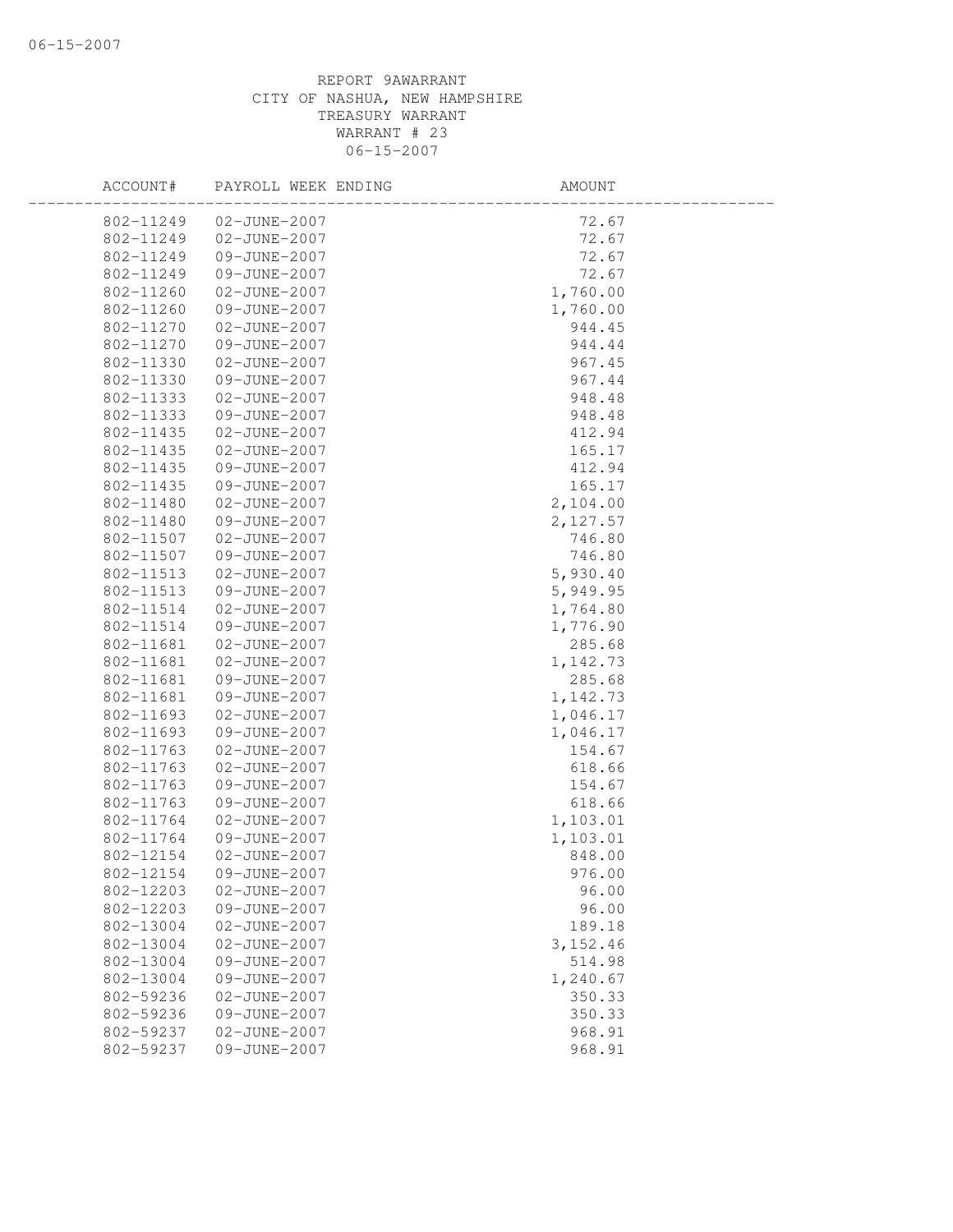## REPORT 9AWARRANT CITY OF NASHUA, NEW HAMPSHIRE TREASURY WARRANT WARRANT # 23 06-15-2007

| ACCOUNT#  | PAYROLL WEEK ENDING | AMOUNT   |  |
|-----------|---------------------|----------|--|
| 802-11249 | 02-JUNE-2007        | 72.67    |  |
| 802-11249 | 02-JUNE-2007        | 72.67    |  |
| 802-11249 | 09-JUNE-2007        | 72.67    |  |
| 802-11249 | 09-JUNE-2007        | 72.67    |  |
| 802-11260 | 02-JUNE-2007        | 1,760.00 |  |
| 802-11260 | 09-JUNE-2007        | 1,760.00 |  |
| 802-11270 | 02-JUNE-2007        | 944.45   |  |
| 802-11270 | 09-JUNE-2007        | 944.44   |  |
| 802-11330 | 02-JUNE-2007        | 967.45   |  |
| 802-11330 | 09-JUNE-2007        | 967.44   |  |
| 802-11333 | 02-JUNE-2007        | 948.48   |  |
| 802-11333 | 09-JUNE-2007        | 948.48   |  |
| 802-11435 | 02-JUNE-2007        | 412.94   |  |
| 802-11435 | 02-JUNE-2007        | 165.17   |  |
| 802-11435 | 09-JUNE-2007        | 412.94   |  |
| 802-11435 | 09-JUNE-2007        | 165.17   |  |
| 802-11480 | 02-JUNE-2007        | 2,104.00 |  |
| 802-11480 | 09-JUNE-2007        | 2,127.57 |  |
| 802-11507 | 02-JUNE-2007        | 746.80   |  |
| 802-11507 | 09-JUNE-2007        | 746.80   |  |
| 802-11513 | 02-JUNE-2007        | 5,930.40 |  |
| 802-11513 | 09-JUNE-2007        | 5,949.95 |  |
| 802-11514 | 02-JUNE-2007        | 1,764.80 |  |
| 802-11514 | 09-JUNE-2007        | 1,776.90 |  |
| 802-11681 | 02-JUNE-2007        | 285.68   |  |
| 802-11681 | 02-JUNE-2007        | 1,142.73 |  |
| 802-11681 | 09-JUNE-2007        | 285.68   |  |
| 802-11681 | 09-JUNE-2007        | 1,142.73 |  |
| 802-11693 | 02-JUNE-2007        | 1,046.17 |  |
| 802-11693 | 09-JUNE-2007        | 1,046.17 |  |
| 802-11763 | 02-JUNE-2007        | 154.67   |  |
| 802-11763 | 02-JUNE-2007        | 618.66   |  |
| 802-11763 | 09-JUNE-2007        | 154.67   |  |
| 802-11763 | 09-JUNE-2007        | 618.66   |  |
| 802-11764 | 02-JUNE-2007        | 1,103.01 |  |
| 802-11764 | 09-JUNE-2007        | 1,103.01 |  |
| 802-12154 | 02-JUNE-2007        | 848.00   |  |
| 802-12154 | 09-JUNE-2007        | 976.00   |  |
| 802-12203 | 02-JUNE-2007        | 96.00    |  |
| 802-12203 | 09-JUNE-2007        | 96.00    |  |
| 802-13004 | 02-JUNE-2007        | 189.18   |  |
| 802-13004 | 02-JUNE-2007        | 3,152.46 |  |
| 802-13004 | 09-JUNE-2007        | 514.98   |  |
| 802-13004 | 09-JUNE-2007        | 1,240.67 |  |
| 802-59236 | 02-JUNE-2007        | 350.33   |  |
| 802-59236 | 09-JUNE-2007        | 350.33   |  |
| 802-59237 | 02-JUNE-2007        | 968.91   |  |
| 802-59237 | 09-JUNE-2007        | 968.91   |  |
|           |                     |          |  |